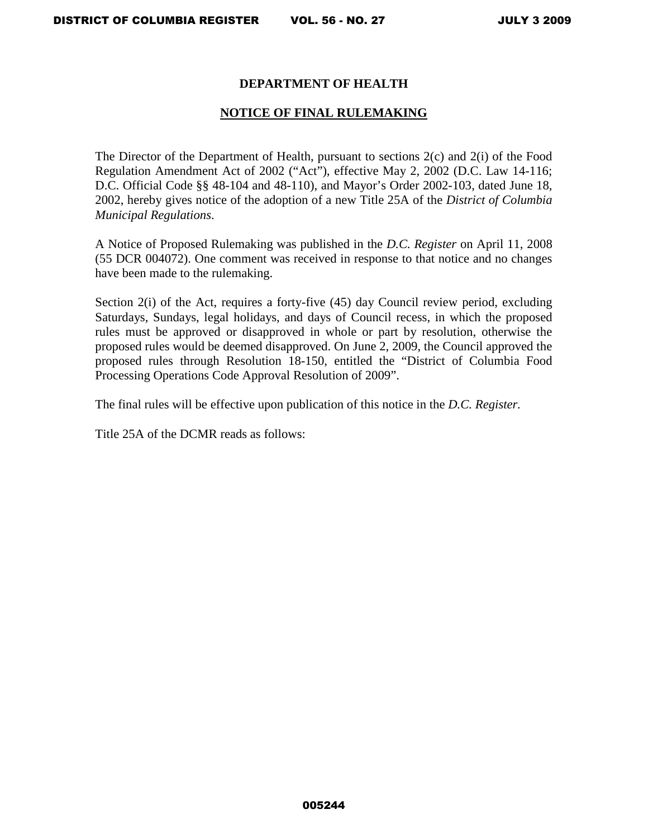# **DEPARTMENT OF HEALTH**

# **NOTICE OF FINAL RULEMAKING**

The Director of the Department of Health, pursuant to sections 2(c) and 2(i) of the Food Regulation Amendment Act of 2002 ("Act"), effective May 2, 2002 (D.C. Law 14-116; D.C. Official Code §§ 48-104 and 48-110), and Mayor's Order 2002-103, dated June 18, 2002, hereby gives notice of the adoption of a new Title 25A of the *District of Columbia Municipal Regulations*.

A Notice of Proposed Rulemaking was published in the *D.C. Register* on April 11, 2008 (55 DCR 004072). One comment was received in response to that notice and no changes have been made to the rulemaking.

Section 2(i) of the Act, requires a forty-five (45) day Council review period, excluding Saturdays, Sundays, legal holidays, and days of Council recess, in which the proposed rules must be approved or disapproved in whole or part by resolution, otherwise the proposed rules would be deemed disapproved. On June 2, 2009, the Council approved the proposed rules through Resolution 18-150, entitled the "District of Columbia Food Processing Operations Code Approval Resolution of 2009".

The final rules will be effective upon publication of this notice in the *D.C. Register.* 

Title 25A of the DCMR reads as follows: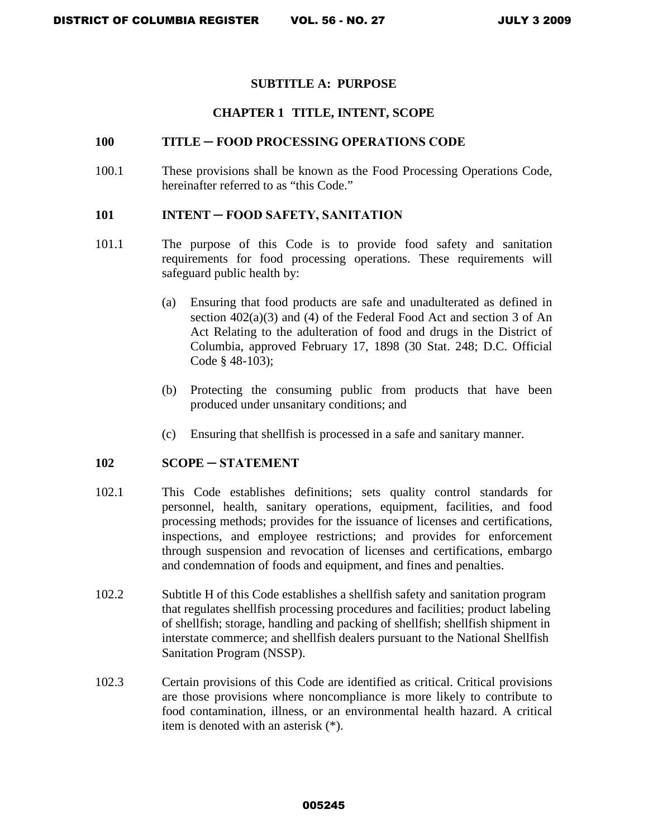### **SUBTITLE A: PURPOSE**

### **CHAPTER 1 TITLE, INTENT, SCOPE**

### **100 TITLE ─ FOOD PROCESSING OPERATIONS CODE**

100.1 These provisions shall be known as the Food Processing Operations Code, hereinafter referred to as "this Code."

#### **101 INTENT ─ FOOD SAFETY, SANITATION**

- 101.1 The purpose of this Code is to provide food safety and sanitation requirements for food processing operations. These requirements will safeguard public health by:
	- (a) Ensuring that food products are safe and unadulterated as defined in section 402(a)(3) and (4) of the Federal Food Act and section 3 of An Act Relating to the adulteration of food and drugs in the District of Columbia, approved February 17, 1898 (30 Stat. 248; D.C. Official Code § 48-103);
	- (b) Protecting the consuming public from products that have been produced under unsanitary conditions; and
	- (c) Ensuring that shellfish is processed in a safe and sanitary manner.

#### 102 **SCOPE — STATEMENT**

- 102.1 This Code establishes definitions; sets quality control standards for personnel, health, sanitary operations, equipment, facilities, and food processing methods; provides for the issuance of licenses and certifications, inspections, and employee restrictions; and provides for enforcement through suspension and revocation of licenses and certifications, embargo and condemnation of foods and equipment, and fines and penalties.
- 102.2 Subtitle H of this Code establishes a shellfish safety and sanitation program that regulates shellfish processing procedures and facilities; product labeling of shellfish; storage, handling and packing of shellfish; shellfish shipment in interstate commerce; and shellfish dealers pursuant to the National Shellfish Sanitation Program (NSSP).
- 102.3 Certain provisions of this Code are identified as critical. Critical provisions are those provisions where noncompliance is more likely to contribute to food contamination, illness, or an environmental health hazard. A critical item is denoted with an asterisk (\*).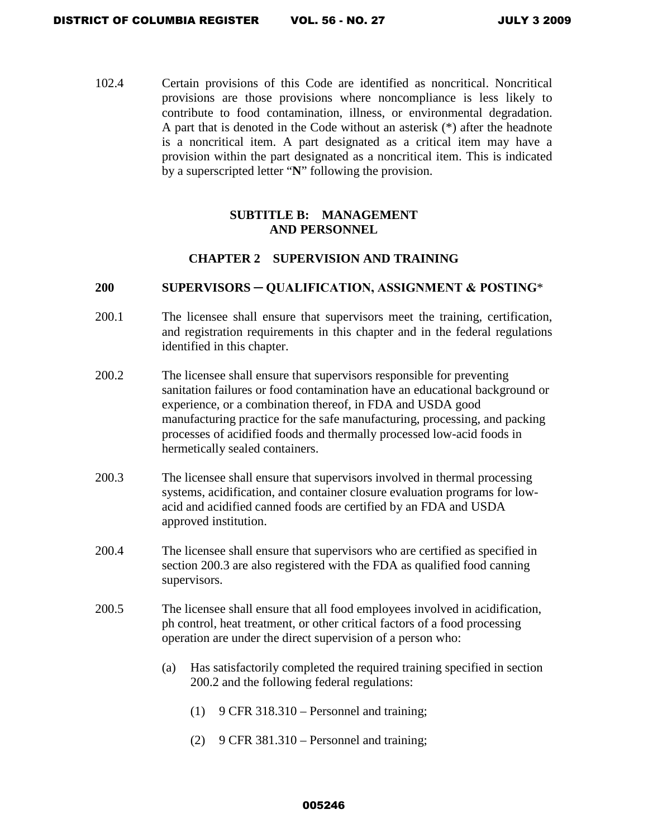102.4 Certain provisions of this Code are identified as noncritical. Noncritical provisions are those provisions where noncompliance is less likely to contribute to food contamination, illness, or environmental degradation. A part that is denoted in the Code without an asterisk (\*) after the headnote is a noncritical item. A part designated as a critical item may have a provision within the part designated as a noncritical item. This is indicated by a superscripted letter "**N**" following the provision.

# **SUBTITLE B: MANAGEMENT AND PERSONNEL**

## **CHAPTER 2 SUPERVISION AND TRAINING**

### **200 SUPERVISORS ─ QUALIFICATION, ASSIGNMENT & POSTING**\*

- 200.1 The licensee shall ensure that supervisors meet the training, certification, and registration requirements in this chapter and in the federal regulations identified in this chapter.
- 200.2 The licensee shall ensure that supervisors responsible for preventing sanitation failures or food contamination have an educational background or experience, or a combination thereof, in FDA and USDA good manufacturing practice for the safe manufacturing, processing, and packing processes of acidified foods and thermally processed low-acid foods in hermetically sealed containers.
- 200.3 The licensee shall ensure that supervisors involved in thermal processing systems, acidification, and container closure evaluation programs for lowacid and acidified canned foods are certified by an FDA and USDA approved institution.
- 200.4 The licensee shall ensure that supervisors who are certified as specified in section 200.3 are also registered with the FDA as qualified food canning supervisors.
- 200.5 The licensee shall ensure that all food employees involved in acidification, ph control, heat treatment, or other critical factors of a food processing operation are under the direct supervision of a person who:
	- (a) Has satisfactorily completed the required training specified in section 200.2 and the following federal regulations:
		- $(1)$  9 CFR 318.310 Personnel and training;
		- (2) 9 CFR  $381.310$  Personnel and training;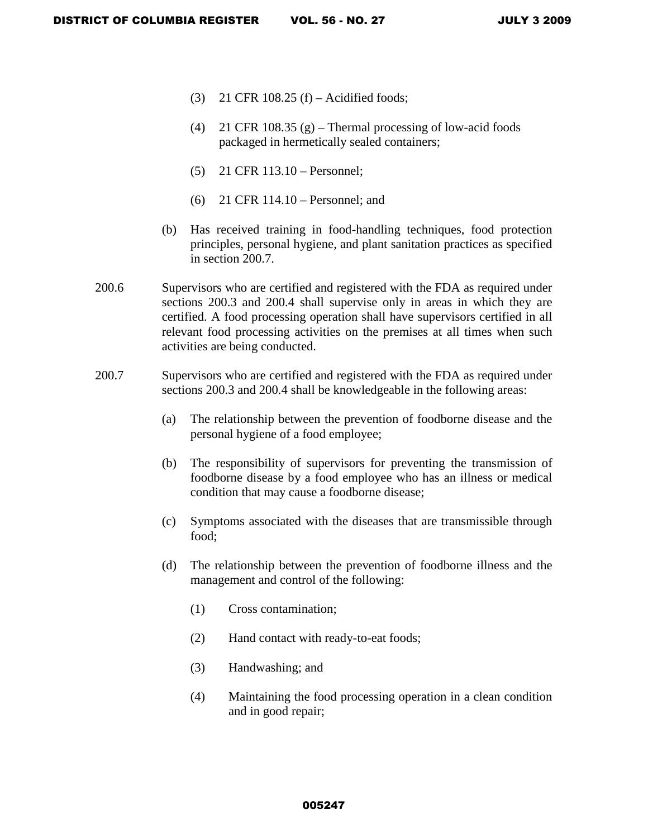- (3) 21 CFR 108.25 (f) Acidified foods;
- (4) 21 CFR 108.35 (g) Thermal processing of low-acid foods packaged in hermetically sealed containers;
- (5) 21 CFR 113.10 Personnel;
- (6) 21 CFR 114.10 Personnel; and
- (b) Has received training in food-handling techniques, food protection principles, personal hygiene, and plant sanitation practices as specified in section 200.7.
- 200.6 Supervisors who are certified and registered with the FDA as required under sections 200.3 and 200.4 shall supervise only in areas in which they are certified. A food processing operation shall have supervisors certified in all relevant food processing activities on the premises at all times when such activities are being conducted.
- 200.7 Supervisors who are certified and registered with the FDA as required under sections 200.3 and 200.4 shall be knowledgeable in the following areas:
	- (a) The relationship between the prevention of foodborne disease and the personal hygiene of a food employee;
	- (b) The responsibility of supervisors for preventing the transmission of foodborne disease by a food employee who has an illness or medical condition that may cause a foodborne disease;
	- (c) Symptoms associated with the diseases that are transmissible through food;
	- (d) The relationship between the prevention of foodborne illness and the management and control of the following:
		- (1) Cross contamination;
		- (2) Hand contact with ready-to-eat foods;
		- (3) Handwashing; and
		- (4) Maintaining the food processing operation in a clean condition and in good repair;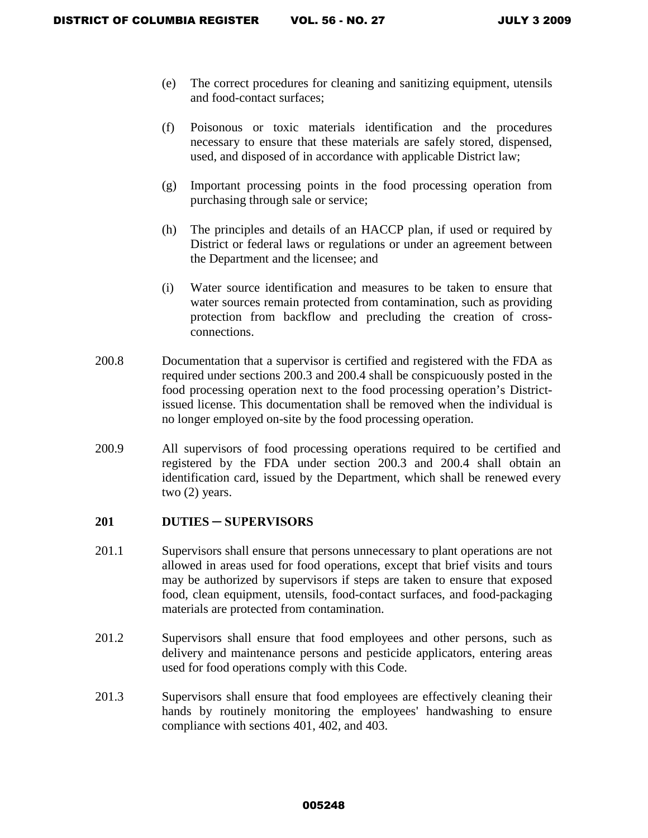- (e) The correct procedures for cleaning and sanitizing equipment, utensils and food-contact surfaces;
- (f) Poisonous or toxic materials identification and the procedures necessary to ensure that these materials are safely stored, dispensed, used, and disposed of in accordance with applicable District law;
- (g) Important processing points in the food processing operation from purchasing through sale or service;
- (h) The principles and details of an HACCP plan, if used or required by District or federal laws or regulations or under an agreement between the Department and the licensee; and
- (i) Water source identification and measures to be taken to ensure that water sources remain protected from contamination, such as providing protection from backflow and precluding the creation of crossconnections.
- 200.8 Documentation that a supervisor is certified and registered with the FDA as required under sections 200.3 and 200.4 shall be conspicuously posted in the food processing operation next to the food processing operation's Districtissued license. This documentation shall be removed when the individual is no longer employed on-site by the food processing operation.
- 200.9 All supervisors of food processing operations required to be certified and registered by the FDA under section 200.3 and 200.4 shall obtain an identification card, issued by the Department, which shall be renewed every two (2) years.

### **201 DUTIES ─ SUPERVISORS**

- 201.1 Supervisors shall ensure that persons unnecessary to plant operations are not allowed in areas used for food operations, except that brief visits and tours may be authorized by supervisors if steps are taken to ensure that exposed food, clean equipment, utensils, food-contact surfaces, and food-packaging materials are protected from contamination.
- 201.2 Supervisors shall ensure that food employees and other persons, such as delivery and maintenance persons and pesticide applicators, entering areas used for food operations comply with this Code.
- 201.3 Supervisors shall ensure that food employees are effectively cleaning their hands by routinely monitoring the employees' handwashing to ensure compliance with sections 401, 402, and 403.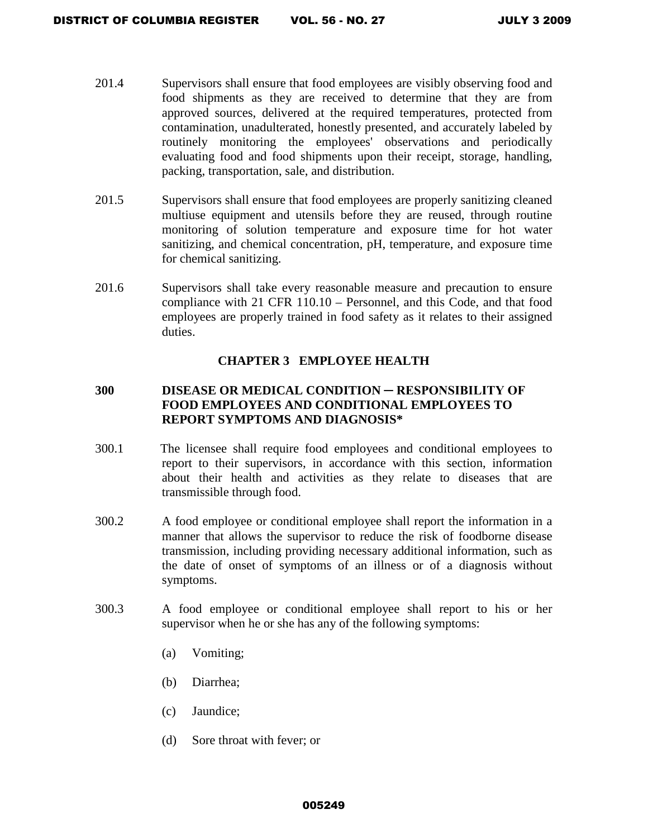- 201.4 Supervisors shall ensure that food employees are visibly observing food and food shipments as they are received to determine that they are from approved sources, delivered at the required temperatures, protected from contamination, unadulterated, honestly presented, and accurately labeled by routinely monitoring the employees' observations and periodically evaluating food and food shipments upon their receipt, storage, handling, packing, transportation, sale, and distribution.
- 201.5 Supervisors shall ensure that food employees are properly sanitizing cleaned multiuse equipment and utensils before they are reused, through routine monitoring of solution temperature and exposure time for hot water sanitizing, and chemical concentration, pH, temperature, and exposure time for chemical sanitizing.
- 201.6 Supervisors shall take every reasonable measure and precaution to ensure compliance with 21 CFR 110.10 – Personnel, and this Code, and that food employees are properly trained in food safety as it relates to their assigned duties.

# **CHAPTER 3 EMPLOYEE HEALTH**

# **300 DISEASE OR MEDICAL CONDITION ─ RESPONSIBILITY OF FOOD EMPLOYEES AND CONDITIONAL EMPLOYEES TO REPORT SYMPTOMS AND DIAGNOSIS\***

- 300.1 The licensee shall require food employees and conditional employees to report to their supervisors, in accordance with this section, information about their health and activities as they relate to diseases that are transmissible through food.
- 300.2 A food employee or conditional employee shall report the information in a manner that allows the supervisor to reduce the risk of foodborne disease transmission, including providing necessary additional information, such as the date of onset of symptoms of an illness or of a diagnosis without symptoms.
- 300.3 A food employee or conditional employee shall report to his or her supervisor when he or she has any of the following symptoms:
	- (a) Vomiting;
	- (b) Diarrhea;
	- (c) Jaundice;
	- (d) Sore throat with fever; or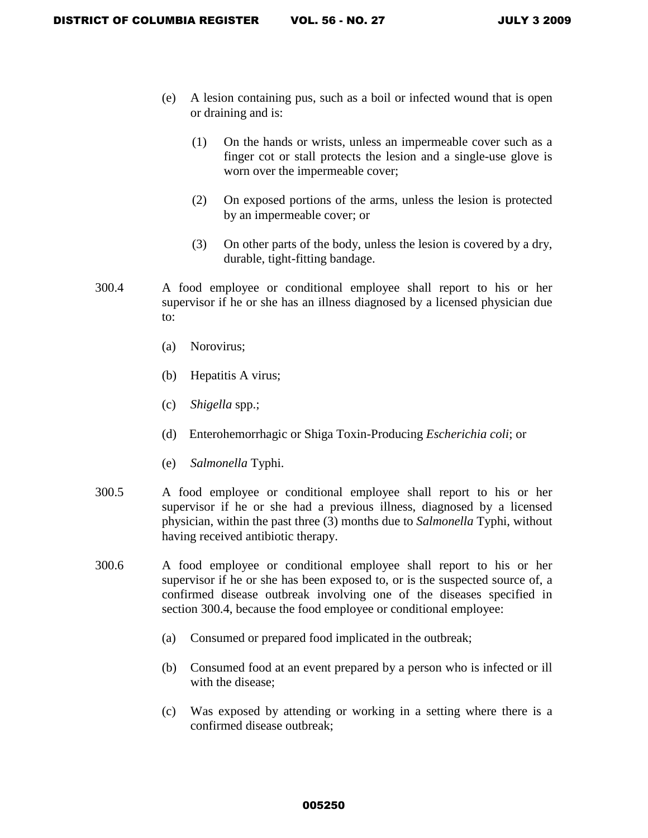- (e) A lesion containing pus, such as a boil or infected wound that is open or draining and is:
	- (1) On the hands or wrists, unless an impermeable cover such as a finger cot or stall protects the lesion and a single-use glove is worn over the impermeable cover;
	- (2) On exposed portions of the arms, unless the lesion is protected by an impermeable cover; or
	- (3) On other parts of the body, unless the lesion is covered by a dry, durable, tight-fitting bandage.
- 300.4 A food employee or conditional employee shall report to his or her supervisor if he or she has an illness diagnosed by a licensed physician due to:
	- (a) Norovirus;
	- (b)Hepatitis A virus;
	- (c) *Shigella* spp.;
	- (d) Enterohemorrhagic or Shiga Toxin-Producing *Escherichia coli*; or
	- (e) *Salmonella* Typhi.
- 300.5 A food employee or conditional employee shall report to his or her supervisor if he or she had a previous illness, diagnosed by a licensed physician, within the past three (3) months due to *Salmonella* Typhi, without having received antibiotic therapy.
- 300.6 A food employee or conditional employee shall report to his or her supervisor if he or she has been exposed to, or is the suspected source of, a confirmed disease outbreak involving one of the diseases specified in section 300.4, because the food employee or conditional employee:
	- (a) Consumed or prepared food implicated in the outbreak;
	- (b) Consumed food at an event prepared by a person who is infected or ill with the disease;
	- (c) Was exposed by attending or working in a setting where there is a confirmed disease outbreak;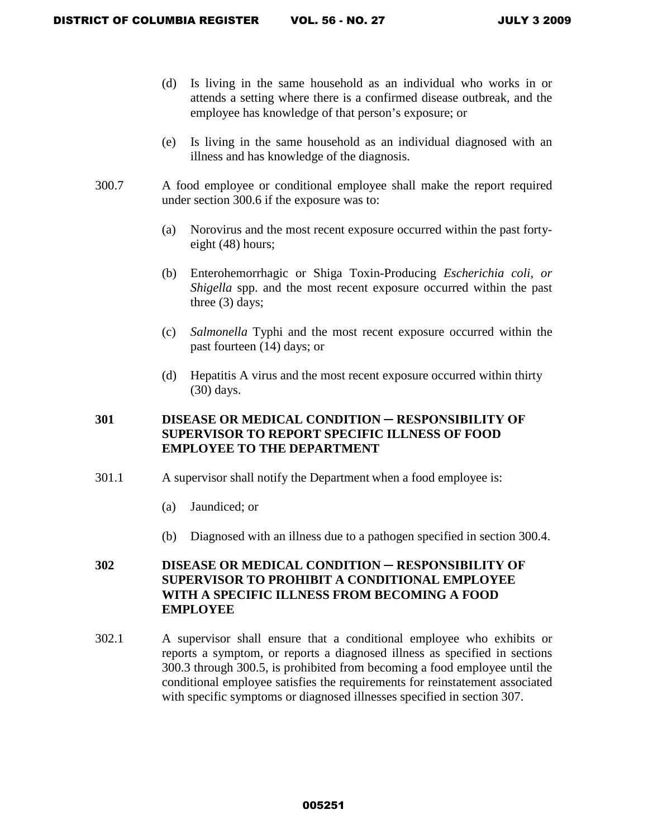- (d) Is living in the same household as an individual who works in or attends a setting where there is a confirmed disease outbreak, and the employee has knowledge of that person's exposure; or
- (e) Is living in the same household as an individual diagnosed with an illness and has knowledge of the diagnosis.
- 300.7 A food employee or conditional employee shall make the report required under section 300.6 if the exposure was to:
	- (a) Norovirus and the most recent exposure occurred within the past fortyeight (48) hours;
	- (b) Enterohemorrhagic or Shiga Toxin-Producing *Escherichia coli, or Shigella* spp. and the most recent exposure occurred within the past three (3) days;
	- (c) *Salmonella* Typhi and the most recent exposure occurred within the past fourteen (14) days; or
	- (d) Hepatitis A virus and the most recent exposure occurred within thirty (30) days.

# **301 DISEASE OR MEDICAL CONDITION ─ RESPONSIBILITY OF SUPERVISOR TO REPORT SPECIFIC ILLNESS OF FOOD EMPLOYEE TO THE DEPARTMENT**

- 301.1 A supervisor shall notify the Department when a food employee is:
	- (a) Jaundiced; or
	- (b) Diagnosed with an illness due to a pathogen specified in section 300.4.

# **302 DISEASE OR MEDICAL CONDITION ─ RESPONSIBILITY OF SUPERVISOR TO PROHIBIT A CONDITIONAL EMPLOYEE WITH A SPECIFIC ILLNESS FROM BECOMING A FOOD EMPLOYEE**

302.1 A supervisor shall ensure that a conditional employee who exhibits or reports a symptom, or reports a diagnosed illness as specified in sections 300.3 through 300.5, is prohibited from becoming a food employee until the conditional employee satisfies the requirements for reinstatement associated with specific symptoms or diagnosed illnesses specified in section 307.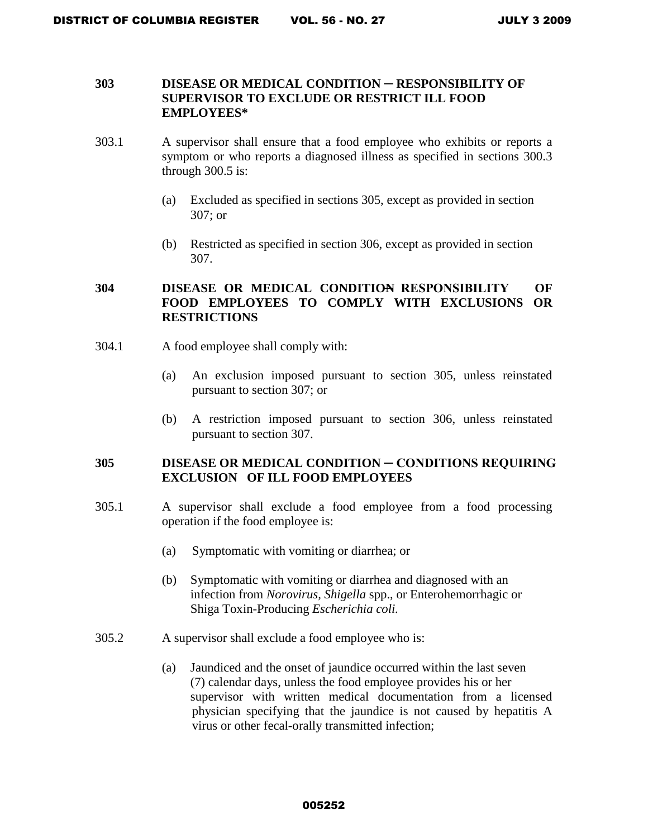## **303 DISEASE OR MEDICAL CONDITION ─ RESPONSIBILITY OF SUPERVISOR TO EXCLUDE OR RESTRICT ILL FOOD EMPLOYEES\***

- 303.1 A supervisor shall ensure that a food employee who exhibits or reports a symptom or who reports a diagnosed illness as specified in sections 300.3 through 300.5 is:
	- (a) Excluded as specified in sections 305, except as provided in section 307; or
	- (b) Restricted as specified in section 306, except as provided in section 307.

# **304 DISEASE OR MEDICAL CONDITION RESPONSIBILITY OF FOOD EMPLOYEES TO COMPLY WITH EXCLUSIONS OR RESTRICTIONS**

- 304.1 A food employee shall comply with:
	- (a) An exclusion imposed pursuant to section 305, unless reinstated pursuant to section 307; or
	- (b) A restriction imposed pursuant to section 306, unless reinstated pursuant to section 307.

# **305 DISEASE OR MEDICAL CONDITION ─ CONDITIONS REQUIRING EXCLUSION OF ILL FOOD EMPLOYEES**

- 305.1 A supervisor shall exclude a food employee from a food processing operation if the food employee is:
	- (a) Symptomatic with vomiting or diarrhea; or
	- (b) Symptomatic with vomiting or diarrhea and diagnosed with an infection from *Norovirus, Shigella* spp., or Enterohemorrhagic or Shiga Toxin-Producing *Escherichia coli.*
- 305.2 A supervisor shall exclude a food employee who is:
	- (a) Jaundiced and the onset of jaundice occurred within the last seven (7) calendar days, unless the food employee provides his or her supervisor with written medical documentation from a licensed physician specifying that the jaundice is not caused by hepatitis A virus or other fecal-orally transmitted infection;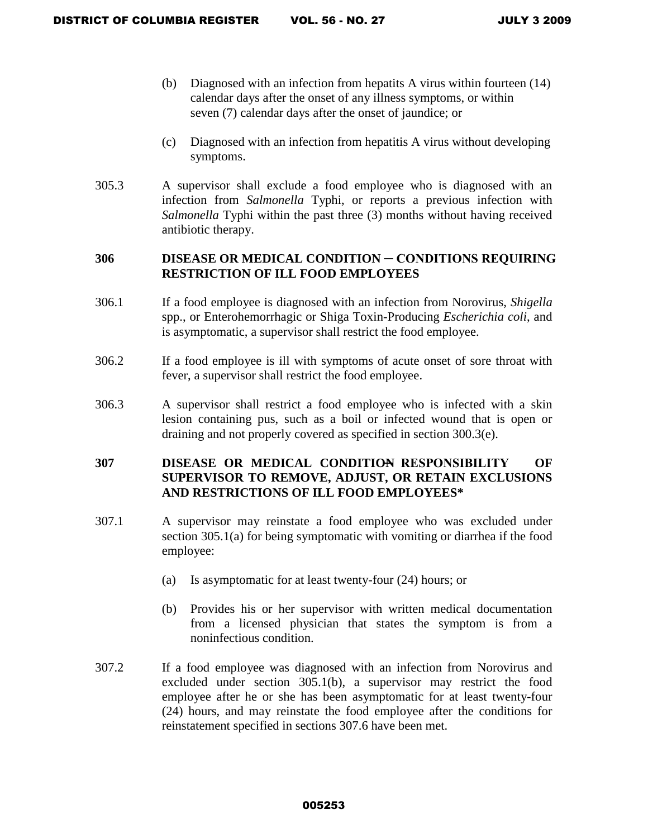- (b) Diagnosed with an infection from hepatits A virus within fourteen (14) calendar days after the onset of any illness symptoms, or within seven (7) calendar days after the onset of jaundice; or
- (c) Diagnosed with an infection from hepatitis A virus without developing symptoms.
- 305.3 A supervisor shall exclude a food employee who is diagnosed with an infection from *Salmonella* Typhi, or reports a previous infection with *Salmonella* Typhi within the past three (3) months without having received antibiotic therapy.

## **306 DISEASE OR MEDICAL CONDITION ─ CONDITIONS REQUIRING RESTRICTION OF ILL FOOD EMPLOYEES**

- 306.1 If a food employee is diagnosed with an infection from Norovirus, *Shigella*  spp., or Enterohemorrhagic or Shiga Toxin-Producing *Escherichia coli*, and is asymptomatic, a supervisor shall restrict the food employee.
- 306.2 If a food employee is ill with symptoms of acute onset of sore throat with fever, a supervisor shall restrict the food employee.
- 306.3 A supervisor shall restrict a food employee who is infected with a skin lesion containing pus, such as a boil or infected wound that is open or draining and not properly covered as specified in section 300.3(e).

# **307 DISEASE OR MEDICAL CONDITION RESPONSIBILITY OF SUPERVISOR TO REMOVE, ADJUST, OR RETAIN EXCLUSIONS AND RESTRICTIONS OF ILL FOOD EMPLOYEES\***

- 307.1 A supervisor may reinstate a food employee who was excluded under section 305.1(a) for being symptomatic with vomiting or diarrhea if the food employee:
	- (a) Is asymptomatic for at least twenty-four (24) hours; or
	- (b) Provides his or her supervisor with written medical documentation from a licensed physician that states the symptom is from a noninfectious condition.
- 307.2 If a food employee was diagnosed with an infection from Norovirus and excluded under section 305.1(b), a supervisor may restrict the food employee after he or she has been asymptomatic for at least twenty-four (24) hours, and may reinstate the food employee after the conditions for reinstatement specified in sections 307.6 have been met.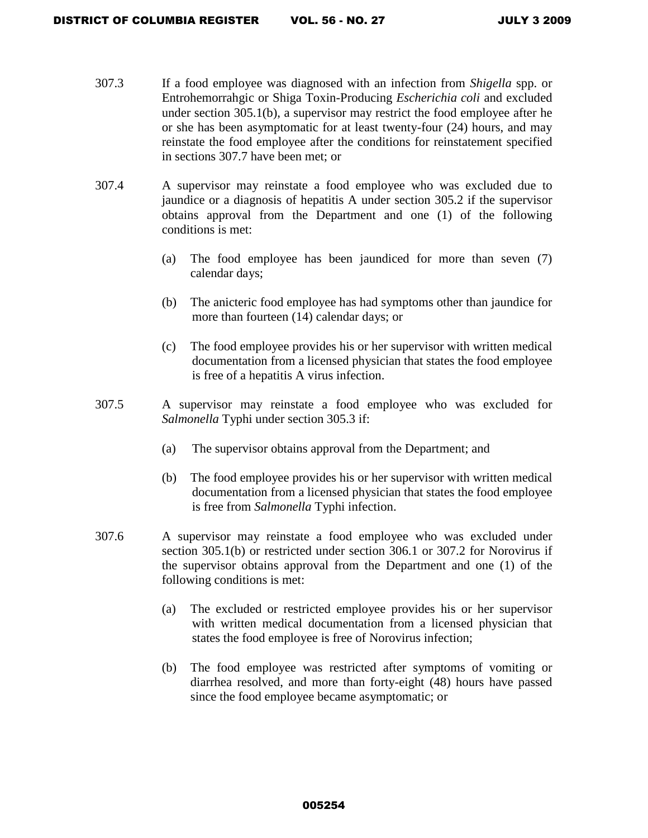- 307.3 If a food employee was diagnosed with an infection from *Shigella* spp. or Entrohemorrahgic or Shiga Toxin-Producing *Escherichia coli* and excluded under section 305.1(b), a supervisor may restrict the food employee after he or she has been asymptomatic for at least twenty-four (24) hours, and may reinstate the food employee after the conditions for reinstatement specified in sections 307.7 have been met; or
- 307.4 A supervisor may reinstate a food employee who was excluded due to jaundice or a diagnosis of hepatitis A under section 305.2 if the supervisor obtains approval from the Department and one (1) of the following conditions is met:
	- (a) The food employee has been jaundiced for more than seven (7) calendar days;
	- (b) The anicteric food employee has had symptoms other than jaundice for more than fourteen (14) calendar days; or
	- (c) The food employee provides his or her supervisor with written medical documentation from a licensed physician that states the food employee is free of a hepatitis A virus infection.
- 307.5 A supervisor may reinstate a food employee who was excluded for *Salmonella* Typhi under section 305.3 if:
	- (a) The supervisor obtains approval from the Department; and
	- (b) The food employee provides his or her supervisor with written medical documentation from a licensed physician that states the food employee is free from *Salmonella* Typhi infection.
- 307.6 A supervisor may reinstate a food employee who was excluded under section 305.1(b) or restricted under section 306.1 or 307.2 for Norovirus if the supervisor obtains approval from the Department and one (1) of the following conditions is met:
	- (a) The excluded or restricted employee provides his or her supervisor with written medical documentation from a licensed physician that states the food employee is free of Norovirus infection;
	- (b) The food employee was restricted after symptoms of vomiting or diarrhea resolved, and more than forty-eight (48) hours have passed since the food employee became asymptomatic; or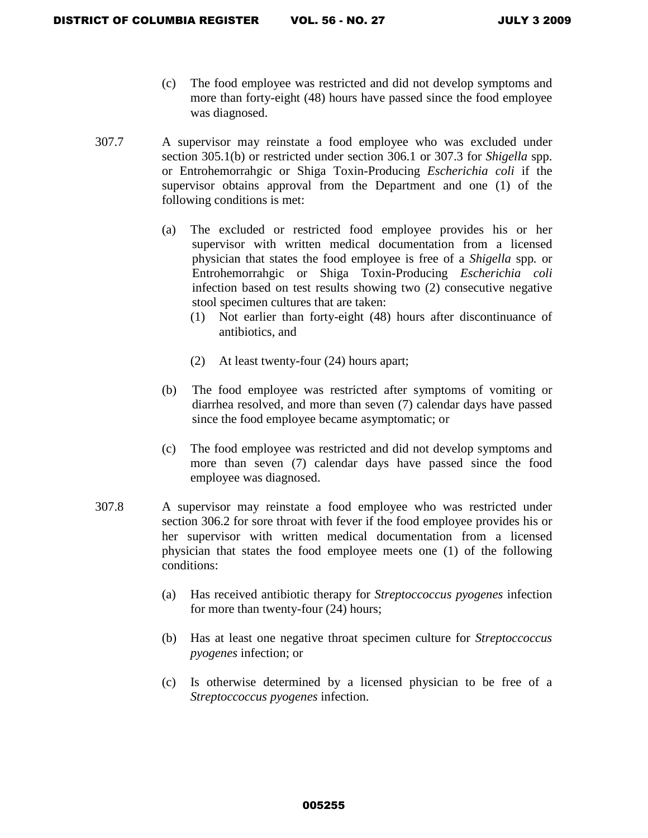- (c) The food employee was restricted and did not develop symptoms and more than forty-eight (48) hours have passed since the food employee was diagnosed.
- 307.7 A supervisor may reinstate a food employee who was excluded under section 305.1(b) or restricted under section 306.1 or 307.3 for *Shigella* spp. or Entrohemorrahgic or Shiga Toxin-Producing *Escherichia coli* if the supervisor obtains approval from the Department and one (1) of the following conditions is met:
	- (a) The excluded or restricted food employee provides his or her supervisor with written medical documentation from a licensed physician that states the food employee is free of a *Shigella* spp*.* or Entrohemorrahgic or Shiga Toxin-Producing *Escherichia coli* infection based on test results showing two (2) consecutive negative stool specimen cultures that are taken:
		- (1) Not earlier than forty-eight (48) hours after discontinuance of antibiotics, and
		- (2) At least twenty-four (24) hours apart;
	- (b) The food employee was restricted after symptoms of vomiting or diarrhea resolved, and more than seven (7) calendar days have passed since the food employee became asymptomatic; or
	- (c) The food employee was restricted and did not develop symptoms and more than seven (7) calendar days have passed since the food employee was diagnosed.
- 307.8 A supervisor may reinstate a food employee who was restricted under section 306.2 for sore throat with fever if the food employee provides his or her supervisor with written medical documentation from a licensed physician that states the food employee meets one (1) of the following conditions:
	- (a) Has received antibiotic therapy for *Streptoccoccus pyogenes* infection for more than twenty-four (24) hours;
	- (b) Has at least one negative throat specimen culture for *Streptoccoccus pyogenes* infection; or
	- (c) Is otherwise determined by a licensed physician to be free of a *Streptoccoccus pyogenes* infection.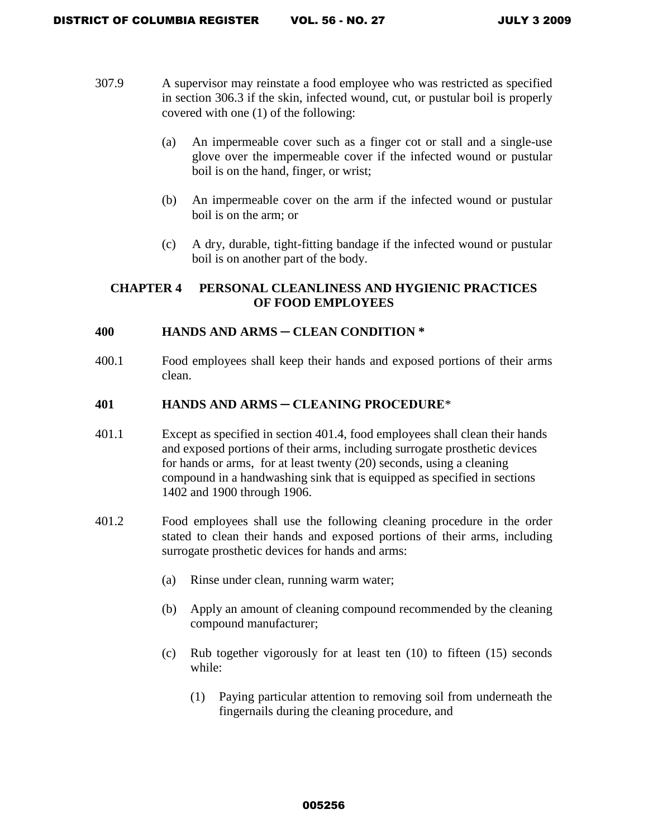- 307.9 A supervisor may reinstate a food employee who was restricted as specified in section 306.3 if the skin, infected wound, cut, or pustular boil is properly covered with one (1) of the following:
	- (a) An impermeable cover such as a finger cot or stall and a single-use glove over the impermeable cover if the infected wound or pustular boil is on the hand, finger, or wrist;
	- (b) An impermeable cover on the arm if the infected wound or pustular boil is on the arm; or
	- (c) A dry, durable, tight-fitting bandage if the infected wound or pustular boil is on another part of the body.

# **CHAPTER 4 PERSONAL CLEANLINESS AND HYGIENIC PRACTICES OF FOOD EMPLOYEES**

## **400 HANDS AND ARMS** ─ **CLEAN CONDITION \***

400.1 Food employees shall keep their hands and exposed portions of their arms clean.

# **401 HANDS AND ARMS ─ CLEANING PROCEDURE**\*

- 401.1 Except as specified in section 401.4, food employees shall clean their hands and exposed portions of their arms, including surrogate prosthetic devices for hands or arms, for at least twenty (20) seconds, using a cleaning compound in a handwashing sink that is equipped as specified in sections 1402 and 1900 through 1906.
- 401.2 Food employees shall use the following cleaning procedure in the order stated to clean their hands and exposed portions of their arms, including surrogate prosthetic devices for hands and arms:
	- (a) Rinse under clean, running warm water;
	- (b) Apply an amount of cleaning compound recommended by the cleaning compound manufacturer;
	- (c) Rub together vigorously for at least ten (10) to fifteen (15) seconds while:
		- (1) Paying particular attention to removing soil from underneath the fingernails during the cleaning procedure, and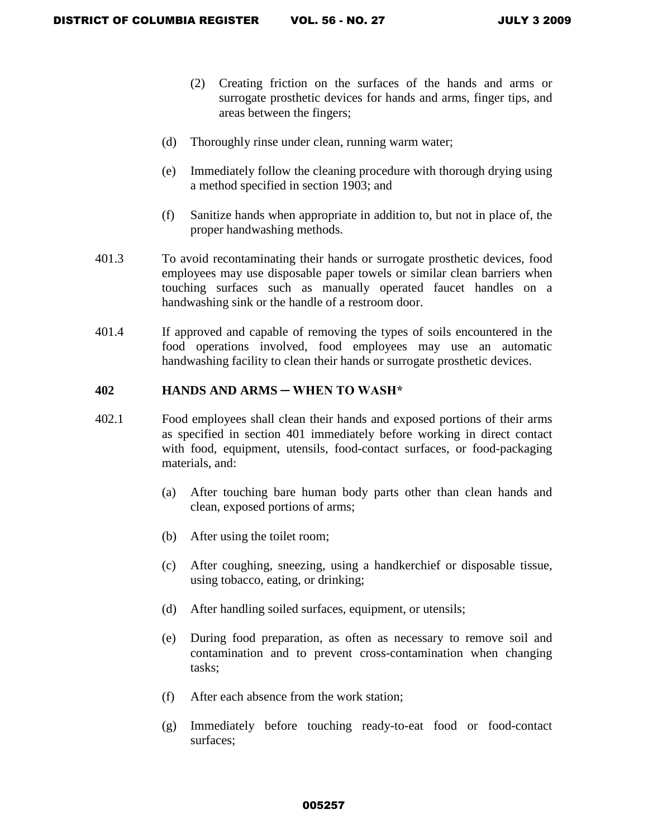- (2) Creating friction on the surfaces of the hands and arms or surrogate prosthetic devices for hands and arms, finger tips, and areas between the fingers;
- (d) Thoroughly rinse under clean, running warm water;
- (e) Immediately follow the cleaning procedure with thorough drying using a method specified in section 1903; and
- (f) Sanitize hands when appropriate in addition to, but not in place of, the proper handwashing methods.
- 401.3 To avoid recontaminating their hands or surrogate prosthetic devices, food employees may use disposable paper towels or similar clean barriers when touching surfaces such as manually operated faucet handles on a handwashing sink or the handle of a restroom door.
- 401.4 If approved and capable of removing the types of soils encountered in the food operations involved, food employees may use an automatic handwashing facility to clean their hands or surrogate prosthetic devices.

### **402 HANDS AND ARMS ─ WHEN TO WASH\***

- 402.1 Food employees shall clean their hands and exposed portions of their arms as specified in section 401 immediately before working in direct contact with food, equipment, utensils, food-contact surfaces, or food-packaging materials, and:
	- (a) After touching bare human body parts other than clean hands and clean, exposed portions of arms;
	- (b) After using the toilet room;
	- (c) After coughing, sneezing, using a handkerchief or disposable tissue, using tobacco, eating, or drinking;
	- (d) After handling soiled surfaces, equipment, or utensils;
	- (e) During food preparation, as often as necessary to remove soil and contamination and to prevent cross-contamination when changing tasks;
	- (f) After each absence from the work station;
	- (g) Immediately before touching ready-to-eat food or food-contact surfaces;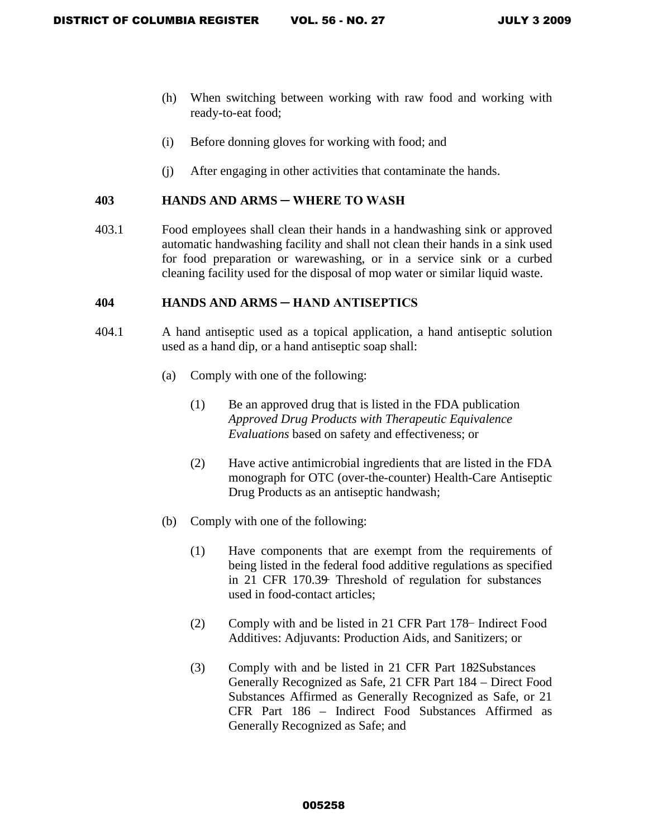- (h) When switching between working with raw food and working with ready-to-eat food;
- (i) Before donning gloves for working with food; and
- (j) After engaging in other activities that contaminate the hands.

### **403 HANDS AND ARMS ─ WHERE TO WASH**

403.1 Food employees shall clean their hands in a handwashing sink or approved automatic handwashing facility and shall not clean their hands in a sink used for food preparation or warewashing, or in a service sink or a curbed cleaning facility used for the disposal of mop water or similar liquid waste.

### **404 HANDS AND ARMS ─ HAND ANTISEPTICS**

- 404.1 A hand antiseptic used as a topical application, a hand antiseptic solution used as a hand dip, or a hand antiseptic soap shall:
	- (a) Comply with one of the following:
		- (1) Be an approved drug that is listed in the FDA publication *Approved Drug Products with Therapeutic Equivalence Evaluations* based on safety and effectiveness; or
		- (2) Have active antimicrobial ingredients that are listed in the FDA monograph for OTC (over-the-counter) Health-Care Antiseptic Drug Products as an antiseptic handwash;
	- (b) Comply with one of the following:
		- (1) Have components that are exempt from the requirements of being listed in the federal food additive regulations as specified in 21 CFR 170.39 Threshold of regulation for substances used in food-contact articles;
		- (2) Comply with and be listed in 21 CFR Part 178 − Indirect Food Additives: Adjuvants: Production Aids, and Sanitizers; or
		- (3) Comply with and be listed in 21 CFR Part  $182$ Substances Generally Recognized as Safe, 21 CFR Part 184 – Direct Food Substances Affirmed as Generally Recognized as Safe, or 21 CFR Part 186 – Indirect Food Substances Affirmed as Generally Recognized as Safe; and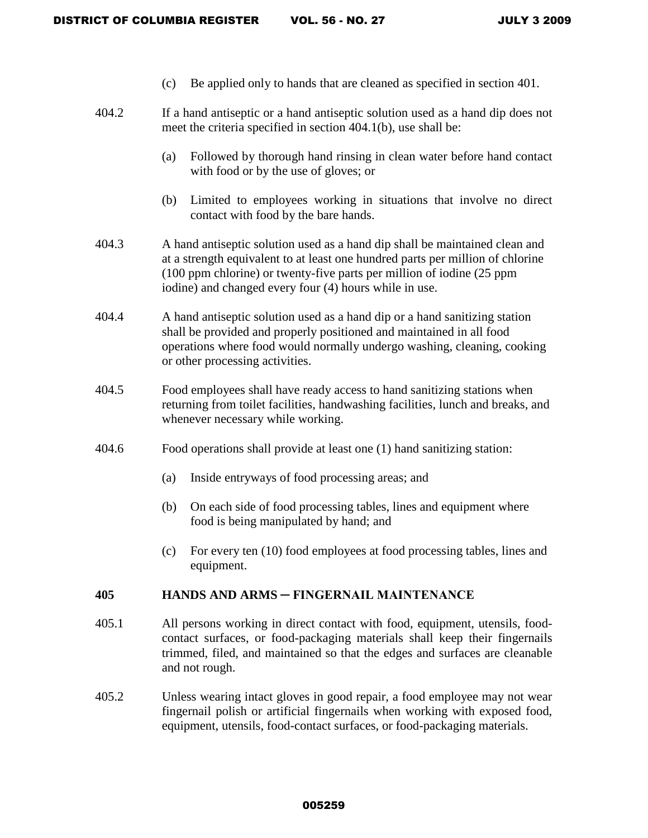- (c) Be applied only to hands that are cleaned as specified in section 401.
- 404.2 If a hand antiseptic or a hand antiseptic solution used as a hand dip does not meet the criteria specified in section 404.1(b), use shall be:
	- (a) Followed by thorough hand rinsing in clean water before hand contact with food or by the use of gloves; or
	- (b) Limited to employees working in situations that involve no direct contact with food by the bare hands.
- 404.3 A hand antiseptic solution used as a hand dip shall be maintained clean and at a strength equivalent to at least one hundred parts per million of chlorine (100 ppm chlorine) or twenty-five parts per million of iodine (25 ppm iodine) and changed every four (4) hours while in use.
- 404.4 A hand antiseptic solution used as a hand dip or a hand sanitizing station shall be provided and properly positioned and maintained in all food operations where food would normally undergo washing, cleaning, cooking or other processing activities.
- 404.5 Food employees shall have ready access to hand sanitizing stations when returning from toilet facilities, handwashing facilities, lunch and breaks, and whenever necessary while working.
- 404.6 Food operations shall provide at least one (1) hand sanitizing station:
	- (a) Inside entryways of food processing areas; and
	- (b) On each side of food processing tables, lines and equipment where food is being manipulated by hand; and
	- (c) For every ten (10) food employees at food processing tables, lines and equipment.

### **405 HANDS AND ARMS ─ FINGERNAIL MAINTENANCE**

- 405.1 All persons working in direct contact with food, equipment, utensils, foodcontact surfaces, or food-packaging materials shall keep their fingernails trimmed, filed, and maintained so that the edges and surfaces are cleanable and not rough.
- 405.2 Unless wearing intact gloves in good repair, a food employee may not wear fingernail polish or artificial fingernails when working with exposed food, equipment, utensils, food-contact surfaces, or food-packaging materials.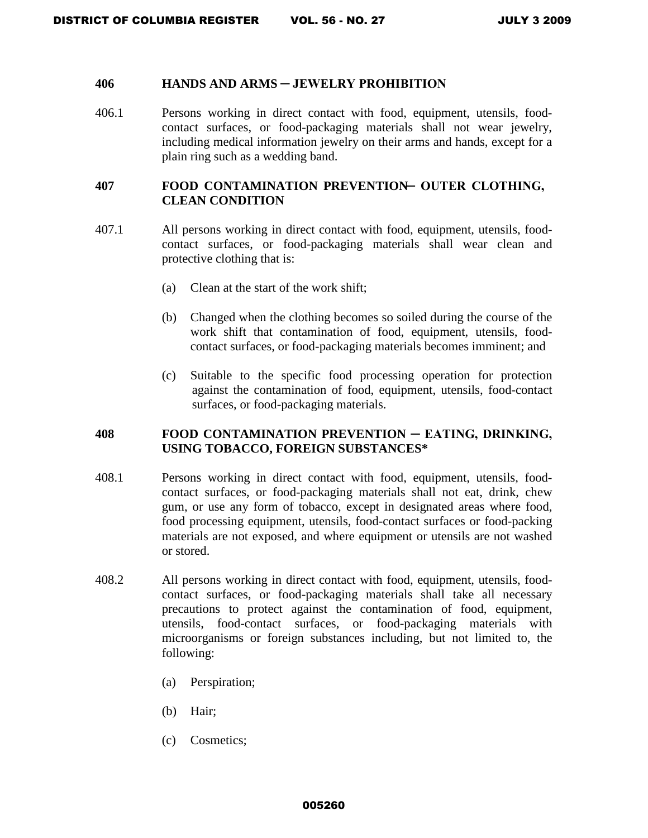#### **406 HANDS AND ARMS ─ JEWELRY PROHIBITION**

406.1 Persons working in direct contact with food, equipment, utensils, foodcontact surfaces, or food-packaging materials shall not wear jewelry, including medical information jewelry on their arms and hands, except for a plain ring such as a wedding band.

### **407 FOOD CONTAMINATION PREVENTION ─ OUTER CLOTHING, CLEAN CONDITION**

- 407.1 All persons working in direct contact with food, equipment, utensils, foodcontact surfaces, or food-packaging materials shall wear clean and protective clothing that is:
	- (a) Clean at the start of the work shift;
	- (b) Changed when the clothing becomes so soiled during the course of the work shift that contamination of food, equipment, utensils, foodcontact surfaces, or food-packaging materials becomes imminent; and
	- (c) Suitable to the specific food processing operation for protection against the contamination of food, equipment, utensils, food-contact surfaces, or food-packaging materials.

## **408 FOOD CONTAMINATION PREVENTION ─ EATING, DRINKING, USING TOBACCO, FOREIGN SUBSTANCES\***

- 408.1 Persons working in direct contact with food, equipment, utensils, foodcontact surfaces, or food-packaging materials shall not eat, drink, chew gum, or use any form of tobacco, except in designated areas where food, food processing equipment, utensils, food-contact surfaces or food-packing materials are not exposed, and where equipment or utensils are not washed or stored.
- 408.2 All persons working in direct contact with food, equipment, utensils, foodcontact surfaces, or food-packaging materials shall take all necessary precautions to protect against the contamination of food, equipment, utensils, food-contact surfaces, or food-packaging materials with microorganisms or foreign substances including, but not limited to, the following:
	- (a) Perspiration;
	- (b) Hair;
	- (c) Cosmetics;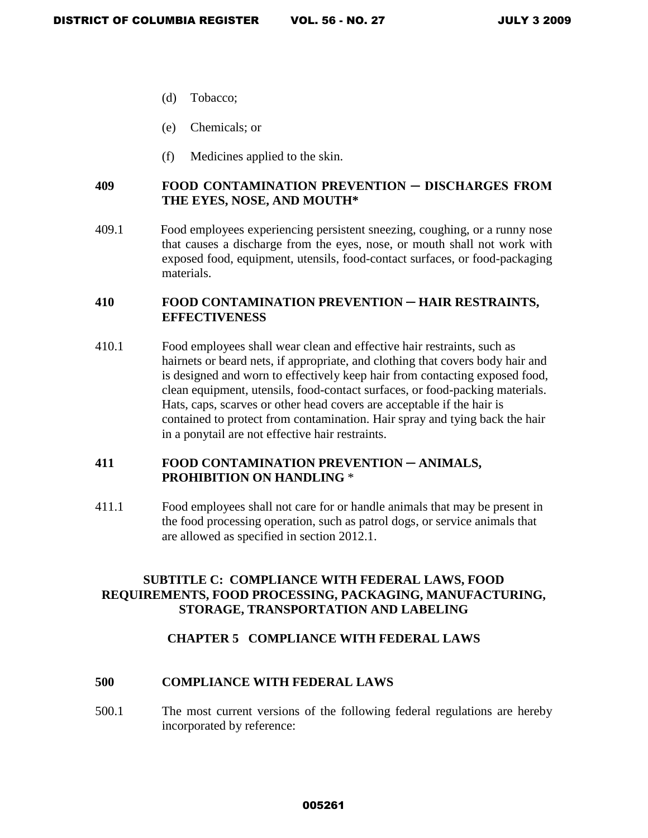- (d) Tobacco;
- (e) Chemicals; or
- (f) Medicines applied to the skin.

# **409 FOOD CONTAMINATION PREVENTION ─ DISCHARGES FROM THE EYES, NOSE, AND MOUTH\***

409.1 Food employees experiencing persistent sneezing, coughing, or a runny nose that causes a discharge from the eyes, nose, or mouth shall not work with exposed food, equipment, utensils, food-contact surfaces, or food-packaging materials.

# **410 FOOD CONTAMINATION PREVENTION** ─ **HAIR RESTRAINTS, EFFECTIVENESS**

410.1 Food employees shall wear clean and effective hair restraints, such as hairnets or beard nets, if appropriate, and clothing that covers body hair and is designed and worn to effectively keep hair from contacting exposed food, clean equipment, utensils, food-contact surfaces, or food-packing materials. Hats, caps, scarves or other head covers are acceptable if the hair is contained to protect from contamination. Hair spray and tying back the hair in a ponytail are not effective hair restraints.

## **411 FOOD CONTAMINATION PREVENTION** ─ **ANIMALS, PROHIBITION ON HANDLING** \*

411.1 Food employees shall not care for or handle animals that may be present in the food processing operation, such as patrol dogs, or service animals that are allowed as specified in section 2012.1.

# **SUBTITLE C: COMPLIANCE WITH FEDERAL LAWS, FOOD REQUIREMENTS, FOOD PROCESSING, PACKAGING, MANUFACTURING, STORAGE, TRANSPORTATION AND LABELING**

## **CHAPTER 5 COMPLIANCE WITH FEDERAL LAWS**

## **500 COMPLIANCE WITH FEDERAL LAWS**

500.1 The most current versions of the following federal regulations are hereby incorporated by reference: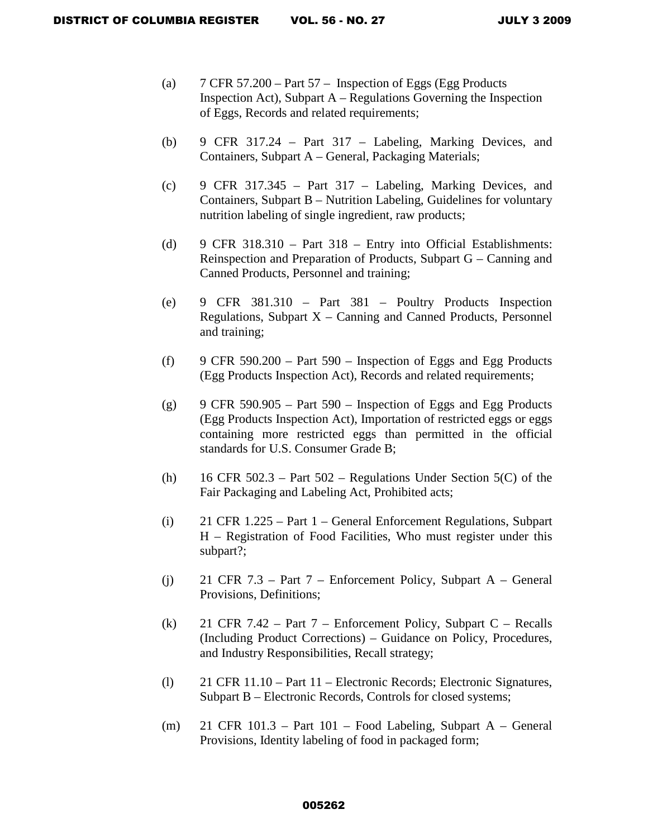- (a)  $7$  CFR 57.200 Part 57 Inspection of Eggs (Egg Products Inspection Act), Subpart  $A - Regular$  Regulations Governing the Inspection of Eggs, Records and related requirements;
- (b) 9 CFR 317.24 Part 317 Labeling, Marking Devices, and Containers, Subpart A – General, Packaging Materials;
- (c) 9 CFR 317.345 Part 317 Labeling, Marking Devices, and Containers, Subpart B – Nutrition Labeling, Guidelines for voluntary nutrition labeling of single ingredient, raw products;
- (d) 9 CFR 318.310 Part 318 Entry into Official Establishments: Reinspection and Preparation of Products, Subpart G – Canning and Canned Products, Personnel and training;
- (e) 9 CFR 381.310 Part 381 Poultry Products Inspection Regulations, Subpart  $X -$  Canning and Canned Products, Personnel and training;
- (f) 9 CFR 590.200 Part 590 Inspection of Eggs and Egg Products (Egg Products Inspection Act), Records and related requirements;
- (g) 9 CFR 590.905 Part 590 Inspection of Eggs and Egg Products (Egg Products Inspection Act), Importation of restricted eggs or eggs containing more restricted eggs than permitted in the official standards for U.S. Consumer Grade B;
- (h) 16 CFR 502.3 Part  $502$  Regulations Under Section  $5(C)$  of the Fair Packaging and Labeling Act, Prohibited acts;
- (i) 21 CFR 1.225 Part 1 General Enforcement Regulations, Subpart H – Registration of Food Facilities, Who must register under this subpart?;
- (j) 21 CFR 7.3 Part 7 Enforcement Policy, Subpart A General Provisions, Definitions;
- (k) 21 CFR 7.42 Part  $7$  Enforcement Policy, Subpart C Recalls (Including Product Corrections) – Guidance on Policy, Procedures, and Industry Responsibilities, Recall strategy;
- (l) 21 CFR 11.10 Part 11 Electronic Records; Electronic Signatures, Subpart B – Electronic Records, Controls for closed systems;
- (m) 21 CFR 101.3 Part 101 Food Labeling, Subpart A General Provisions, Identity labeling of food in packaged form;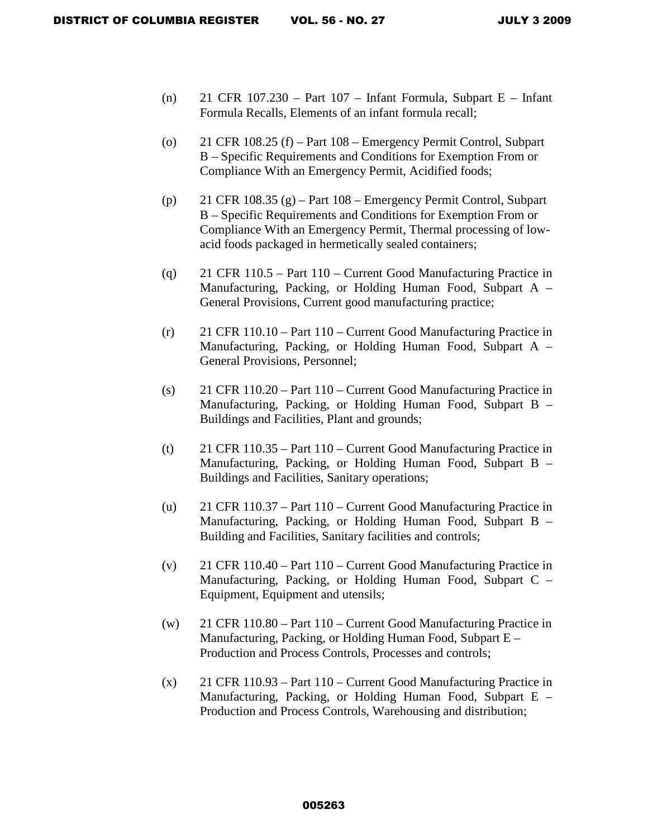- (n) 21 CFR 107.230 Part 107 Infant Formula, Subpart E Infant Formula Recalls, Elements of an infant formula recall;
- (o) 21 CFR 108.25 (f) Part 108 Emergency Permit Control, Subpart B – Specific Requirements and Conditions for Exemption From or Compliance With an Emergency Permit, Acidified foods;
- (p) 21 CFR 108.35 (g) Part 108 Emergency Permit Control, Subpart B – Specific Requirements and Conditions for Exemption From or Compliance With an Emergency Permit, Thermal processing of lowacid foods packaged in hermetically sealed containers;
- (q) 21 CFR 110.5 Part 110 Current Good Manufacturing Practice in Manufacturing, Packing, or Holding Human Food, Subpart A – General Provisions, Current good manufacturing practice;
- (r) 21 CFR 110.10 Part 110 Current Good Manufacturing Practice in Manufacturing, Packing, or Holding Human Food, Subpart A – General Provisions, Personnel;
- (s) 21 CFR 110.20 Part 110 Current Good Manufacturing Practice in Manufacturing, Packing, or Holding Human Food, Subpart B – Buildings and Facilities, Plant and grounds;
- (t) 21 CFR 110.35 Part 110 Current Good Manufacturing Practice in Manufacturing, Packing, or Holding Human Food, Subpart B – Buildings and Facilities, Sanitary operations;
- (u) 21 CFR 110.37 Part 110 Current Good Manufacturing Practice in Manufacturing, Packing, or Holding Human Food, Subpart B – Building and Facilities, Sanitary facilities and controls;
- (v) 21 CFR 110.40 Part 110 Current Good Manufacturing Practice in Manufacturing, Packing, or Holding Human Food, Subpart C – Equipment, Equipment and utensils;
- (w) 21 CFR 110.80 Part 110 Current Good Manufacturing Practice in Manufacturing, Packing, or Holding Human Food, Subpart E – Production and Process Controls, Processes and controls;
- $(x)$  21 CFR 110.93 Part 110 Current Good Manufacturing Practice in Manufacturing, Packing, or Holding Human Food, Subpart E – Production and Process Controls, Warehousing and distribution;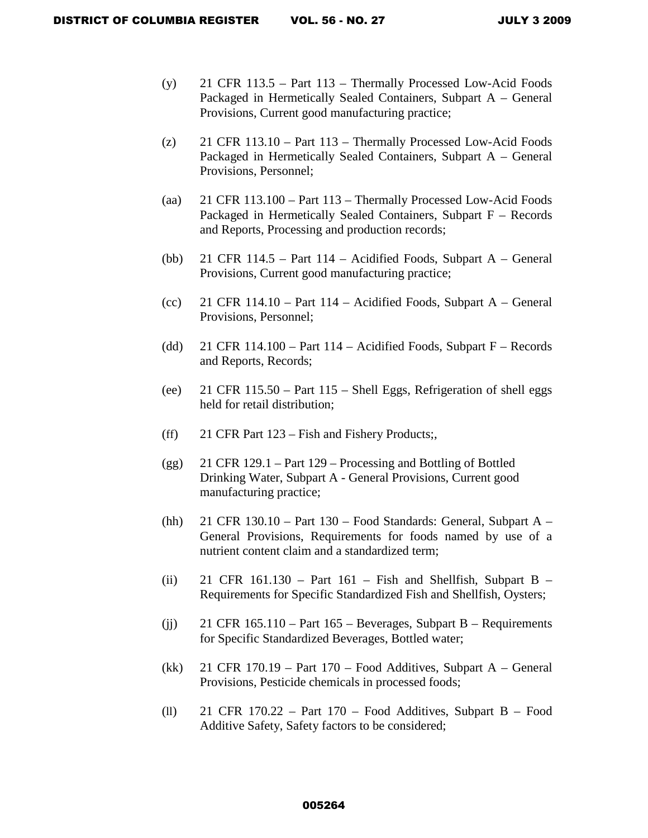- (y) 21 CFR 113.5 Part 113 Thermally Processed Low-Acid Foods Packaged in Hermetically Sealed Containers, Subpart A – General Provisions, Current good manufacturing practice;
- (z) 21 CFR 113.10 Part 113 Thermally Processed Low-Acid Foods Packaged in Hermetically Sealed Containers, Subpart A – General Provisions, Personnel;
- (aa) 21 CFR 113.100 Part 113 Thermally Processed Low-Acid Foods Packaged in Hermetically Sealed Containers, Subpart F – Records and Reports, Processing and production records;
- (bb) 21 CFR 114.5 Part 114 Acidified Foods, Subpart A General Provisions, Current good manufacturing practice;
- (cc) 21 CFR  $114.10 Part 114 Acidified Foods, Subpart A General$ Provisions, Personnel;
- (dd) 21 CFR 114.100 Part 114 Acidified Foods, Subpart  $F$  Records and Reports, Records;
- (ee) 21 CFR 115.50 Part 115 Shell Eggs, Refrigeration of shell eggs held for retail distribution;
- (ff) 21 CFR Part 123 Fish and Fishery Products;,
- (gg) 21 CFR 129.1 Part 129 Processing and Bottling of Bottled Drinking Water, Subpart A - General Provisions, Current good manufacturing practice;
- (hh) 21 CFR 130.10 Part 130 Food Standards: General, Subpart  $A -$ General Provisions, Requirements for foods named by use of a nutrient content claim and a standardized term;
- (ii) 21 CFR 161.130 Part 161 Fish and Shellfish, Subpart B Requirements for Specific Standardized Fish and Shellfish, Oysters;
- (ii) 21 CFR  $165.110 Part 165 Beverages$ , Subpart B Requirements for Specific Standardized Beverages, Bottled water;
- (kk) 21 CFR 170.19 Part 170 Food Additives, Subpart A General Provisions, Pesticide chemicals in processed foods;
- (ll) 21 CFR 170.22 Part 170 Food Additives, Subpart B Food Additive Safety, Safety factors to be considered;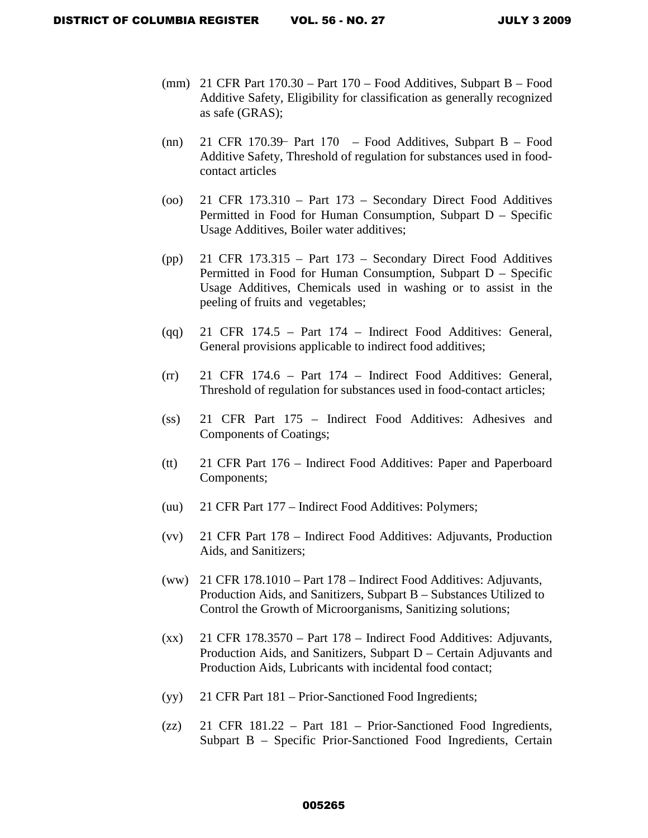- (mm) 21 CFR Part 170.30 Part 170 Food Additives, Subpart B Food Additive Safety, Eligibility for classification as generally recognized as safe (GRAS);
- (nn) 21 CFR 170.39 Part 170 Food Additives, Subpart B Food Additive Safety, Threshold of regulation for substances used in foodcontact articles
- (oo) 21 CFR 173.310 Part 173 Secondary Direct Food Additives Permitted in Food for Human Consumption, Subpart D – Specific Usage Additives, Boiler water additives;
- (pp) 21 CFR 173.315 Part 173 Secondary Direct Food Additives Permitted in Food for Human Consumption, Subpart D – Specific Usage Additives, Chemicals used in washing or to assist in the peeling of fruits and vegetables;
- (qq) 21 CFR 174.5 Part 174 Indirect Food Additives: General, General provisions applicable to indirect food additives;
- (rr) 21 CFR 174.6 Part 174 Indirect Food Additives: General, Threshold of regulation for substances used in food-contact articles;
- (ss) 21 CFR Part 175 Indirect Food Additives: Adhesives and Components of Coatings;
- (tt) 21 CFR Part 176 Indirect Food Additives: Paper and Paperboard Components;
- (uu) 21 CFR Part 177 Indirect Food Additives: Polymers;
- (vv) 21 CFR Part 178 Indirect Food Additives: Adjuvants, Production Aids, and Sanitizers;
- (ww) 21 CFR 178.1010 Part 178 Indirect Food Additives: Adjuvants, Production Aids, and Sanitizers, Subpart B – Substances Utilized to Control the Growth of Microorganisms, Sanitizing solutions;
- $(xx)$  21 CFR 178.3570 Part 178 Indirect Food Additives: Adjuvants, Production Aids, and Sanitizers, Subpart D – Certain Adjuvants and Production Aids, Lubricants with incidental food contact;
- (yy) 21 CFR Part 181 Prior-Sanctioned Food Ingredients;
- (zz) 21 CFR 181.22 Part 181 Prior-Sanctioned Food Ingredients, Subpart B – Specific Prior-Sanctioned Food Ingredients, Certain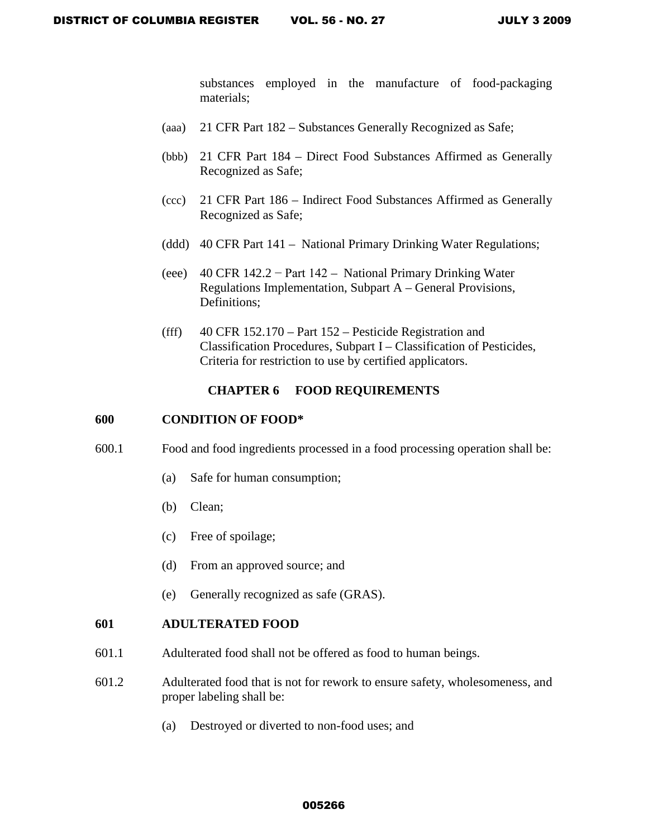substances employed in the manufacture of food-packaging materials;

- (aaa) 21 CFR Part 182 Substances Generally Recognized as Safe;
- (bbb) 21 CFR Part 184 Direct Food Substances Affirmed as Generally Recognized as Safe;
- (ccc) 21 CFR Part 186 Indirect Food Substances Affirmed as Generally Recognized as Safe;
- (ddd) 40 CFR Part 141 National Primary Drinking Water Regulations;
- (eee) 40 CFR 142.2 − Part 142 National Primary Drinking Water Regulations Implementation, Subpart A – General Provisions, Definitions;
- (fff) 40 CFR 152.170 Part 152 Pesticide Registration and Classification Procedures, Subpart I – Classification of Pesticides, Criteria for restriction to use by certified applicators.

## **CHAPTER 6 FOOD REQUIREMENTS**

#### **600 CONDITION OF FOOD\***

- 600.1 Food and food ingredients processed in a food processing operation shall be:
	- (a) Safe for human consumption;
	- (b) Clean;
	- (c) Free of spoilage;
	- (d) From an approved source; and
	- (e) Generally recognized as safe (GRAS).

### **601 ADULTERATED FOOD**

- 601.1 Adulterated food shall not be offered as food to human beings.
- 601.2 Adulterated food that is not for rework to ensure safety, wholesomeness, and proper labeling shall be:
	- (a) Destroyed or diverted to non-food uses; and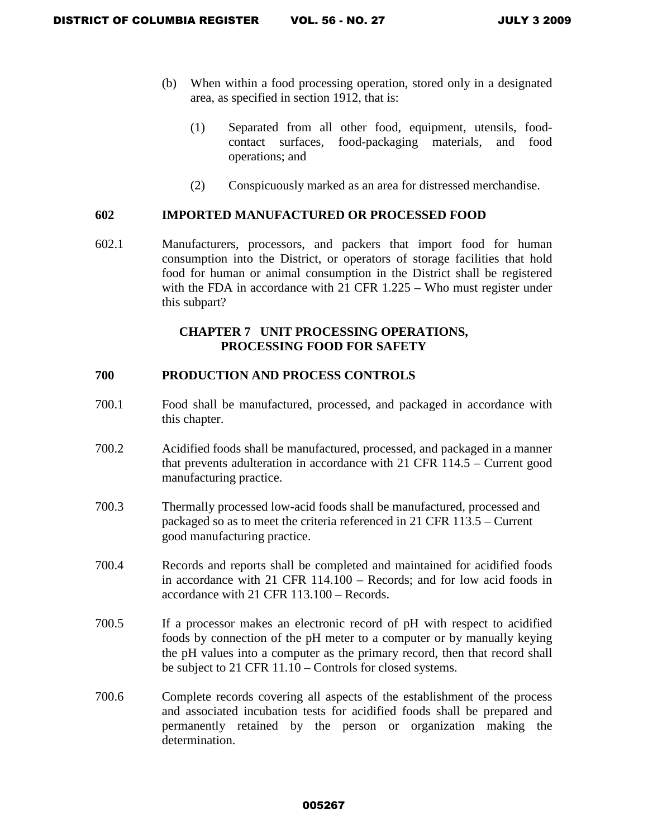- (b) When within a food processing operation, stored only in a designated area, as specified in section 1912, that is:
	- (1) Separated from all other food, equipment, utensils, foodcontact surfaces, food-packaging materials, and food operations; and
	- (2) Conspicuously marked as an area for distressed merchandise.

### **602 IMPORTED MANUFACTURED OR PROCESSED FOOD**

602.1 Manufacturers, processors, and packers that import food for human consumption into the District, or operators of storage facilities that hold food for human or animal consumption in the District shall be registered with the FDA in accordance with 21 CFR 1.225 – Who must register under this subpart?

### **CHAPTER 7 UNIT PROCESSING OPERATIONS, PROCESSING FOOD FOR SAFETY**

### **700 PRODUCTION AND PROCESS CONTROLS**

- 700.1 Food shall be manufactured, processed, and packaged in accordance with this chapter.
- 700.2 Acidified foods shall be manufactured, processed, and packaged in a manner that prevents adulteration in accordance with 21 CFR 114.5 – Current good manufacturing practice.
- 700.3 Thermally processed low-acid foods shall be manufactured, processed and packaged so as to meet the criteria referenced in 21 CFR 113.5 – Current good manufacturing practice.
- 700.4 Records and reports shall be completed and maintained for acidified foods in accordance with 21 CFR 114.100 – Records; and for low acid foods in accordance with 21 CFR 113.100 – Records.
- 700.5 If a processor makes an electronic record of pH with respect to acidified foods by connection of the pH meter to a computer or by manually keying the pH values into a computer as the primary record, then that record shall be subject to 21 CFR 11.10 – Controls for closed systems.
- 700.6 Complete records covering all aspects of the establishment of the process and associated incubation tests for acidified foods shall be prepared and permanently retained by the person or organization making the determination.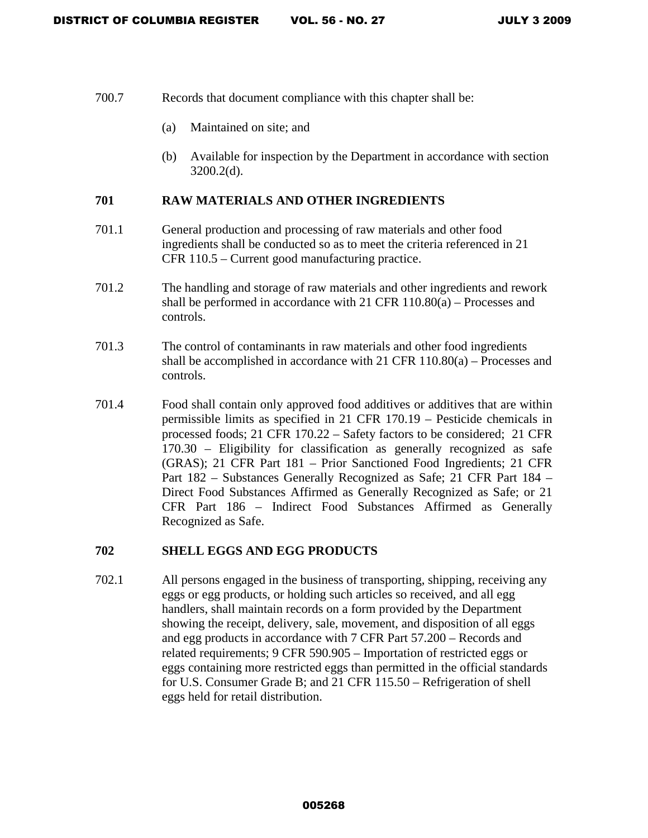- 700.7 Records that document compliance with this chapter shall be:
	- (a) Maintained on site; and
	- (b) Available for inspection by the Department in accordance with section 3200.2(d).

### **701 RAW MATERIALS AND OTHER INGREDIENTS**

- 701.1 General production and processing of raw materials and other food ingredients shall be conducted so as to meet the criteria referenced in 21 CFR 110.5 – Current good manufacturing practice.
- 701.2 The handling and storage of raw materials and other ingredients and rework shall be performed in accordance with 21 CFR 110.80(a) – Processes and controls.
- 701.3 The control of contaminants in raw materials and other food ingredients shall be accomplished in accordance with 21 CFR 110.80(a) – Processes and controls.
- 701.4 Food shall contain only approved food additives or additives that are within permissible limits as specified in 21 CFR 170.19 – Pesticide chemicals in processed foods; 21 CFR 170.22 – Safety factors to be considered; 21 CFR 170.30 – Eligibility for classification as generally recognized as safe (GRAS); 21 CFR Part 181 – Prior Sanctioned Food Ingredients; 21 CFR Part 182 – Substances Generally Recognized as Safe; 21 CFR Part 184 – Direct Food Substances Affirmed as Generally Recognized as Safe; or 21 CFR Part 186 – Indirect Food Substances Affirmed as Generally Recognized as Safe.

### **702 SHELL EGGS AND EGG PRODUCTS**

702.1 All persons engaged in the business of transporting, shipping, receiving any eggs or egg products, or holding such articles so received, and all egg handlers, shall maintain records on a form provided by the Department showing the receipt, delivery, sale, movement, and disposition of all eggs and egg products in accordance with 7 CFR Part 57.200 – Records and related requirements; 9 CFR 590.905 – Importation of restricted eggs or eggs containing more restricted eggs than permitted in the official standards for U.S. Consumer Grade B; and 21 CFR 115.50 – Refrigeration of shell eggs held for retail distribution.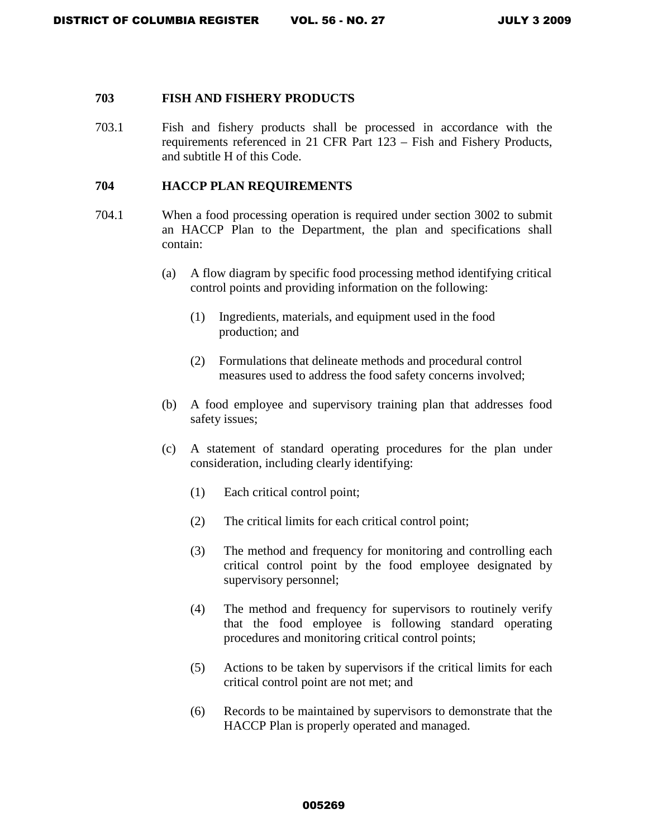#### **703 FISH AND FISHERY PRODUCTS**

703.1 Fish and fishery products shall be processed in accordance with the requirements referenced in 21 CFR Part 123 – Fish and Fishery Products, and subtitle H of this Code.

### **704 HACCP PLAN REQUIREMENTS**

- 704.1 When a food processing operation is required under section 3002 to submit an HACCP Plan to the Department, the plan and specifications shall contain:
	- (a) A flow diagram by specific food processing method identifying critical control points and providing information on the following:
		- (1) Ingredients, materials, and equipment used in the food production; and
		- (2) Formulations that delineate methods and procedural control measures used to address the food safety concerns involved;
	- (b) A food employee and supervisory training plan that addresses food safety issues;
	- (c) A statement of standard operating procedures for the plan under consideration, including clearly identifying:
		- (1) Each critical control point;
		- (2) The critical limits for each critical control point;
		- (3) The method and frequency for monitoring and controlling each critical control point by the food employee designated by supervisory personnel;
		- (4) The method and frequency for supervisors to routinely verify that the food employee is following standard operating procedures and monitoring critical control points;
		- (5) Actions to be taken by supervisors if the critical limits for each critical control point are not met; and
		- (6) Records to be maintained by supervisors to demonstrate that the HACCP Plan is properly operated and managed.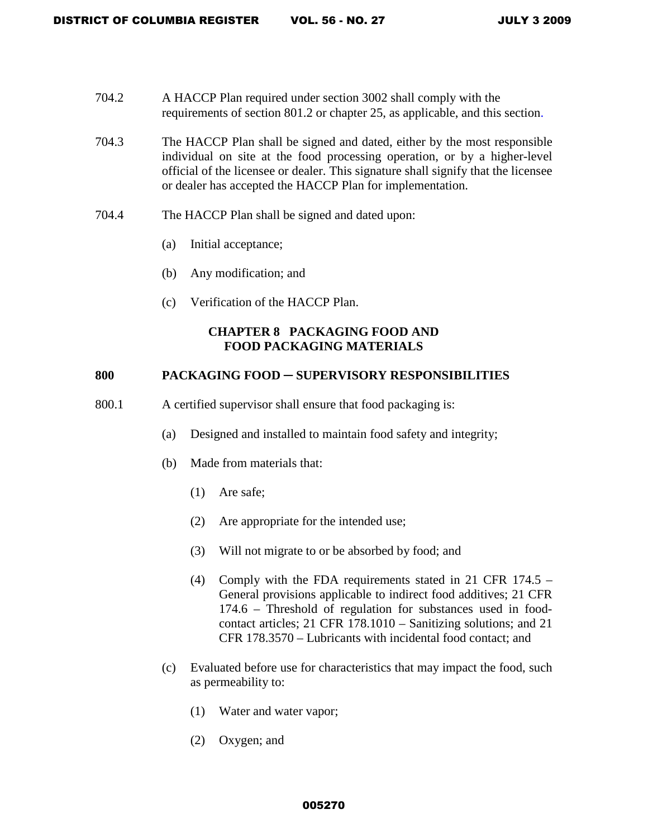- 704.2 A HACCP Plan required under section 3002 shall comply with the requirements of section 801.2 or chapter 25, as applicable, and this section.
- 704.3 The HACCP Plan shall be signed and dated, either by the most responsible individual on site at the food processing operation, or by a higher-level official of the licensee or dealer. This signature shall signify that the licensee or dealer has accepted the HACCP Plan for implementation.
- 704.4 The HACCP Plan shall be signed and dated upon:
	- (a) Initial acceptance;
	- (b) Any modification; and
	- (c) Verification of the HACCP Plan.

### **CHAPTER 8 PACKAGING FOOD AND FOOD PACKAGING MATERIALS**

### **800 PACKAGING FOOD ─ SUPERVISORY RESPONSIBILITIES**

- 800.1 A certified supervisor shall ensure that food packaging is:
	- (a) Designed and installed to maintain food safety and integrity;
	- (b) Made from materials that:
		- (1) Are safe;
		- (2) Are appropriate for the intended use;
		- (3) Will not migrate to or be absorbed by food; and
		- (4) Comply with the FDA requirements stated in 21 CFR 174.5 General provisions applicable to indirect food additives; 21 CFR 174.6 – Threshold of regulation for substances used in foodcontact articles; 21 CFR 178.1010 – Sanitizing solutions; and 21 CFR 178.3570 – Lubricants with incidental food contact; and
	- (c) Evaluated before use for characteristics that may impact the food, such as permeability to:
		- (1) Water and water vapor;
		- (2) Oxygen; and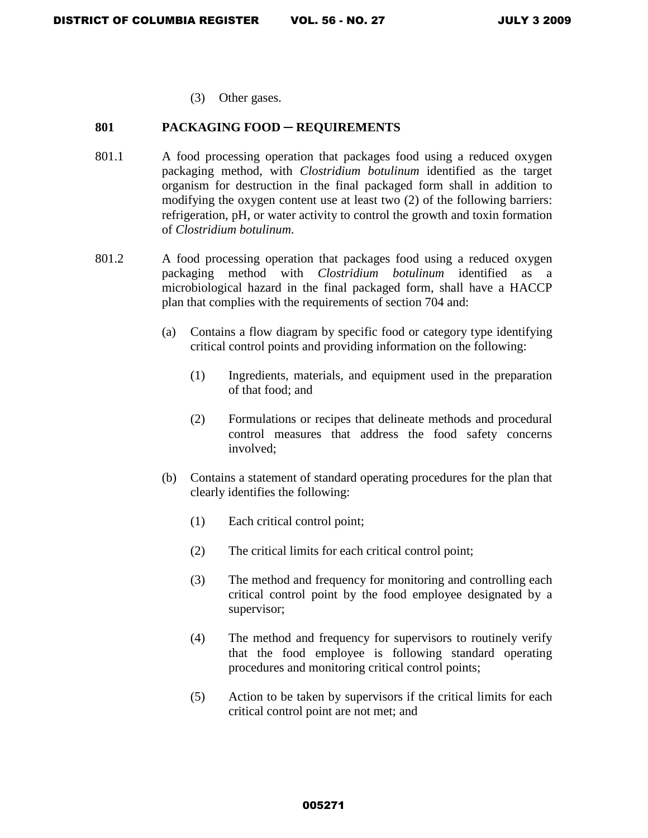(3) Other gases.

### **801 PACKAGING FOOD** ─ **REQUIREMENTS**

- 801.1 A food processing operation that packages food using a reduced oxygen packaging method, with *Clostridium botulinum* identified as the target organism for destruction in the final packaged form shall in addition to modifying the oxygen content use at least two (2) of the following barriers: refrigeration, pH, or water activity to control the growth and toxin formation of *Clostridium botulinum*.
- 801.2 A food processing operation that packages food using a reduced oxygen packaging method with *Clostridium botulinum* identified as a microbiological hazard in the final packaged form, shall have a HACCP plan that complies with the requirements of section 704 and:
	- (a) Contains a flow diagram by specific food or category type identifying critical control points and providing information on the following:
		- (1) Ingredients, materials, and equipment used in the preparation of that food; and
		- (2) Formulations or recipes that delineate methods and procedural control measures that address the food safety concerns involved;
	- (b) Contains a statement of standard operating procedures for the plan that clearly identifies the following:
		- (1) Each critical control point;
		- (2) The critical limits for each critical control point;
		- (3) The method and frequency for monitoring and controlling each critical control point by the food employee designated by a supervisor;
		- (4) The method and frequency for supervisors to routinely verify that the food employee is following standard operating procedures and monitoring critical control points;
		- (5) Action to be taken by supervisors if the critical limits for each critical control point are not met; and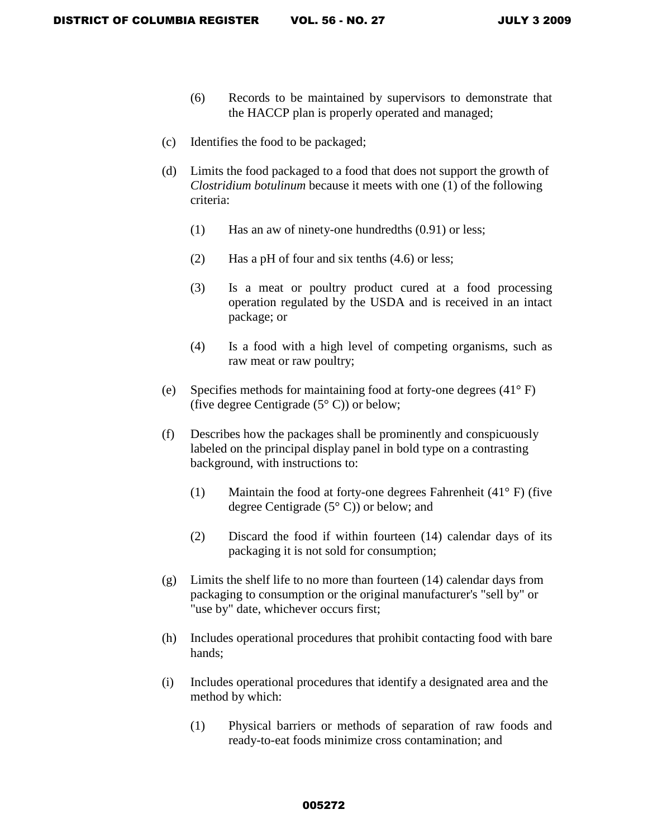- (6) Records to be maintained by supervisors to demonstrate that the HACCP plan is properly operated and managed;
- (c) Identifies the food to be packaged;
- (d) Limits the food packaged to a food that does not support the growth of *Clostridium botulinum* because it meets with one (1) of the following criteria:
	- (1) Has an aw of ninety-one hundredths (0.91) or less;
	- (2) Has a pH of four and six tenths (4.6) or less;
	- (3) Is a meat or poultry product cured at a food processing operation regulated by the USDA and is received in an intact package; or
	- (4) Is a food with a high level of competing organisms, such as raw meat or raw poultry;
- (e) Specifies methods for maintaining food at forty-one degrees (41° F) (five degree Centigrade  $(5^{\circ} \text{ C})$ ) or below;
- (f) Describes how the packages shall be prominently and conspicuously labeled on the principal display panel in bold type on a contrasting background, with instructions to:
	- (1) Maintain the food at forty-one degrees Fahrenheit (41° F) (five degree Centigrade (5° C)) or below; and
	- (2) Discard the food if within fourteen (14) calendar days of its packaging it is not sold for consumption;
- (g) Limits the shelf life to no more than fourteen (14) calendar days from packaging to consumption or the original manufacturer's "sell by" or "use by" date, whichever occurs first;
- (h) Includes operational procedures that prohibit contacting food with bare hands;
- (i) Includes operational procedures that identify a designated area and the method by which:
	- (1) Physical barriers or methods of separation of raw foods and ready-to-eat foods minimize cross contamination; and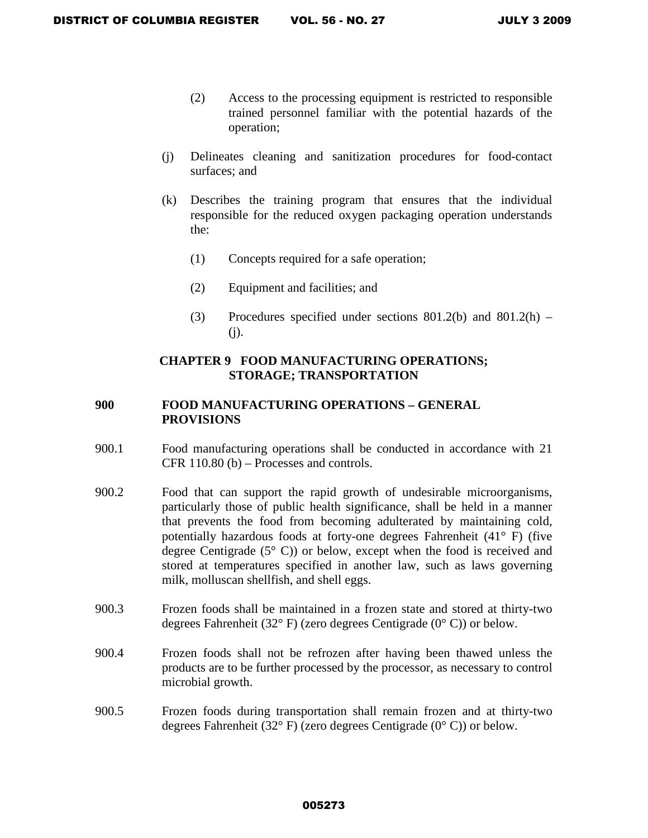- (2) Access to the processing equipment is restricted to responsible trained personnel familiar with the potential hazards of the operation;
- (j) Delineates cleaning and sanitization procedures for food-contact surfaces; and
- (k) Describes the training program that ensures that the individual responsible for the reduced oxygen packaging operation understands the:
	- (1) Concepts required for a safe operation;
	- (2) Equipment and facilities; and
	- (3) Procedures specified under sections  $801.2(b)$  and  $801.2(h)$  (j).

# **CHAPTER 9 FOOD MANUFACTURING OPERATIONS; STORAGE; TRANSPORTATION**

# **900 FOOD MANUFACTURING OPERATIONS – GENERAL PROVISIONS**

- 900.1 Food manufacturing operations shall be conducted in accordance with 21 CFR 110.80 (b) – Processes and controls.
- 900.2 Food that can support the rapid growth of undesirable microorganisms, particularly those of public health significance, shall be held in a manner that prevents the food from becoming adulterated by maintaining cold, potentially hazardous foods at forty-one degrees Fahrenheit (41° F) (five degree Centigrade (5° C)) or below, except when the food is received and stored at temperatures specified in another law, such as laws governing milk, molluscan shellfish, and shell eggs.
- 900.3 Frozen foods shall be maintained in a frozen state and stored at thirty-two degrees Fahrenheit (32° F) (zero degrees Centigrade (0° C)) or below.
- 900.4 Frozen foods shall not be refrozen after having been thawed unless the products are to be further processed by the processor, as necessary to control microbial growth.
- 900.5 Frozen foods during transportation shall remain frozen and at thirty-two degrees Fahrenheit (32° F) (zero degrees Centigrade (0° C)) or below.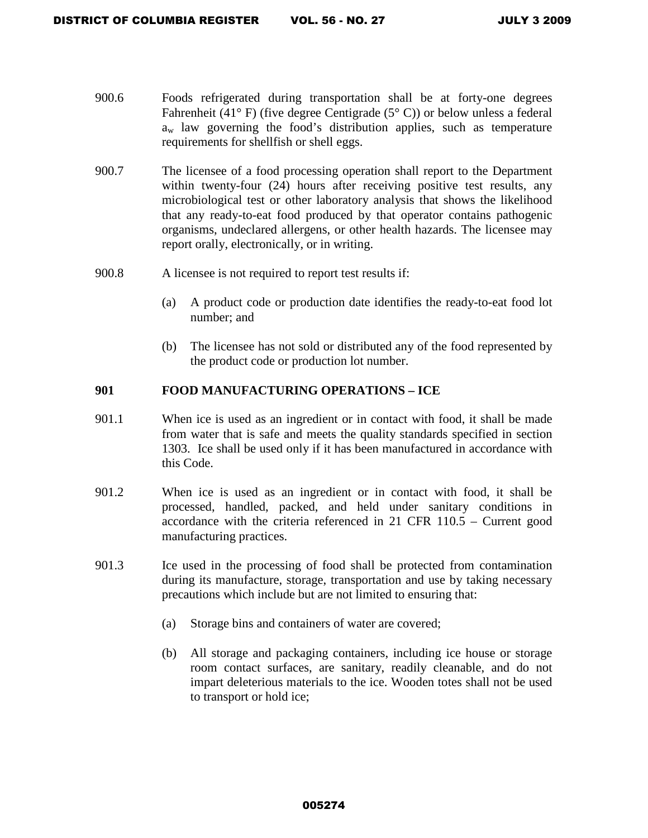- 900.6 Foods refrigerated during transportation shall be at forty-one degrees Fahrenheit (41° F) (five degree Centigrade (5° C)) or below unless a federal  $a_w$  law governing the food's distribution applies, such as temperature requirements for shellfish or shell eggs.
- 900.7 The licensee of a food processing operation shall report to the Department within twenty-four (24) hours after receiving positive test results, any microbiological test or other laboratory analysis that shows the likelihood that any ready-to-eat food produced by that operator contains pathogenic organisms, undeclared allergens, or other health hazards. The licensee may report orally, electronically, or in writing.
- 900.8 A licensee is not required to report test results if:
	- (a) A product code or production date identifies the ready-to-eat food lot number; and
	- (b) The licensee has not sold or distributed any of the food represented by the product code or production lot number.

## **901 FOOD MANUFACTURING OPERATIONS – ICE**

- 901.1 When ice is used as an ingredient or in contact with food, it shall be made from water that is safe and meets the quality standards specified in section 1303. Ice shall be used only if it has been manufactured in accordance with this Code.
- 901.2 When ice is used as an ingredient or in contact with food, it shall be processed, handled, packed, and held under sanitary conditions in accordance with the criteria referenced in 21 CFR 110.5 – Current good manufacturing practices.
- 901.3 Ice used in the processing of food shall be protected from contamination during its manufacture, storage, transportation and use by taking necessary precautions which include but are not limited to ensuring that:
	- (a) Storage bins and containers of water are covered;
	- (b) All storage and packaging containers, including ice house or storage room contact surfaces, are sanitary, readily cleanable, and do not impart deleterious materials to the ice. Wooden totes shall not be used to transport or hold ice;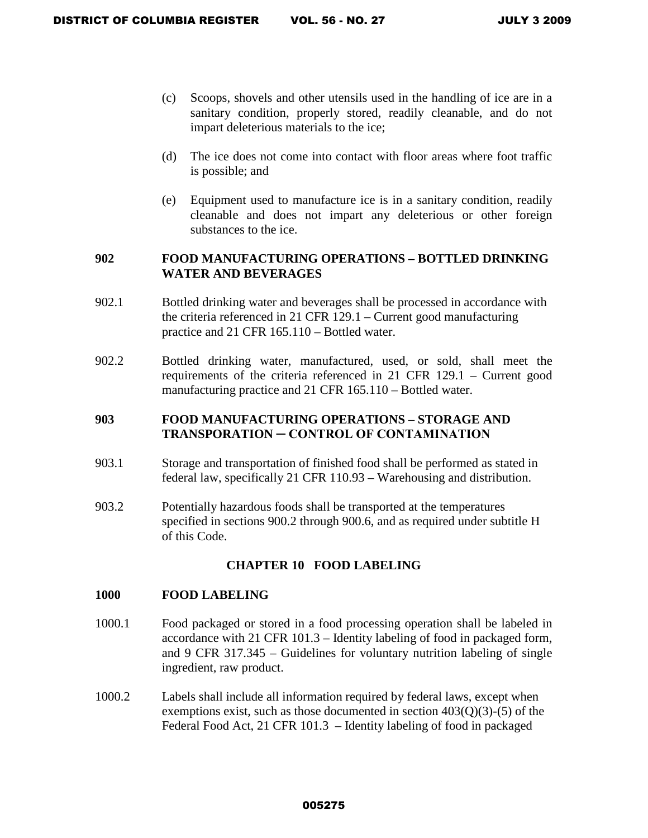- (c) Scoops, shovels and other utensils used in the handling of ice are in a sanitary condition, properly stored, readily cleanable, and do not impart deleterious materials to the ice;
- (d) The ice does not come into contact with floor areas where foot traffic is possible; and
- (e) Equipment used to manufacture ice is in a sanitary condition, readily cleanable and does not impart any deleterious or other foreign substances to the ice.

### **902 FOOD MANUFACTURING OPERATIONS – BOTTLED DRINKING WATER AND BEVERAGES**

- 902.1 Bottled drinking water and beverages shall be processed in accordance with the criteria referenced in 21 CFR 129.1 – Current good manufacturing practice and 21 CFR 165.110 – Bottled water.
- 902.2 Bottled drinking water, manufactured, used, or sold, shall meet the requirements of the criteria referenced in 21 CFR 129.1 – Current good manufacturing practice and 21 CFR 165.110 – Bottled water.

# **903 FOOD MANUFACTURING OPERATIONS – STORAGE AND TRANSPORATION ─ CONTROL OF CONTAMINATION**

- 903.1 Storage and transportation of finished food shall be performed as stated in federal law, specifically 21 CFR 110.93 – Warehousing and distribution.
- 903.2 Potentially hazardous foods shall be transported at the temperatures specified in sections 900.2 through 900.6, and as required under subtitle H of this Code.

## **CHAPTER 10 FOOD LABELING**

### **1000 FOOD LABELING**

- 1000.1 Food packaged or stored in a food processing operation shall be labeled in accordance with 21 CFR 101.3 – Identity labeling of food in packaged form, and 9 CFR 317.345 – Guidelines for voluntary nutrition labeling of single ingredient, raw product.
- 1000.2 Labels shall include all information required by federal laws, except when exemptions exist, such as those documented in section  $403(0)(3)$ -(5) of the Federal Food Act, 21 CFR 101.3 – Identity labeling of food in packaged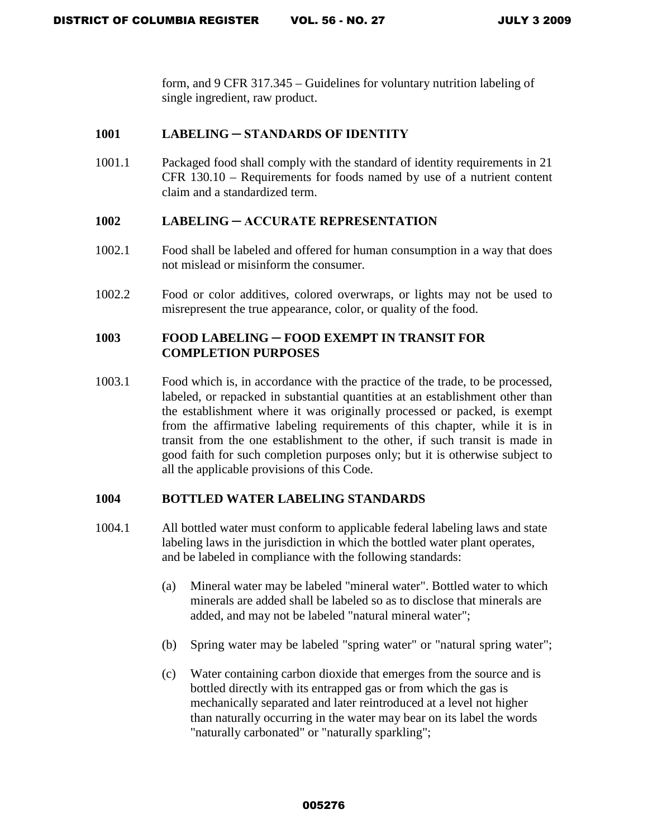form, and 9 CFR 317.345 – Guidelines for voluntary nutrition labeling of single ingredient, raw product.

### **1001 LABELING ─ STANDARDS OF IDENTITY**

1001.1 Packaged food shall comply with the standard of identity requirements in 21 CFR 130.10 – Requirements for foods named by use of a nutrient content claim and a standardized term.

### **1002 LABELING ─ ACCURATE REPRESENTATION**

- 1002.1 Food shall be labeled and offered for human consumption in a way that does not mislead or misinform the consumer.
- 1002.2 Food or color additives, colored overwraps, or lights may not be used to misrepresent the true appearance, color, or quality of the food.

### **1003 FOOD LABELING ─ FOOD EXEMPT IN TRANSIT FOR COMPLETION PURPOSES**

1003.1 Food which is, in accordance with the practice of the trade, to be processed, labeled, or repacked in substantial quantities at an establishment other than the establishment where it was originally processed or packed, is exempt from the affirmative labeling requirements of this chapter, while it is in transit from the one establishment to the other, if such transit is made in good faith for such completion purposes only; but it is otherwise subject to all the applicable provisions of this Code.

### **1004 BOTTLED WATER LABELING STANDARDS**

- 1004.1 All bottled water must conform to applicable federal labeling laws and state labeling laws in the jurisdiction in which the bottled water plant operates, and be labeled in compliance with the following standards:
	- (a) Mineral water may be labeled "mineral water". Bottled water to which minerals are added shall be labeled so as to disclose that minerals are added, and may not be labeled "natural mineral water";
	- (b) Spring water may be labeled "spring water" or "natural spring water";
	- (c) Water containing carbon dioxide that emerges from the source and is bottled directly with its entrapped gas or from which the gas is mechanically separated and later reintroduced at a level not higher than naturally occurring in the water may bear on its label the words "naturally carbonated" or "naturally sparkling";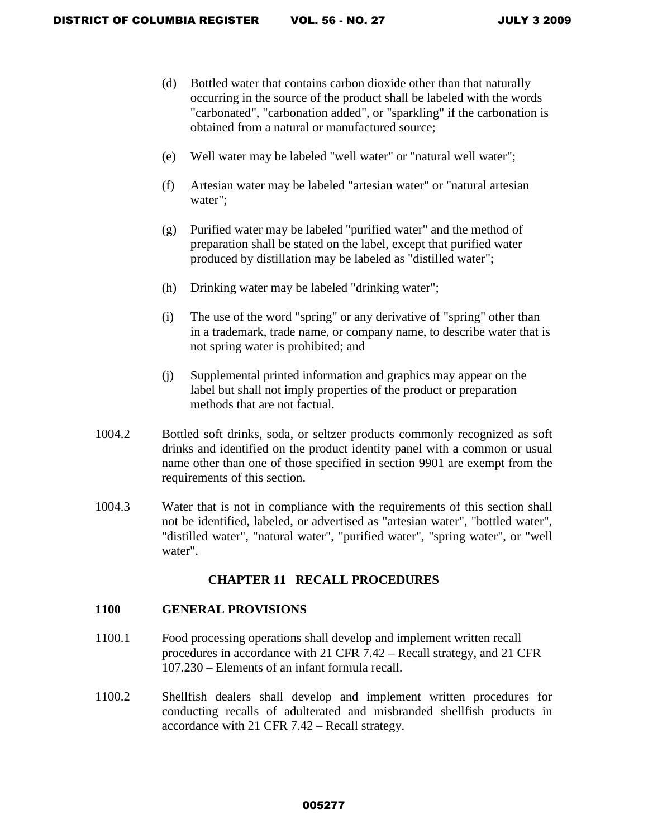- (d) Bottled water that contains carbon dioxide other than that naturally occurring in the source of the product shall be labeled with the words "carbonated", "carbonation added", or "sparkling" if the carbonation is obtained from a natural or manufactured source;
- (e) Well water may be labeled "well water" or "natural well water";
- (f) Artesian water may be labeled "artesian water" or "natural artesian water";
- (g) Purified water may be labeled "purified water" and the method of preparation shall be stated on the label, except that purified water produced by distillation may be labeled as "distilled water";
- (h) Drinking water may be labeled "drinking water";
- (i) The use of the word "spring" or any derivative of "spring" other than in a trademark, trade name, or company name, to describe water that is not spring water is prohibited; and
- (j) Supplemental printed information and graphics may appear on the label but shall not imply properties of the product or preparation methods that are not factual.
- 1004.2 Bottled soft drinks, soda, or seltzer products commonly recognized as soft drinks and identified on the product identity panel with a common or usual name other than one of those specified in section 9901 are exempt from the requirements of this section.
- 1004.3 Water that is not in compliance with the requirements of this section shall not be identified, labeled, or advertised as "artesian water", "bottled water", "distilled water", "natural water", "purified water", "spring water", or "well water".

## **CHAPTER 11 RECALL PROCEDURES**

### **1100 GENERAL PROVISIONS**

- 1100.1 Food processing operations shall develop and implement written recall procedures in accordance with 21 CFR 7.42 – Recall strategy, and 21 CFR 107.230 – Elements of an infant formula recall.
- 1100.2 Shellfish dealers shall develop and implement written procedures for conducting recalls of adulterated and misbranded shellfish products in accordance with 21 CFR 7.42 – Recall strategy.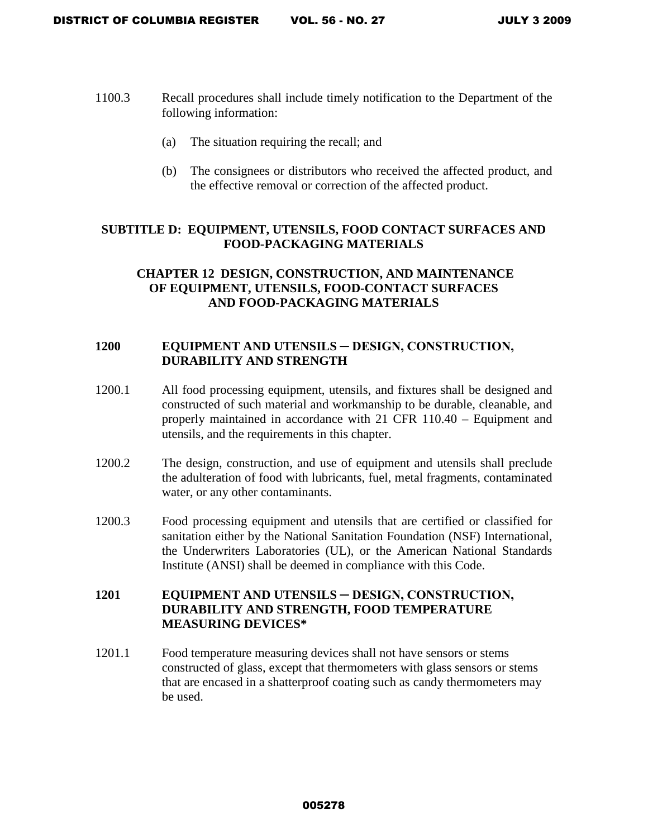- 1100.3 Recall procedures shall include timely notification to the Department of the following information:
	- (a) The situation requiring the recall; and
	- (b) The consignees or distributors who received the affected product, and the effective removal or correction of the affected product.

# **SUBTITLE D: EQUIPMENT, UTENSILS, FOOD CONTACT SURFACES AND FOOD-PACKAGING MATERIALS**

# **CHAPTER 12 DESIGN, CONSTRUCTION, AND MAINTENANCE OF EQUIPMENT, UTENSILS, FOOD-CONTACT SURFACES AND FOOD-PACKAGING MATERIALS**

# **1200 EQUIPMENT AND UTENSILS ─ DESIGN, CONSTRUCTION, DURABILITY AND STRENGTH**

- 1200.1 All food processing equipment, utensils, and fixtures shall be designed and constructed of such material and workmanship to be durable, cleanable, and properly maintained in accordance with 21 CFR 110.40 – Equipment and utensils, and the requirements in this chapter.
- 1200.2 The design, construction, and use of equipment and utensils shall preclude the adulteration of food with lubricants, fuel, metal fragments, contaminated water, or any other contaminants.
- 1200.3 Food processing equipment and utensils that are certified or classified for sanitation either by the National Sanitation Foundation (NSF) International, the Underwriters Laboratories (UL), or the American National Standards Institute (ANSI) shall be deemed in compliance with this Code.

# **1201 EQUIPMENT AND UTENSILS ─ DESIGN, CONSTRUCTION, DURABILITY AND STRENGTH, FOOD TEMPERATURE MEASURING DEVICES\***

1201.1 Food temperature measuring devices shall not have sensors or stems constructed of glass, except that thermometers with glass sensors or stems that are encased in a shatterproof coating such as candy thermometers may be used.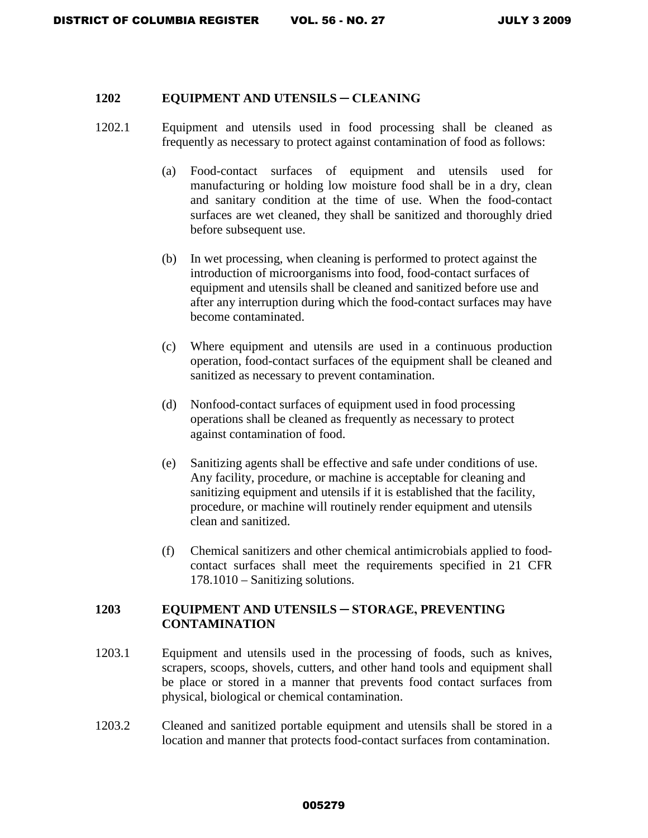#### **1202 EQUIPMENT AND UTENSILS ─ CLEANING**

- 1202.1 Equipment and utensils used in food processing shall be cleaned as frequently as necessary to protect against contamination of food as follows:
	- (a) Food-contact surfaces of equipment and utensils used for manufacturing or holding low moisture food shall be in a dry, clean and sanitary condition at the time of use. When the food-contact surfaces are wet cleaned, they shall be sanitized and thoroughly dried before subsequent use.
	- (b) In wet processing, when cleaning is performed to protect against the introduction of microorganisms into food, food-contact surfaces of equipment and utensils shall be cleaned and sanitized before use and after any interruption during which the food-contact surfaces may have become contaminated.
	- (c) Where equipment and utensils are used in a continuous production operation, food-contact surfaces of the equipment shall be cleaned and sanitized as necessary to prevent contamination.
	- (d) Nonfood-contact surfaces of equipment used in food processing operations shall be cleaned as frequently as necessary to protect against contamination of food.
	- (e) Sanitizing agents shall be effective and safe under conditions of use. Any facility, procedure, or machine is acceptable for cleaning and sanitizing equipment and utensils if it is established that the facility, procedure, or machine will routinely render equipment and utensils clean and sanitized.
	- (f) Chemical sanitizers and other chemical antimicrobials applied to foodcontact surfaces shall meet the requirements specified in 21 CFR 178.1010 – Sanitizing solutions.

## **1203 EQUIPMENT AND UTENSILS ─ STORAGE, PREVENTING CONTAMINATION**

- 1203.1 Equipment and utensils used in the processing of foods, such as knives, scrapers, scoops, shovels, cutters, and other hand tools and equipment shall be place or stored in a manner that prevents food contact surfaces from physical, biological or chemical contamination.
- 1203.2 Cleaned and sanitized portable equipment and utensils shall be stored in a location and manner that protects food-contact surfaces from contamination.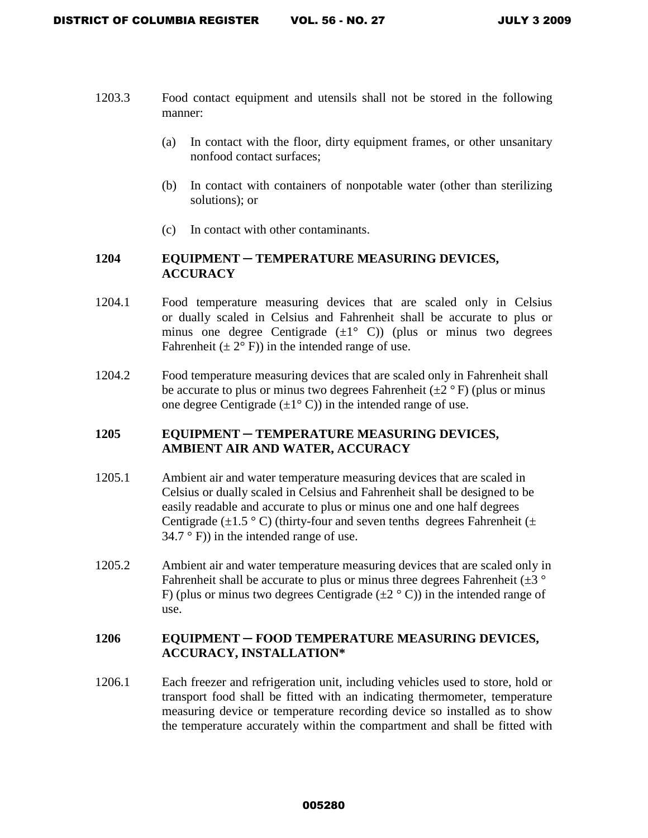- 1203.3 Food contact equipment and utensils shall not be stored in the following manner:
	- (a) In contact with the floor, dirty equipment frames, or other unsanitary nonfood contact surfaces;
	- (b) In contact with containers of nonpotable water (other than sterilizing solutions); or
	- (c) In contact with other contaminants.

# **1204 EQUIPMENT ─ TEMPERATURE MEASURING DEVICES, ACCURACY**

- 1204.1 Food temperature measuring devices that are scaled only in Celsius or dually scaled in Celsius and Fahrenheit shall be accurate to plus or minus one degree Centigrade  $(\pm 1^{\circ} \text{ C})$  (plus or minus two degrees Fahrenheit  $(\pm 2^{\circ} F)$  in the intended range of use.
- 1204.2 Food temperature measuring devices that are scaled only in Fahrenheit shall be accurate to plus or minus two degrees Fahrenheit  $(\pm 2 \degree F)$  (plus or minus one degree Centigrade  $(\pm 1^{\circ} \text{ C})$  in the intended range of use.

# **1205 EQUIPMENT ─ TEMPERATURE MEASURING DEVICES, AMBIENT AIR AND WATER, ACCURACY**

- 1205.1 Ambient air and water temperature measuring devices that are scaled in Celsius or dually scaled in Celsius and Fahrenheit shall be designed to be easily readable and accurate to plus or minus one and one half degrees Centigrade ( $\pm$ 1.5 °C) (thirty-four and seven tenths degrees Fahrenheit ( $\pm$  $34.7 \degree$  F)) in the intended range of use.
- 1205.2 Ambient air and water temperature measuring devices that are scaled only in Fahrenheit shall be accurate to plus or minus three degrees Fahrenheit  $(\pm 3 \degree)$ F) (plus or minus two degrees Centigrade  $(\pm 2 \degree C)$ ) in the intended range of use.

### **1206 EQUIPMENT ─ FOOD TEMPERATURE MEASURING DEVICES, ACCURACY, INSTALLATION\***

1206.1 Each freezer and refrigeration unit, including vehicles used to store, hold or transport food shall be fitted with an indicating thermometer, temperature measuring device or temperature recording device so installed as to show the temperature accurately within the compartment and shall be fitted with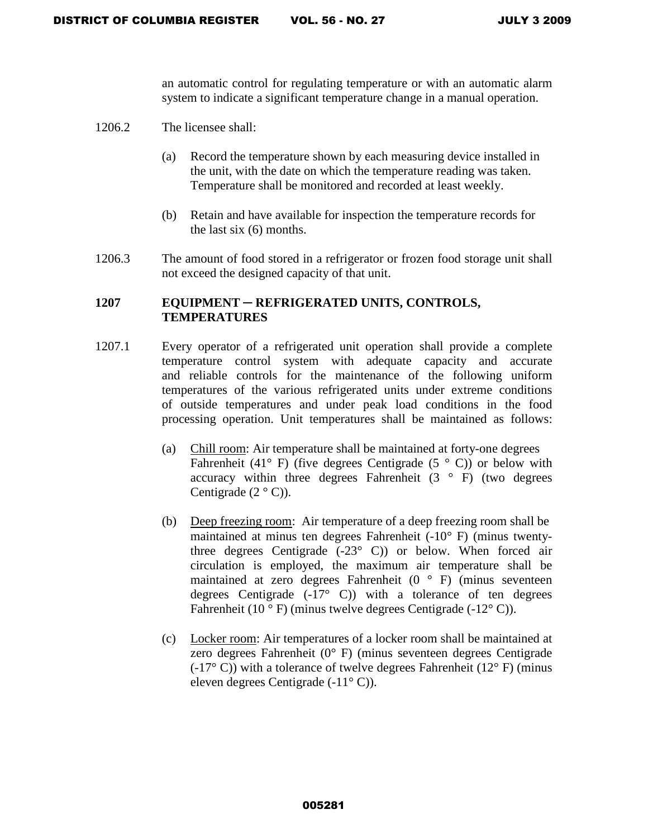an automatic control for regulating temperature or with an automatic alarm system to indicate a significant temperature change in a manual operation.

- 1206.2 The licensee shall:
	- (a) Record the temperature shown by each measuring device installed in the unit, with the date on which the temperature reading was taken. Temperature shall be monitored and recorded at least weekly.
	- (b) Retain and have available for inspection the temperature records for the last six (6) months.
- 1206.3 The amount of food stored in a refrigerator or frozen food storage unit shall not exceed the designed capacity of that unit.

# **1207 EQUIPMENT ─ REFRIGERATED UNITS, CONTROLS, TEMPERATURES**

- 1207.1 Every operator of a refrigerated unit operation shall provide a complete temperature control system with adequate capacity and accurate and reliable controls for the maintenance of the following uniform temperatures of the various refrigerated units under extreme conditions of outside temperatures and under peak load conditions in the food processing operation. Unit temperatures shall be maintained as follows:
	- (a) Chill room: Air temperature shall be maintained at forty-one degrees Fahrenheit (41 $\degree$  F) (five degrees Centigrade (5 $\degree$  C)) or below with accuracy within three degrees Fahrenheit  $(3 \circ F)$  (two degrees Centigrade  $(2 \circ C)$ ).
	- (b) Deep freezing room: Air temperature of a deep freezing room shall be maintained at minus ten degrees Fahrenheit (-10° F) (minus twentythree degrees Centigrade  $(-23^{\circ} \text{ C}))$  or below. When forced air circulation is employed, the maximum air temperature shall be maintained at zero degrees Fahrenheit (0 ° F) (minus seventeen degrees Centigrade  $(-17^{\circ}$  C)) with a tolerance of ten degrees Fahrenheit (10 $\degree$ F) (minus twelve degrees Centigrade (-12 $\degree$ C)).
	- (c) Locker room: Air temperatures of a locker room shall be maintained at zero degrees Fahrenheit (0° F) (minus seventeen degrees Centigrade (-17 $\degree$  C)) with a tolerance of twelve degrees Fahrenheit (12 $\degree$  F) (minus eleven degrees Centigrade (-11° C)).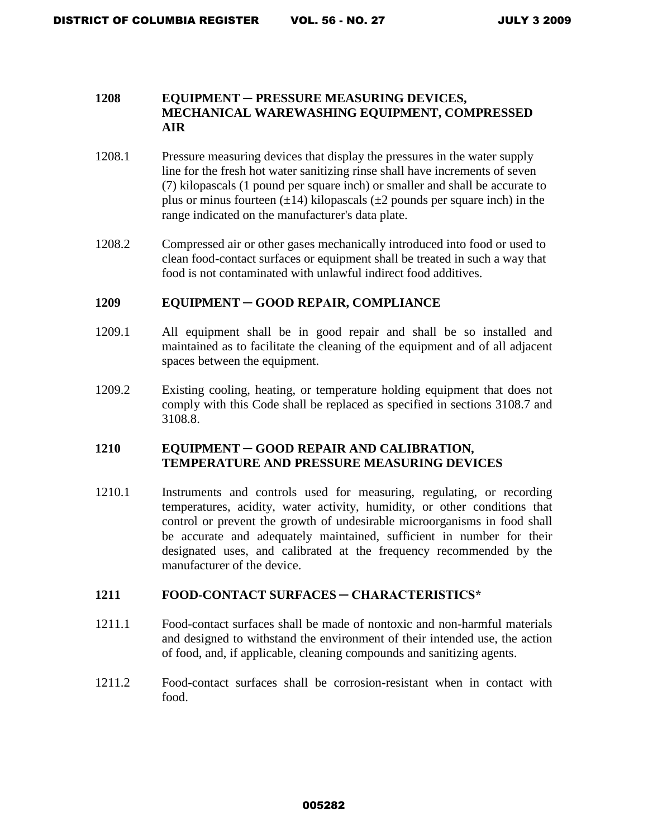### **1208 EQUIPMENT ─ PRESSURE MEASURING DEVICES, MECHANICAL WAREWASHING EQUIPMENT, COMPRESSED AIR**

- 1208.1 Pressure measuring devices that display the pressures in the water supply line for the fresh hot water sanitizing rinse shall have increments of seven (7) kilopascals (1 pound per square inch) or smaller and shall be accurate to plus or minus fourteen  $(\pm 14)$  kilopascals  $(\pm 2)$  pounds per square inch) in the range indicated on the manufacturer's data plate.
- 1208.2 Compressed air or other gases mechanically introduced into food or used to clean food-contact surfaces or equipment shall be treated in such a way that food is not contaminated with unlawful indirect food additives.

#### **1209 EQUIPMENT ─ GOOD REPAIR, COMPLIANCE**

- 1209.1 All equipment shall be in good repair and shall be so installed and maintained as to facilitate the cleaning of the equipment and of all adjacent spaces between the equipment.
- 1209.2 Existing cooling, heating, or temperature holding equipment that does not comply with this Code shall be replaced as specified in sections 3108.7 and 3108.8.

#### **1210 EQUIPMENT ─ GOOD REPAIR AND CALIBRATION, TEMPERATURE AND PRESSURE MEASURING DEVICES**

1210.1 Instruments and controls used for measuring, regulating, or recording temperatures, acidity, water activity, humidity, or other conditions that control or prevent the growth of undesirable microorganisms in food shall be accurate and adequately maintained, sufficient in number for their designated uses, and calibrated at the frequency recommended by the manufacturer of the device.

### **1211 FOOD-CONTACT SURFACES ─ CHARACTERISTICS\***

- 1211.1 Food-contact surfaces shall be made of nontoxic and non-harmful materials and designed to withstand the environment of their intended use, the action of food, and, if applicable, cleaning compounds and sanitizing agents.
- 1211.2 Food-contact surfaces shall be corrosion-resistant when in contact with food.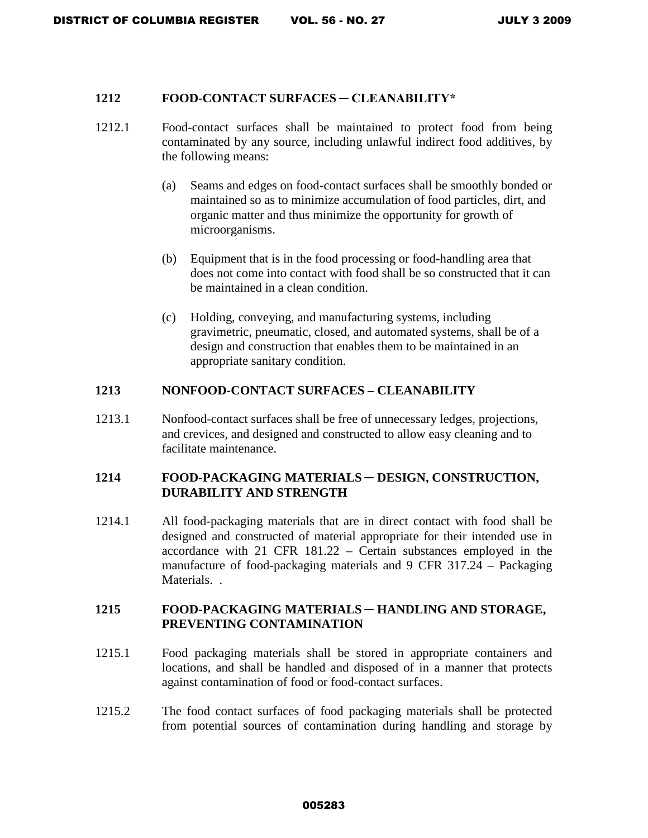#### **1212 FOOD-CONTACT SURFACES ─ CLEANABILITY\***

- 1212.1 Food-contact surfaces shall be maintained to protect food from being contaminated by any source, including unlawful indirect food additives, by the following means:
	- (a) Seams and edges on food-contact surfaces shall be smoothly bonded or maintained so as to minimize accumulation of food particles, dirt, and organic matter and thus minimize the opportunity for growth of microorganisms.
	- (b) Equipment that is in the food processing or food-handling area that does not come into contact with food shall be so constructed that it can be maintained in a clean condition.
	- (c) Holding, conveying, and manufacturing systems, including gravimetric, pneumatic, closed, and automated systems, shall be of a design and construction that enables them to be maintained in an appropriate sanitary condition.

#### **1213 NONFOOD-CONTACT SURFACES – CLEANABILITY**

1213.1 Nonfood-contact surfaces shall be free of unnecessary ledges, projections, and crevices, and designed and constructed to allow easy cleaning and to facilitate maintenance.

#### **1214 FOOD-PACKAGING MATERIALS ─ DESIGN, CONSTRUCTION, DURABILITY AND STRENGTH**

1214.1 All food-packaging materials that are in direct contact with food shall be designed and constructed of material appropriate for their intended use in accordance with 21 CFR 181.22 – Certain substances employed in the manufacture of food-packaging materials and 9 CFR 317.24 – Packaging Materials. .

### **1215 FOOD-PACKAGING MATERIALS ─ HANDLING AND STORAGE, PREVENTING CONTAMINATION**

- 1215.1 Food packaging materials shall be stored in appropriate containers and locations, and shall be handled and disposed of in a manner that protects against contamination of food or food-contact surfaces.
- 1215.2 The food contact surfaces of food packaging materials shall be protected from potential sources of contamination during handling and storage by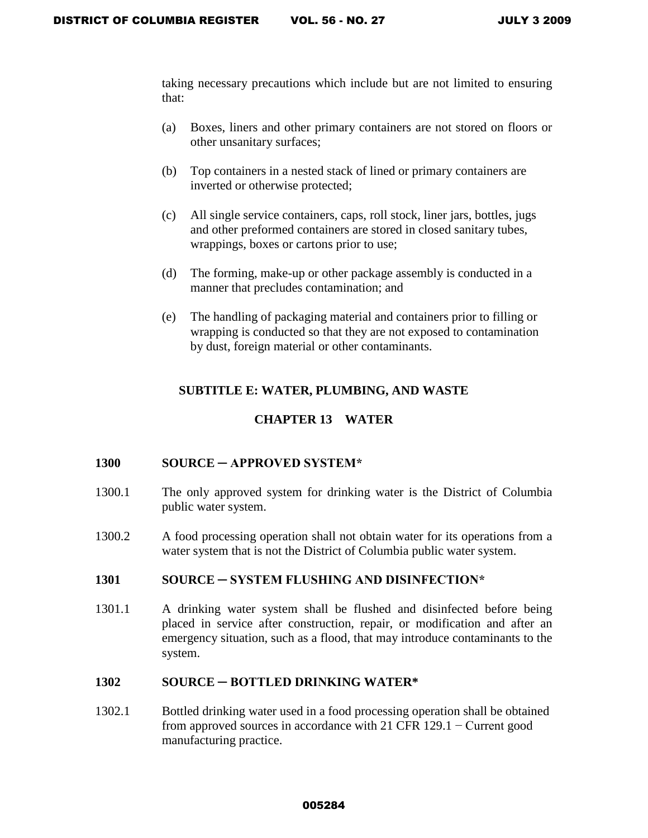taking necessary precautions which include but are not limited to ensuring that:

- (a) Boxes, liners and other primary containers are not stored on floors or other unsanitary surfaces;
- (b) Top containers in a nested stack of lined or primary containers are inverted or otherwise protected;
- (c) All single service containers, caps, roll stock, liner jars, bottles, jugs and other preformed containers are stored in closed sanitary tubes, wrappings, boxes or cartons prior to use;
- (d) The forming, make-up or other package assembly is conducted in a manner that precludes contamination; and
- (e) The handling of packaging material and containers prior to filling or wrapping is conducted so that they are not exposed to contamination by dust, foreign material or other contaminants.

# **SUBTITLE E: WATER, PLUMBING, AND WASTE**

# **CHAPTER 13 WATER**

### **1300 SOURCE ─ APPROVED SYSTEM\***

- 1300.1 The only approved system for drinking water is the District of Columbia public water system.
- 1300.2 A food processing operation shall not obtain water for its operations from a water system that is not the District of Columbia public water system.

### **1301 SOURCE ─ SYSTEM FLUSHING AND DISINFECTION\***

1301.1 A drinking water system shall be flushed and disinfected before being placed in service after construction, repair, or modification and after an emergency situation, such as a flood, that may introduce contaminants to the system.

### **1302 SOURCE ─ BOTTLED DRINKING WATER\***

1302.1 Bottled drinking water used in a food processing operation shall be obtained from approved sources in accordance with 21 CFR 129.1 − Current good manufacturing practice.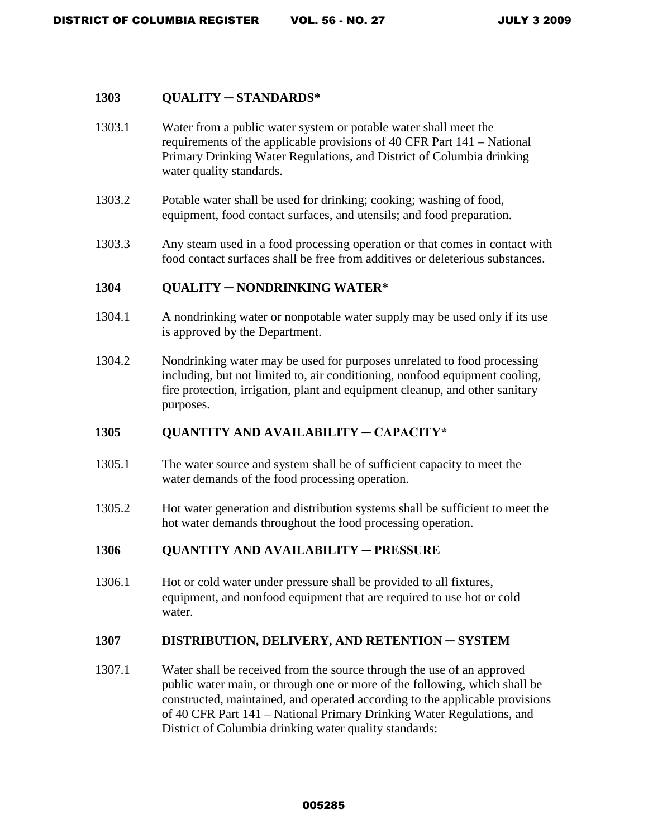#### **1303 QUALITY** ─ **STANDARDS\***

- 1303.1 Water from a public water system or potable water shall meet the requirements of the applicable provisions of 40 CFR Part 141 – National Primary Drinking Water Regulations, and District of Columbia drinking water quality standards.
- 1303.2 Potable water shall be used for drinking; cooking; washing of food, equipment, food contact surfaces, and utensils; and food preparation.
- 1303.3 Any steam used in a food processing operation or that comes in contact with food contact surfaces shall be free from additives or deleterious substances.

#### **1304 QUALITY** ─ **NONDRINKING WATER\***

- 1304.1 A nondrinking water or nonpotable water supply may be used only if its use is approved by the Department.
- 1304.2 Nondrinking water may be used for purposes unrelated to food processing including, but not limited to, air conditioning, nonfood equipment cooling, fire protection, irrigation, plant and equipment cleanup, and other sanitary purposes.

### **1305 QUANTITY AND AVAILABILITY ─ CAPACITY\***

- 1305.1 The water source and system shall be of sufficient capacity to meet the water demands of the food processing operation.
- 1305.2 Hot water generation and distribution systems shall be sufficient to meet the hot water demands throughout the food processing operation.

### **1306 QUANTITY AND AVAILABILITY ─ PRESSURE**

1306.1 Hot or cold water under pressure shall be provided to all fixtures, equipment, and nonfood equipment that are required to use hot or cold water.

#### 1307 **DISTRIBUTION, DELIVERY, AND RETENTION – SYSTEM**

1307.1Water shall be received from the source through the use of an approved public water main, or through one or more of the following, which shall be constructed, maintained, and operated according to the applicable provisions of 40 CFR Part 141 – National Primary Drinking Water Regulations, and District of Columbia drinking water quality standards: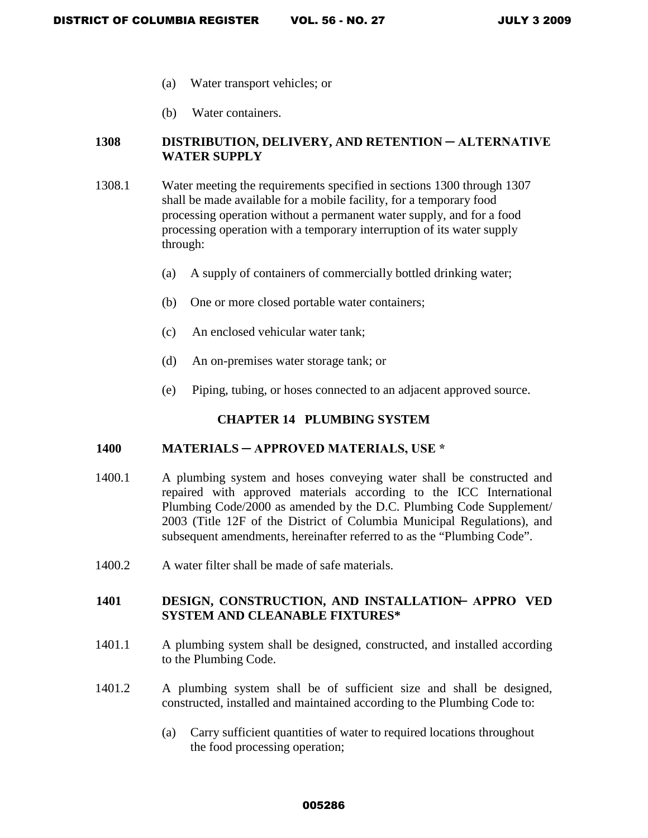- (a) Water transport vehicles; or
- (b) Water containers.

### 1308 DISTRIBUTION, DELIVERY, AND RETENTION — ALTERNATIVE **WATER SUPPLY**

- 1308.1 Water meeting the requirements specified in sections 1300 through 1307 shall be made available for a mobile facility, for a temporary food processing operation without a permanent water supply, and for a food processing operation with a temporary interruption of its water supply through:
	- (a) A supply of containers of commercially bottled drinking water;
	- (b) One or more closed portable water containers;
	- (c) An enclosed vehicular water tank;
	- (d) An on-premises water storage tank; or
	- (e) Piping, tubing, or hoses connected to an adjacent approved source.

#### **CHAPTER 14 PLUMBING SYSTEM**

#### **1400 MATERIALS ─ APPROVED MATERIALS, USE \***

- 1400.1 A plumbing system and hoses conveying water shall be constructed and repaired with approved materials according to the ICC International Plumbing Code/2000 as amended by the D.C. Plumbing Code Supplement/ 2003 (Title 12F of the District of Columbia Municipal Regulations), and subsequent amendments, hereinafter referred to as the "Plumbing Code".
- 1400.2 A water filter shall be made of safe materials.

#### **1401 DESIGN, CONSTRUCTION, AND INSTALLATION ─ APPRO VED SYSTEM AND CLEANABLE FIXTURES\***

- 1401.1 A plumbing system shall be designed, constructed, and installed according to the Plumbing Code.
- 1401.2 A plumbing system shall be of sufficient size and shall be designed, constructed, installed and maintained according to the Plumbing Code to:
	- (a) Carry sufficient quantities of water to required locations throughout the food processing operation;

#### 005286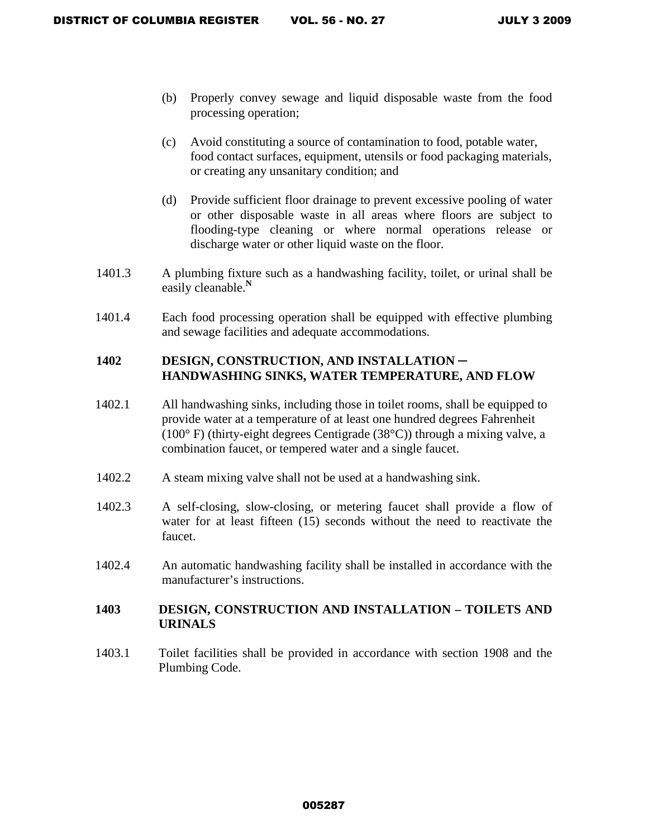- (b) Properly convey sewage and liquid disposable waste from the food processing operation;
- (c) Avoid constituting a source of contamination to food, potable water, food contact surfaces, equipment, utensils or food packaging materials, or creating any unsanitary condition; and
- (d) Provide sufficient floor drainage to prevent excessive pooling of water or other disposable waste in all areas where floors are subject to flooding-type cleaning or where normal operations release or discharge water or other liquid waste on the floor.
- 1401.3 A plumbing fixture such as a handwashing facility, toilet, or urinal shall be easily cleanable.**<sup>N</sup>**
- 1401.4 Each food processing operation shall be equipped with effective plumbing and sewage facilities and adequate accommodations.

# 1402 DESIGN, CONSTRUCTION, AND INSTALLATION -**HANDWASHING SINKS, WATER TEMPERATURE, AND FLOW**

- 1402.1 All handwashing sinks, including those in toilet rooms, shall be equipped to provide water at a temperature of at least one hundred degrees Fahrenheit  $(100^{\circ} \text{ F})$  (thirty-eight degrees Centigrade (38 $^{\circ}$ C)) through a mixing valve, a combination faucet, or tempered water and a single faucet.
- 1402.2 A steam mixing valve shall not be used at a handwashing sink.
- 1402.3 A self-closing, slow-closing, or metering faucet shall provide a flow of water for at least fifteen (15) seconds without the need to reactivate the faucet.
- 1402.4 An automatic handwashing facility shall be installed in accordance with the manufacturer's instructions.

### **1403 DESIGN, CONSTRUCTION AND INSTALLATION – TOILETS AND URINALS**

1403.1 Toilet facilities shall be provided in accordance with section 1908 and the Plumbing Code.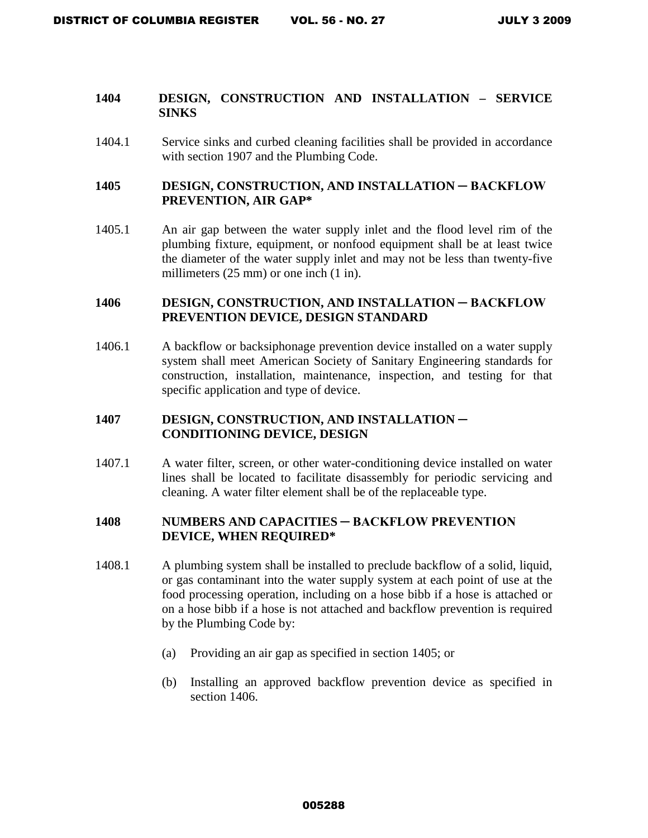#### **1404 DESIGN, CONSTRUCTION AND INSTALLATION – SERVICE SINKS**

1404.1 Service sinks and curbed cleaning facilities shall be provided in accordance with section 1907 and the Plumbing Code.

### 1405 DESIGN, CONSTRUCTION, AND INSTALLATION — BACKFLOW **PREVENTION, AIR GAP\***

1405.1 An air gap between the water supply inlet and the flood level rim of the plumbing fixture, equipment, or nonfood equipment shall be at least twice the diameter of the water supply inlet and may not be less than twenty-five millimeters (25 mm) or one inch (1 in).

### 1406 DESIGN, CONSTRUCTION, AND INSTALLATION — BACKFLOW **PREVENTION DEVICE, DESIGN STANDARD**

1406.1 A backflow or backsiphonage prevention device installed on a water supply system shall meet American Society of Sanitary Engineering standards for construction, installation, maintenance, inspection, and testing for that specific application and type of device.

## 1407 DESIGN, CONSTRUCTION, AND INSTALLATION -**CONDITIONING DEVICE, DESIGN**

1407.1 A water filter, screen, or other water-conditioning device installed on water lines shall be located to facilitate disassembly for periodic servicing and cleaning. A water filter element shall be of the replaceable type.

### **1408 NUMBERS AND CAPACITIES ─ BACKFLOW PREVENTION DEVICE, WHEN REQUIRED\***

- 1408.1 A plumbing system shall be installed to preclude backflow of a solid, liquid, or gas contaminant into the water supply system at each point of use at the food processing operation, including on a hose bibb if a hose is attached or on a hose bibb if a hose is not attached and backflow prevention is required by the Plumbing Code by:
	- (a) Providing an air gap as specified in section 1405; or
	- (b) Installing an approved backflow prevention device as specified in section 1406.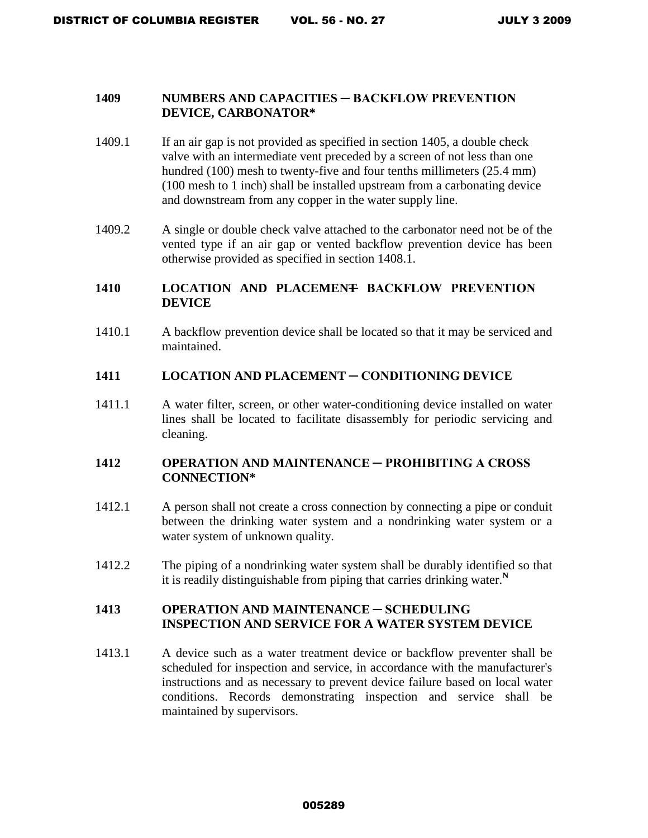#### **1409 NUMBERS AND CAPACITIES ─ BACKFLOW PREVENTION DEVICE, CARBONATOR\***

- 1409.1 If an air gap is not provided as specified in section 1405, a double check valve with an intermediate vent preceded by a screen of not less than one hundred (100) mesh to twenty-five and four tenths millimeters (25.4 mm) (100 mesh to 1 inch) shall be installed upstream from a carbonating device and downstream from any copper in the water supply line.
- 1409.2 A single or double check valve attached to the carbonator need not be of the vented type if an air gap or vented backflow prevention device has been otherwise provided as specified in section 1408.1.

# 1410 LOCATION AND PLACEMEN<del>T</del> BACKFLOW PREVENTION **DEVICE**

1410.1 A backflow prevention device shall be located so that it may be serviced and maintained.

#### **1411 LOCATION AND PLACEMENT ─ CONDITIONING DEVICE**

1411.1 A water filter, screen, or other water-conditioning device installed on water lines shall be located to facilitate disassembly for periodic servicing and cleaning.

# **1412 OPERATION AND MAINTENANCE ─ PROHIBITING A CROSS CONNECTION\***

- 1412.1 A person shall not create a cross connection by connecting a pipe or conduit between the drinking water system and a nondrinking water system or a water system of unknown quality.
- 1412.2 The piping of a nondrinking water system shall be durably identified so that it is readily distinguishable from piping that carries drinking water.**<sup>N</sup>**

### **1413 OPERATION AND MAINTENANCE ─ SCHEDULING INSPECTION AND SERVICE FOR A WATER SYSTEM DEVICE**

1413.1 A device such as a water treatment device or backflow preventer shall be scheduled for inspection and service, in accordance with the manufacturer's instructions and as necessary to prevent device failure based on local water conditions. Records demonstrating inspection and service shall be maintained by supervisors.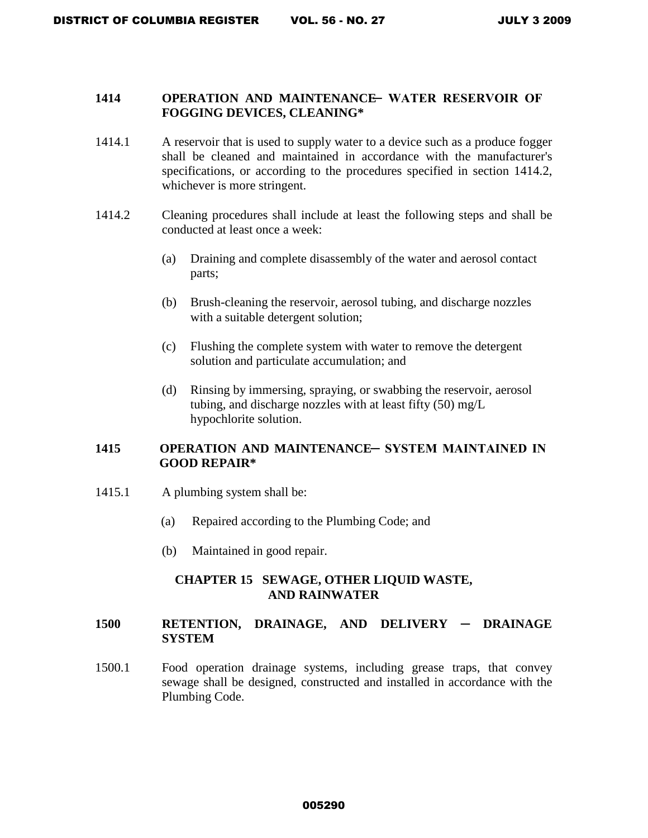### **1414 OPERATION AND MAINTENANCE WATER RESERVOIR OF FOGGING DEVICES, CLEANING\***

- 1414.1 A reservoir that is used to supply water to a device such as a produce fogger shall be cleaned and maintained in accordance with the manufacturer's specifications, or according to the procedures specified in section 1414.2, whichever is more stringent.
- 1414.2 Cleaning procedures shall include at least the following steps and shall be conducted at least once a week:
	- (a) Draining and complete disassembly of the water and aerosol contact parts;
	- (b) Brush-cleaning the reservoir, aerosol tubing, and discharge nozzles with a suitable detergent solution;
	- (c) Flushing the complete system with water to remove the detergent solution and particulate accumulation; and
	- (d) Rinsing by immersing, spraying, or swabbing the reservoir, aerosol tubing, and discharge nozzles with at least fifty (50) mg/L hypochlorite solution.

### 1415 OPERATION AND MAINTENANCE-SYSTEM MAINTAINED IN **GOOD REPAIR\***

- 1415.1 A plumbing system shall be:
	- (a) Repaired according to the Plumbing Code; and
	- (b) Maintained in good repair.

### **CHAPTER 15 SEWAGE, OTHER LIQUID WASTE, AND RAINWATER**

### **1500 RETENTION, DRAINAGE, AND DELIVERY ─ DRAINAGE SYSTEM**

1500.1Food operation drainage systems, including grease traps, that convey sewage shall be designed, constructed and installed in accordance with the Plumbing Code.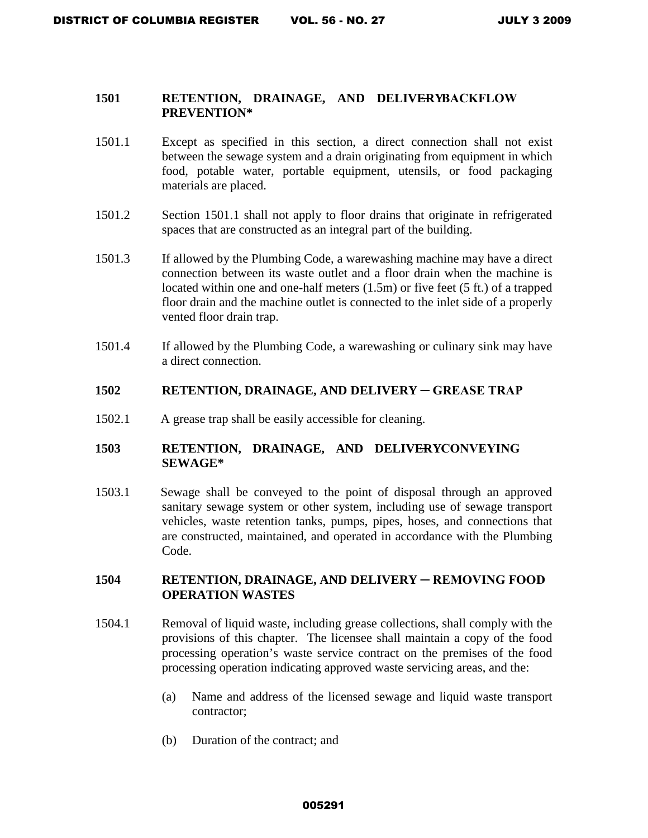#### 1501 RETENTION, DRAINAGE, AND DELIVERYBACKFLOW **PREVENTION\***

- 1501.1 Except as specified in this section, a direct connection shall not exist between the sewage system and a drain originating from equipment in which food, potable water, portable equipment, utensils, or food packaging materials are placed.
- 1501.2 Section 1501.1 shall not apply to floor drains that originate in refrigerated spaces that are constructed as an integral part of the building.
- 1501.3 If allowed by the Plumbing Code, a warewashing machine may have a direct connection between its waste outlet and a floor drain when the machine is located within one and one-half meters (1.5m) or five feet (5 ft.) of a trapped floor drain and the machine outlet is connected to the inlet side of a properly vented floor drain trap.
- 1501.4 If allowed by the Plumbing Code, a warewashing or culinary sink may have a direct connection.

#### 1502 RETENTION, DRAINAGE, AND DELIVERY – GREASE TRAP

1502.1 A grease trap shall be easily accessible for cleaning.

### 1503 RETENTION, DRAINAGE, AND DELIVERY CONVEYING **SEWAGE\***

1503.1 Sewage shall be conveyed to the point of disposal through an approved sanitary sewage system or other system, including use of sewage transport vehicles, waste retention tanks, pumps, pipes, hoses, and connections that are constructed, maintained, and operated in accordance with the Plumbing Code.

### 1504 RETENTION, DRAINAGE, AND DELIVERY — REMOVING FOOD **OPERATION WASTES**

- 1504.1 Removal of liquid waste, including grease collections, shall comply with the provisions of this chapter. The licensee shall maintain a copy of the food processing operation's waste service contract on the premises of the food processing operation indicating approved waste servicing areas, and the:
	- (a) Name and address of the licensed sewage and liquid waste transport contractor;
	- (b) Duration of the contract; and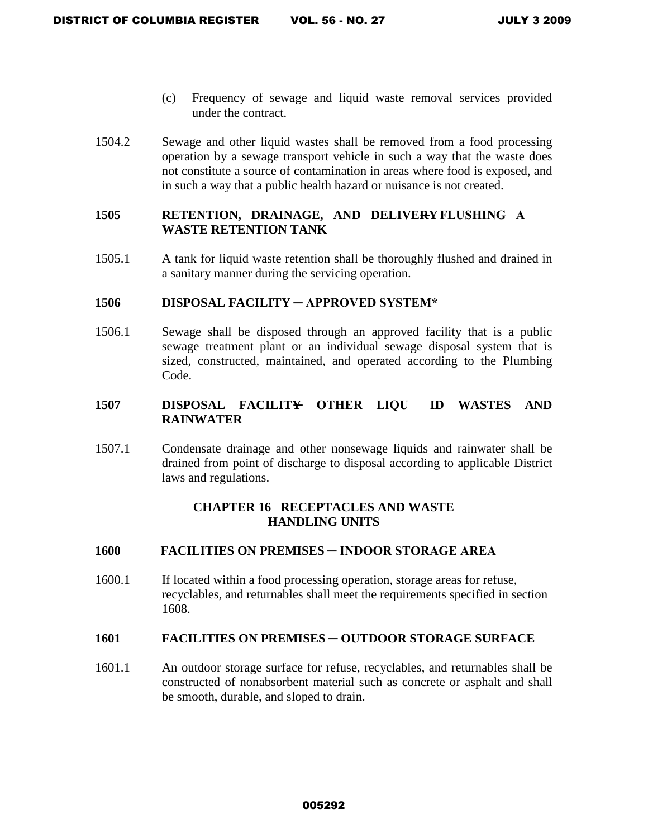- (c) Frequency of sewage and liquid waste removal services provided under the contract.
- 1504.2 Sewage and other liquid wastes shall be removed from a food processing operation by a sewage transport vehicle in such a way that the waste does not constitute a source of contamination in areas where food is exposed, and in such a way that a public health hazard or nuisance is not created.

# 1505 RETENTION, DRAINAGE, AND DELIVERY FLUSHING A **WASTE RETENTION TANK**

1505.1 A tank for liquid waste retention shall be thoroughly flushed and drained in a sanitary manner during the servicing operation.

#### **1506 DISPOSAL FACILITY ─ APPROVED SYSTEM\***

1506.1Sewage shall be disposed through an approved facility that is a public sewage treatment plant or an individual sewage disposal system that is sized, constructed, maintained, and operated according to the Plumbing Code.

# **1507 DISPOSAL FACILITY ─ OTHER LIQU ID WASTES AND RAINWATER**

1507.1 Condensate drainage and other nonsewage liquids and rainwater shall be drained from point of discharge to disposal according to applicable District laws and regulations.

### **CHAPTER 16 RECEPTACLES AND WASTE HANDLING UNITS**

### **1600 FACILITIES ON PREMISES ─ INDOOR STORAGE AREA**

1600.1 If located within a food processing operation, storage areas for refuse, recyclables, and returnables shall meet the requirements specified in section 1608.

### **1601 FACILITIES ON PREMISES ─ OUTDOOR STORAGE SURFACE**

1601.1 An outdoor storage surface for refuse, recyclables, and returnables shall be constructed of nonabsorbent material such as concrete or asphalt and shall be smooth, durable, and sloped to drain.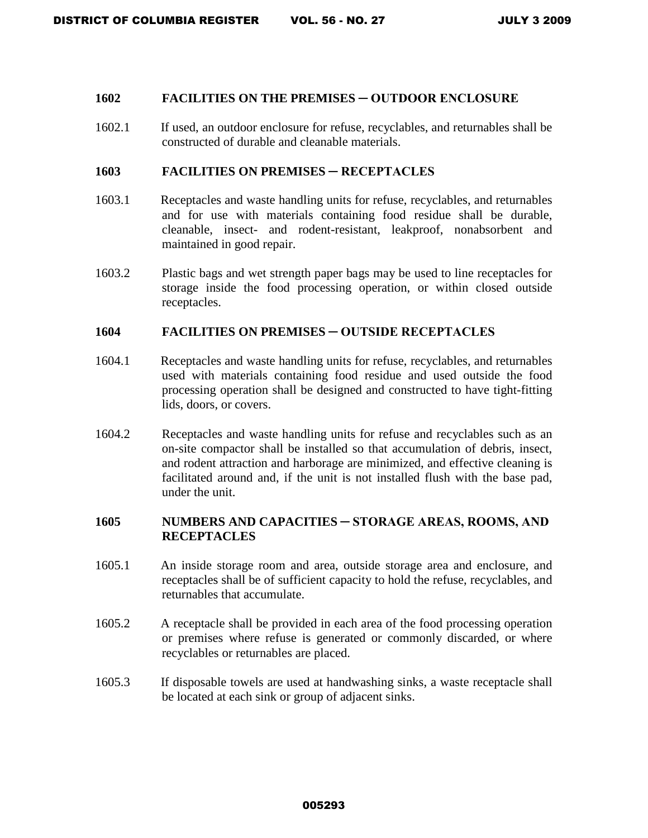#### **1602 FACILITIES ON THE PREMISES ─ OUTDOOR ENCLOSURE**

1602.1 If used, an outdoor enclosure for refuse, recyclables, and returnables shall be constructed of durable and cleanable materials.

#### 1603 **FACILITIES ON PREMISES — RECEPTACLES**

- 1603.1 Receptacles and waste handling units for refuse, recyclables, and returnables and for use with materials containing food residue shall be durable, cleanable, insect- and rodent-resistant, leakproof, nonabsorbent and maintained in good repair.
- 1603.2 Plastic bags and wet strength paper bags may be used to line receptacles for storage inside the food processing operation, or within closed outside receptacles.

#### **1604 FACILITIES ON PREMISES ─ OUTSIDE RECEPTACLES**

- 1604.1 Receptacles and waste handling units for refuse, recyclables, and returnables used with materials containing food residue and used outside the food processing operation shall be designed and constructed to have tight-fitting lids, doors, or covers.
- 1604.2 Receptacles and waste handling units for refuse and recyclables such as an on-site compactor shall be installed so that accumulation of debris, insect, and rodent attraction and harborage are minimized, and effective cleaning is facilitated around and, if the unit is not installed flush with the base pad, under the unit.

## **1605 NUMBERS AND CAPACITIES ─ STORAGE AREAS, ROOMS, AND RECEPTACLES**

- 1605.1 An inside storage room and area, outside storage area and enclosure, and receptacles shall be of sufficient capacity to hold the refuse, recyclables, and returnables that accumulate.
- 1605.2 A receptacle shall be provided in each area of the food processing operation or premises where refuse is generated or commonly discarded, or where recyclables or returnables are placed.
- 1605.3 If disposable towels are used at handwashing sinks, a waste receptacle shall be located at each sink or group of adjacent sinks.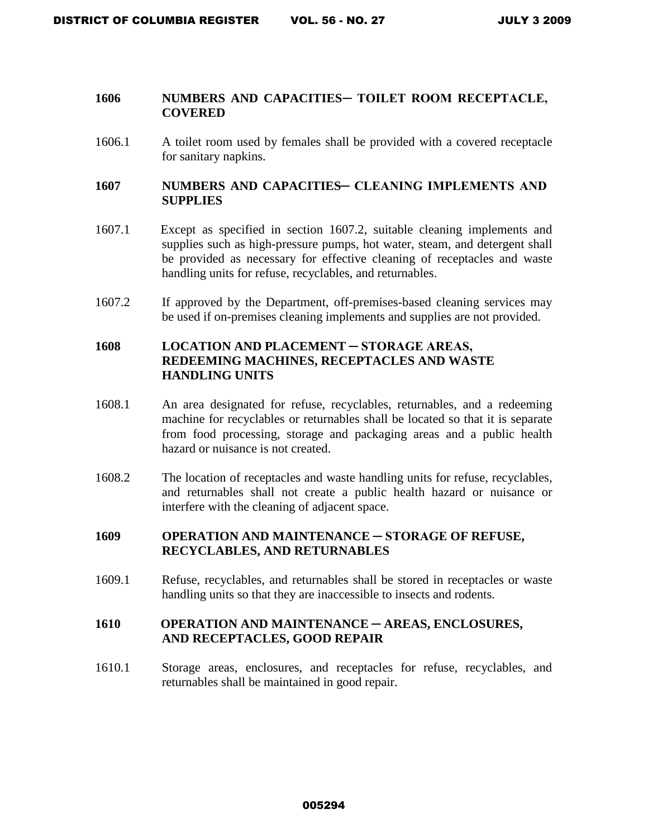#### 1606 NUMBERS AND CAPACITIES-TOILET ROOM RECEPTACLE, **COVERED**

1606.1 A toilet room used by females shall be provided with a covered receptacle for sanitary napkins.

### 1607 NUMBERS AND CAPACITIES – CLEANING IMPLEMENTS AND **SUPPLIES**

- 1607.1 Except as specified in section 1607.2, suitable cleaning implements and supplies such as high-pressure pumps, hot water, steam, and detergent shall be provided as necessary for effective cleaning of receptacles and waste handling units for refuse, recyclables, and returnables.
- 1607.2 If approved by the Department, off-premises-based cleaning services may be used if on-premises cleaning implements and supplies are not provided.

# 1608 LOCATION AND PLACEMENT – STORAGE AREAS, **REDEEMING MACHINES, RECEPTACLES AND WASTE HANDLING UNITS**

- 1608.1 An area designated for refuse, recyclables, returnables, and a redeeming machine for recyclables or returnables shall be located so that it is separate from food processing, storage and packaging areas and a public health hazard or nuisance is not created.
- 1608.2 The location of receptacles and waste handling units for refuse, recyclables, and returnables shall not create a public health hazard or nuisance or interfere with the cleaning of adjacent space.

# **1609 OPERATION AND MAINTENANCE ─ STORAGE OF REFUSE, RECYCLABLES, AND RETURNABLES**

1609.1 Refuse, recyclables, and returnables shall be stored in receptacles or waste handling units so that they are inaccessible to insects and rodents.

#### 1610 OPERATION AND MAINTENANCE – AREAS, ENCLOSURES, **AND RECEPTACLES, GOOD REPAIR**

1610.1 Storage areas, enclosures, and receptacles for refuse, recyclables, and returnables shall be maintained in good repair.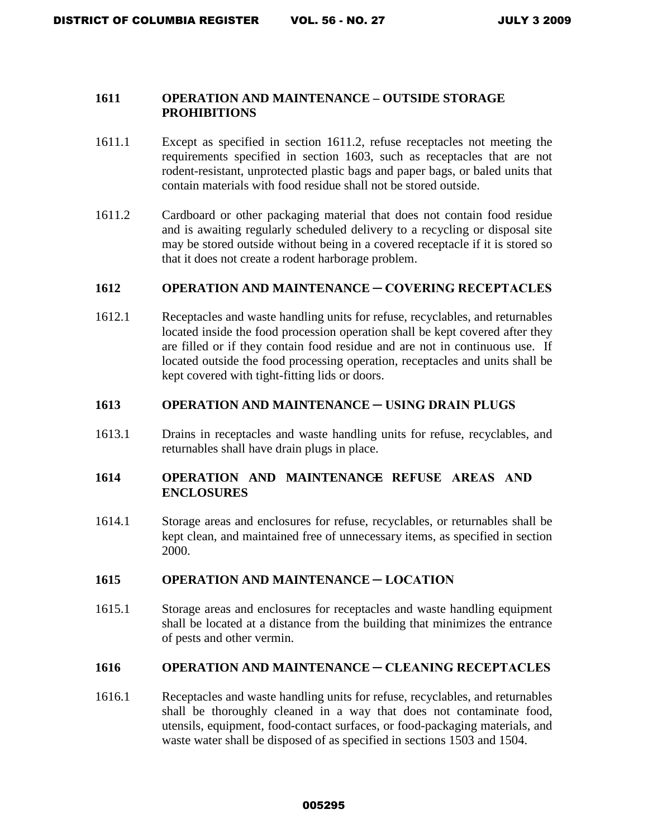#### **1611 OPERATION AND MAINTENANCE – OUTSIDE STORAGE PROHIBITIONS**

- 1611.1 Except as specified in section 1611.2, refuse receptacles not meeting the requirements specified in section 1603, such as receptacles that are not rodent-resistant, unprotected plastic bags and paper bags, or baled units that contain materials with food residue shall not be stored outside.
- 1611.2 Cardboard or other packaging material that does not contain food residue and is awaiting regularly scheduled delivery to a recycling or disposal site may be stored outside without being in a covered receptacle if it is stored so that it does not create a rodent harborage problem.

#### **1612 OPERATION AND MAINTENANCE ─ COVERING RECEPTACLES**

1612.1 Receptacles and waste handling units for refuse, recyclables, and returnables located inside the food procession operation shall be kept covered after they are filled or if they contain food residue and are not in continuous use. If located outside the food processing operation, receptacles and units shall be kept covered with tight-fitting lids or doors.

#### **1613 OPERATION AND MAINTENANCE ─ USING DRAIN PLUGS**

1613.1 Drains in receptacles and waste handling units for refuse, recyclables, and returnables shall have drain plugs in place.

### 1614 OPERATION AND MAINTENANC<del>E</del> REFUSE AREAS AND **ENCLOSURES**

1614.1 Storage areas and enclosures for refuse, recyclables, or returnables shall be kept clean, and maintained free of unnecessary items, as specified in section 2000.

#### **1615 OPERATION AND MAINTENANCE ─ LOCATION**

1615.1 Storage areas and enclosures for receptacles and waste handling equipment shall be located at a distance from the building that minimizes the entrance of pests and other vermin.

#### **1616 OPERATION AND MAINTENANCE ─ CLEANING RECEPTACLES**

1616.1 Receptacles and waste handling units for refuse, recyclables, and returnables shall be thoroughly cleaned in a way that does not contaminate food, utensils, equipment, food-contact surfaces, or food-packaging materials, and waste water shall be disposed of as specified in sections 1503 and 1504.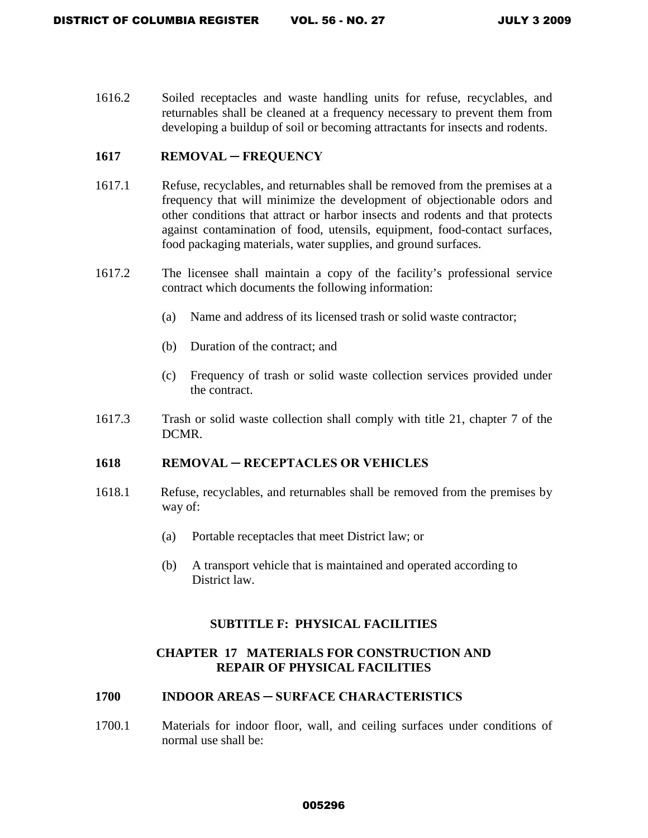1616.2 Soiled receptacles and waste handling units for refuse, recyclables, and returnables shall be cleaned at a frequency necessary to prevent them from developing a buildup of soil or becoming attractants for insects and rodents.

#### 1617 REMOVAL – FREQUENCY

- 1617.1 Refuse, recyclables, and returnables shall be removed from the premises at a frequency that will minimize the development of objectionable odors and other conditions that attract or harbor insects and rodents and that protects against contamination of food, utensils, equipment, food-contact surfaces, food packaging materials, water supplies, and ground surfaces.
- 1617.2 The licensee shall maintain a copy of the facility's professional service contract which documents the following information:
	- (a) Name and address of its licensed trash or solid waste contractor;
	- (b) Duration of the contract; and
	- (c) Frequency of trash or solid waste collection services provided under the contract.
- 1617.3 Trash or solid waste collection shall comply with title 21, chapter 7 of the DCMR.

#### **1618 REMOVAL ─ RECEPTACLES OR VEHICLES**

- 1618.1 Refuse, recyclables, and returnables shall be removed from the premises by way of:
	- (a) Portable receptacles that meet District law; or
	- (b) A transport vehicle that is maintained and operated according to District law.

#### **SUBTITLE F: PHYSICAL FACILITIES**

# **CHAPTER 17 MATERIALS FOR CONSTRUCTION AND REPAIR OF PHYSICAL FACILITIES**

#### **1700 INDOOR AREAS ─ SURFACE CHARACTERISTICS**

1700.1 Materials for indoor floor, wall, and ceiling surfaces under conditions of normal use shall be: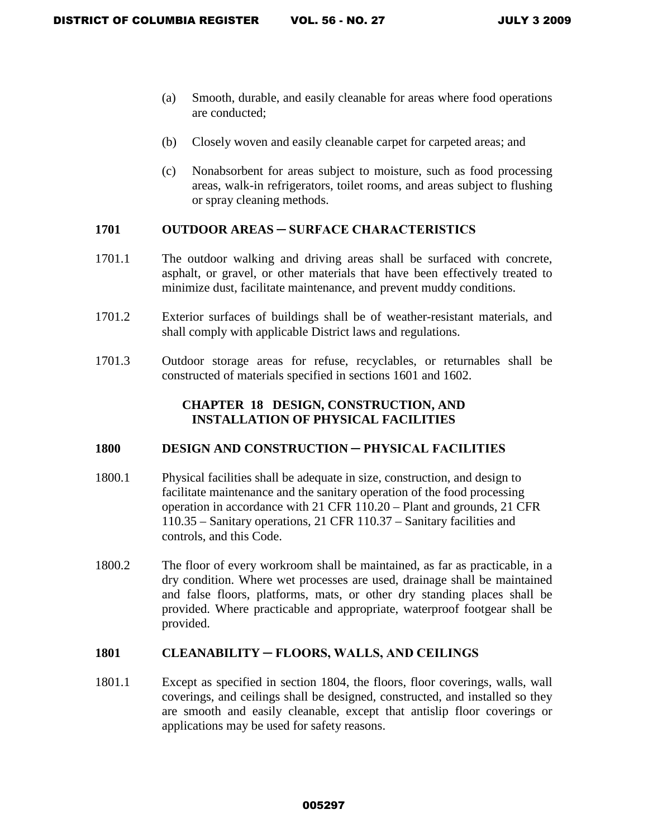- (a) Smooth, durable, and easily cleanable for areas where food operations are conducted;
- (b) Closely woven and easily cleanable carpet for carpeted areas; and
- (c) Nonabsorbent for areas subject to moisture, such as food processing areas, walk-in refrigerators, toilet rooms, and areas subject to flushing or spray cleaning methods.

### **1701 OUTDOOR AREAS ─ SURFACE CHARACTERISTICS**

- 1701.1 The outdoor walking and driving areas shall be surfaced with concrete, asphalt, or gravel, or other materials that have been effectively treated to minimize dust, facilitate maintenance, and prevent muddy conditions.
- 1701.2 Exterior surfaces of buildings shall be of weather-resistant materials, and shall comply with applicable District laws and regulations.
- 1701.3 Outdoor storage areas for refuse, recyclables, or returnables shall be constructed of materials specified in sections 1601 and 1602.

# **CHAPTER 18 DESIGN, CONSTRUCTION, AND INSTALLATION OF PHYSICAL FACILITIES**

### 1800 DESIGN AND CONSTRUCTION – PHYSICAL FACILITIES

- 1800.1 Physical facilities shall be adequate in size, construction, and design to facilitate maintenance and the sanitary operation of the food processing operation in accordance with 21 CFR 110.20 – Plant and grounds, 21 CFR 110.35 – Sanitary operations, 21 CFR 110.37 – Sanitary facilities and controls, and this Code.
- 1800.2 The floor of every workroom shall be maintained, as far as practicable, in a dry condition. Where wet processes are used, drainage shall be maintained and false floors, platforms, mats, or other dry standing places shall be provided. Where practicable and appropriate, waterproof footgear shall be provided.

## **1801 CLEANABILITY ─ FLOORS, WALLS, AND CEILINGS**

1801.1 Except as specified in section 1804, the floors, floor coverings, walls, wall coverings, and ceilings shall be designed, constructed, and installed so they are smooth and easily cleanable, except that antislip floor coverings or applications may be used for safety reasons.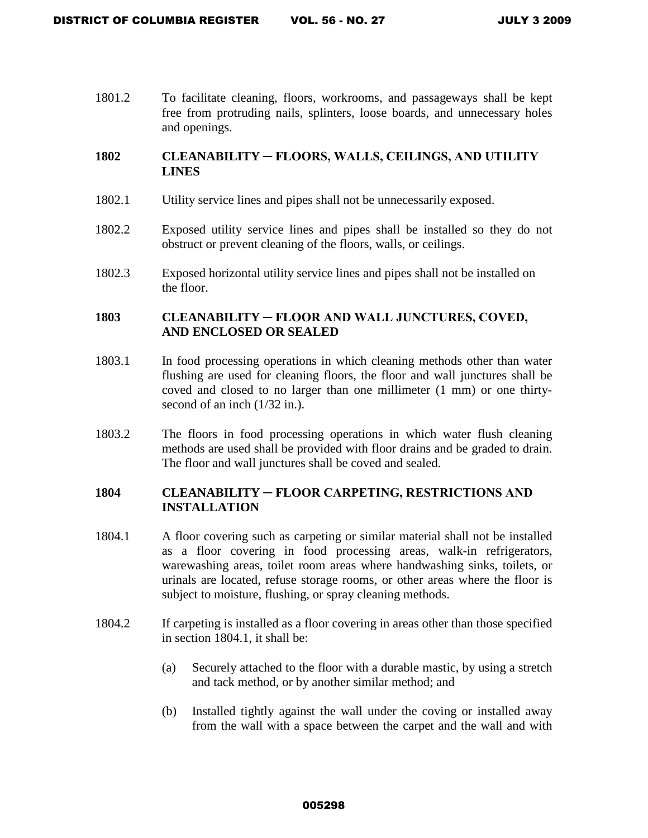1801.2 To facilitate cleaning, floors, workrooms, and passageways shall be kept free from protruding nails, splinters, loose boards, and unnecessary holes and openings.

# **1802 CLEANABILITY ─ FLOORS, WALLS, CEILINGS, AND UTILITY LINES**

- 1802.1 Utility service lines and pipes shall not be unnecessarily exposed.
- 1802.2 Exposed utility service lines and pipes shall be installed so they do not obstruct or prevent cleaning of the floors, walls, or ceilings.
- 1802.3 Exposed horizontal utility service lines and pipes shall not be installed on the floor.

# **1803 CLEANABILITY ─ FLOOR AND WALL JUNCTURES, COVED, AND ENCLOSED OR SEALED**

- 1803.1 In food processing operations in which cleaning methods other than water flushing are used for cleaning floors, the floor and wall junctures shall be coved and closed to no larger than one millimeter (1 mm) or one thirtysecond of an inch  $(1/32 \text{ in.})$ .
- 1803.2 The floors in food processing operations in which water flush cleaning methods are used shall be provided with floor drains and be graded to drain. The floor and wall junctures shall be coved and sealed.

# **1804 CLEANABILITY ─ FLOOR CARPETING, RESTRICTIONS AND INSTALLATION**

- 1804.1 A floor covering such as carpeting or similar material shall not be installed as a floor covering in food processing areas, walk-in refrigerators, warewashing areas, toilet room areas where handwashing sinks, toilets, or urinals are located, refuse storage rooms, or other areas where the floor is subject to moisture, flushing, or spray cleaning methods.
- 1804.2 If carpeting is installed as a floor covering in areas other than those specified in section 1804.1, it shall be:
	- (a) Securely attached to the floor with a durable mastic, by using a stretch and tack method, or by another similar method; and
	- (b) Installed tightly against the wall under the coving or installed away from the wall with a space between the carpet and the wall and with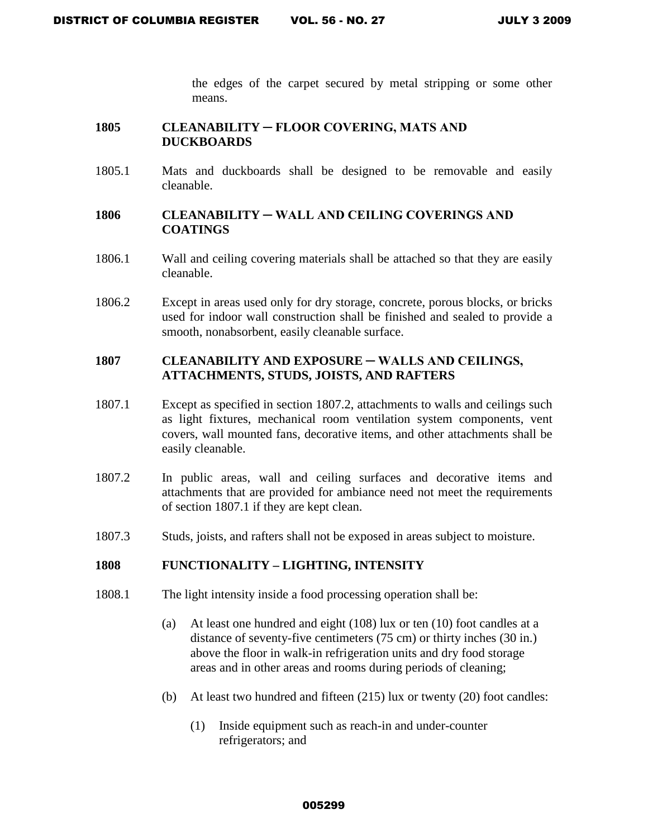the edges of the carpet secured by metal stripping or some other means.

#### **1805 CLEANABILITY ─ FLOOR COVERING, MATS AND DUCKBOARDS**

1805.1 Mats and duckboards shall be designed to be removable and easily cleanable.

### **1806 CLEANABILITY ─ WALL AND CEILING COVERINGS AND COATINGS**

- 1806.1 Wall and ceiling covering materials shall be attached so that they are easily cleanable.
- 1806.2Except in areas used only for dry storage, concrete, porous blocks, or bricks used for indoor wall construction shall be finished and sealed to provide a smooth, nonabsorbent, easily cleanable surface.

# 1807 CLEANABILITY AND EXPOSURE – WALLS AND CEILINGS, **ATTACHMENTS, STUDS, JOISTS, AND RAFTERS**

- 1807.1 Except as specified in section 1807.2, attachments to walls and ceilings such as light fixtures, mechanical room ventilation system components, vent covers, wall mounted fans, decorative items, and other attachments shall be easily cleanable.
- 1807.2In public areas, wall and ceiling surfaces and decorative items and attachments that are provided for ambiance need not meet the requirements of section 1807.1 if they are kept clean.
- 1807.3 Studs, joists, and rafters shall not be exposed in areas subject to moisture.

#### **1808 FUNCTIONALITY – LIGHTING, INTENSITY**

- 1808.1 The light intensity inside a food processing operation shall be:
	- (a) At least one hundred and eight (108) lux or ten (10) foot candles at a distance of seventy-five centimeters (75 cm) or thirty inches (30 in.) above the floor in walk-in refrigeration units and dry food storage areas and in other areas and rooms during periods of cleaning;
	- (b) At least two hundred and fifteen (215) lux or twenty (20) foot candles:
		- (1) Inside equipment such as reach-in and under-counter refrigerators; and

#### 005299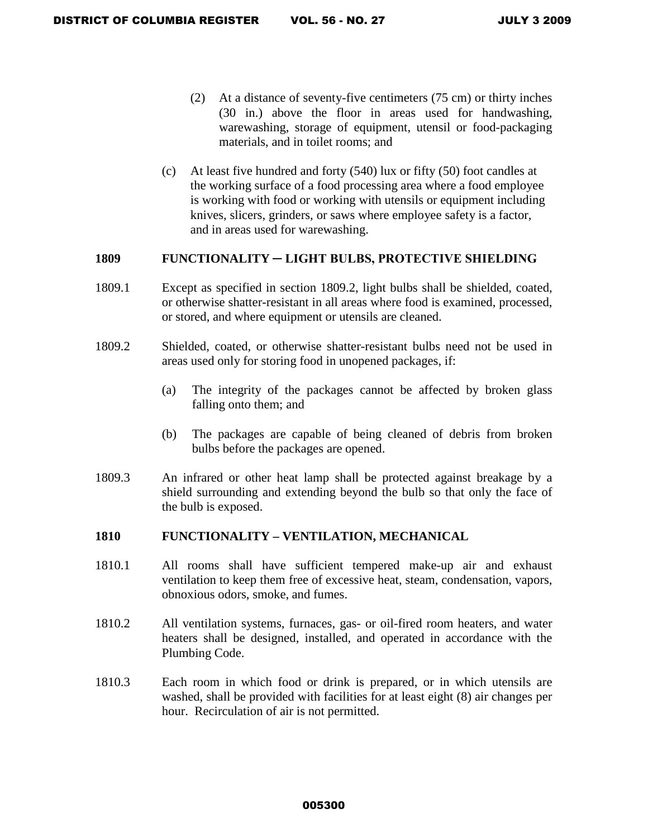- (2) At a distance of seventy-five centimeters (75 cm) or thirty inches (30 in.) above the floor in areas used for handwashing, warewashing, storage of equipment, utensil or food-packaging materials, and in toilet rooms; and
- (c) At least five hundred and forty (540) lux or fifty (50) foot candles at the working surface of a food processing area where a food employee is working with food or working with utensils or equipment including knives, slicers, grinders, or saws where employee safety is a factor, and in areas used for warewashing.

#### **1809 FUNCTIONALITY ─ LIGHT BULBS, PROTECTIVE SHIELDING**

- 1809.1 Except as specified in section 1809.2, light bulbs shall be shielded, coated, or otherwise shatter-resistant in all areas where food is examined, processed, or stored, and where equipment or utensils are cleaned.
- 1809.2 Shielded, coated, or otherwise shatter-resistant bulbs need not be used in areas used only for storing food in unopened packages, if:
	- (a) The integrity of the packages cannot be affected by broken glass falling onto them; and
	- (b) The packages are capable of being cleaned of debris from broken bulbs before the packages are opened.
- 1809.3 An infrared or other heat lamp shall be protected against breakage by a shield surrounding and extending beyond the bulb so that only the face of the bulb is exposed.

#### **1810 FUNCTIONALITY – VENTILATION, MECHANICAL**

- 1810.1 All rooms shall have sufficient tempered make-up air and exhaust ventilation to keep them free of excessive heat, steam, condensation, vapors, obnoxious odors, smoke, and fumes.
- 1810.2 All ventilation systems, furnaces, gas- or oil-fired room heaters, and water heaters shall be designed, installed, and operated in accordance with the Plumbing Code.
- 1810.3 Each room in which food or drink is prepared, or in which utensils are washed, shall be provided with facilities for at least eight (8) air changes per hour. Recirculation of air is not permitted.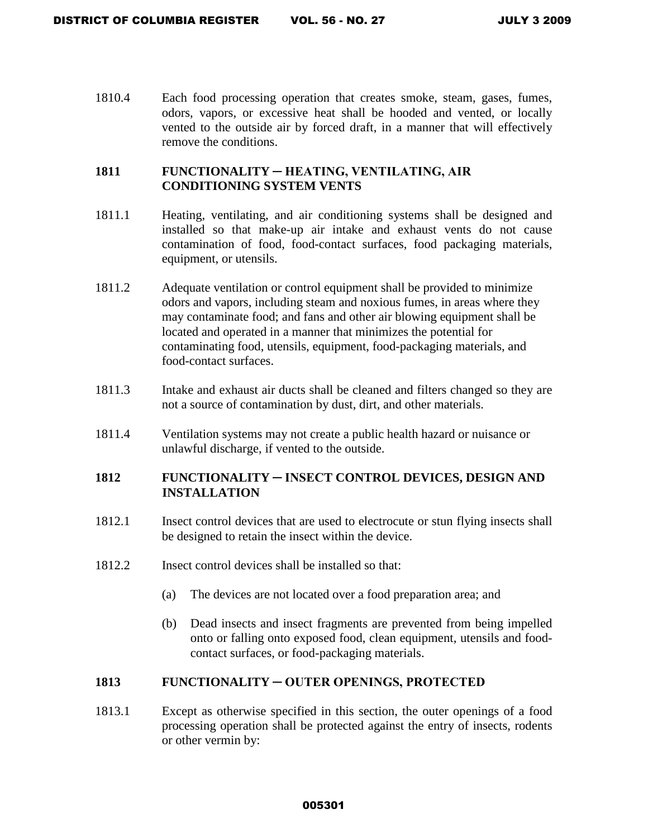1810.4 Each food processing operation that creates smoke, steam, gases, fumes, odors, vapors, or excessive heat shall be hooded and vented, or locally vented to the outside air by forced draft, in a manner that will effectively remove the conditions.

## **1811 FUNCTIONALITY ─ HEATING, VENTILATING, AIR CONDITIONING SYSTEM VENTS**

- 1811.1 Heating, ventilating, and air conditioning systems shall be designed and installed so that make-up air intake and exhaust vents do not cause contamination of food, food-contact surfaces, food packaging materials, equipment, or utensils.
- 1811.2 Adequate ventilation or control equipment shall be provided to minimize odors and vapors, including steam and noxious fumes, in areas where they may contaminate food; and fans and other air blowing equipment shall be located and operated in a manner that minimizes the potential for contaminating food, utensils, equipment, food-packaging materials, and food-contact surfaces.
- 1811.3 Intake and exhaust air ducts shall be cleaned and filters changed so they are not a source of contamination by dust, dirt, and other materials.
- 1811.4 Ventilation systems may not create a public health hazard or nuisance or unlawful discharge, if vented to the outside.

# **1812 FUNCTIONALITY ─ INSECT CONTROL DEVICES, DESIGN AND INSTALLATION**

- 1812.1 Insect control devices that are used to electrocute or stun flying insects shall be designed to retain the insect within the device.
- 1812.2 Insect control devices shall be installed so that:
	- (a) The devices are not located over a food preparation area; and
	- (b) Dead insects and insect fragments are prevented from being impelled onto or falling onto exposed food, clean equipment, utensils and foodcontact surfaces, or food-packaging materials.

### **1813 FUNCTIONALITY ─ OUTER OPENINGS, PROTECTED**

1813.1 Except as otherwise specified in this section, the outer openings of a food processing operation shall be protected against the entry of insects, rodents or other vermin by: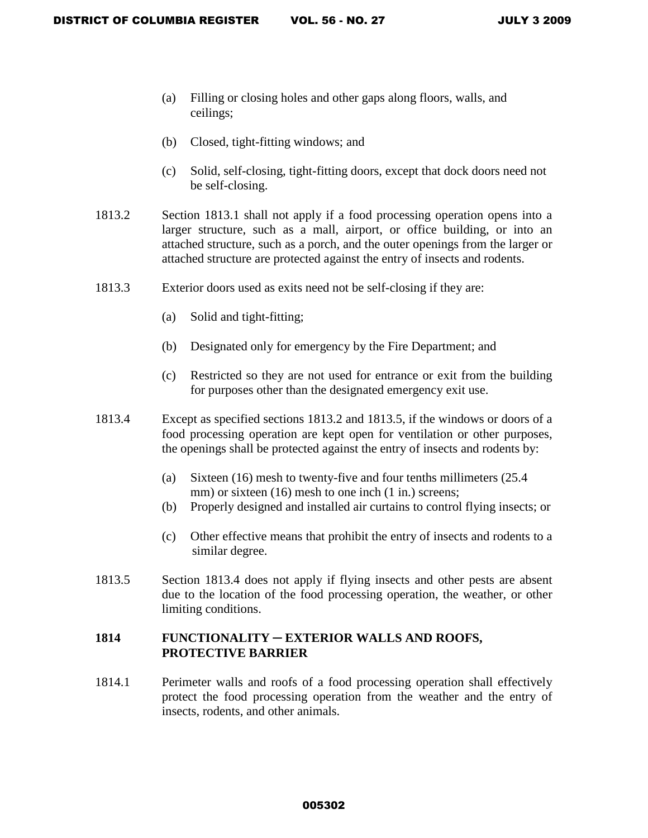- (a) Filling or closing holes and other gaps along floors, walls, and ceilings;
- (b) Closed, tight-fitting windows; and
- (c) Solid, self-closing, tight-fitting doors, except that dock doors need not be self-closing.
- 1813.2 Section 1813.1 shall not apply if a food processing operation opens into a larger structure, such as a mall, airport, or office building, or into an attached structure, such as a porch, and the outer openings from the larger or attached structure are protected against the entry of insects and rodents.
- 1813.3 Exterior doors used as exits need not be self-closing if they are:
	- (a) Solid and tight-fitting;
	- (b) Designated only for emergency by the Fire Department; and
	- (c) Restricted so they are not used for entrance or exit from the building for purposes other than the designated emergency exit use.
- 1813.4 Except as specified sections 1813.2 and 1813.5, if the windows or doors of a food processing operation are kept open for ventilation or other purposes, the openings shall be protected against the entry of insects and rodents by:
	- (a) Sixteen (16) mesh to twenty-five and four tenths millimeters (25.4 mm) or sixteen (16) mesh to one inch (1 in.) screens;
	- (b) Properly designed and installed air curtains to control flying insects; or
	- (c) Other effective means that prohibit the entry of insects and rodents to a similar degree.
- 1813.5 Section 1813.4 does not apply if flying insects and other pests are absent due to the location of the food processing operation, the weather, or other limiting conditions.

#### **1814 FUNCTIONALITY** ─ **EXTERIOR WALLS AND ROOFS, PROTECTIVE BARRIER**

1814.1 Perimeter walls and roofs of a food processing operation shall effectively protect the food processing operation from the weather and the entry of insects, rodents, and other animals.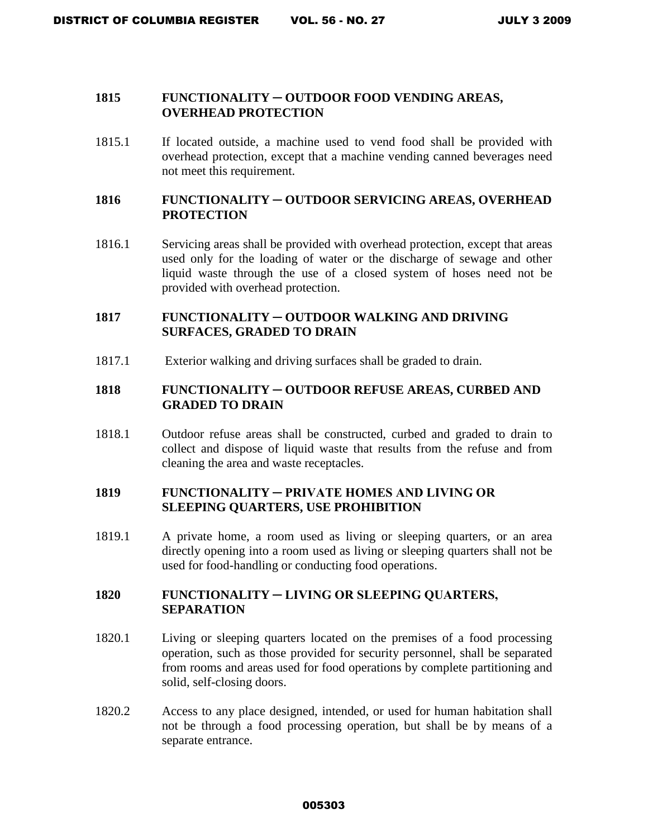#### **1815 FUNCTIONALITY** ─ **OUTDOOR FOOD VENDING AREAS, OVERHEAD PROTECTION**

1815.1 If located outside, a machine used to vend food shall be provided with overhead protection, except that a machine vending canned beverages need not meet this requirement.

### **1816 FUNCTIONALITY** ─ **OUTDOOR SERVICING AREAS, OVERHEAD PROTECTION**

1816.1 Servicing areas shall be provided with overhead protection, except that areas used only for the loading of water or the discharge of sewage and other liquid waste through the use of a closed system of hoses need not be provided with overhead protection.

# **1817 FUNCTIONALITY** ─ **OUTDOOR WALKING AND DRIVING SURFACES, GRADED TO DRAIN**

1817.1 Exterior walking and driving surfaces shall be graded to drain.

# **1818 FUNCTIONALITY** ─ **OUTDOOR REFUSE AREAS, CURBED AND GRADED TO DRAIN**

1818.1 Outdoor refuse areas shall be constructed, curbed and graded to drain to collect and dispose of liquid waste that results from the refuse and from cleaning the area and waste receptacles.

### **1819 FUNCTIONALITY ─ PRIVATE HOMES AND LIVING OR SLEEPING QUARTERS, USE PROHIBITION**

1819.1 A private home, a room used as living or sleeping quarters, or an area directly opening into a room used as living or sleeping quarters shall not be used for food-handling or conducting food operations.

### **1820 FUNCTIONALITY ─ LIVING OR SLEEPING QUARTERS, SEPARATION**

- 1820.1 Living or sleeping quarters located on the premises of a food processing operation, such as those provided for security personnel, shall be separated from rooms and areas used for food operations by complete partitioning and solid, self-closing doors.
- 1820.2 Access to any place designed, intended, or used for human habitation shall not be through a food processing operation, but shall be by means of a separate entrance.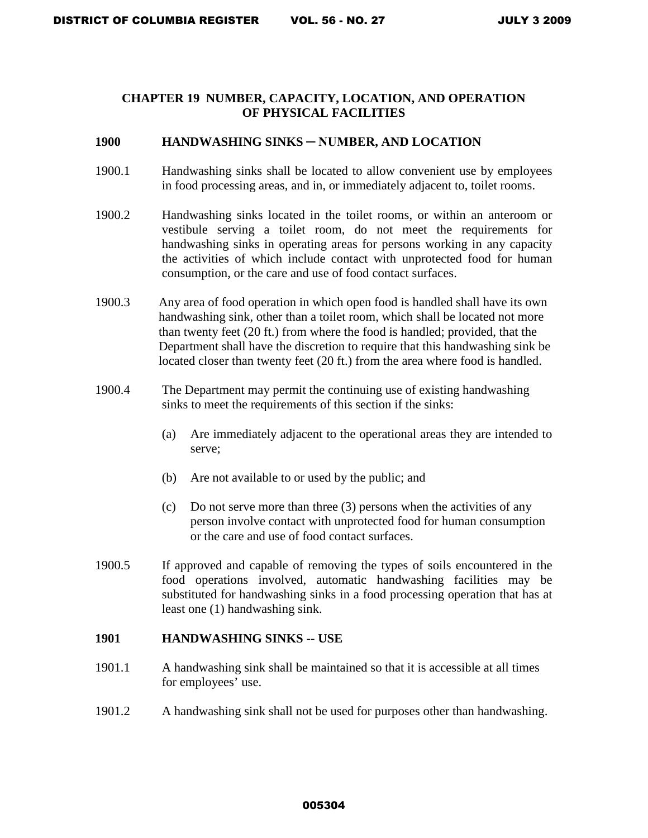### **CHAPTER 19 NUMBER, CAPACITY, LOCATION, AND OPERATION OF PHYSICAL FACILITIES**

#### **1900 HANDWASHING SINKS ─ NUMBER, AND LOCATION**

- 1900.1 Handwashing sinks shall be located to allow convenient use by employees in food processing areas, and in, or immediately adjacent to, toilet rooms.
- 1900.2 Handwashing sinks located in the toilet rooms, or within an anteroom or vestibule serving a toilet room, do not meet the requirements for handwashing sinks in operating areas for persons working in any capacity the activities of which include contact with unprotected food for human consumption, or the care and use of food contact surfaces.
- 1900.3 Any area of food operation in which open food is handled shall have its own handwashing sink, other than a toilet room, which shall be located not more than twenty feet (20 ft.) from where the food is handled; provided, that the Department shall have the discretion to require that this handwashing sink be located closer than twenty feet (20 ft.) from the area where food is handled.
- 1900.4 The Department may permit the continuing use of existing handwashing sinks to meet the requirements of this section if the sinks:
	- (a) Are immediately adjacent to the operational areas they are intended to serve;
	- (b) Are not available to or used by the public; and
	- (c) Do not serve more than three (3) persons when the activities of any person involve contact with unprotected food for human consumption or the care and use of food contact surfaces.
- 1900.5 If approved and capable of removing the types of soils encountered in the food operations involved, automatic handwashing facilities may be substituted for handwashing sinks in a food processing operation that has at least one (1) handwashing sink.

#### **1901 HANDWASHING SINKS -- USE**

- 1901.1A handwashing sink shall be maintained so that it is accessible at all times for employees' use.
- 1901.2 A handwashing sink shall not be used for purposes other than handwashing.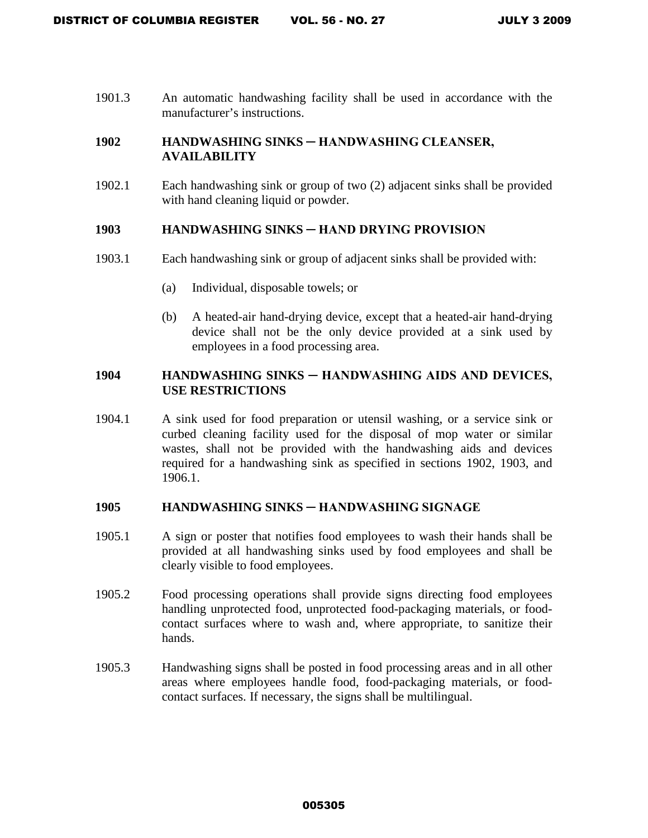1901.3 An automatic handwashing facility shall be used in accordance with the manufacturer's instructions.

# 1902 **HANDWASHING SINKS — HANDWASHING CLEANSER, AVAILABILITY**

1902.1 Each handwashing sink or group of two (2) adjacent sinks shall be provided with hand cleaning liquid or powder.

#### **1903 HANDWASHING SINKS ─ HAND DRYING PROVISION**

- 1903.1 Each handwashing sink or group of adjacent sinks shall be provided with:
	- (a) Individual, disposable towels; or
	- (b) A heated-air hand-drying device, except that a heated-air hand-drying device shall not be the only device provided at a sink used by employees in a food processing area.

# **1904 HANDWASHING SINKS ─ HANDWASHING AIDS AND DEVICES, USE RESTRICTIONS**

1904.1 A sink used for food preparation or utensil washing, or a service sink or curbed cleaning facility used for the disposal of mop water or similar wastes, shall not be provided with the handwashing aids and devices required for a handwashing sink as specified in sections 1902, 1903, and 1906.1.

### **1905 HANDWASHING SINKS ─ HANDWASHING SIGNAGE**

- 1905.1 A sign or poster that notifies food employees to wash their hands shall be provided at all handwashing sinks used by food employees and shall be clearly visible to food employees.
- 1905.2 Food processing operations shall provide signs directing food employees handling unprotected food, unprotected food-packaging materials, or foodcontact surfaces where to wash and, where appropriate, to sanitize their hands.
- 1905.3 Handwashing signs shall be posted in food processing areas and in all other areas where employees handle food, food-packaging materials, or foodcontact surfaces. If necessary, the signs shall be multilingual.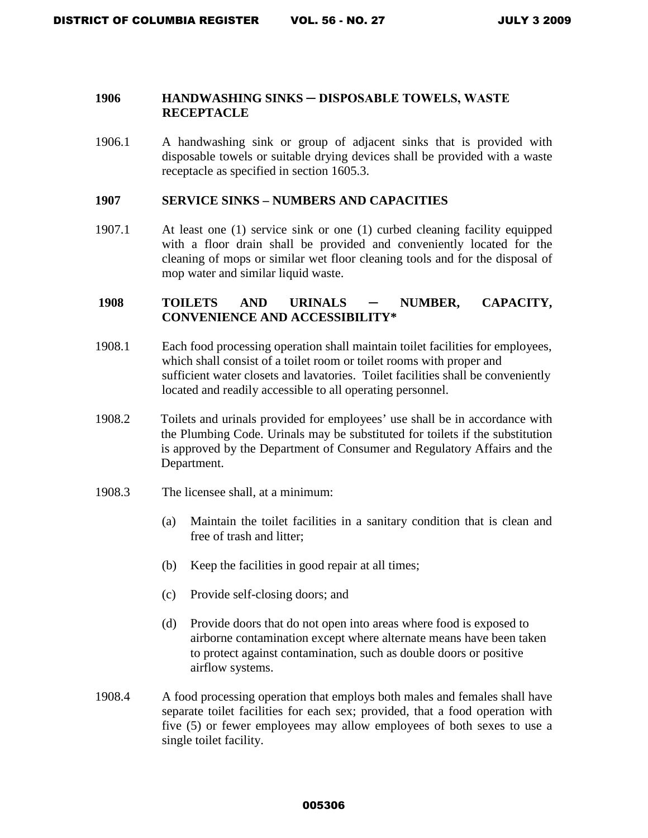### **1906 HANDWASHING SINKS ─ DISPOSABLE TOWELS, WASTE RECEPTACLE**

1906.1 A handwashing sink or group of adjacent sinks that is provided with disposable towels or suitable drying devices shall be provided with a waste receptacle as specified in section 1605.3.

#### **1907 SERVICE SINKS – NUMBERS AND CAPACITIES**

1907.1 At least one (1) service sink or one (1) curbed cleaning facility equipped with a floor drain shall be provided and conveniently located for the cleaning of mops or similar wet floor cleaning tools and for the disposal of mop water and similar liquid waste.

### **1908 TOILETS AND URINALS ─ NUMBER, CAPACITY, CONVENIENCE AND ACCESSIBILITY\***

- 1908.1 Each food processing operation shall maintain toilet facilities for employees, which shall consist of a toilet room or toilet rooms with proper and sufficient water closets and lavatories. Toilet facilities shall be conveniently located and readily accessible to all operating personnel.
- 1908.2 Toilets and urinals provided for employees' use shall be in accordance with the Plumbing Code. Urinals may be substituted for toilets if the substitution is approved by the Department of Consumer and Regulatory Affairs and the Department.
- 1908.3 The licensee shall, at a minimum:
	- (a) Maintain the toilet facilities in a sanitary condition that is clean and free of trash and litter;
	- (b) Keep the facilities in good repair at all times;
	- (c) Provide self-closing doors; and
	- (d) Provide doors that do not open into areas where food is exposed to airborne contamination except where alternate means have been taken to protect against contamination, such as double doors or positive airflow systems.
- 1908.4 A food processing operation that employs both males and females shall have separate toilet facilities for each sex; provided, that a food operation with five (5) or fewer employees may allow employees of both sexes to use a single toilet facility.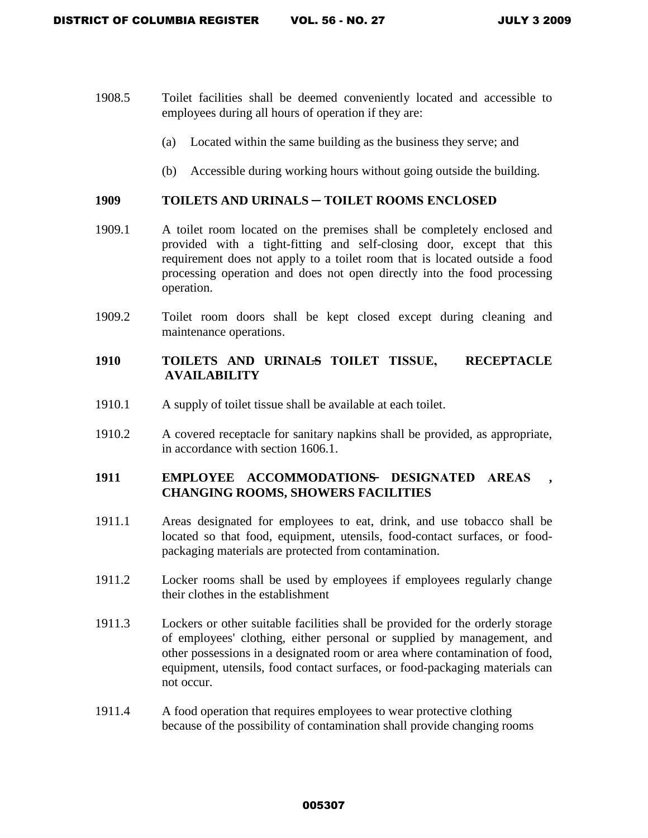- 1908.5 Toilet facilities shall be deemed conveniently located and accessible to employees during all hours of operation if they are:
	- (a) Located within the same building as the business they serve; and
	- (b) Accessible during working hours without going outside the building.

#### **1909 TOILETS AND URINALS ─ TOILET ROOMS ENCLOSED**

- 1909.1 A toilet room located on the premises shall be completely enclosed and provided with a tight-fitting and self-closing door, except that this requirement does not apply to a toilet room that is located outside a food processing operation and does not open directly into the food processing operation.
- 1909.2 Toilet room doors shall be kept closed except during cleaning and maintenance operations.

# 1910 TOILETS AND URINAL<del>S</del> TOILET TISSUE, RECEPTACLE **AVAILABILITY**

- 1910.1 A supply of toilet tissue shall be available at each toilet.
- 1910.2 A covered receptacle for sanitary napkins shall be provided, as appropriate, in accordance with section 1606.1.

### **1911 EMPLOYEE ACCOMMODATIONS ─ DESIGNATED AREAS , CHANGING ROOMS, SHOWERS FACILITIES**

- 1911.1 Areas designated for employees to eat, drink, and use tobacco shall be located so that food, equipment, utensils, food-contact surfaces, or foodpackaging materials are protected from contamination.
- 1911.2 Locker rooms shall be used by employees if employees regularly change their clothes in the establishment
- 1911.3 Lockers or other suitable facilities shall be provided for the orderly storage of employees' clothing, either personal or supplied by management, and other possessions in a designated room or area where contamination of food, equipment, utensils, food contact surfaces, or food-packaging materials can not occur.
- 1911.4 A food operation that requires employees to wear protective clothing because of the possibility of contamination shall provide changing rooms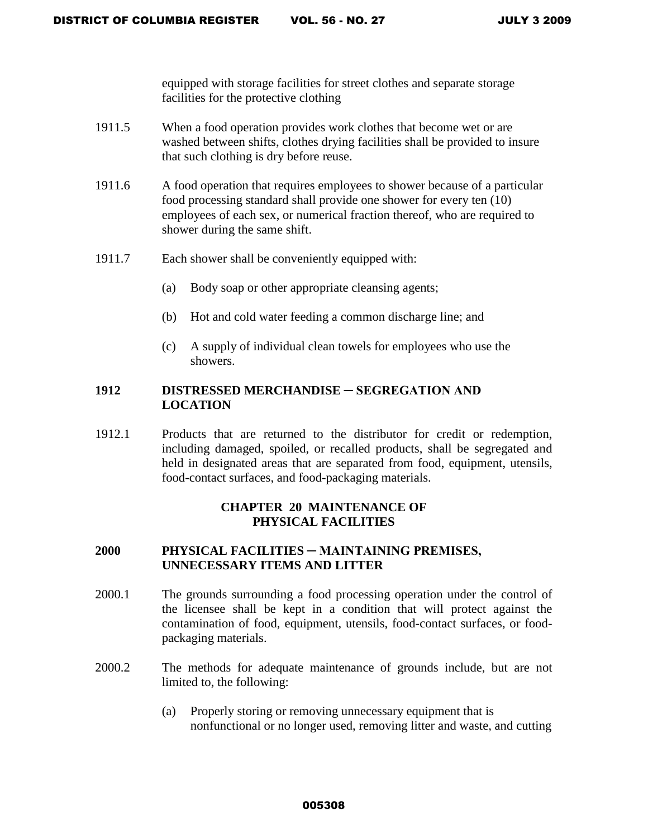equipped with storage facilities for street clothes and separate storage facilities for the protective clothing

- 1911.5 When a food operation provides work clothes that become wet or are washed between shifts, clothes drying facilities shall be provided to insure that such clothing is dry before reuse.
- 1911.6 A food operation that requires employees to shower because of a particular food processing standard shall provide one shower for every ten (10) employees of each sex, or numerical fraction thereof, who are required to shower during the same shift.
- 1911.7 Each shower shall be conveniently equipped with:
	- (a) Body soap or other appropriate cleansing agents;
	- (b) Hot and cold water feeding a common discharge line; and
	- (c) A supply of individual clean towels for employees who use the showers.

# 1912 **DISTRESSED MERCHANDISE — SEGREGATION AND LOCATION**

1912.1 Products that are returned to the distributor for credit or redemption, including damaged, spoiled, or recalled products, shall be segregated and held in designated areas that are separated from food, equipment, utensils, food-contact surfaces, and food-packaging materials.

# **CHAPTER 20 MAINTENANCE OF PHYSICAL FACILITIES**

### **2000 PHYSICAL FACILITIES ─ MAINTAINING PREMISES, UNNECESSARY ITEMS AND LITTER**

- 2000.1 The grounds surrounding a food processing operation under the control of the licensee shall be kept in a condition that will protect against the contamination of food, equipment, utensils, food-contact surfaces, or foodpackaging materials.
- 2000.2 The methods for adequate maintenance of grounds include, but are not limited to, the following:
	- (a) Properly storing or removing unnecessary equipment that is nonfunctional or no longer used, removing litter and waste, and cutting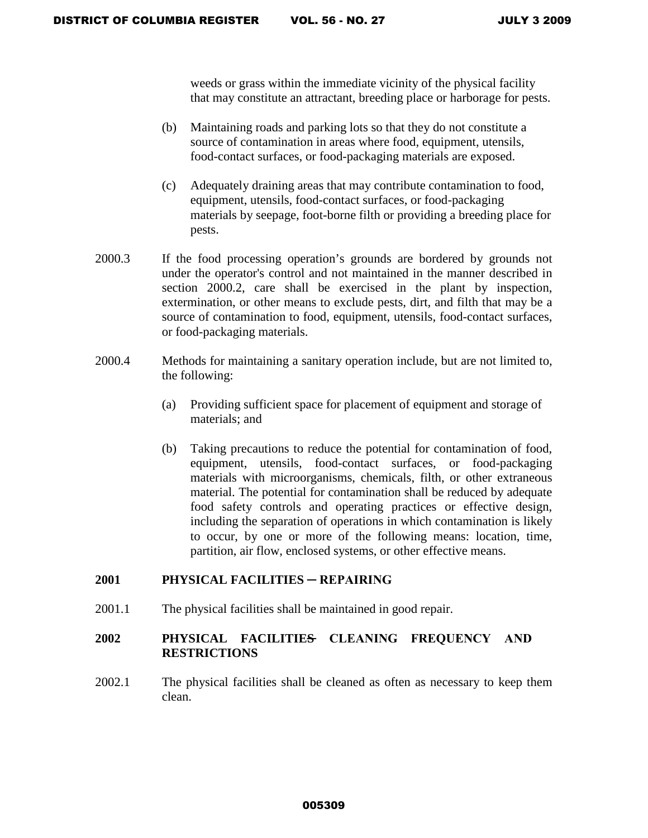weeds or grass within the immediate vicinity of the physical facility that may constitute an attractant, breeding place or harborage for pests.

- (b) Maintaining roads and parking lots so that they do not constitute a source of contamination in areas where food, equipment, utensils, food-contact surfaces, or food-packaging materials are exposed.
- (c) Adequately draining areas that may contribute contamination to food, equipment, utensils, food-contact surfaces, or food-packaging materials by seepage, foot-borne filth or providing a breeding place for pests.
- 2000.3 If the food processing operation's grounds are bordered by grounds not under the operator's control and not maintained in the manner described in section 2000.2, care shall be exercised in the plant by inspection, extermination, or other means to exclude pests, dirt, and filth that may be a source of contamination to food, equipment, utensils, food-contact surfaces, or food-packaging materials.
- 2000.4 Methods for maintaining a sanitary operation include, but are not limited to, the following:
	- (a) Providing sufficient space for placement of equipment and storage of materials; and
	- (b) Taking precautions to reduce the potential for contamination of food, equipment, utensils, food-contact surfaces, or food-packaging materials with microorganisms, chemicals, filth, or other extraneous material. The potential for contamination shall be reduced by adequate food safety controls and operating practices or effective design, including the separation of operations in which contamination is likely to occur, by one or more of the following means: location, time, partition, air flow, enclosed systems, or other effective means.

### **2001 PHYSICAL FACILITIES ─ REPAIRING**

2001.1 The physical facilities shall be maintained in good repair.

# **2002 PHYSICAL FACILITIES ─ CLEANING FREQUENCY AND RESTRICTIONS**

2002.1 The physical facilities shall be cleaned as often as necessary to keep them clean.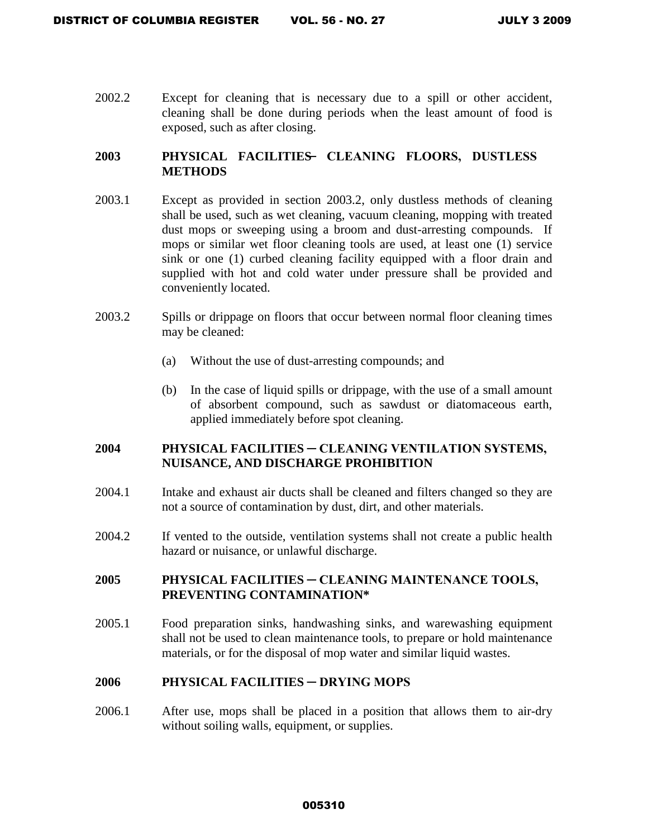2002.2 Except for cleaning that is necessary due to a spill or other accident, cleaning shall be done during periods when the least amount of food is exposed, such as after closing.

# **2003 PHYSICAL FACILITIES ─ CLEANING FLOORS, DUSTLESS METHODS**

- 2003.1 Except as provided in section 2003.2, only dustless methods of cleaning shall be used, such as wet cleaning, vacuum cleaning, mopping with treated dust mops or sweeping using a broom and dust-arresting compounds. If mops or similar wet floor cleaning tools are used, at least one (1) service sink or one (1) curbed cleaning facility equipped with a floor drain and supplied with hot and cold water under pressure shall be provided and conveniently located.
- 2003.2 Spills or drippage on floors that occur between normal floor cleaning times may be cleaned:
	- (a) Without the use of dust-arresting compounds; and
	- (b) In the case of liquid spills or drippage, with the use of a small amount of absorbent compound, such as sawdust or diatomaceous earth, applied immediately before spot cleaning.

### **2004 PHYSICAL FACILITIES ─ CLEANING VENTILATION SYSTEMS, NUISANCE, AND DISCHARGE PROHIBITION**

- 2004.1 Intake and exhaust air ducts shall be cleaned and filters changed so they are not a source of contamination by dust, dirt, and other materials.
- 2004.2 If vented to the outside, ventilation systems shall not create a public health hazard or nuisance, or unlawful discharge.

# **2005 PHYSICAL FACILITIES ─ CLEANING MAINTENANCE TOOLS, PREVENTING CONTAMINATION\***

2005.1 Food preparation sinks, handwashing sinks, and warewashing equipment shall not be used to clean maintenance tools, to prepare or hold maintenance materials, or for the disposal of mop water and similar liquid wastes.

### **2006 PHYSICAL FACILITIES ─ DRYING MOPS**

2006.1 After use, mops shall be placed in a position that allows them to air-dry without soiling walls, equipment, or supplies.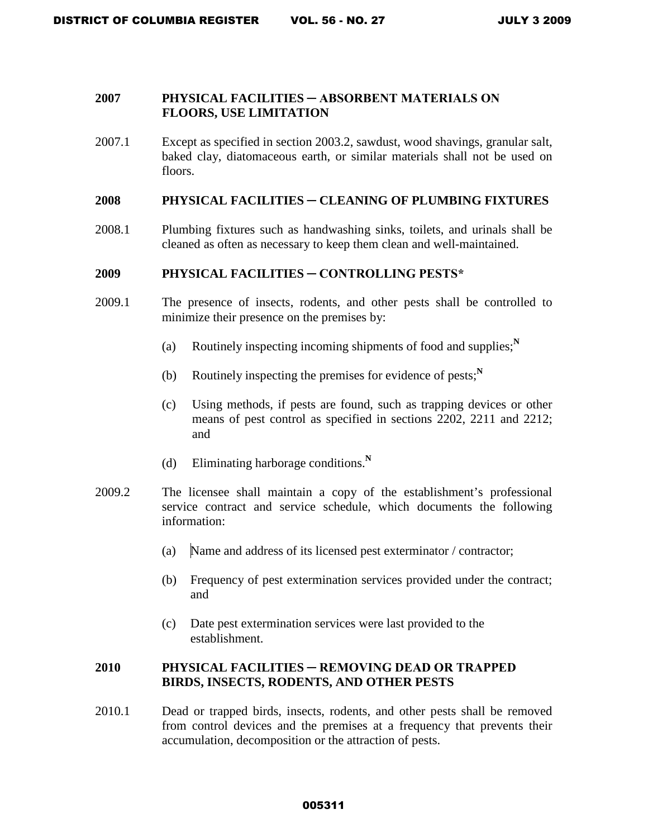### **2007 PHYSICAL FACILITIES ─ ABSORBENT MATERIALS ON FLOORS, USE LIMITATION**

2007.1 Except as specified in section 2003.2, sawdust, wood shavings, granular salt, baked clay, diatomaceous earth, or similar materials shall not be used on floors.

#### **2008 PHYSICAL FACILITIES ─ CLEANING OF PLUMBING FIXTURES**

2008.1 Plumbing fixtures such as handwashing sinks, toilets, and urinals shall be cleaned as often as necessary to keep them clean and well-maintained.

### **2009 PHYSICAL FACILITIES ─ CONTROLLING PESTS\***

- 2009.1 The presence of insects, rodents, and other pests shall be controlled to minimize their presence on the premises by:
	- (a) Routinely inspecting incoming shipments of food and supplies;**<sup>N</sup>**
	- (b) Routinely inspecting the premises for evidence of pests; $N$
	- (c) Using methods, if pests are found, such as trapping devices or other means of pest control as specified in sections 2202, 2211 and 2212; and
	- (d) Eliminating harborage conditions.**<sup>N</sup>**
- 2009.2 The licensee shall maintain a copy of the establishment's professional service contract and service schedule, which documents the following information:
	- (a) Name and address of its licensed pest exterminator / contractor;
	- (b) Frequency of pest extermination services provided under the contract; and
	- (c) Date pest extermination services were last provided to the establishment.

## **2010 PHYSICAL FACILITIES ─ REMOVING DEAD OR TRAPPED BIRDS, INSECTS, RODENTS, AND OTHER PESTS**

2010.1 Dead or trapped birds, insects, rodents, and other pests shall be removed from control devices and the premises at a frequency that prevents their accumulation, decomposition or the attraction of pests.

#### 005311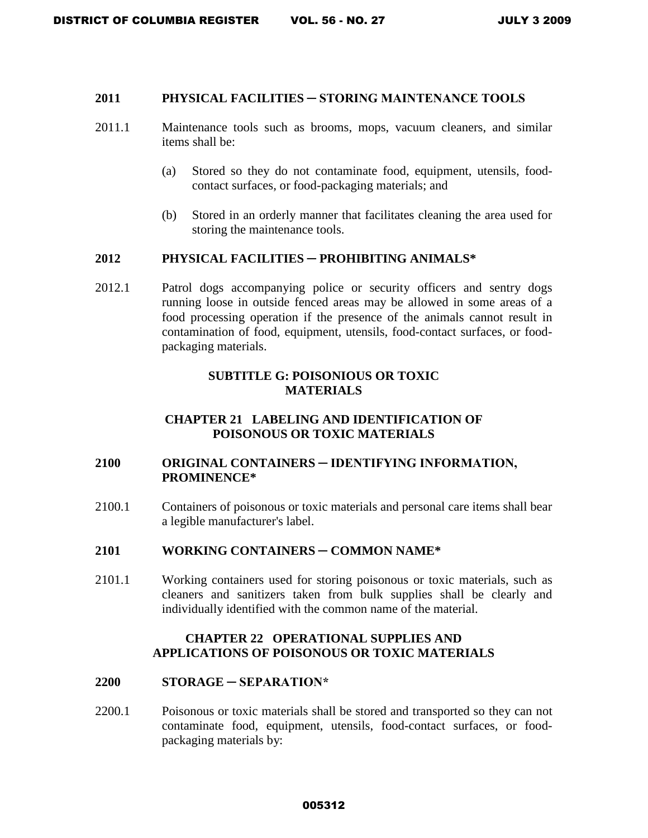## **2011 PHYSICAL FACILITIES ─ STORING MAINTENANCE TOOLS**

- 2011.1 Maintenance tools such as brooms, mops, vacuum cleaners, and similar items shall be:
	- (a) Stored so they do not contaminate food, equipment, utensils, foodcontact surfaces, or food-packaging materials; and
	- (b) Stored in an orderly manner that facilitates cleaning the area used for storing the maintenance tools.

#### **2012 PHYSICAL FACILITIES ─ PROHIBITING ANIMALS\***

2012.1 Patrol dogs accompanying police or security officers and sentry dogs running loose in outside fenced areas may be allowed in some areas of a food processing operation if the presence of the animals cannot result in contamination of food, equipment, utensils, food-contact surfaces, or foodpackaging materials.

#### **SUBTITLE G: POISONIOUS OR TOXIC MATERIALS**

## **CHAPTER 21 LABELING AND IDENTIFICATION OF POISONOUS OR TOXIC MATERIALS**

### **2100 ORIGINAL CONTAINERS ─ IDENTIFYING INFORMATION, PROMINENCE\***

2100.1 Containers of poisonous or toxic materials and personal care items shall bear a legible manufacturer's label.

#### **2101 WORKING CONTAINERS ─ COMMON NAME\***

2101.1 Working containers used for storing poisonous or toxic materials, such as cleaners and sanitizers taken from bulk supplies shall be clearly and individually identified with the common name of the material.

#### **CHAPTER 22 OPERATIONAL SUPPLIES AND APPLICATIONS OF POISONOUS OR TOXIC MATERIALS**

#### **2200 STORAGE ─ SEPARATION\***

2200.1 Poisonous or toxic materials shall be stored and transported so they can not contaminate food, equipment, utensils, food-contact surfaces, or foodpackaging materials by: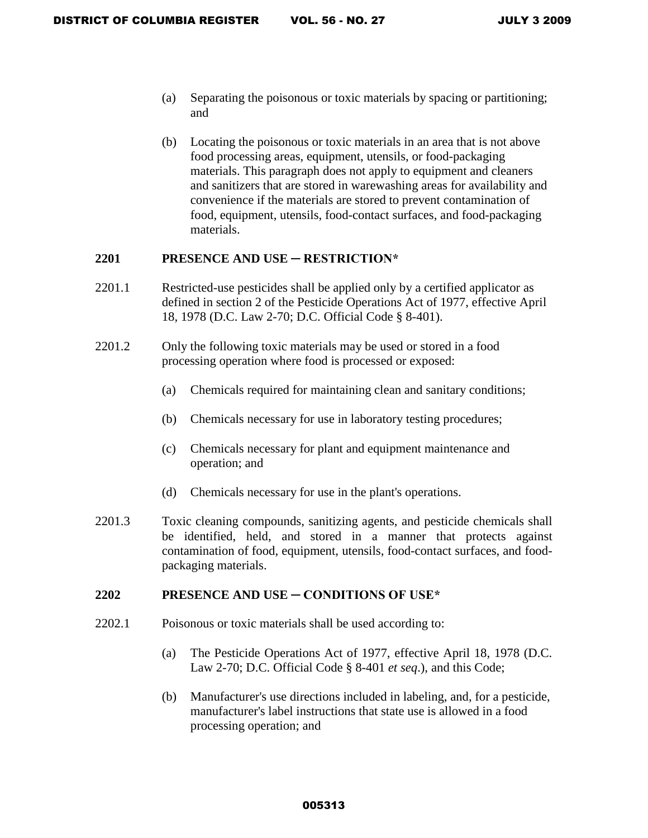- (a) Separating the poisonous or toxic materials by spacing or partitioning; and
- (b) Locating the poisonous or toxic materials in an area that is not above food processing areas, equipment, utensils, or food-packaging materials. This paragraph does not apply to equipment and cleaners and sanitizers that are stored in warewashing areas for availability and convenience if the materials are stored to prevent contamination of food, equipment, utensils, food-contact surfaces, and food-packaging materials.

#### **2201 PRESENCE AND USE ─ RESTRICTION\***

- 2201.1 Restricted-use pesticides shall be applied only by a certified applicator as defined in section 2 of the Pesticide Operations Act of 1977, effective April 18, 1978 (D.C. Law 2-70; D.C. Official Code § 8-401).
- 2201.2 Only the following toxic materials may be used or stored in a food processing operation where food is processed or exposed:
	- (a) Chemicals required for maintaining clean and sanitary conditions;
	- (b) Chemicals necessary for use in laboratory testing procedures;
	- (c) Chemicals necessary for plant and equipment maintenance and operation; and
	- (d) Chemicals necessary for use in the plant's operations.
- 2201.3 Toxic cleaning compounds, sanitizing agents, and pesticide chemicals shall be identified, held, and stored in a manner that protects against contamination of food, equipment, utensils, food-contact surfaces, and foodpackaging materials.

#### **2202 PRESENCE AND USE ─ CONDITIONS OF USE\***

- 2202.1 Poisonous or toxic materials shall be used according to:
	- (a) The Pesticide Operations Act of 1977, effective April 18, 1978 (D.C. Law 2-70; D.C. Official Code § 8-401 *et seq*.), and this Code;
	- (b) Manufacturer's use directions included in labeling, and, for a pesticide, manufacturer's label instructions that state use is allowed in a food processing operation; and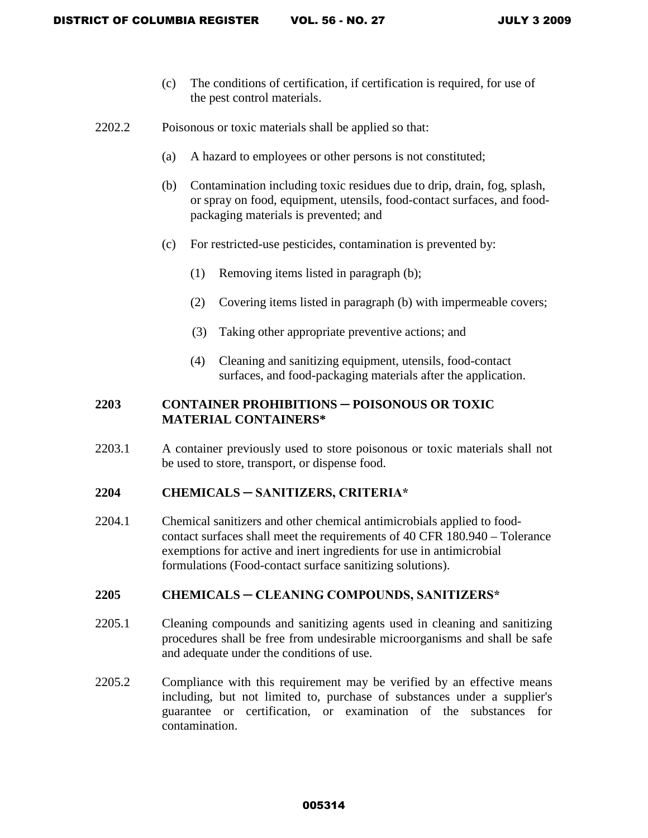- (c) The conditions of certification, if certification is required, for use of the pest control materials.
- 2202.2 Poisonous or toxic materials shall be applied so that:
	- (a) A hazard to employees or other persons is not constituted;
	- (b) Contamination including toxic residues due to drip, drain, fog, splash, or spray on food, equipment, utensils, food-contact surfaces, and foodpackaging materials is prevented; and
	- (c) For restricted-use pesticides, contamination is prevented by:
		- (1) Removing items listed in paragraph (b);
		- (2) Covering items listed in paragraph (b) with impermeable covers;
		- (3) Taking other appropriate preventive actions; and
		- (4) Cleaning and sanitizing equipment, utensils, food-contact surfaces, and food-packaging materials after the application.

# **220 3 CONTAINER PROHIBITIONS** ─ **POISONOUS OR TOXIC MATERIAL CONTAINERS\***

2203.1 A container previously used to store poisonous or toxic materials shall not be used to store, transport, or dispense food.

### **2204 CHEMICALS ─ SANITIZERS, CRITERIA\***

2204.1 Chemical sanitizers and other chemical antimicrobials applied to foodcontact surfaces shall meet the requirements of 40 CFR 180.940 – Tolerance exemptions for active and inert ingredients for use in antimicrobial formulations (Food-contact surface sanitizing solutions).

### **2205 CHEMICALS ─ CLEANING COMPOUNDS, SANITIZERS\***

- 2205.1 Cleaning compounds and sanitizing agents used in cleaning and sanitizing procedures shall be free from undesirable microorganisms and shall be safe and adequate under the conditions of use.
- 2205.2 Compliance with this requirement may be verified by an effective means including, but not limited to, purchase of substances under a supplier's guarantee or certification, or examination of the substances for contamination.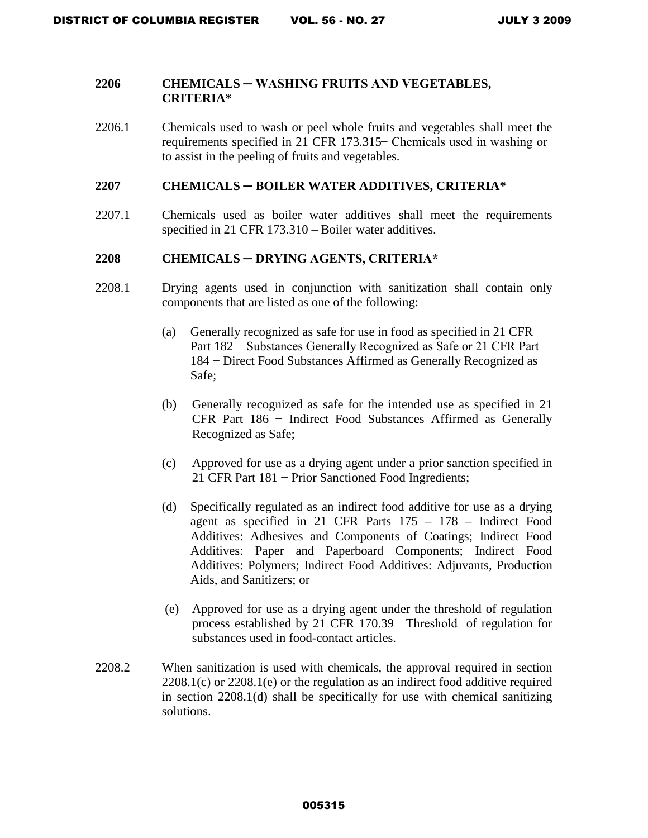#### **2206 CHEMICALS ─ WASHING FRUITS AND VEGETABLES, CRITERIA\***

2206.1 Chemicals used to wash or peel whole fruits and vegetables shall meet the requirements specified in 21 CFR 173.315 − Chemicals used in washing or to assist in the peeling of fruits and vegetables.

#### **2207 CHEMICALS ─ BOILER WATER ADDITIVES, CRITERIA\***

2207.1 Chemicals used as boiler water additives shall meet the requirements specified in 21 CFR 173.310 – Boiler water additives.

### **2208 CHEMICALS ─ DRYING AGENTS, CRITERIA\***

- 2208.1 Drying agents used in conjunction with sanitization shall contain only components that are listed as one of the following:
	- (a) Generally recognized as safe for use in food as specified in 21 CFR Part 182 − Substances Generally Recognized as Safe or 21 CFR Part 184 − Direct Food Substances Affirmed as Generally Recognized as Safe;
	- (b) Generally recognized as safe for the intended use as specified in 21 CFR Part 186 − Indirect Food Substances Affirmed as Generally Recognized as Safe;
	- (c) Approved for use as a drying agent under a prior sanction specified in 21 CFR Part 181 − Prior Sanctioned Food Ingredients;
	- (d) Specifically regulated as an indirect food additive for use as a drying agent as specified in 21 CFR Parts 175 – 178 – Indirect Food Additives: Adhesives and Components of Coatings; Indirect Food Additives: Paper and Paperboard Components; Indirect Food Additives: Polymers; Indirect Food Additives: Adjuvants, Production Aids, and Sanitizers; or
	- (e) Approved for use as a drying agent under the threshold of regulation process established by 21 CFR 170.39 − Threshold of regulation for substances used in food-contact articles.
- 2208.2 When sanitization is used with chemicals, the approval required in section 2208.1(c) or 2208.1(e) or the regulation as an indirect food additive required in section 2208.1(d) shall be specifically for use with chemical sanitizing solutions.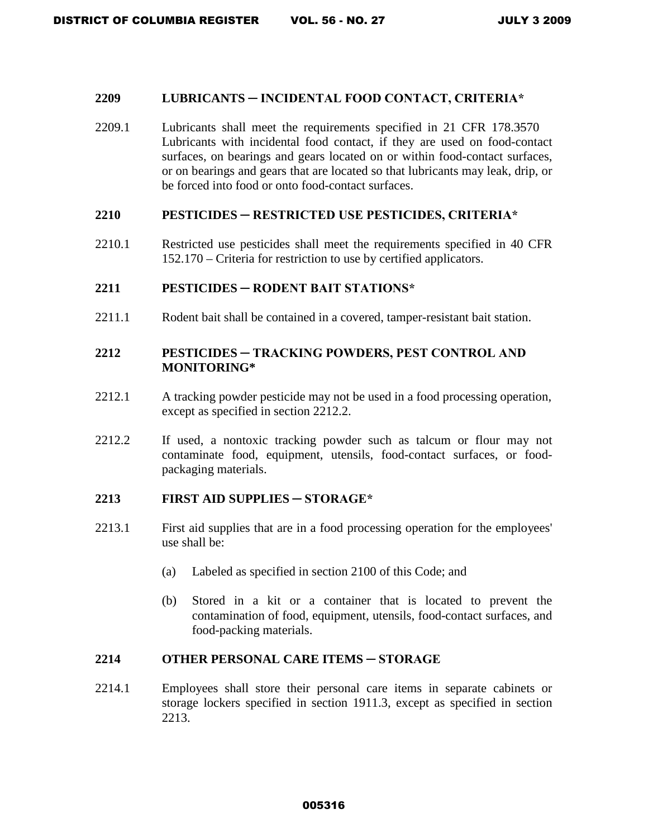#### **2209 LUBRICANTS ─ INCIDENTAL FOOD CONTACT, CRITERIA\***

2209.1 Lubricants shall meet the requirements specified in 21 CFR 178.3570 Lubricants with incidental food contact, if they are used on food-contact surfaces, on bearings and gears located on or within food-contact surfaces, or on bearings and gears that are located so that lubricants may leak, drip, or be forced into food or onto food-contact surfaces.

#### **2210 PESTICIDES ─ RESTRICTED USE PESTICIDES, CRITERIA\***

2210.1 Restricted use pesticides shall meet the requirements specified in 40 CFR 152.170 – Criteria for restriction to use by certified applicators.

### **2211 PESTICIDES ─ RODENT BAIT STATIONS\***

2211.1 Rodent bait shall be contained in a covered, tamper-resistant bait station.

# **2212 PESTICIDES ─ TRACKING POWDERS, PEST CONTROL AND MONITORING\***

- 2212.1 A tracking powder pesticide may not be used in a food processing operation, except as specified in section 2212.2.
- 2212.2 If used, a nontoxic tracking powder such as talcum or flour may not contaminate food, equipment, utensils, food-contact surfaces, or foodpackaging materials.

#### **2213 FIRST AID SUPPLIES ─ STORAGE\***

- 2213.1 First aid supplies that are in a food processing operation for the employees' use shall be:
	- (a) Labeled as specified in section 2100 of this Code; and
	- (b) Stored in a kit or a container that is located to prevent the contamination of food, equipment, utensils, food-contact surfaces, and food-packing materials.

## **2214 OTHER PERSONAL CARE ITEMS ─ STORAGE**

2214.1 Employees shall store their personal care items in separate cabinets or storage lockers specified in section 1911.3, except as specified in section 2213.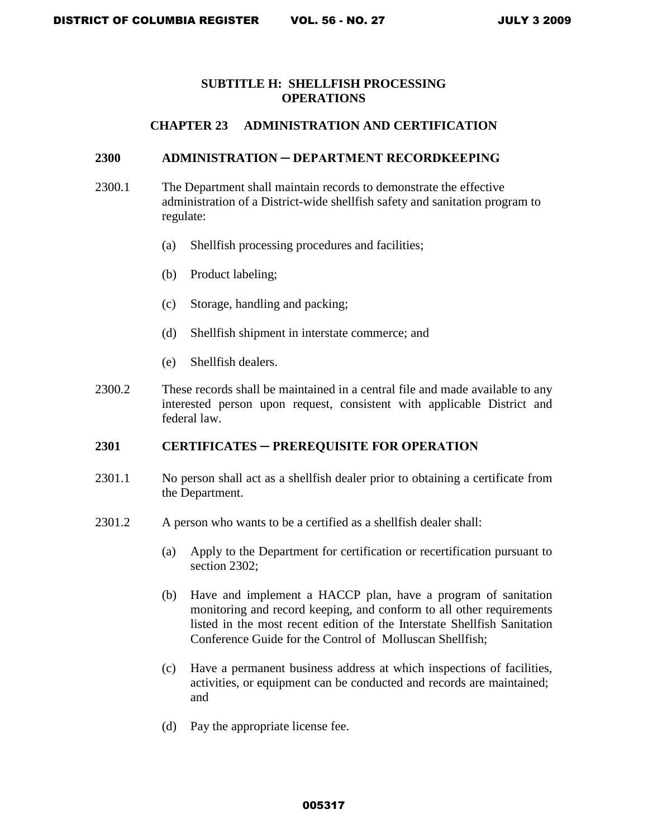# **SUBTITLE H: SHELLFISH PROCESSING OPERATIONS**

### **CHAPTER 23 ADMINISTRATION AND CERTIFICATION**

#### **2300 ADMINISTRATION ─ DEPARTMENT RECORDKEEPING**

- 2300.1 The Department shall maintain records to demonstrate the effective administration of a District-wide shellfish safety and sanitation program to regulate:
	- (a) Shellfish processing procedures and facilities;
	- (b) Product labeling;
	- (c) Storage, handling and packing;
	- (d) Shellfish shipment in interstate commerce; and
	- (e) Shellfish dealers.
- 2300.2 These records shall be maintained in a central file and made available to any interested person upon request, consistent with applicable District and federal law.

# **2301 CERTIFICATES ─ PREREQUISITE FOR OPERATION**

- 2301.1 No person shall act as a shellfish dealer prior to obtaining a certificate from the Department.
- 2301.2 A person who wants to be a certified as a shellfish dealer shall:
	- (a) Apply to the Department for certification or recertification pursuant to section 2302:
	- (b) Have and implement a HACCP plan, have a program of sanitation monitoring and record keeping, and conform to all other requirements listed in the most recent edition of the Interstate Shellfish Sanitation Conference Guide for the Control of Molluscan Shellfish;
	- (c) Have a permanent business address at which inspections of facilities, activities, or equipment can be conducted and records are maintained; and
	- (d) Pay the appropriate license fee.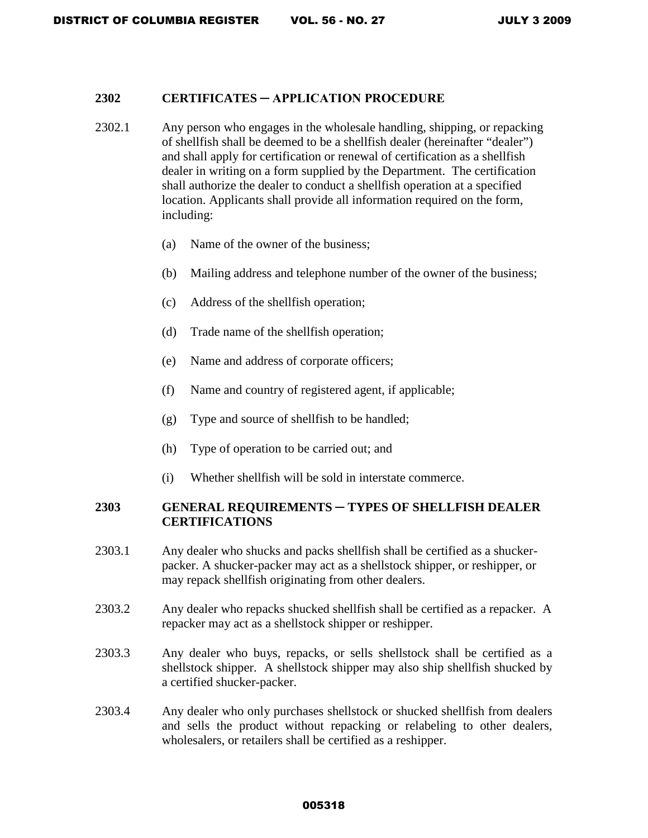#### **2302 CERTIFICATES ─ APPLICATION PROCEDURE**

- 2302.1 Any person who engages in the wholesale handling, shipping, or repacking of shellfish shall be deemed to be a shellfish dealer (hereinafter "dealer") and shall apply for certification or renewal of certification as a shellfish dealer in writing on a form supplied by the Department. The certification shall authorize the dealer to conduct a shellfish operation at a specified location. Applicants shall provide all information required on the form, including:
	- (a) Name of the owner of the business;
	- (b) Mailing address and telephone number of the owner of the business;
	- (c) Address of the shellfish operation;
	- (d) Trade name of the shellfish operation;
	- (e) Name and address of corporate officers;
	- (f) Name and country of registered agent, if applicable;
	- (g) Type and source of shellfish to be handled;
	- (h) Type of operation to be carried out; and
	- (i) Whether shellfish will be sold in interstate commerce.

# **2303 GENERAL REQUIREMENTS ─ TYPES OF SHELLFISH DEALER CERTIFICATIONS**

- 2303.1 Any dealer who shucks and packs shellfish shall be certified as a shuckerpacker. A shucker-packer may act as a shellstock shipper, or reshipper, or may repack shellfish originating from other dealers.
- 2303.2 Any dealer who repacks shucked shellfish shall be certified as a repacker. A repacker may act as a shellstock shipper or reshipper.
- 2303.3 Any dealer who buys, repacks, or sells shellstock shall be certified as a shellstock shipper. A shellstock shipper may also ship shellfish shucked by a certified shucker-packer.
- 2303.4 Any dealer who only purchases shellstock or shucked shellfish from dealers and sells the product without repacking or relabeling to other dealers, wholesalers, or retailers shall be certified as a reshipper.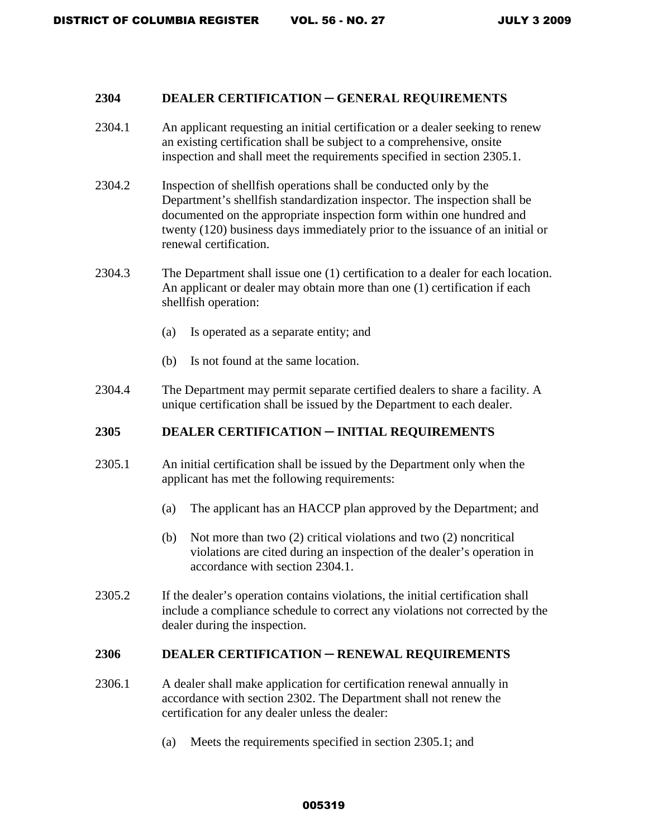#### **2304 DEALER CERTIFICATION ─ GENERAL REQUIREMENTS**

- 2304.1 An applicant requesting an initial certification or a dealer seeking to renew an existing certification shall be subject to a comprehensive, onsite inspection and shall meet the requirements specified in section 2305.1.
- 2304.2 Inspection of shellfish operations shall be conducted only by the Department's shellfish standardization inspector. The inspection shall be documented on the appropriate inspection form within one hundred and twenty (120) business days immediately prior to the issuance of an initial or renewal certification.
- 2304.3 The Department shall issue one (1) certification to a dealer for each location. An applicant or dealer may obtain more than one (1) certification if each shellfish operation:
	- (a) Is operated as a separate entity; and
	- (b) Is not found at the same location.
- 2304.4 The Department may permit separate certified dealers to share a facility. A unique certification shall be issued by the Department to each dealer.

# **2305 DEALER CERTIFICATION** ─ **INITIAL REQUIREMENTS**

- 2305.1 An initial certification shall be issued by the Department only when the applicant has met the following requirements:
	- (a) The applicant has an HACCP plan approved by the Department; and
	- (b) Not more than two (2) critical violations and two (2) noncritical violations are cited during an inspection of the dealer's operation in accordance with section 2304.1.
- 2305.2 If the dealer's operation contains violations, the initial certification shall include a compliance schedule to correct any violations not corrected by the dealer during the inspection.

# **2306 DEALER CERTIFICATION** ─ **RENEWAL REQUIREMENTS**

- 2306.1 A dealer shall make application for certification renewal annually in accordance with section 2302. The Department shall not renew the certification for any dealer unless the dealer:
	- (a) Meets the requirements specified in section 2305.1; and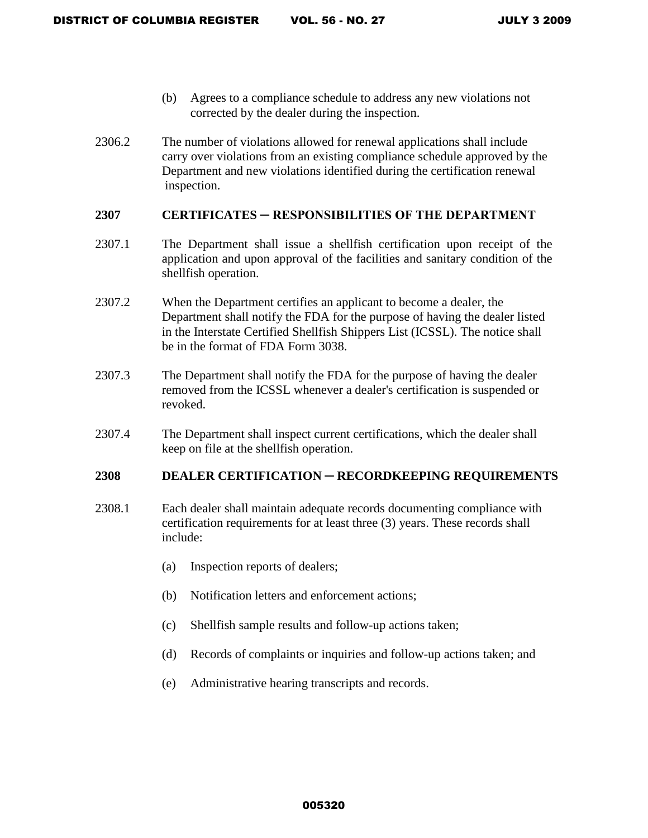- (b) Agrees to a compliance schedule to address any new violations not corrected by the dealer during the inspection.
- 2306.2 The number of violations allowed for renewal applications shall include carry over violations from an existing compliance schedule approved by the Department and new violations identified during the certification renewal inspection.

## **2307 CERTIFICATES ─ RESPONSIBILITIES OF THE DEPARTMENT**

- 2307.1 The Department shall issue a shellfish certification upon receipt of the application and upon approval of the facilities and sanitary condition of the shellfish operation.
- 2307.2 When the Department certifies an applicant to become a dealer, the Department shall notify the FDA for the purpose of having the dealer listed in the Interstate Certified Shellfish Shippers List (ICSSL). The notice shall be in the format of FDA Form 3038.
- 2307.3 The Department shall notify the FDA for the purpose of having the dealer removed from the ICSSL whenever a dealer's certification is suspended or revoked.
- 2307.4 The Department shall inspect current certifications, which the dealer shall keep on file at the shellfish operation.

#### **2308 DEALER CERTIFICATION** ─ **RECORDKEEPING REQUIREMENTS**

- 2308.1 Each dealer shall maintain adequate records documenting compliance with certification requirements for at least three (3) years. These records shall include:
	- (a) Inspection reports of dealers;
	- (b) Notification letters and enforcement actions;
	- (c) Shellfish sample results and follow-up actions taken;
	- (d) Records of complaints or inquiries and follow-up actions taken; and
	- (e) Administrative hearing transcripts and records.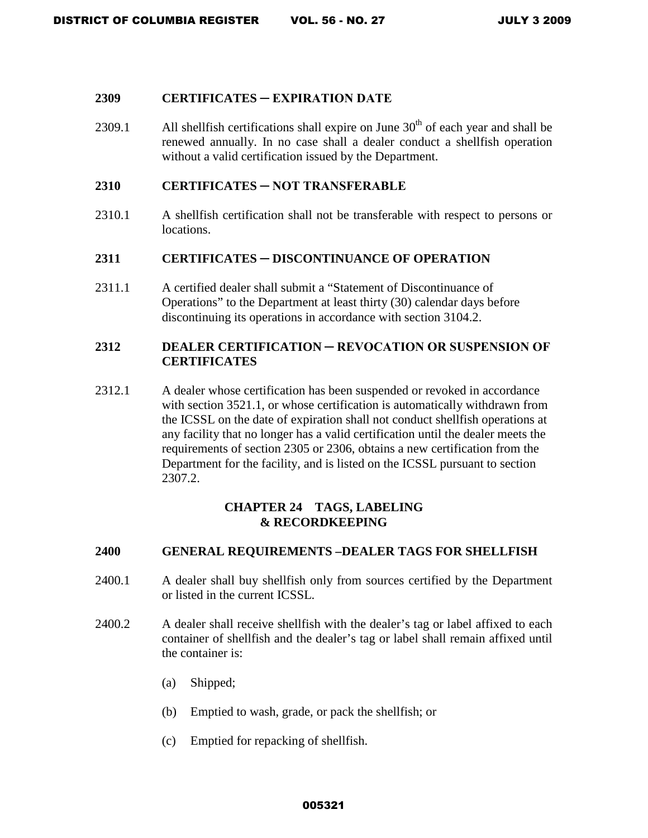### **2309 CERTIFICATES ─ EXPIRATION DATE**

2309.1 All shellfish certifications shall expire on June  $30<sup>th</sup>$  of each year and shall be renewed annually. In no case shall a dealer conduct a shellfish operation without a valid certification issued by the Department.

# **2310 CERTIFICATES ─ NOT TRANSFERABLE**

2310.1 A shellfish certification shall not be transferable with respect to persons or locations.

# **2311 CERTIFICATES ─ DISCONTINUANCE OF OPERATION**

2311.1 A certified dealer shall submit a "Statement of Discontinuance of Operations" to the Department at least thirty (30) calendar days before discontinuing its operations in accordance with section 3104.2.

# **2312 DEALER CERTIFICATION ─ REVOCATION OR SUSPENSION OF CERTIFICATES**

2312.1 A dealer whose certification has been suspended or revoked in accordance with section 3521.1, or whose certification is automatically withdrawn from the ICSSL on the date of expiration shall not conduct shellfish operations at any facility that no longer has a valid certification until the dealer meets the requirements of section 2305 or 2306, obtains a new certification from the Department for the facility, and is listed on the ICSSL pursuant to section 2307.2.

# **CHAPTER 24 TAGS, LABELING & RECORDKEEPING**

#### **2400 GENERAL REQUIREMENTS –DEALER TAGS FOR SHELLFISH**

- 2400.1 A dealer shall buy shellfish only from sources certified by the Department or listed in the current ICSSL.
- 2400.2 A dealer shall receive shellfish with the dealer's tag or label affixed to each container of shellfish and the dealer's tag or label shall remain affixed until the container is:
	- (a) Shipped;
	- (b) Emptied to wash, grade, or pack the shellfish; or
	- (c) Emptied for repacking of shellfish.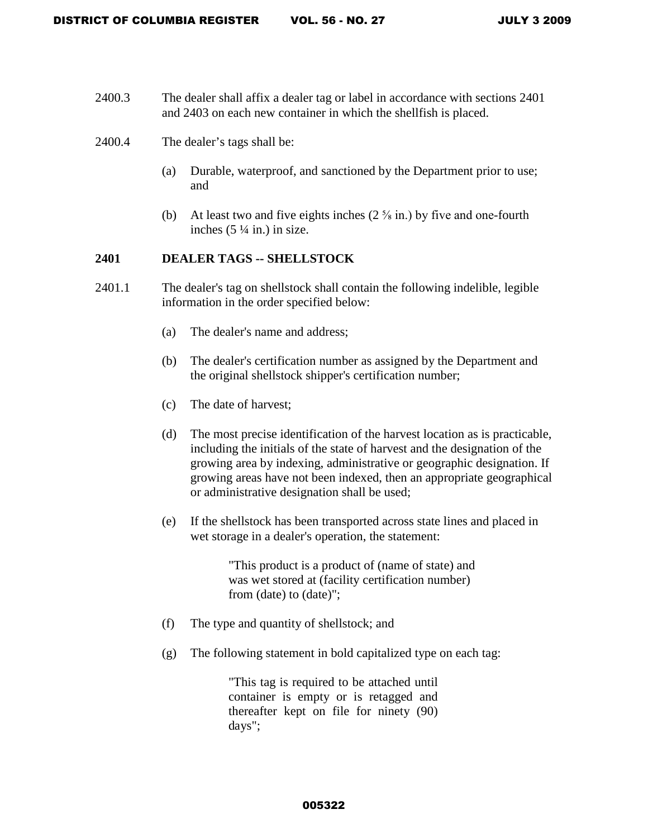- 2400.3 The dealer shall affix a dealer tag or label in accordance with sections 2401 and 2403 on each new container in which the shellfish is placed.
- 2400.4 The dealer's tags shall be:
	- (a) Durable, waterproof, and sanctioned by the Department prior to use; and
	- (b) At least two and five eights inches  $(2 \frac{5}{8} \text{ in.})$  by five and one-fourth inches  $(5 \frac{1}{4}$  in.) in size.

# **2401 DEALER TAGS -- SHELLSTOCK**

- 2401.1 The dealer's tag on shellstock shall contain the following indelible, legible information in the order specified below:
	- (a) The dealer's name and address;
	- (b) The dealer's certification number as assigned by the Department and the original shellstock shipper's certification number;
	- (c) The date of harvest;
	- (d) The most precise identification of the harvest location as is practicable, including the initials of the state of harvest and the designation of the growing area by indexing, administrative or geographic designation. If growing areas have not been indexed, then an appropriate geographical or administrative designation shall be used;
	- (e) If the shellstock has been transported across state lines and placed in wet storage in a dealer's operation, the statement:

"This product is a product of (name of state) and was wet stored at (facility certification number) from (date) to (date)";

- (f) The type and quantity of shellstock; and
- (g) The following statement in bold capitalized type on each tag:

"This tag is required to be attached until container is empty or is retagged and thereafter kept on file for ninety (90) days";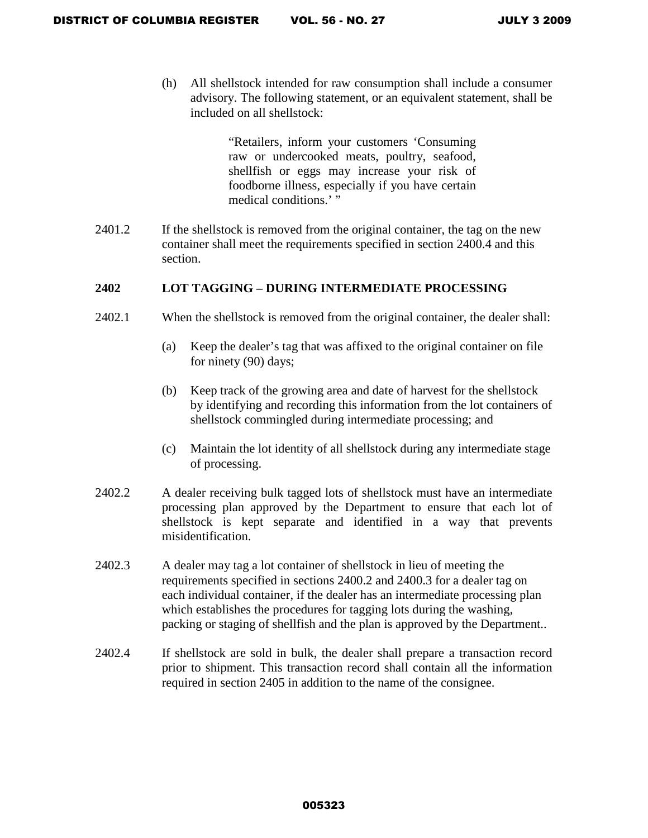(h) All shellstock intended for raw consumption shall include a consumer advisory. The following statement, or an equivalent statement, shall be included on all shellstock:

> "Retailers, inform your customers 'Consuming raw or undercooked meats, poultry, seafood, shellfish or eggs may increase your risk of foodborne illness, especially if you have certain medical conditions.' "

2401.2 If the shellstock is removed from the original container, the tag on the new container shall meet the requirements specified in section 2400.4 and this section.

# **2402 LOT TAGGING – DURING INTERMEDIATE PROCESSING**

- 2402.1 When the shellstock is removed from the original container, the dealer shall:
	- (a) Keep the dealer's tag that was affixed to the original container on file for ninety (90) days;
	- (b) Keep track of the growing area and date of harvest for the shellstock by identifying and recording this information from the lot containers of shellstock commingled during intermediate processing; and
	- (c) Maintain the lot identity of all shellstock during any intermediate stage of processing.
- 2402.2 A dealer receiving bulk tagged lots of shellstock must have an intermediate processing plan approved by the Department to ensure that each lot of shellstock is kept separate and identified in a way that prevents misidentification.
- 2402.3 A dealer may tag a lot container of shellstock in lieu of meeting the requirements specified in sections 2400.2 and 2400.3 for a dealer tag on each individual container, if the dealer has an intermediate processing plan which establishes the procedures for tagging lots during the washing, packing or staging of shellfish and the plan is approved by the Department..
- 2402.4 If shellstock are sold in bulk, the dealer shall prepare a transaction record prior to shipment. This transaction record shall contain all the information required in section 2405 in addition to the name of the consignee.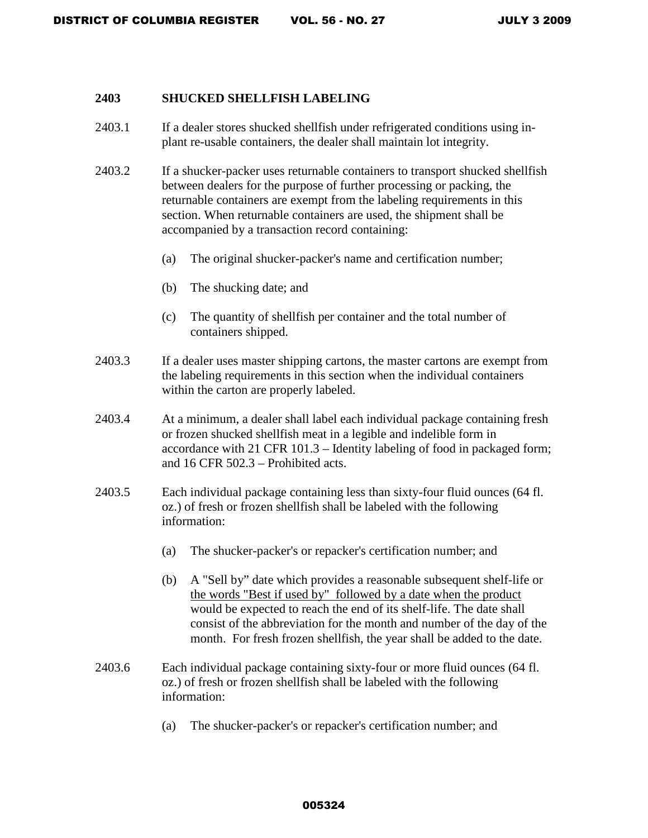#### **2403 SHUCKED SHELLFISH LABELING**

- 2403.1 If a dealer stores shucked shellfish under refrigerated conditions using inplant re-usable containers, the dealer shall maintain lot integrity.
- 2403.2 If a shucker-packer uses returnable containers to transport shucked shellfish between dealers for the purpose of further processing or packing, the returnable containers are exempt from the labeling requirements in this section. When returnable containers are used, the shipment shall be accompanied by a transaction record containing:
	- (a) The original shucker-packer's name and certification number;
	- (b) The shucking date; and
	- (c) The quantity of shellfish per container and the total number of containers shipped.
- 2403.3 If a dealer uses master shipping cartons, the master cartons are exempt from the labeling requirements in this section when the individual containers within the carton are properly labeled.
- 2403.4 At a minimum, a dealer shall label each individual package containing fresh or frozen shucked shellfish meat in a legible and indelible form in accordance with 21 CFR 101.3 – Identity labeling of food in packaged form; and 16 CFR 502.3 – Prohibited acts.
- 2403.5 Each individual package containing less than sixty-four fluid ounces (64 fl. oz.) of fresh or frozen shellfish shall be labeled with the following information:
	- (a) The shucker-packer's or repacker's certification number; and
	- (b) A "Sell by" date which provides a reasonable subsequent shelf-life or the words "Best if used by" followed by a date when the product would be expected to reach the end of its shelf-life. The date shall consist of the abbreviation for the month and number of the day of the month. For fresh frozen shellfish, the year shall be added to the date.
- 2403.6 Each individual package containing sixty-four or more fluid ounces (64 fl. oz.) of fresh or frozen shellfish shall be labeled with the following information:
	- (a) The shucker-packer's or repacker's certification number; and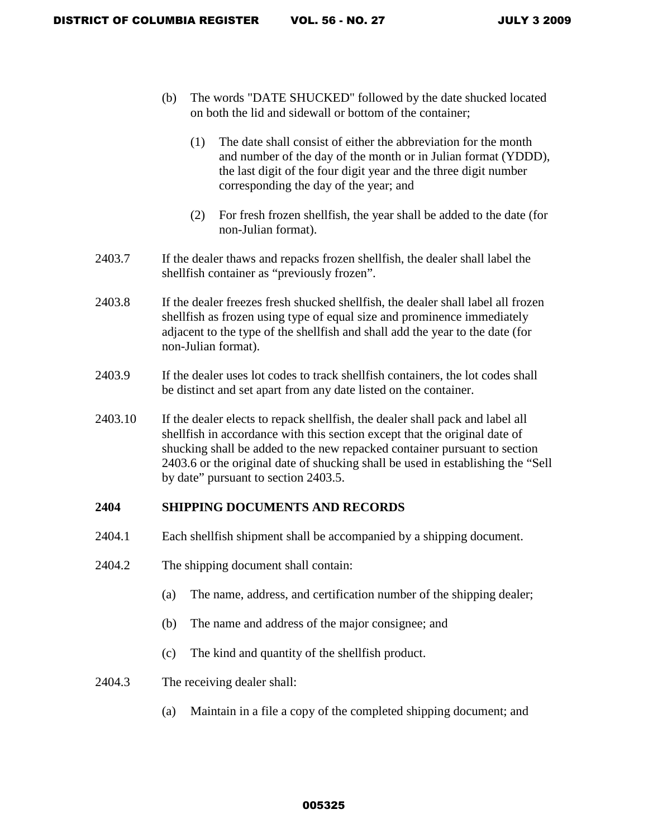- (b) The words "DATE SHUCKED" followed by the date shucked located on both the lid and sidewall or bottom of the container;
	- (1) The date shall consist of either the abbreviation for the month and number of the day of the month or in Julian format (YDDD), the last digit of the four digit year and the three digit number corresponding the day of the year; and
	- (2) For fresh frozen shellfish, the year shall be added to the date (for non-Julian format).
- 2403.7 If the dealer thaws and repacks frozen shellfish, the dealer shall label the shellfish container as "previously frozen".
- 2403.8 If the dealer freezes fresh shucked shellfish, the dealer shall label all frozen shellfish as frozen using type of equal size and prominence immediately adjacent to the type of the shellfish and shall add the year to the date (for non-Julian format).
- 2403.9 If the dealer uses lot codes to track shellfish containers, the lot codes shall be distinct and set apart from any date listed on the container.
- 2403.10 If the dealer elects to repack shellfish, the dealer shall pack and label all shellfish in accordance with this section except that the original date of shucking shall be added to the new repacked container pursuant to section 2403.6 or the original date of shucking shall be used in establishing the "Sell by date" pursuant to section 2403.5.

# **2404 SHIPPING DOCUMENTS AND RECORDS**

- 2404.1 Each shellfish shipment shall be accompanied by a shipping document.
- 2404.2 The shipping document shall contain:
	- (a) The name, address, and certification number of the shipping dealer;
	- (b) The name and address of the major consignee; and
	- (c) The kind and quantity of the shellfish product.
- 2404.3 The receiving dealer shall:
	- (a) Maintain in a file a copy of the completed shipping document; and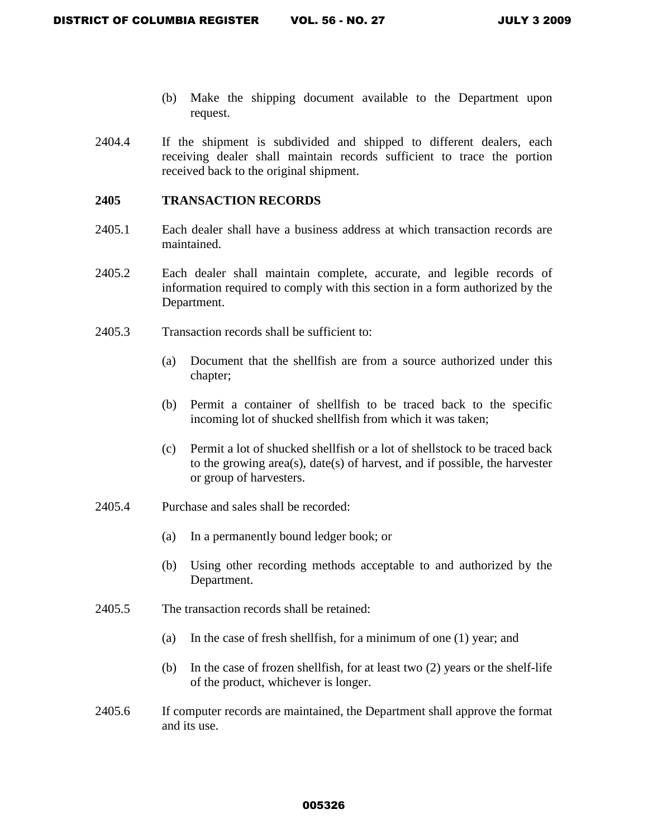- (b) Make the shipping document available to the Department upon request.
- 2404.4 If the shipment is subdivided and shipped to different dealers, each receiving dealer shall maintain records sufficient to trace the portion received back to the original shipment.

# **2405 TRANSACTION RECORDS**

- 2405.1 Each dealer shall have a business address at which transaction records are maintained.
- 2405.2 Each dealer shall maintain complete, accurate, and legible records of information required to comply with this section in a form authorized by the Department.
- 2405.3 Transaction records shall be sufficient to:
	- (a) Document that the shellfish are from a source authorized under this chapter;
	- (b) Permit a container of shellfish to be traced back to the specific incoming lot of shucked shellfish from which it was taken;
	- (c) Permit a lot of shucked shellfish or a lot of shellstock to be traced back to the growing area(s), date(s) of harvest, and if possible, the harvester or group of harvesters.
- 2405.4 Purchase and sales shall be recorded:
	- (a) In a permanently bound ledger book; or
	- (b) Using other recording methods acceptable to and authorized by the Department.
- 2405.5 The transaction records shall be retained:
	- (a) In the case of fresh shellfish, for a minimum of one (1) year; and
	- (b) In the case of frozen shellfish, for at least two (2) years or the shelf-life of the product, whichever is longer.
- 2405.6 If computer records are maintained, the Department shall approve the format and its use.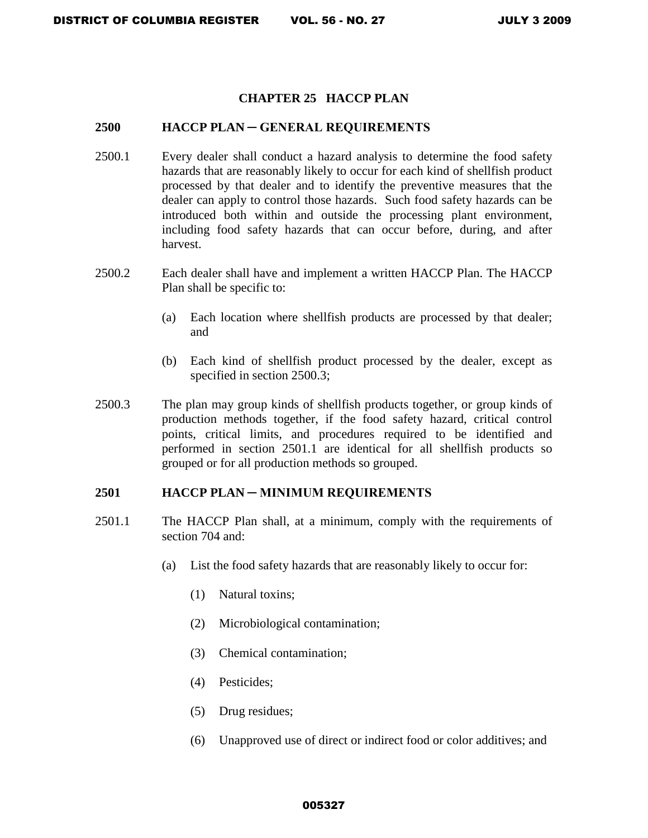### **CHAPTER 25 HACCP PLAN**

#### **2500 HACCP PLAN ─ GENERAL REQUIREMENTS**

- 2500.1 Every dealer shall conduct a hazard analysis to determine the food safety hazards that are reasonably likely to occur for each kind of shellfish product processed by that dealer and to identify the preventive measures that the dealer can apply to control those hazards. Such food safety hazards can be introduced both within and outside the processing plant environment, including food safety hazards that can occur before, during, and after harvest.
- 2500.2 Each dealer shall have and implement a written HACCP Plan. The HACCP Plan shall be specific to:
	- (a) Each location where shellfish products are processed by that dealer; and
	- (b) Each kind of shellfish product processed by the dealer, except as specified in section 2500.3;
- 2500.3 The plan may group kinds of shellfish products together, or group kinds of production methods together, if the food safety hazard, critical control points, critical limits, and procedures required to be identified and performed in section 2501.1 are identical for all shellfish products so grouped or for all production methods so grouped.

#### **2501 HACCP PLAN ─ MINIMUM REQUIREMENTS**

- 2501.1 The HACCP Plan shall, at a minimum, comply with the requirements of section 704 and:
	- (a) List the food safety hazards that are reasonably likely to occur for:
		- (1) Natural toxins;
		- (2) Microbiological contamination;
		- (3) Chemical contamination;
		- (4) Pesticides;
		- (5) Drug residues;
		- (6) Unapproved use of direct or indirect food or color additives; and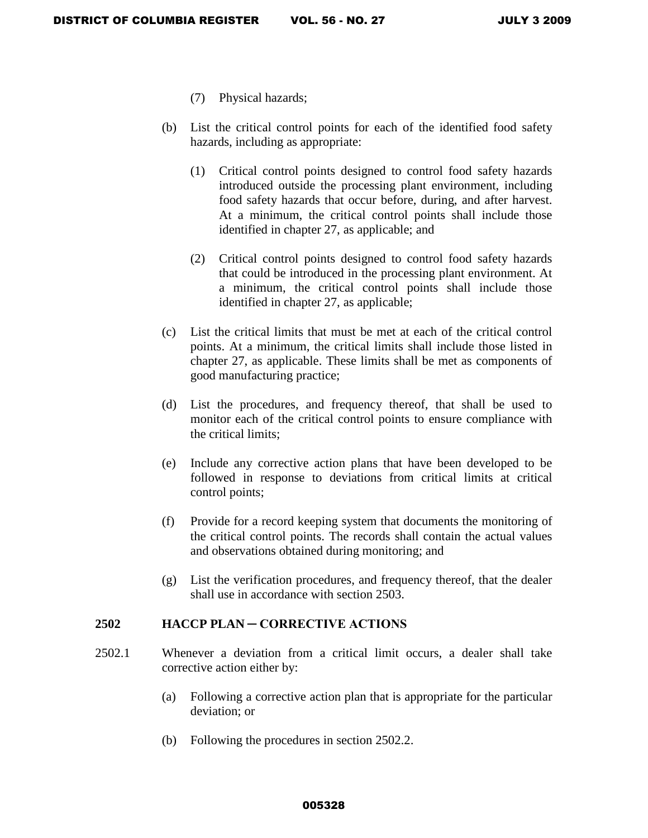- (7) Physical hazards;
- (b) List the critical control points for each of the identified food safety hazards, including as appropriate:
	- (1) Critical control points designed to control food safety hazards introduced outside the processing plant environment, including food safety hazards that occur before, during, and after harvest. At a minimum, the critical control points shall include those identified in chapter 27, as applicable; and
	- (2) Critical control points designed to control food safety hazards that could be introduced in the processing plant environment. At a minimum, the critical control points shall include those identified in chapter 27, as applicable;
- (c) List the critical limits that must be met at each of the critical control points. At a minimum, the critical limits shall include those listed in chapter 27, as applicable. These limits shall be met as components of good manufacturing practice;
- (d) List the procedures, and frequency thereof, that shall be used to monitor each of the critical control points to ensure compliance with the critical limits;
- (e) Include any corrective action plans that have been developed to be followed in response to deviations from critical limits at critical control points;
- (f) Provide for a record keeping system that documents the monitoring of the critical control points. The records shall contain the actual values and observations obtained during monitoring; and
- (g) List the verification procedures, and frequency thereof, that the dealer shall use in accordance with section 2503.

# **2502 HACCP PLAN ─ CORRECTIVE ACTIONS**

- 2502.1 Whenever a deviation from a critical limit occurs, a dealer shall take corrective action either by:
	- (a) Following a corrective action plan that is appropriate for the particular deviation; or
	- (b) Following the procedures in section 2502.2.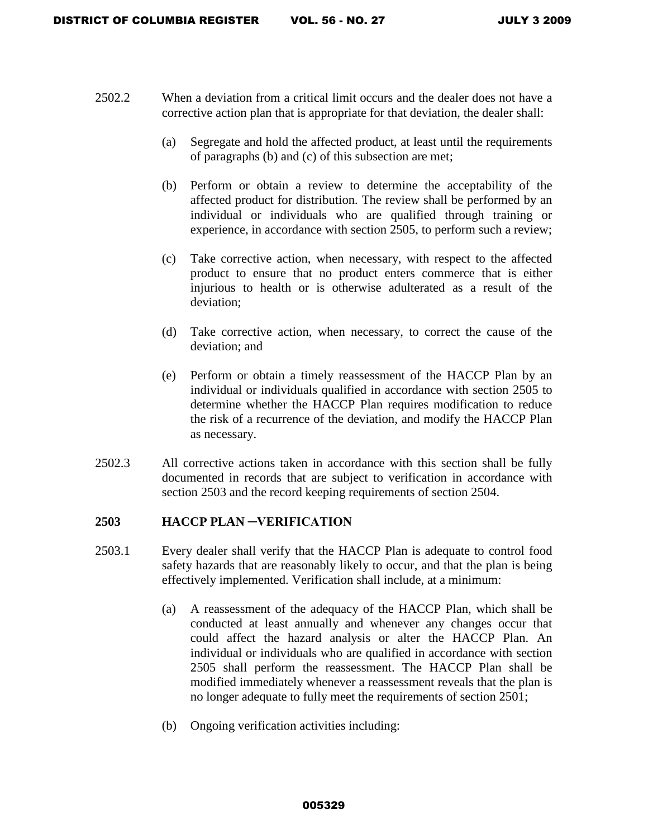- 2502.2 When a deviation from a critical limit occurs and the dealer does not have a corrective action plan that is appropriate for that deviation, the dealer shall:
	- (a) Segregate and hold the affected product, at least until the requirements of paragraphs (b) and (c) of this subsection are met;
	- (b) Perform or obtain a review to determine the acceptability of the affected product for distribution. The review shall be performed by an individual or individuals who are qualified through training or experience, in accordance with section 2505, to perform such a review;
	- (c) Take corrective action, when necessary, with respect to the affected product to ensure that no product enters commerce that is either injurious to health or is otherwise adulterated as a result of the deviation;
	- (d) Take corrective action, when necessary, to correct the cause of the deviation; and
	- (e) Perform or obtain a timely reassessment of the HACCP Plan by an individual or individuals qualified in accordance with section 2505 to determine whether the HACCP Plan requires modification to reduce the risk of a recurrence of the deviation, and modify the HACCP Plan as necessary.
- 2502.3 All corrective actions taken in accordance with this section shall be fully documented in records that are subject to verification in accordance with section 2503 and the record keeping requirements of section 2504.

# **2503 HACCP PLAN ─VERIFICATION**

- 2503.1 Every dealer shall verify that the HACCP Plan is adequate to control food safety hazards that are reasonably likely to occur, and that the plan is being effectively implemented. Verification shall include, at a minimum:
	- (a) A reassessment of the adequacy of the HACCP Plan, which shall be conducted at least annually and whenever any changes occur that could affect the hazard analysis or alter the HACCP Plan. An individual or individuals who are qualified in accordance with section 2505 shall perform the reassessment. The HACCP Plan shall be modified immediately whenever a reassessment reveals that the plan is no longer adequate to fully meet the requirements of section 2501;
	- (b) Ongoing verification activities including: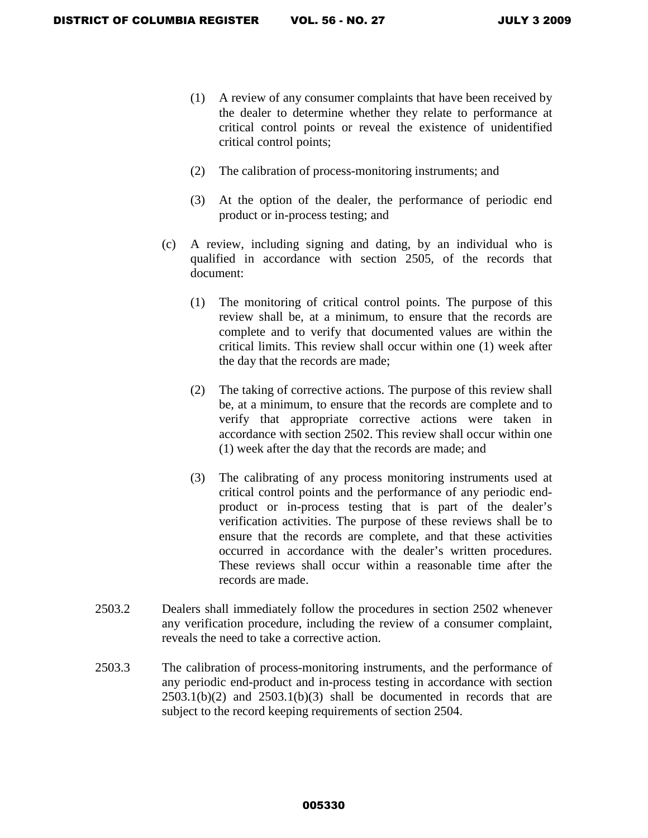- (1) A review of any consumer complaints that have been received by the dealer to determine whether they relate to performance at critical control points or reveal the existence of unidentified critical control points;
- (2) The calibration of process-monitoring instruments; and
- (3) At the option of the dealer, the performance of periodic end product or in-process testing; and
- (c) A review, including signing and dating, by an individual who is qualified in accordance with section 2505, of the records that document:
	- (1) The monitoring of critical control points. The purpose of this review shall be, at a minimum, to ensure that the records are complete and to verify that documented values are within the critical limits. This review shall occur within one (1) week after the day that the records are made;
	- (2) The taking of corrective actions. The purpose of this review shall be, at a minimum, to ensure that the records are complete and to verify that appropriate corrective actions were taken in accordance with section 2502. This review shall occur within one (1) week after the day that the records are made; and
	- (3) The calibrating of any process monitoring instruments used at critical control points and the performance of any periodic endproduct or in-process testing that is part of the dealer's verification activities. The purpose of these reviews shall be to ensure that the records are complete, and that these activities occurred in accordance with the dealer's written procedures. These reviews shall occur within a reasonable time after the records are made.
- 2503.2 Dealers shall immediately follow the procedures in section 2502 whenever any verification procedure, including the review of a consumer complaint, reveals the need to take a corrective action.
- 2503.3 The calibration of process-monitoring instruments, and the performance of any periodic end-product and in-process testing in accordance with section  $2503.1(b)(2)$  and  $2503.1(b)(3)$  shall be documented in records that are subject to the record keeping requirements of section 2504.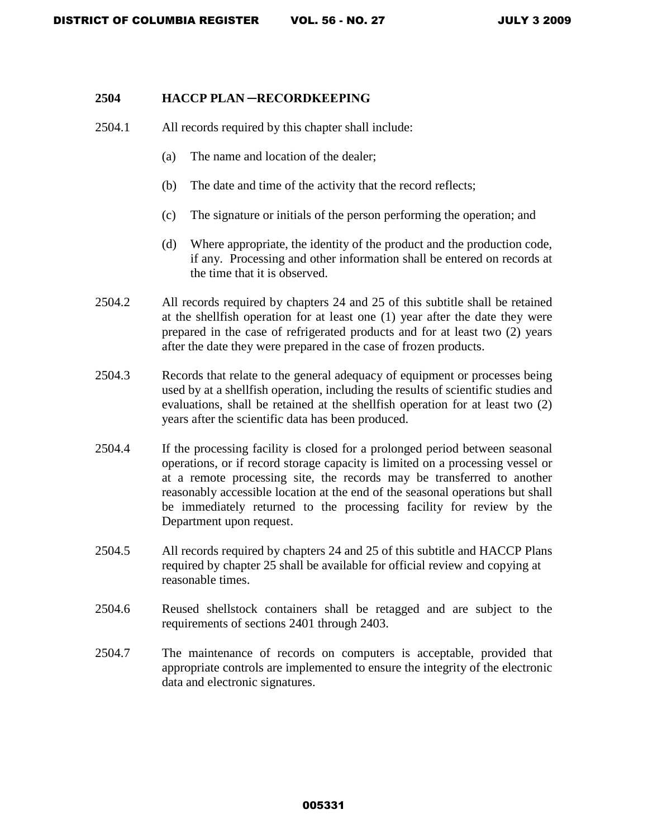#### **2504 HACCP PLAN ─RECORDKEEPING**

- 2504.1 All records required by this chapter shall include:
	- (a) The name and location of the dealer;
	- (b) The date and time of the activity that the record reflects;
	- (c) The signature or initials of the person performing the operation; and
	- (d) Where appropriate, the identity of the product and the production code, if any. Processing and other information shall be entered on records at the time that it is observed.
- 2504.2 All records required by chapters 24 and 25 of this subtitle shall be retained at the shellfish operation for at least one (1) year after the date they were prepared in the case of refrigerated products and for at least two (2) years after the date they were prepared in the case of frozen products.
- 2504.3 Records that relate to the general adequacy of equipment or processes being used by at a shellfish operation, including the results of scientific studies and evaluations, shall be retained at the shellfish operation for at least two (2) years after the scientific data has been produced.
- 2504.4 If the processing facility is closed for a prolonged period between seasonal operations, or if record storage capacity is limited on a processing vessel or at a remote processing site, the records may be transferred to another reasonably accessible location at the end of the seasonal operations but shall be immediately returned to the processing facility for review by the Department upon request.
- 2504.5 All records required by chapters 24 and 25 of this subtitle and HACCP Plans required by chapter 25 shall be available for official review and copying at reasonable times.
- 2504.6 Reused shellstock containers shall be retagged and are subject to the requirements of sections 2401 through 2403.
- 2504.7 The maintenance of records on computers is acceptable, provided that appropriate controls are implemented to ensure the integrity of the electronic data and electronic signatures.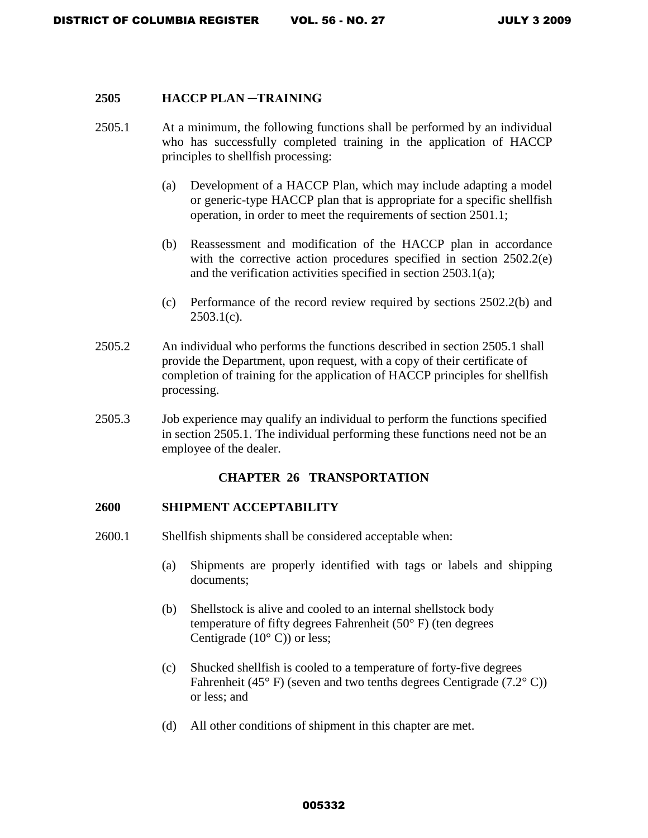#### **2505 HACCP PLAN ─TRAINING**

- 2505.1 At a minimum, the following functions shall be performed by an individual who has successfully completed training in the application of HACCP principles to shellfish processing:
	- (a) Development of a HACCP Plan, which may include adapting a model or generic-type HACCP plan that is appropriate for a specific shellfish operation, in order to meet the requirements of section 2501.1;
	- (b) Reassessment and modification of the HACCP plan in accordance with the corrective action procedures specified in section 2502.2(e) and the verification activities specified in section 2503.1(a);
	- (c) Performance of the record review required by sections 2502.2(b) and  $2503.1(c)$ .
- 2505.2 An individual who performs the functions described in section 2505.1 shall provide the Department, upon request, with a copy of their certificate of completion of training for the application of HACCP principles for shellfish processing.
- 2505.3 Job experience may qualify an individual to perform the functions specified in section 2505.1. The individual performing these functions need not be an employee of the dealer.

#### **CHAPTER 26 TRANSPORTATION**

#### **2600 SHIPMENT ACCEPTABILITY**

- 2600.1 Shellfish shipments shall be considered acceptable when:
	- (a) Shipments are properly identified with tags or labels and shipping documents;
	- (b) Shellstock is alive and cooled to an internal shellstock body temperature of fifty degrees Fahrenheit (50° F) (ten degrees Centigrade  $(10^{\circ} \text{ C})$  or less;
	- (c) Shucked shellfish is cooled to a temperature of forty-five degrees Fahrenheit (45 $\degree$  F) (seven and two tenths degrees Centigrade (7.2 $\degree$ C)) or less; and
	- (d) All other conditions of shipment in this chapter are met.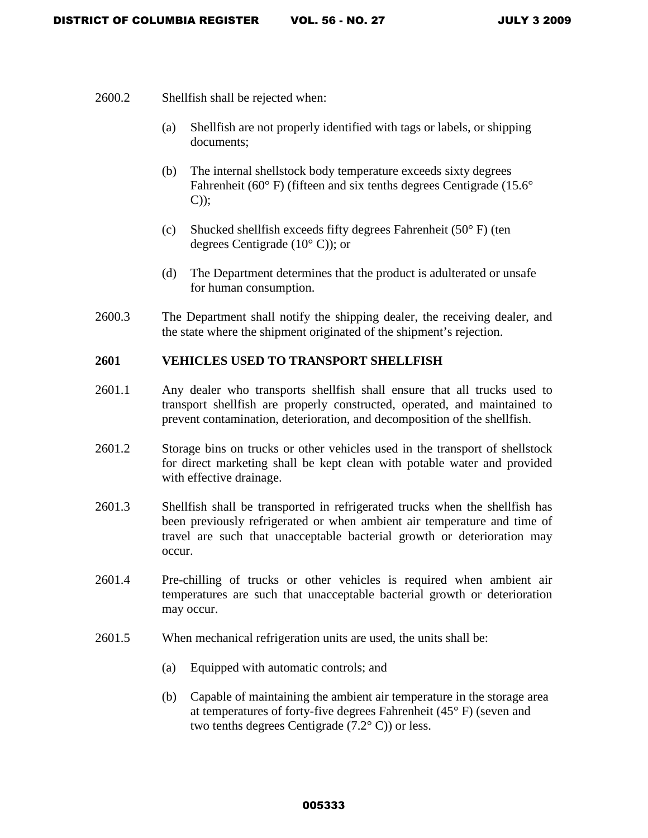- 2600.2 Shellfish shall be rejected when:
	- (a) Shellfish are not properly identified with tags or labels, or shipping documents;
	- (b) The internal shellstock body temperature exceeds sixty degrees Fahrenheit (60°F) (fifteen and six tenths degrees Centigrade (15.6° C));
	- (c) Shucked shellfish exceeds fifty degrees Fahrenheit  $(50^{\circ} \text{ F})$  (ten degrees Centigrade (10° C)); or
	- (d) The Department determines that the product is adulterated or unsafe for human consumption.
- 2600.3 The Department shall notify the shipping dealer, the receiving dealer, and the state where the shipment originated of the shipment's rejection.

# **2601 VEHICLES USED TO TRANSPORT SHELLFISH**

- 2601.1 Any dealer who transports shellfish shall ensure that all trucks used to transport shellfish are properly constructed, operated, and maintained to prevent contamination, deterioration, and decomposition of the shellfish.
- 2601.2 Storage bins on trucks or other vehicles used in the transport of shellstock for direct marketing shall be kept clean with potable water and provided with effective drainage.
- 2601.3 Shellfish shall be transported in refrigerated trucks when the shellfish has been previously refrigerated or when ambient air temperature and time of travel are such that unacceptable bacterial growth or deterioration may occur.
- 2601.4 Pre-chilling of trucks or other vehicles is required when ambient air temperatures are such that unacceptable bacterial growth or deterioration may occur.
- 2601.5 When mechanical refrigeration units are used, the units shall be:
	- (a) Equipped with automatic controls; and
	- (b) Capable of maintaining the ambient air temperature in the storage area at temperatures of forty-five degrees Fahrenheit (45° F) (seven and two tenths degrees Centigrade (7.2° C)) or less.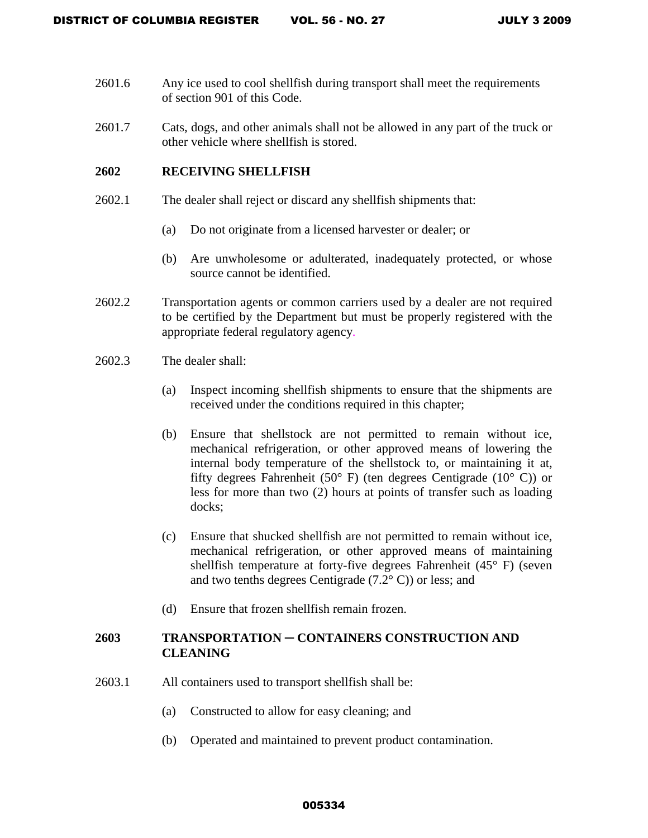- 2601.6 Any ice used to cool shellfish during transport shall meet the requirements of section 901 of this Code.
- 2601.7 Cats, dogs, and other animals shall not be allowed in any part of the truck or other vehicle where shellfish is stored.

# **2602 RECEIVING SHELLFISH**

- 2602.1 The dealer shall reject or discard any shellfish shipments that:
	- (a) Do not originate from a licensed harvester or dealer; or
	- (b) Are unwholesome or adulterated, inadequately protected, or whose source cannot be identified.
- 2602.2 Transportation agents or common carriers used by a dealer are not required to be certified by the Department but must be properly registered with the appropriate federal regulatory agency.
- 2602.3 The dealer shall:
	- (a) Inspect incoming shellfish shipments to ensure that the shipments are received under the conditions required in this chapter;
	- (b) Ensure that shellstock are not permitted to remain without ice, mechanical refrigeration, or other approved means of lowering the internal body temperature of the shellstock to, or maintaining it at, fifty degrees Fahrenheit (50 $\degree$  F) (ten degrees Centigrade (10 $\degree$  C)) or less for more than two (2) hours at points of transfer such as loading docks;
	- (c) Ensure that shucked shellfish are not permitted to remain without ice, mechanical refrigeration, or other approved means of maintaining shellfish temperature at forty-five degrees Fahrenheit (45° F) (seven and two tenths degrees Centigrade  $(7.2^{\circ} \text{ C}))$  or less; and
	- (d) Ensure that frozen shellfish remain frozen.

# **2603 TRANSPORTATION** ─ **CONTAINERS CONSTRUCTION AND CLEANING**

- 2603.1 All containers used to transport shellfish shall be:
	- (a) Constructed to allow for easy cleaning; and
	- (b) Operated and maintained to prevent product contamination.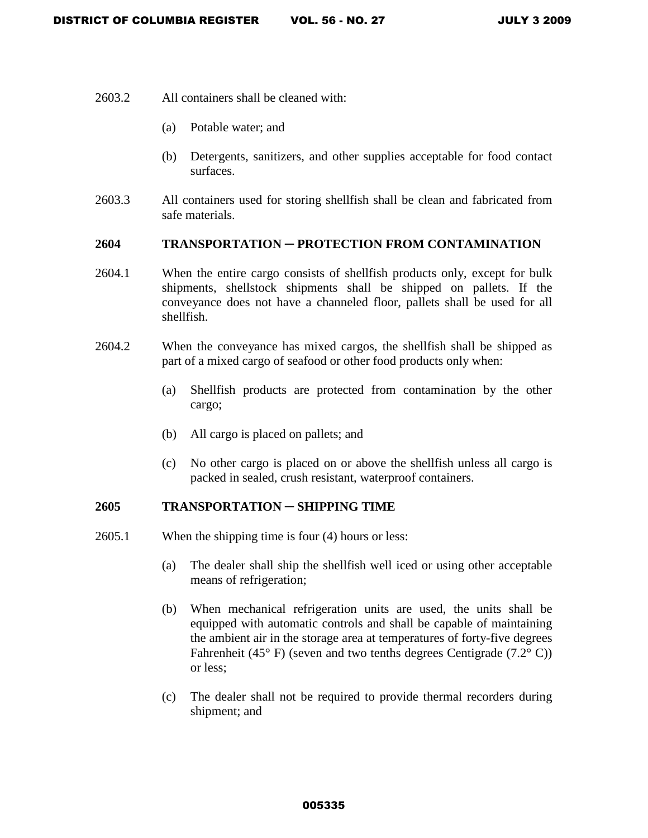- 2603.2 All containers shall be cleaned with:
	- (a) Potable water; and
	- (b) Detergents, sanitizers, and other supplies acceptable for food contact surfaces.
- 2603.3 All containers used for storing shellfish shall be clean and fabricated from safe materials.

# **2604 TRANSPORTATION** ─ **PROTECTION FROM CONTAMINATION**

- 2604.1 When the entire cargo consists of shellfish products only, except for bulk shipments, shellstock shipments shall be shipped on pallets. If the conveyance does not have a channeled floor, pallets shall be used for all shellfish.
- 2604.2 When the conveyance has mixed cargos, the shellfish shall be shipped as part of a mixed cargo of seafood or other food products only when:
	- (a) Shellfish products are protected from contamination by the other cargo;
	- (b) All cargo is placed on pallets; and
	- (c) No other cargo is placed on or above the shellfish unless all cargo is packed in sealed, crush resistant, waterproof containers.

#### **2605 TRANSPORTATION** ─ **SHIPPING TIME**

- 2605.1 When the shipping time is four (4) hours or less:
	- (a) The dealer shall ship the shellfish well iced or using other acceptable means of refrigeration;
	- (b) When mechanical refrigeration units are used, the units shall be equipped with automatic controls and shall be capable of maintaining the ambient air in the storage area at temperatures of forty-five degrees Fahrenheit (45 $\degree$  F) (seven and two tenths degrees Centigrade (7.2 $\degree$ C)) or less;
	- (c) The dealer shall not be required to provide thermal recorders during shipment; and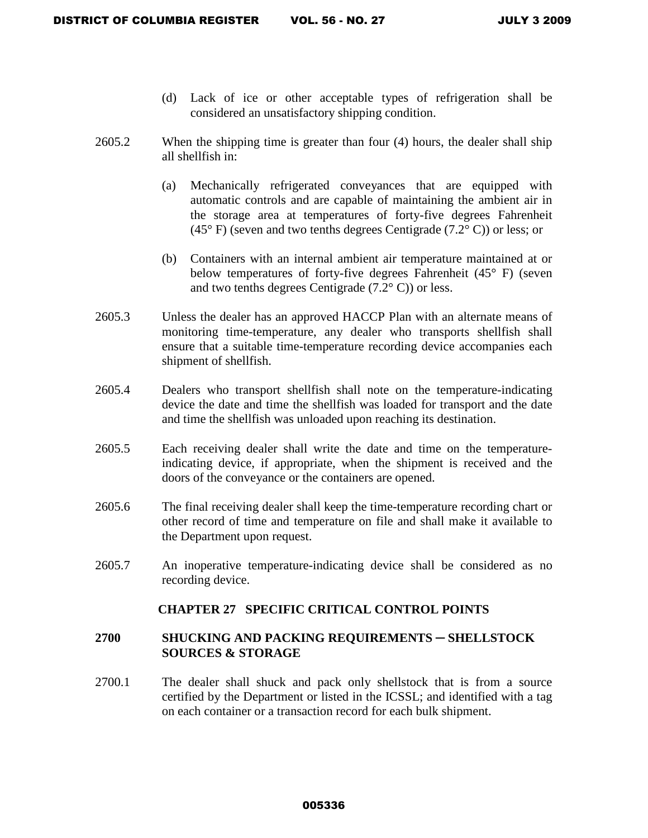- (d) Lack of ice or other acceptable types of refrigeration shall be considered an unsatisfactory shipping condition.
- 2605.2 When the shipping time is greater than four (4) hours, the dealer shall ship all shellfish in:
	- (a) Mechanically refrigerated conveyances that are equipped with automatic controls and are capable of maintaining the ambient air in the storage area at temperatures of forty-five degrees Fahrenheit (45° F) (seven and two tenths degrees Centigrade (7.2° C)) or less; or
	- (b) Containers with an internal ambient air temperature maintained at or below temperatures of forty-five degrees Fahrenheit (45° F) (seven and two tenths degrees Centigrade (7.2° C)) or less.
- 2605.3 Unless the dealer has an approved HACCP Plan with an alternate means of monitoring time-temperature, any dealer who transports shellfish shall ensure that a suitable time-temperature recording device accompanies each shipment of shellfish.
- 2605.4 Dealers who transport shellfish shall note on the temperature-indicating device the date and time the shellfish was loaded for transport and the date and time the shellfish was unloaded upon reaching its destination.
- 2605.5 Each receiving dealer shall write the date and time on the temperatureindicating device, if appropriate, when the shipment is received and the doors of the conveyance or the containers are opened.
- 2605.6 The final receiving dealer shall keep the time-temperature recording chart or other record of time and temperature on file and shall make it available to the Department upon request.
- 2605.7 An inoperative temperature-indicating device shall be considered as no recording device.

# **CHAPTER 27 SPECIFIC CRITICAL CONTROL POINTS**

# **2700 SHUCKING AND PACKING REQUIREMENTS** ─ **SHELLSTOCK SOURCES & STORAGE**

2700.1 The dealer shall shuck and pack only shellstock that is from a source certified by the Department or listed in the ICSSL; and identified with a tag on each container or a transaction record for each bulk shipment.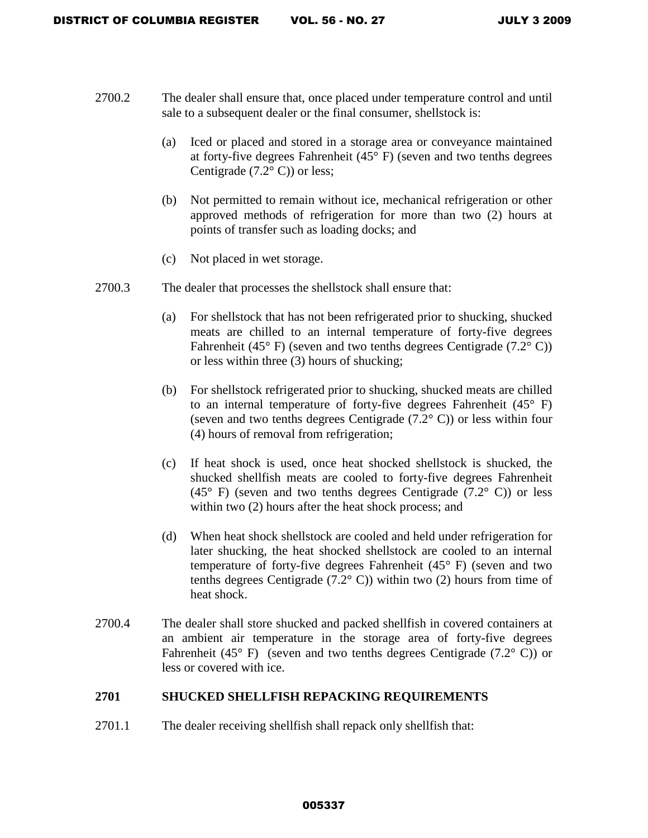- 2700.2 The dealer shall ensure that, once placed under temperature control and until sale to a subsequent dealer or the final consumer, shellstock is:
	- (a) Iced or placed and stored in a storage area or conveyance maintained at forty-five degrees Fahrenheit (45° F) (seven and two tenths degrees Centigrade  $(7.2^{\circ} \text{ C})$  or less;
	- (b) Not permitted to remain without ice, mechanical refrigeration or other approved methods of refrigeration for more than two (2) hours at points of transfer such as loading docks; and
	- (c) Not placed in wet storage.
- 2700.3 The dealer that processes the shellstock shall ensure that:
	- (a) For shellstock that has not been refrigerated prior to shucking, shucked meats are chilled to an internal temperature of forty-five degrees Fahrenheit (45 $\degree$  F) (seven and two tenths degrees Centigrade (7.2 $\degree$ C)) or less within three (3) hours of shucking;
	- (b) For shellstock refrigerated prior to shucking, shucked meats are chilled to an internal temperature of forty-five degrees Fahrenheit (45° F) (seven and two tenths degrees Centigrade (7.2° C)) or less within four (4) hours of removal from refrigeration;
	- (c) If heat shock is used, once heat shocked shellstock is shucked, the shucked shellfish meats are cooled to forty-five degrees Fahrenheit  $(45^{\circ}$  F) (seven and two tenths degrees Centigrade  $(7.2^{\circ}$  C)) or less within two  $(2)$  hours after the heat shock process; and
	- (d) When heat shock shellstock are cooled and held under refrigeration for later shucking, the heat shocked shellstock are cooled to an internal temperature of forty-five degrees Fahrenheit (45° F) (seven and two tenths degrees Centigrade  $(7.2^{\circ}$  C)) within two (2) hours from time of heat shock.
- 2700.4 The dealer shall store shucked and packed shellfish in covered containers at an ambient air temperature in the storage area of forty-five degrees Fahrenheit (45 $\degree$  F) (seven and two tenths degrees Centigrade (7.2 $\degree$  C)) or less or covered with ice.

# **2701 SHUCKED SHELLFISH REPACKING REQUIREMENTS**

2701.1 The dealer receiving shellfish shall repack only shellfish that: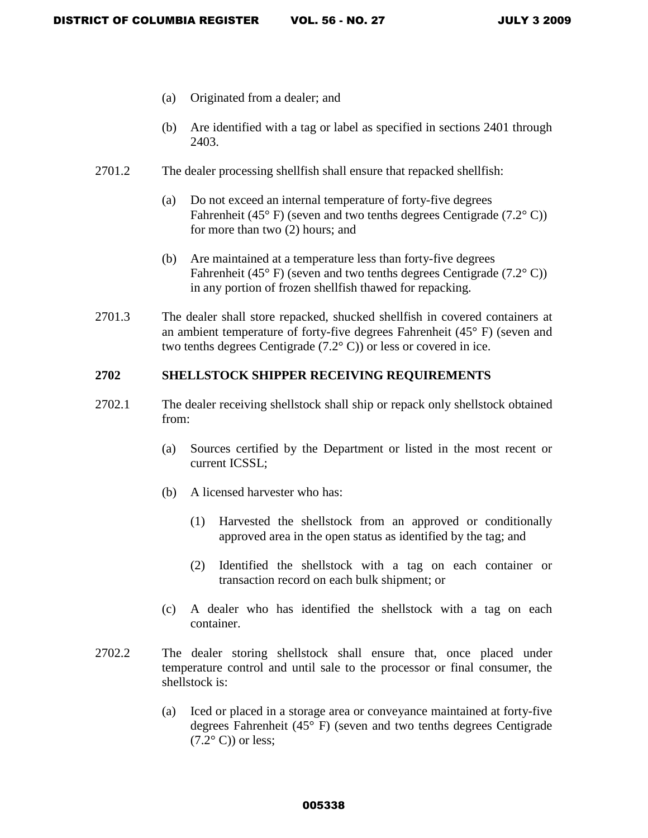- (a) Originated from a dealer; and
- (b) Are identified with a tag or label as specified in sections 2401 through 2403.
- 2701.2 The dealer processing shellfish shall ensure that repacked shellfish:
	- (a) Do not exceed an internal temperature of forty-five degrees Fahrenheit (45 $\degree$  F) (seven and two tenths degrees Centigrade (7.2 $\degree$ C)) for more than two (2) hours; and
	- (b) Are maintained at a temperature less than forty-five degrees Fahrenheit (45 $\degree$  F) (seven and two tenths degrees Centigrade (7.2 $\degree$ C)) in any portion of frozen shellfish thawed for repacking.
- 2701.3 The dealer shall store repacked, shucked shellfish in covered containers at an ambient temperature of forty-five degrees Fahrenheit (45° F) (seven and two tenths degrees Centigrade (7.2° C)) or less or covered in ice.

# **2702 SHELLSTOCK SHIPPER RECEIVING REQUIREMENTS**

- 2702.1 The dealer receiving shellstock shall ship or repack only shellstock obtained from:
	- (a) Sources certified by the Department or listed in the most recent or current ICSSL;
	- (b) A licensed harvester who has:
		- (1) Harvested the shellstock from an approved or conditionally approved area in the open status as identified by the tag; and
		- (2) Identified the shellstock with a tag on each container or transaction record on each bulk shipment; or
	- (c) A dealer who has identified the shellstock with a tag on each container.
- 2702.2 The dealer storing shellstock shall ensure that, once placed under temperature control and until sale to the processor or final consumer, the shellstock is:
	- (a) Iced or placed in a storage area or conveyance maintained at forty-five degrees Fahrenheit (45° F) (seven and two tenths degrees Centigrade  $(7.2^{\circ} \text{ C}))$  or less: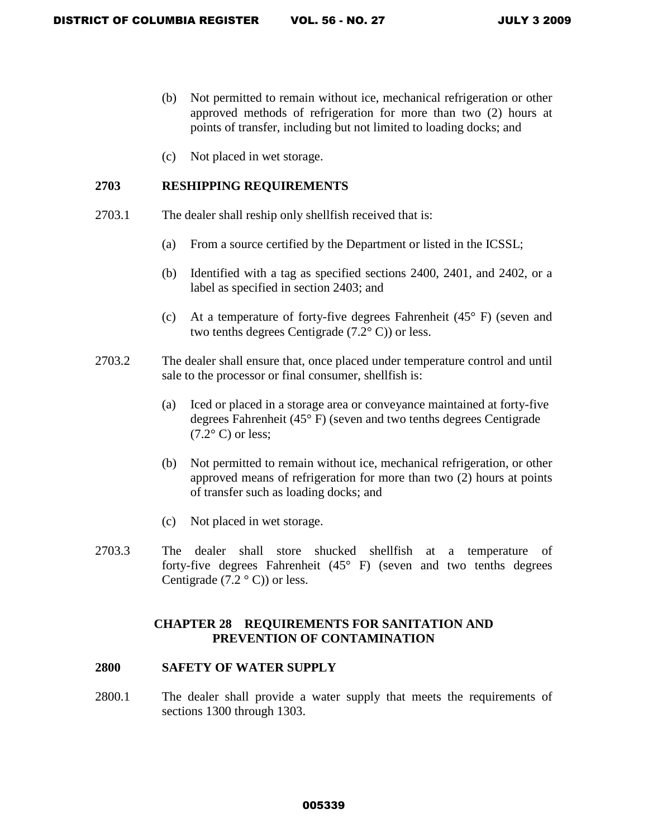- (b) Not permitted to remain without ice, mechanical refrigeration or other approved methods of refrigeration for more than two (2) hours at points of transfer, including but not limited to loading docks; and
- (c) Not placed in wet storage.

# **2703 RESHIPPING REQUIREMENTS**

- 2703.1 The dealer shall reship only shellfish received that is:
	- (a) From a source certified by the Department or listed in the ICSSL;
	- (b) Identified with a tag as specified sections 2400, 2401, and 2402, or a label as specified in section 2403; and
	- (c) At a temperature of forty-five degrees Fahrenheit (45° F) (seven and two tenths degrees Centigrade (7.2° C)) or less.
- 2703.2 The dealer shall ensure that, once placed under temperature control and until sale to the processor or final consumer, shellfish is:
	- (a) Iced or placed in a storage area or conveyance maintained at forty-five degrees Fahrenheit (45° F) (seven and two tenths degrees Centigrade  $(7.2^{\circ} \text{ C})$  or less;
	- (b) Not permitted to remain without ice, mechanical refrigeration, or other approved means of refrigeration for more than two (2) hours at points of transfer such as loading docks; and
	- (c) Not placed in wet storage.
- 2703.3 The dealer shall store shucked shellfish at a temperature of forty-five degrees Fahrenheit  $(45^{\circ}$  F) (seven and two tenths degrees Centigrade  $(7.2 \degree C)$  or less.

# **CHAPTER 28 REQUIREMENTS FOR SANITATION AND PREVENTION OF CONTAMINATION**

#### **2800 SAFETY OF WATER SUPPLY**

2800.1 The dealer shall provide a water supply that meets the requirements of sections 1300 through 1303.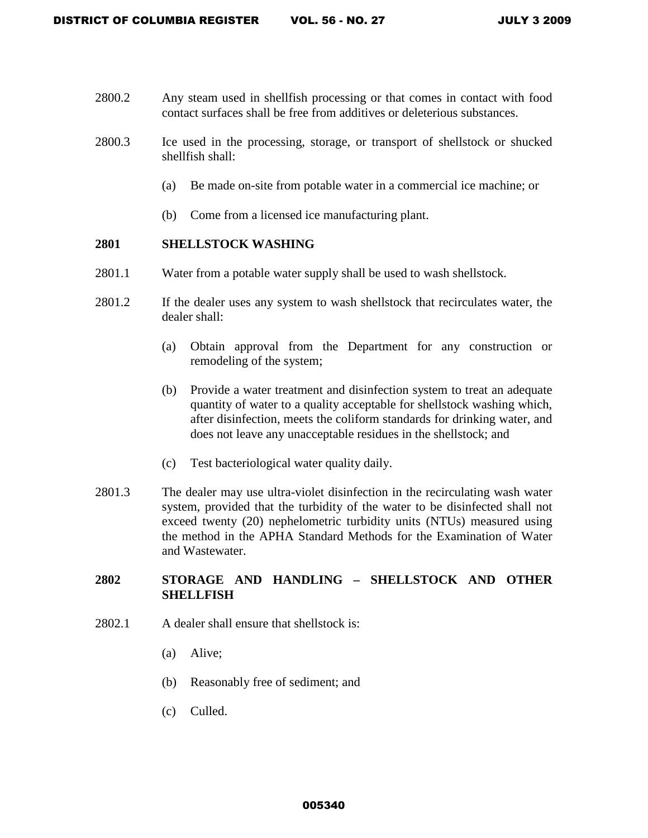- 2800.2 Any steam used in shellfish processing or that comes in contact with food contact surfaces shall be free from additives or deleterious substances.
- 2800.3 Ice used in the processing, storage, or transport of shellstock or shucked shellfish shall:
	- (a) Be made on-site from potable water in a commercial ice machine; or
	- (b) Come from a licensed ice manufacturing plant.

# **2801 SHELLSTOCK WASHING**

- 2801.1 Water from a potable water supply shall be used to wash shellstock.
- 2801.2 If the dealer uses any system to wash shellstock that recirculates water, the dealer shall:
	- (a) Obtain approval from the Department for any construction or remodeling of the system;
	- (b) Provide a water treatment and disinfection system to treat an adequate quantity of water to a quality acceptable for shellstock washing which, after disinfection, meets the coliform standards for drinking water, and does not leave any unacceptable residues in the shellstock; and
	- (c) Test bacteriological water quality daily.
- 2801.3 The dealer may use ultra-violet disinfection in the recirculating wash water system, provided that the turbidity of the water to be disinfected shall not exceed twenty (20) nephelometric turbidity units (NTUs) measured using the method in the APHA Standard Methods for the Examination of Water and Wastewater.

# **2802 STORAGE AND HANDLING – SHELLSTOCK AND OTHER SHELLFISH**

- 2802.1 A dealer shall ensure that shellstock is:
	- (a) Alive;
	- (b) Reasonably free of sediment; and
	- (c) Culled.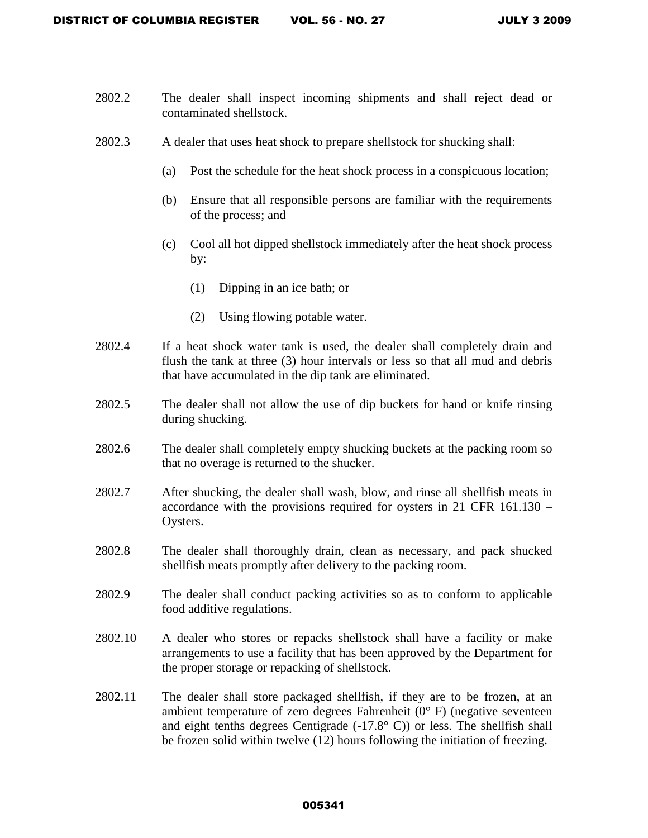- 2802.2 The dealer shall inspect incoming shipments and shall reject dead or contaminated shellstock.
- 2802.3 A dealer that uses heat shock to prepare shellstock for shucking shall:
	- (a) Post the schedule for the heat shock process in a conspicuous location;
	- (b) Ensure that all responsible persons are familiar with the requirements of the process; and
	- (c) Cool all hot dipped shellstock immediately after the heat shock process by:
		- (1) Dipping in an ice bath; or
		- (2) Using flowing potable water.
- 2802.4 If a heat shock water tank is used, the dealer shall completely drain and flush the tank at three (3) hour intervals or less so that all mud and debris that have accumulated in the dip tank are eliminated.
- 2802.5 The dealer shall not allow the use of dip buckets for hand or knife rinsing during shucking.
- 2802.6 The dealer shall completely empty shucking buckets at the packing room so that no overage is returned to the shucker.
- 2802.7 After shucking, the dealer shall wash, blow, and rinse all shellfish meats in accordance with the provisions required for oysters in 21 CFR 161.130 – Oysters.
- 2802.8 The dealer shall thoroughly drain, clean as necessary, and pack shucked shellfish meats promptly after delivery to the packing room.
- 2802.9 The dealer shall conduct packing activities so as to conform to applicable food additive regulations.
- 2802.10 A dealer who stores or repacks shellstock shall have a facility or make arrangements to use a facility that has been approved by the Department for the proper storage or repacking of shellstock.
- 2802.11 The dealer shall store packaged shellfish, if they are to be frozen, at an ambient temperature of zero degrees Fahrenheit  $(0^{\circ}$  F) (negative seventeen and eight tenths degrees Centigrade (-17.8° C)) or less. The shellfish shall be frozen solid within twelve (12) hours following the initiation of freezing.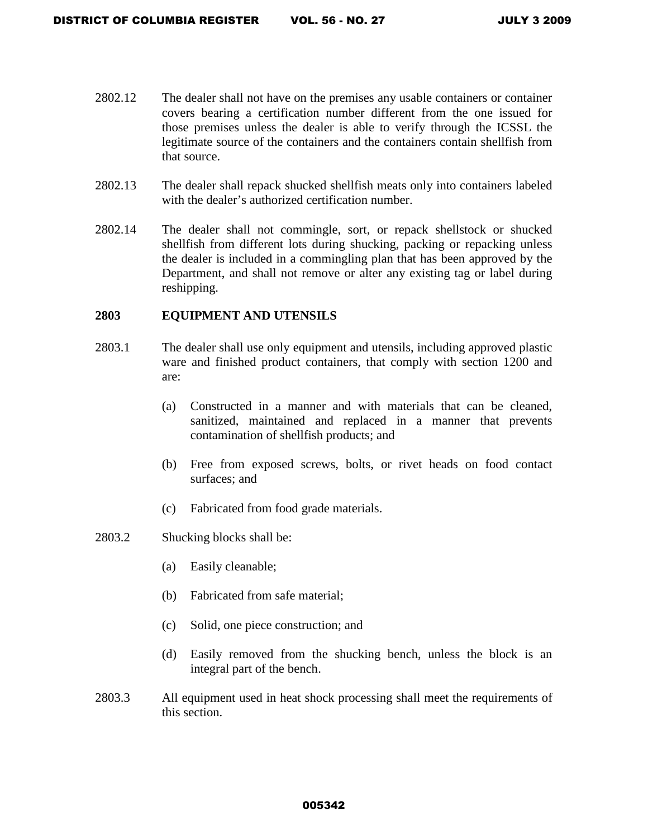- 2802.12 The dealer shall not have on the premises any usable containers or container covers bearing a certification number different from the one issued for those premises unless the dealer is able to verify through the ICSSL the legitimate source of the containers and the containers contain shellfish from that source.
- 2802.13 The dealer shall repack shucked shellfish meats only into containers labeled with the dealer's authorized certification number.
- 2802.14 The dealer shall not commingle, sort, or repack shellstock or shucked shellfish from different lots during shucking, packing or repacking unless the dealer is included in a commingling plan that has been approved by the Department, and shall not remove or alter any existing tag or label during reshipping.

# **2803 EQUIPMENT AND UTENSILS**

- 2803.1 The dealer shall use only equipment and utensils, including approved plastic ware and finished product containers, that comply with section 1200 and are:
	- (a) Constructed in a manner and with materials that can be cleaned, sanitized, maintained and replaced in a manner that prevents contamination of shellfish products; and
	- (b) Free from exposed screws, bolts, or rivet heads on food contact surfaces; and
	- (c) Fabricated from food grade materials.

#### 2803.2 Shucking blocks shall be:

- (a) Easily cleanable;
- (b) Fabricated from safe material;
- (c) Solid, one piece construction; and
- (d) Easily removed from the shucking bench, unless the block is an integral part of the bench.
- 2803.3 All equipment used in heat shock processing shall meet the requirements of this section.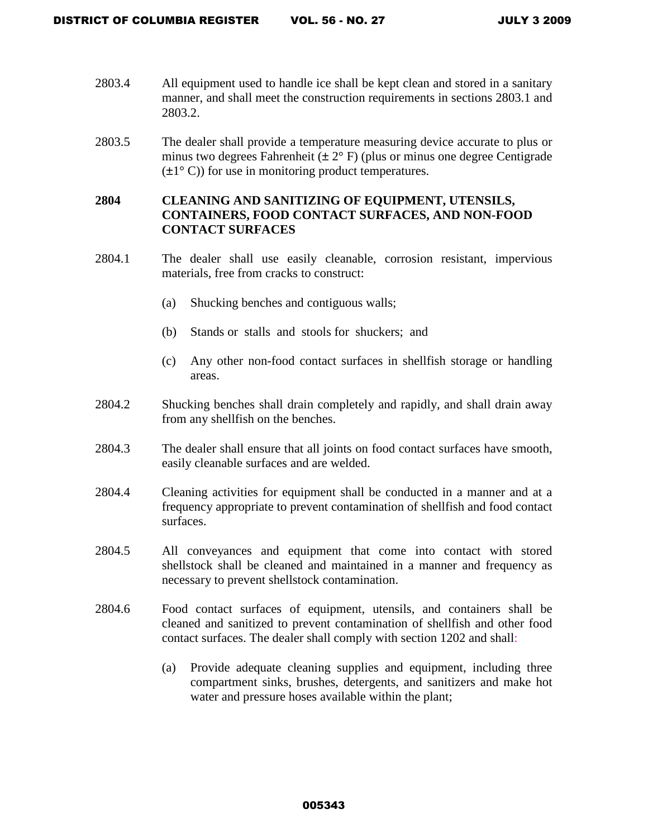- 2803.4 All equipment used to handle ice shall be kept clean and stored in a sanitary manner, and shall meet the construction requirements in sections 2803.1 and 2803.2.
- 2803.5 The dealer shall provide a temperature measuring device accurate to plus or minus two degrees Fahrenheit ( $\pm 2^{\circ}$  F) (plus or minus one degree Centigrade  $(\pm 1^{\circ} \text{ C})$  for use in monitoring product temperatures.

# **2804 CLEANING AND SANITIZING OF EQUIPMENT, UTENSILS, CONTAINERS, FOOD CONTACT SURFACES, AND NON-FOOD CONTACT SURFACES**

- 2804.1 The dealer shall use easily cleanable, corrosion resistant, impervious materials, free from cracks to construct:
	- (a) Shucking benches and contiguous walls;
	- (b) Stands or stalls and stools for shuckers; and
	- (c) Any other non-food contact surfaces in shellfish storage or handling areas.
- 2804.2 Shucking benches shall drain completely and rapidly, and shall drain away from any shellfish on the benches.
- 2804.3 The dealer shall ensure that all joints on food contact surfaces have smooth, easily cleanable surfaces and are welded.
- 2804.4 Cleaning activities for equipment shall be conducted in a manner and at a frequency appropriate to prevent contamination of shellfish and food contact surfaces.
- 2804.5 All conveyances and equipment that come into contact with stored shellstock shall be cleaned and maintained in a manner and frequency as necessary to prevent shellstock contamination.
- 2804.6 Food contact surfaces of equipment, utensils, and containers shall be cleaned and sanitized to prevent contamination of shellfish and other food contact surfaces. The dealer shall comply with section 1202 and shall:
	- (a) Provide adequate cleaning supplies and equipment, including three compartment sinks, brushes, detergents, and sanitizers and make hot water and pressure hoses available within the plant;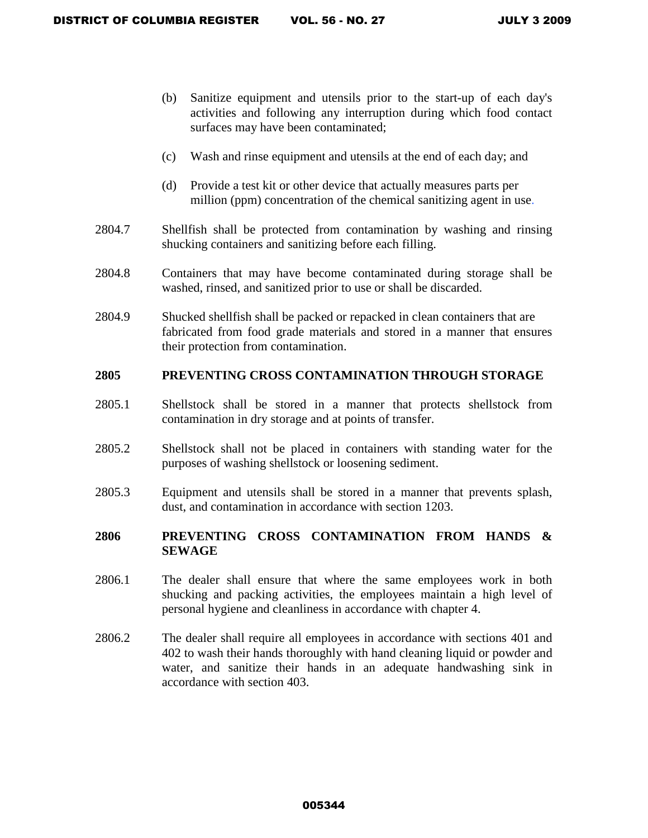- (b) Sanitize equipment and utensils prior to the start-up of each day's activities and following any interruption during which food contact surfaces may have been contaminated;
- (c) Wash and rinse equipment and utensils at the end of each day; and
- (d) Provide a test kit or other device that actually measures parts per million (ppm) concentration of the chemical sanitizing agent in use.
- 2804.7 Shellfish shall be protected from contamination by washing and rinsing shucking containers and sanitizing before each filling.
- 2804.8 Containers that may have become contaminated during storage shall be washed, rinsed, and sanitized prior to use or shall be discarded.
- 2804.9 Shucked shellfish shall be packed or repacked in clean containers that are fabricated from food grade materials and stored in a manner that ensures their protection from contamination.

# **2805 PREVENTING CROSS CONTAMINATION THROUGH STORAGE**

- 2805.1 Shellstock shall be stored in a manner that protects shellstock from contamination in dry storage and at points of transfer.
- 2805.2 Shellstock shall not be placed in containers with standing water for the purposes of washing shellstock or loosening sediment.
- 2805.3 Equipment and utensils shall be stored in a manner that prevents splash, dust, and contamination in accordance with section 1203.

# **2806 PREVENTING CROSS CONTAMINATION FROM HANDS & SEWAGE**

- 2806.1 The dealer shall ensure that where the same employees work in both shucking and packing activities, the employees maintain a high level of personal hygiene and cleanliness in accordance with chapter 4.
- 2806.2 The dealer shall require all employees in accordance with sections 401 and 402 to wash their hands thoroughly with hand cleaning liquid or powder and water, and sanitize their hands in an adequate handwashing sink in accordance with section 403.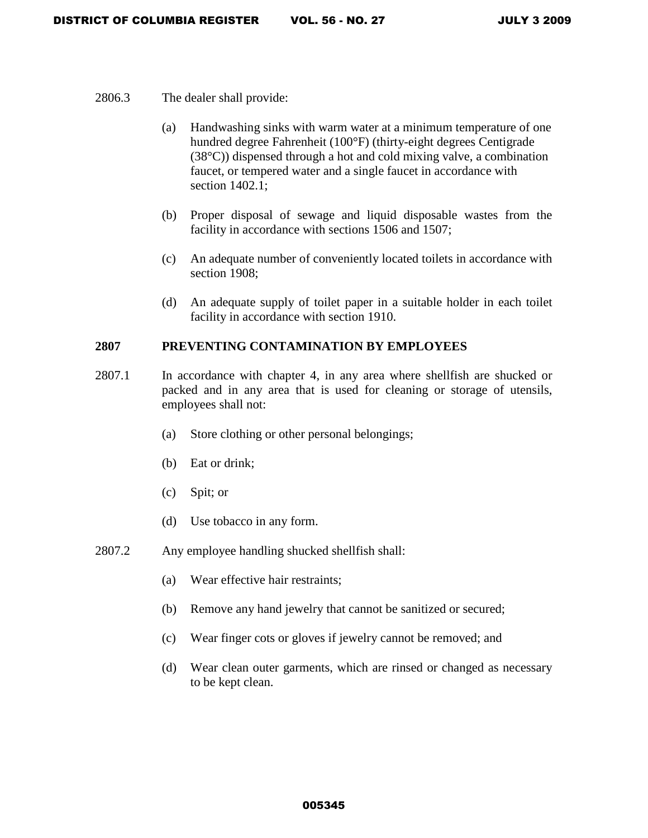- 2806.3 The dealer shall provide:
	- (a) Handwashing sinks with warm water at a minimum temperature of one hundred degree Fahrenheit (100°F) (thirty-eight degrees Centigrade (38°C)) dispensed through a hot and cold mixing valve, a combination faucet, or tempered water and a single faucet in accordance with section 1402.1;
	- (b) Proper disposal of sewage and liquid disposable wastes from the facility in accordance with sections 1506 and 1507;
	- (c) An adequate number of conveniently located toilets in accordance with section 1908;
	- (d) An adequate supply of toilet paper in a suitable holder in each toilet facility in accordance with section 1910.

#### **2807 PREVENTING CONTAMINATION BY EMPLOYEES**

- 2807.1 In accordance with chapter 4, in any area where shellfish are shucked or packed and in any area that is used for cleaning or storage of utensils, employees shall not:
	- (a) Store clothing or other personal belongings;
	- (b) Eat or drink;
	- (c) Spit; or
	- (d) Use tobacco in any form.
- 2807.2 Any employee handling shucked shellfish shall:
	- (a) Wear effective hair restraints;
	- (b) Remove any hand jewelry that cannot be sanitized or secured;
	- (c) Wear finger cots or gloves if jewelry cannot be removed; and
	- (d) Wear clean outer garments, which are rinsed or changed as necessary to be kept clean.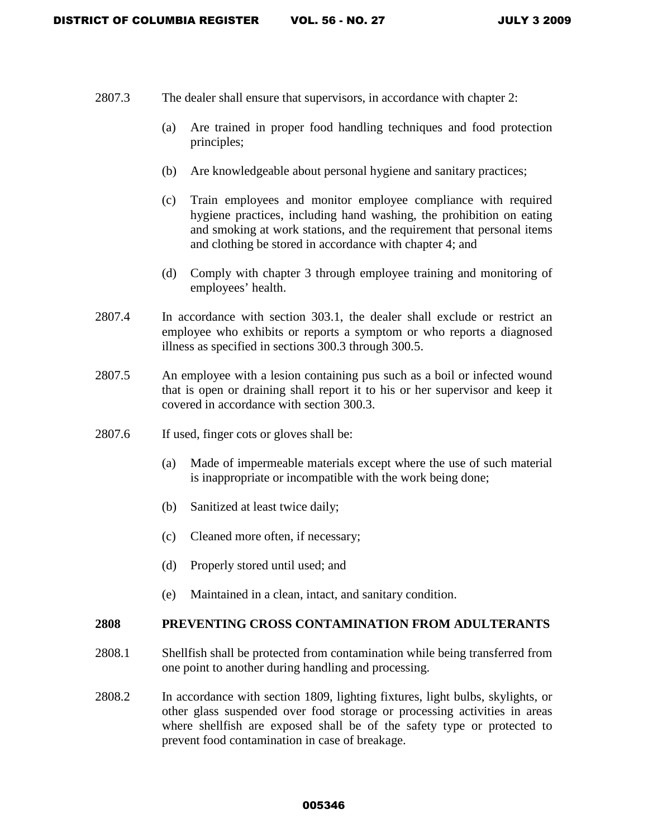- 2807.3 The dealer shall ensure that supervisors, in accordance with chapter 2:
	- (a) Are trained in proper food handling techniques and food protection principles;
	- (b) Are knowledgeable about personal hygiene and sanitary practices;
	- (c) Train employees and monitor employee compliance with required hygiene practices, including hand washing, the prohibition on eating and smoking at work stations, and the requirement that personal items and clothing be stored in accordance with chapter 4; and
	- (d) Comply with chapter 3 through employee training and monitoring of employees' health.
- 2807.4 In accordance with section 303.1, the dealer shall exclude or restrict an employee who exhibits or reports a symptom or who reports a diagnosed illness as specified in sections 300.3 through 300.5.
- 2807.5 An employee with a lesion containing pus such as a boil or infected wound that is open or draining shall report it to his or her supervisor and keep it covered in accordance with section 300.3.
- 2807.6 If used, finger cots or gloves shall be:
	- (a) Made of impermeable materials except where the use of such material is inappropriate or incompatible with the work being done;
	- (b) Sanitized at least twice daily;
	- (c) Cleaned more often, if necessary;
	- (d) Properly stored until used; and
	- (e) Maintained in a clean, intact, and sanitary condition.

# **2808 PREVENTING CROSS CONTAMINATION FROM ADULTERANTS**

- 2808.1 Shellfish shall be protected from contamination while being transferred from one point to another during handling and processing.
- 2808.2 In accordance with section 1809, lighting fixtures, light bulbs, skylights, or other glass suspended over food storage or processing activities in areas where shellfish are exposed shall be of the safety type or protected to prevent food contamination in case of breakage.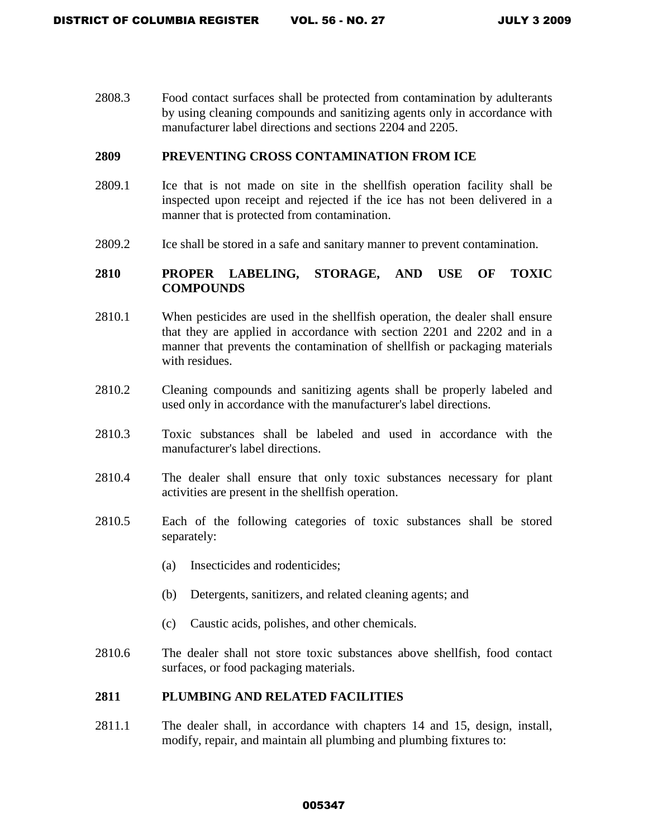2808.3 Food contact surfaces shall be protected from contamination by adulterants by using cleaning compounds and sanitizing agents only in accordance with manufacturer label directions and sections 2204 and 2205.

## **2809 PREVENTING CROSS CONTAMINATION FROM ICE**

- 2809.1 Ice that is not made on site in the shellfish operation facility shall be inspected upon receipt and rejected if the ice has not been delivered in a manner that is protected from contamination.
- 2809.2 Ice shall be stored in a safe and sanitary manner to prevent contamination.

# **2810 PROPER LABELING, STORAGE, AND USE OF TOXIC COMPOUNDS**

- 2810.1 When pesticides are used in the shellfish operation, the dealer shall ensure that they are applied in accordance with section 2201 and 2202 and in a manner that prevents the contamination of shellfish or packaging materials with residues.
- 2810.2 Cleaning compounds and sanitizing agents shall be properly labeled and used only in accordance with the manufacturer's label directions.
- 2810.3 Toxic substances shall be labeled and used in accordance with the manufacturer's label directions.
- 2810.4 The dealer shall ensure that only toxic substances necessary for plant activities are present in the shellfish operation.
- 2810.5 Each of the following categories of toxic substances shall be stored separately:
	- (a) Insecticides and rodenticides;
	- (b) Detergents, sanitizers, and related cleaning agents; and
	- (c) Caustic acids, polishes, and other chemicals.
- 2810.6 The dealer shall not store toxic substances above shellfish, food contact surfaces, or food packaging materials.

# **2811 PLUMBING AND RELATED FACILITIES**

2811.1 The dealer shall, in accordance with chapters 14 and 15, design, install, modify, repair, and maintain all plumbing and plumbing fixtures to: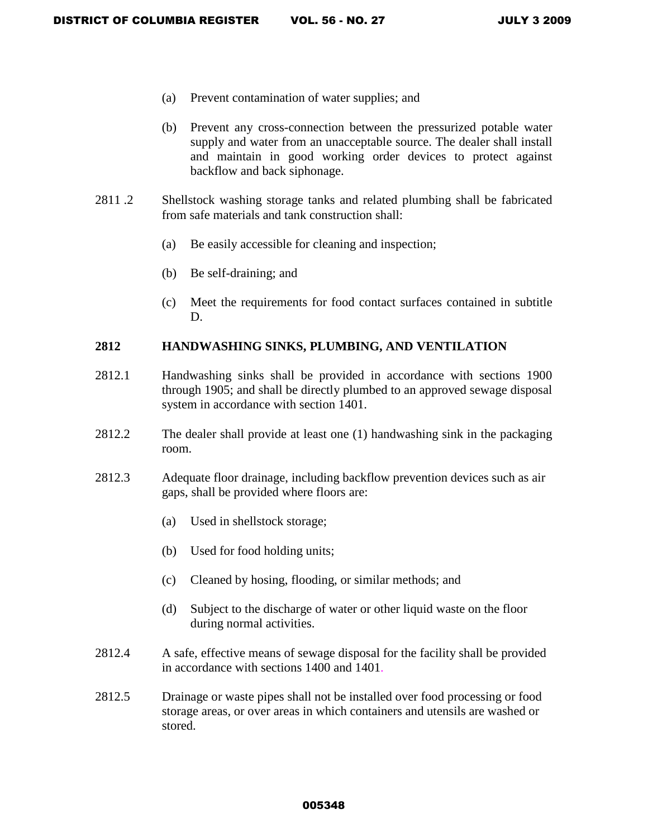- (a) Prevent contamination of water supplies; and
- (b) Prevent any cross-connection between the pressurized potable water supply and water from an unacceptable source. The dealer shall install and maintain in good working order devices to protect against backflow and back siphonage.
- 2811 .2 Shellstock washing storage tanks and related plumbing shall be fabricated from safe materials and tank construction shall:
	- (a) Be easily accessible for cleaning and inspection;
	- (b) Be self-draining; and
	- (c) Meet the requirements for food contact surfaces contained in subtitle D.

# **2812 HANDWASHING SINKS, PLUMBING, AND VENTILATION**

- 2812.1 Handwashing sinks shall be provided in accordance with sections 1900 through 1905; and shall be directly plumbed to an approved sewage disposal system in accordance with section 1401.
- 2812.2 The dealer shall provide at least one (1) handwashing sink in the packaging room.
- 2812.3 Adequate floor drainage, including backflow prevention devices such as air gaps, shall be provided where floors are:
	- (a) Used in shellstock storage;
	- (b) Used for food holding units;
	- (c) Cleaned by hosing, flooding, or similar methods; and
	- (d) Subject to the discharge of water or other liquid waste on the floor during normal activities.
- 2812.4 A safe, effective means of sewage disposal for the facility shall be provided in accordance with sections 1400 and 1401.
- 2812.5 Drainage or waste pipes shall not be installed over food processing or food storage areas, or over areas in which containers and utensils are washed or stored.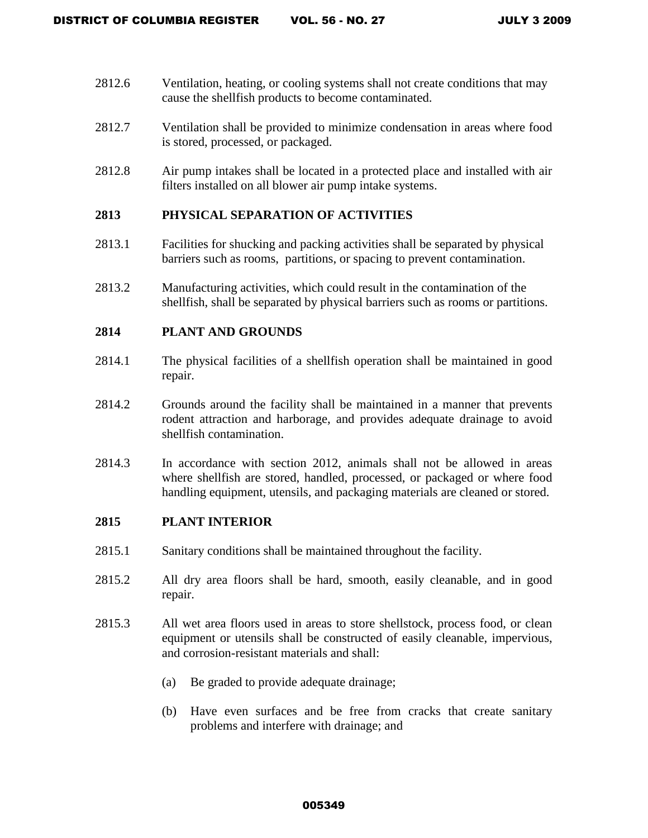- 2812.6 Ventilation, heating, or cooling systems shall not create conditions that may cause the shellfish products to become contaminated.
- 2812.7 Ventilation shall be provided to minimize condensation in areas where food is stored, processed, or packaged.
- 2812.8 Air pump intakes shall be located in a protected place and installed with air filters installed on all blower air pump intake systems.

# **2813 PHYSICAL SEPARATION OF ACTIVITIES**

- 2813.1 Facilities for shucking and packing activities shall be separated by physical barriers such as rooms, partitions, or spacing to prevent contamination.
- 2813.2 Manufacturing activities, which could result in the contamination of the shellfish, shall be separated by physical barriers such as rooms or partitions.

# **2814 PLANT AND GROUNDS**

- 2814.1 The physical facilities of a shellfish operation shall be maintained in good repair.
- 2814.2 Grounds around the facility shall be maintained in a manner that prevents rodent attraction and harborage, and provides adequate drainage to avoid shellfish contamination.
- 2814.3 In accordance with section 2012, animals shall not be allowed in areas where shellfish are stored, handled, processed, or packaged or where food handling equipment, utensils, and packaging materials are cleaned or stored.

#### **2815 PLANT INTERIOR**

- 2815.1 Sanitary conditions shall be maintained throughout the facility.
- 2815.2 All dry area floors shall be hard, smooth, easily cleanable, and in good repair.
- 2815.3 All wet area floors used in areas to store shellstock, process food, or clean equipment or utensils shall be constructed of easily cleanable, impervious, and corrosion-resistant materials and shall:
	- (a) Be graded to provide adequate drainage;
	- (b) Have even surfaces and be free from cracks that create sanitary problems and interfere with drainage; and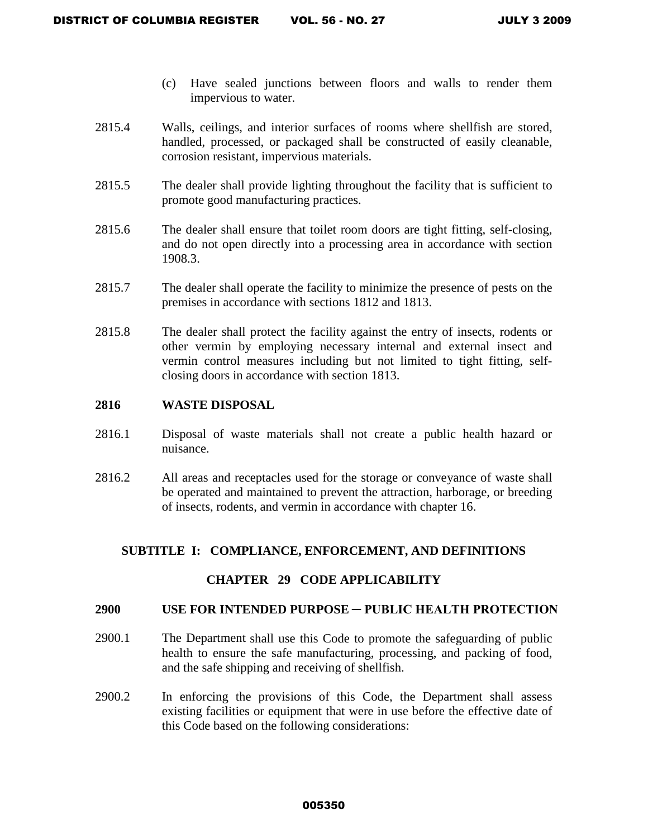- (c) Have sealed junctions between floors and walls to render them impervious to water.
- 2815.4 Walls, ceilings, and interior surfaces of rooms where shellfish are stored, handled, processed, or packaged shall be constructed of easily cleanable, corrosion resistant, impervious materials.
- 2815.5 The dealer shall provide lighting throughout the facility that is sufficient to promote good manufacturing practices.
- 2815.6 The dealer shall ensure that toilet room doors are tight fitting, self-closing, and do not open directly into a processing area in accordance with section 1908.3.
- 2815.7 The dealer shall operate the facility to minimize the presence of pests on the premises in accordance with sections 1812 and 1813.
- 2815.8 The dealer shall protect the facility against the entry of insects, rodents or other vermin by employing necessary internal and external insect and vermin control measures including but not limited to tight fitting, selfclosing doors in accordance with section 1813.

# **2816 WASTE DISPOSAL**

- 2816.1 Disposal of waste materials shall not create a public health hazard or nuisance.
- 2816.2 All areas and receptacles used for the storage or conveyance of waste shall be operated and maintained to prevent the attraction, harborage, or breeding of insects, rodents, and vermin in accordance with chapter 16.

# **SUBTITLE I: COMPLIANCE, ENFORCEMENT, AND DEFINITIONS**

# **CHAPTER 29 CODE APPLICABILITY**

#### **2900 USE FOR INTENDED PURPOSE ─ PUBLIC HEALTH PROTECTION**

- 2900.1 The Department shall use this Code to promote the safeguarding of public health to ensure the safe manufacturing, processing, and packing of food, and the safe shipping and receiving of shellfish.
- 2900.2 In enforcing the provisions of this Code, the Department shall assess existing facilities or equipment that were in use before the effective date of this Code based on the following considerations: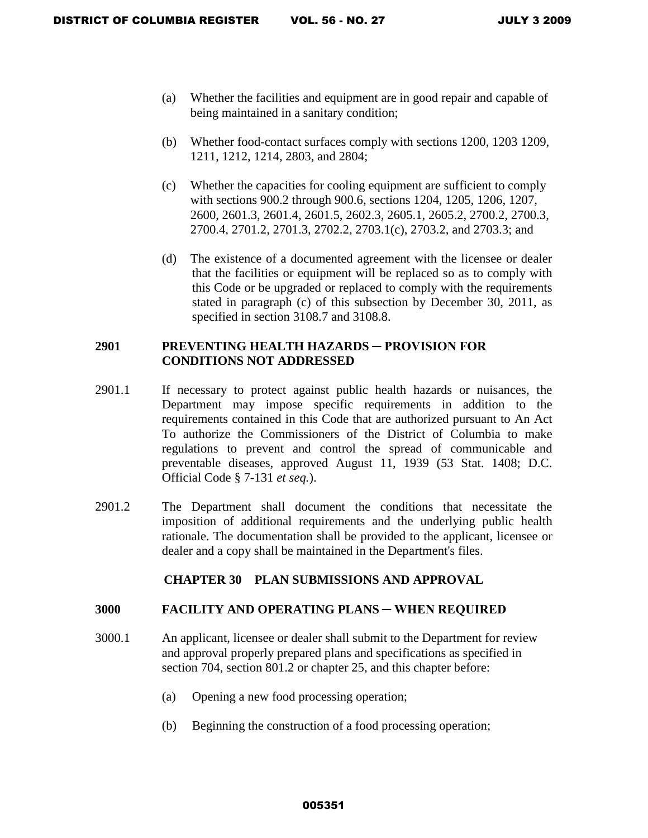- (a) Whether the facilities and equipment are in good repair and capable of being maintained in a sanitary condition;
- (b) Whether food-contact surfaces comply with sections 1200, 1203 1209, 1211, 1212, 1214, 2803, and 2804;
- (c) Whether the capacities for cooling equipment are sufficient to comply with sections 900.2 through 900.6, sections 1204, 1205, 1206, 1207, 2600, 2601.3, 2601.4, 2601.5, 2602.3, 2605.1, 2605.2, 2700.2, 2700.3, 2700.4, 2701.2, 2701.3, 2702.2, 2703.1(c), 2703.2, and 2703.3; and
- (d) The existence of a documented agreement with the licensee or dealer that the facilities or equipment will be replaced so as to comply with this Code or be upgraded or replaced to comply with the requirements stated in paragraph (c) of this subsection by December 30, 2011, as specified in section 3108.7 and 3108.8.

# **2901 PREVENTING HEALTH HAZARDS ─ PROVISION FOR CONDITIONS NOT ADDRESSED**

- 2901.1 If necessary to protect against public health hazards or nuisances, the Department may impose specific requirements in addition to the requirements contained in this Code that are authorized pursuant to An Act To authorize the Commissioners of the District of Columbia to make regulations to prevent and control the spread of communicable and preventable diseases, approved August 11, 1939 (53 Stat. 1408; D.C. Official Code § 7-131 *et seq.*).
- 2901.2 The Department shall document the conditions that necessitate the imposition of additional requirements and the underlying public health rationale. The documentation shall be provided to the applicant, licensee or dealer and a copy shall be maintained in the Department's files.

# **CHAPTER 30 PLAN SUBMISSIONS AND APPROVAL**

#### **3000 FACILITY AND OPERATING PLANS ─ WHEN REQUIRED**

- 3000.1 An applicant, licensee or dealer shall submit to the Department for review and approval properly prepared plans and specifications as specified in section 704, section 801.2 or chapter 25, and this chapter before:
	- (a) Opening a new food processing operation;
	- (b) Beginning the construction of a food processing operation;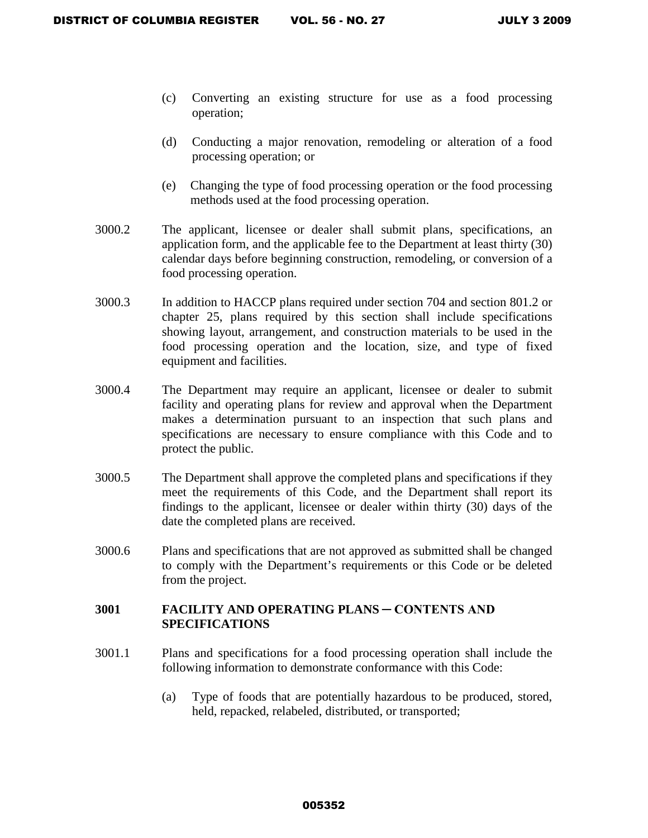- (c) Converting an existing structure for use as a food processing operation;
- (d) Conducting a major renovation, remodeling or alteration of a food processing operation; or
- (e) Changing the type of food processing operation or the food processing methods used at the food processing operation.
- 3000.2 The applicant, licensee or dealer shall submit plans, specifications, an application form, and the applicable fee to the Department at least thirty (30) calendar days before beginning construction, remodeling, or conversion of a food processing operation.
- 3000.3 In addition to HACCP plans required under section 704 and section 801.2 or chapter 25, plans required by this section shall include specifications showing layout, arrangement, and construction materials to be used in the food processing operation and the location, size, and type of fixed equipment and facilities.
- 3000.4 The Department may require an applicant, licensee or dealer to submit facility and operating plans for review and approval when the Department makes a determination pursuant to an inspection that such plans and specifications are necessary to ensure compliance with this Code and to protect the public.
- 3000.5 The Department shall approve the completed plans and specifications if they meet the requirements of this Code, and the Department shall report its findings to the applicant, licensee or dealer within thirty (30) days of the date the completed plans are received.
- 3000.6 Plans and specifications that are not approved as submitted shall be changed to comply with the Department's requirements or this Code or be deleted from the project.

### **3001 FACILITY AND OPERATING PLANS ─ CONTENTS AND SPECIFICATIONS**

- 3001.1 Plans and specifications for a food processing operation shall include the following information to demonstrate conformance with this Code:
	- (a) Type of foods that are potentially hazardous to be produced, stored, held, repacked, relabeled, distributed, or transported;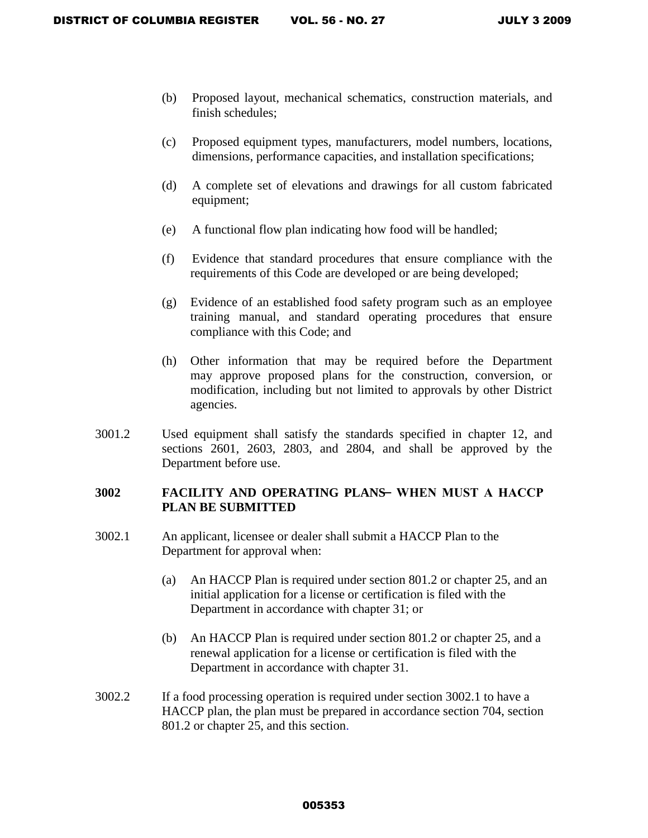- (b) Proposed layout, mechanical schematics, construction materials, and finish schedules;
- (c) Proposed equipment types, manufacturers, model numbers, locations, dimensions, performance capacities, and installation specifications;
- (d) A complete set of elevations and drawings for all custom fabricated equipment;
- (e) A functional flow plan indicating how food will be handled;
- (f) Evidence that standard procedures that ensure compliance with the requirements of this Code are developed or are being developed;
- (g) Evidence of an established food safety program such as an employee training manual, and standard operating procedures that ensure compliance with this Code; and
- (h) Other information that may be required before the Department may approve proposed plans for the construction, conversion, or modification, including but not limited to approvals by other District agencies.
- 3001.2 Used equipment shall satisfy the standards specified in chapter 12, and sections 2601, 2603, 2803, and 2804, and shall be approved by the Department before use.

### **3002 FACILITY AND OPERATING PLANS ─ WHEN MUST A HACCP PLAN BE SUBMITTED**

- 3002.1 An applicant, licensee or dealer shall submit a HACCP Plan to the Department for approval when:
	- (a) An HACCP Plan is required under section 801.2 or chapter 25, and an initial application for a license or certification is filed with the Department in accordance with chapter 31; or
	- (b) An HACCP Plan is required under section 801.2 or chapter 25, and a renewal application for a license or certification is filed with the Department in accordance with chapter 31.
- 3002.2 If a food processing operation is required under section 3002.1 to have a HACCP plan, the plan must be prepared in accordance section 704, section 801.2 or chapter 25, and this section.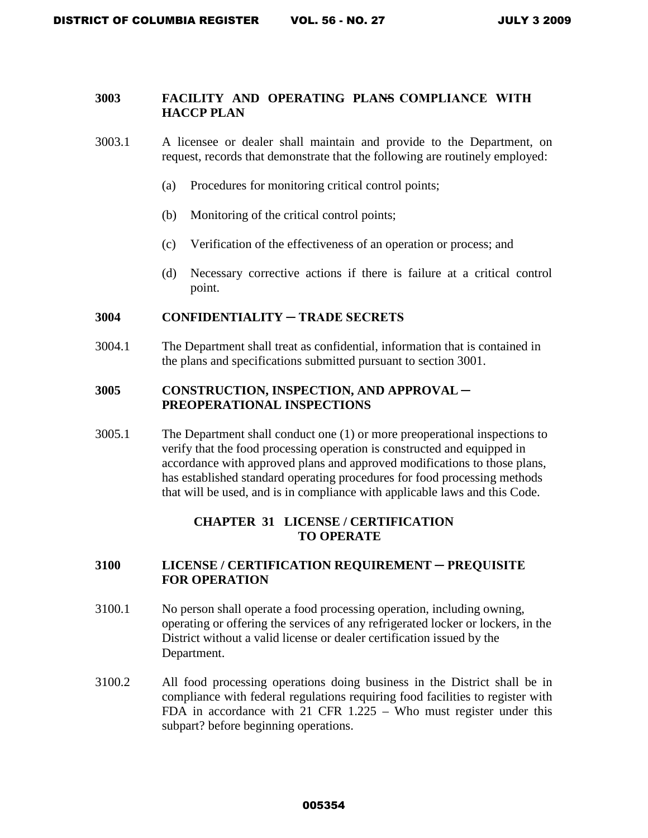## **3003 FACILITY AND OPERATING PLANS ─ COMPLIANCE WITH HACCP PLAN**

- 3003.1 A licensee or dealer shall maintain and provide to the Department, on request, records that demonstrate that the following are routinely employed:
	- (a) Procedures for monitoring critical control points;
	- (b) Monitoring of the critical control points;
	- (c) Verification of the effectiveness of an operation or process; and
	- (d) Necessary corrective actions if there is failure at a critical control point.

### **3004 CONFIDENTIALITY ─ TRADE SECRETS**

3004.1 The Department shall treat as confidential, information that is contained in the plans and specifications submitted pursuant to section 3001.

## **3005 CONSTRUCTION, INSPECTION, AND APPROVAL ─ PREOPERATIONAL INSPECTIONS**

3005.1 The Department shall conduct one (1) or more preoperational inspections to verify that the food processing operation is constructed and equipped in accordance with approved plans and approved modifications to those plans, has established standard operating procedures for food processing methods that will be used, and is in compliance with applicable laws and this Code.

## **CHAPTER 31 LICENSE / CERTIFICATION TO OPERATE**

### **3100 LICENSE / CERTIFICATION REQUIREMENT ─ PREQUISITE FOR OPERATION**

- 3100.1 No person shall operate a food processing operation, including owning, operating or offering the services of any refrigerated locker or lockers, in the District without a valid license or dealer certification issued by the Department.
- 3100.2 All food processing operations doing business in the District shall be in compliance with federal regulations requiring food facilities to register with FDA in accordance with 21 CFR 1.225 – Who must register under this subpart? before beginning operations.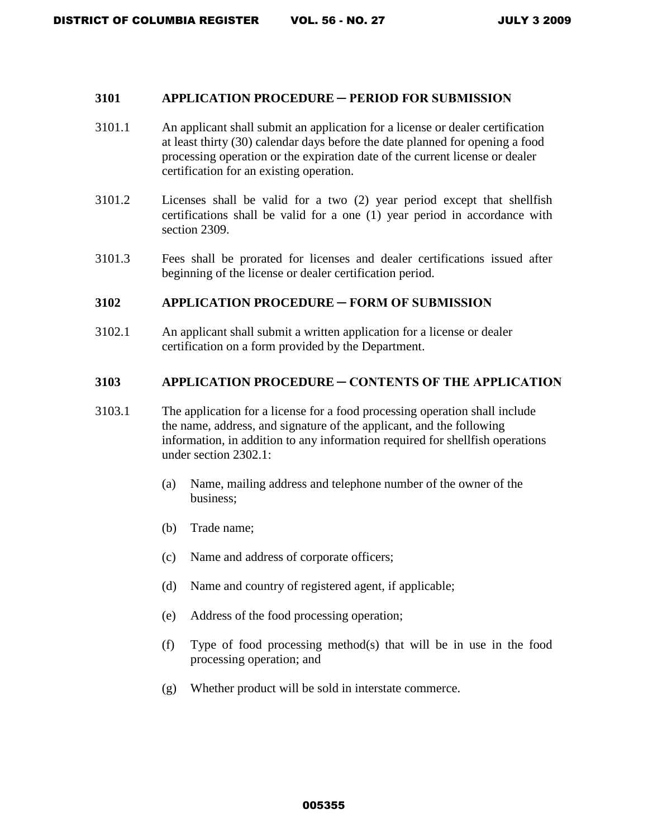#### **3101 APPLICATION PROCEDURE ─ PERIOD FOR SUBMISSION**

- 3101.1 An applicant shall submit an application for a license or dealer certification at least thirty (30) calendar days before the date planned for opening a food processing operation or the expiration date of the current license or dealer certification for an existing operation.
- 3101.2 Licenses shall be valid for a two (2) year period except that shellfish certifications shall be valid for a one (1) year period in accordance with section 2309.
- 3101.3 Fees shall be prorated for licenses and dealer certifications issued after beginning of the license or dealer certification period.

#### **3102 APPLICATION PROCEDURE ─ FORM OF SUBMISSION**

3102.1 An applicant shall submit a written application for a license or dealer certification on a form provided by the Department.

#### **3103 APPLICATION PROCEDURE ─ CONTENTS OF THE APPLICATION**

- 3103.1 The application for a license for a food processing operation shall include the name, address, and signature of the applicant, and the following information, in addition to any information required for shellfish operations under section 2302.1:
	- (a) Name, mailing address and telephone number of the owner of the business;
	- (b) Trade name;
	- (c) Name and address of corporate officers;
	- (d) Name and country of registered agent, if applicable;
	- (e) Address of the food processing operation;
	- (f) Type of food processing method(s) that will be in use in the food processing operation; and
	- (g) Whether product will be sold in interstate commerce.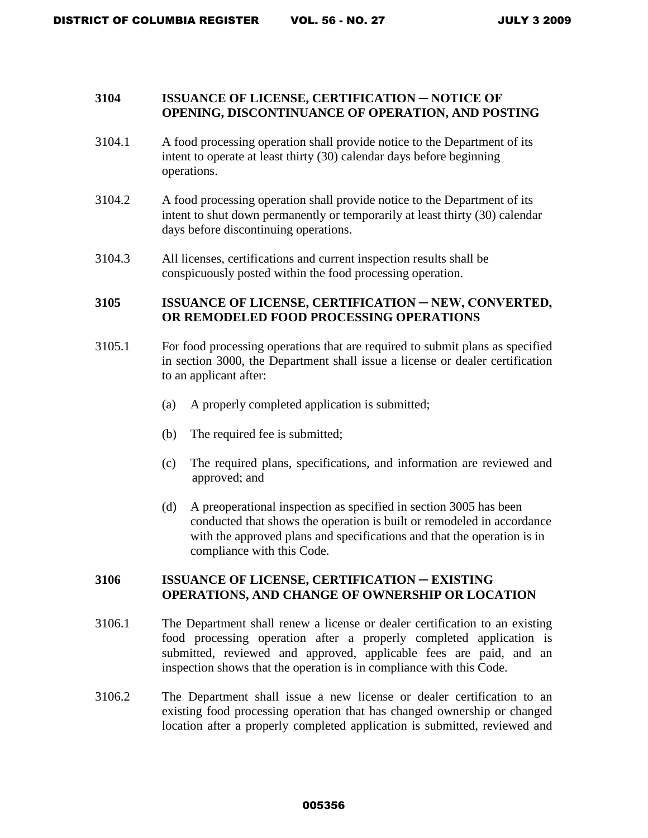### **3104 ISSUANCE OF LICENSE, CERTIFICATION ─ NOTICE OF OPENING, DISCONTINUANCE OF OPERATION, AND POSTING**

- 3104.1 A food processing operation shall provide notice to the Department of its intent to operate at least thirty (30) calendar days before beginning operations.
- 3104.2 A food processing operation shall provide notice to the Department of its intent to shut down permanently or temporarily at least thirty (30) calendar days before discontinuing operations.
- 3104.3 All licenses, certifications and current inspection results shall be conspicuously posted within the food processing operation.

### **3105 ISSUANCE OF LICENSE, CERTIFICATION ─ NEW, CONVERTED, OR REMODELED FOOD PROCESSING OPERATIONS**

- 3105.1 For food processing operations that are required to submit plans as specified in section 3000, the Department shall issue a license or dealer certification to an applicant after:
	- (a) A properly completed application is submitted;
	- (b) The required fee is submitted;
	- (c) The required plans, specifications, and information are reviewed and approved; and
	- (d) A preoperational inspection as specified in section 3005 has been conducted that shows the operation is built or remodeled in accordance with the approved plans and specifications and that the operation is in compliance with this Code.

### **3106 ISSUANCE OF LICENSE, CERTIFICATION ─ EXISTING OPERATIONS, AND CHANGE OF OWNERSHIP OR LOCATION**

- 3106.1 The Department shall renew a license or dealer certification to an existing food processing operation after a properly completed application is submitted, reviewed and approved, applicable fees are paid, and an inspection shows that the operation is in compliance with this Code.
- 3106.2 The Department shall issue a new license or dealer certification to an existing food processing operation that has changed ownership or changed location after a properly completed application is submitted, reviewed and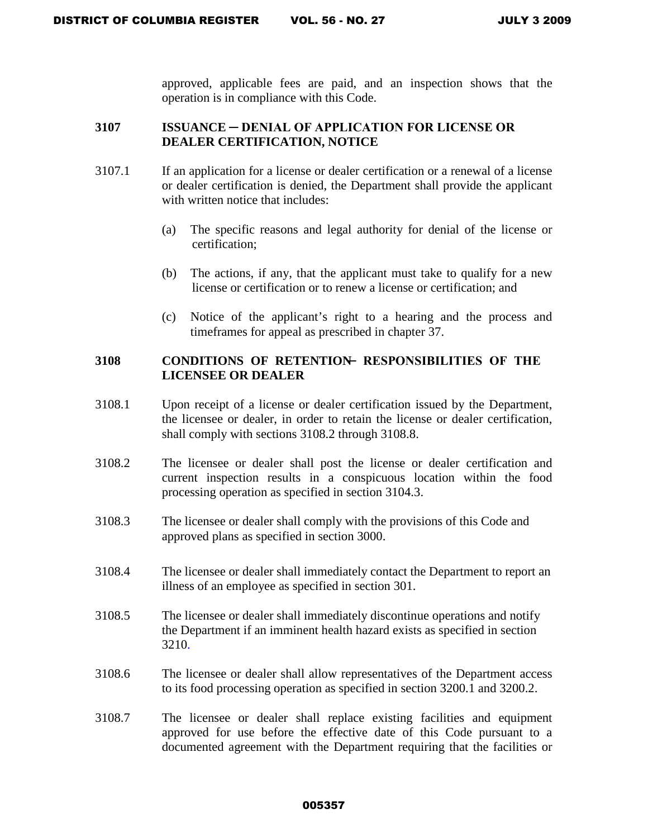approved, applicable fees are paid, and an inspection shows that the operation is in compliance with this Code.

### **3107 ISSUANCE ─ DENIAL OF APPLICATION FOR LICENSE OR DEALER CERTIFICATION, NOTICE**

- 3107.1 If an application for a license or dealer certification or a renewal of a license or dealer certification is denied, the Department shall provide the applicant with written notice that includes:
	- (a) The specific reasons and legal authority for denial of the license or certification;
	- (b) The actions, if any, that the applicant must take to qualify for a new license or certification or to renew a license or certification; and
	- (c) Notice of the applicant's right to a hearing and the process and timeframes for appeal as prescribed in chapter 37.

## 3108 CONDITIONS OF RETENTION RESPONSIBILITIES OF THE **LICENSEE OR DEALER**

- 3108.1 Upon receipt of a license or dealer certification issued by the Department, the licensee or dealer, in order to retain the license or dealer certification, shall comply with sections 3108.2 through 3108.8.
- 3108.2 The licensee or dealer shall post the license or dealer certification and current inspection results in a conspicuous location within the food processing operation as specified in section 3104.3.
- 3108.3 The licensee or dealer shall comply with the provisions of this Code and approved plans as specified in section 3000.
- 3108.4 The licensee or dealer shall immediately contact the Department to report an illness of an employee as specified in section 301.
- 3108.5 The licensee or dealer shall immediately discontinue operations and notify the Department if an imminent health hazard exists as specified in section 3210.
- 3108.6 The licensee or dealer shall allow representatives of the Department access to its food processing operation as specified in section 3200.1 and 3200.2.
- 3108.7 The licensee or dealer shall replace existing facilities and equipment approved for use before the effective date of this Code pursuant to a documented agreement with the Department requiring that the facilities or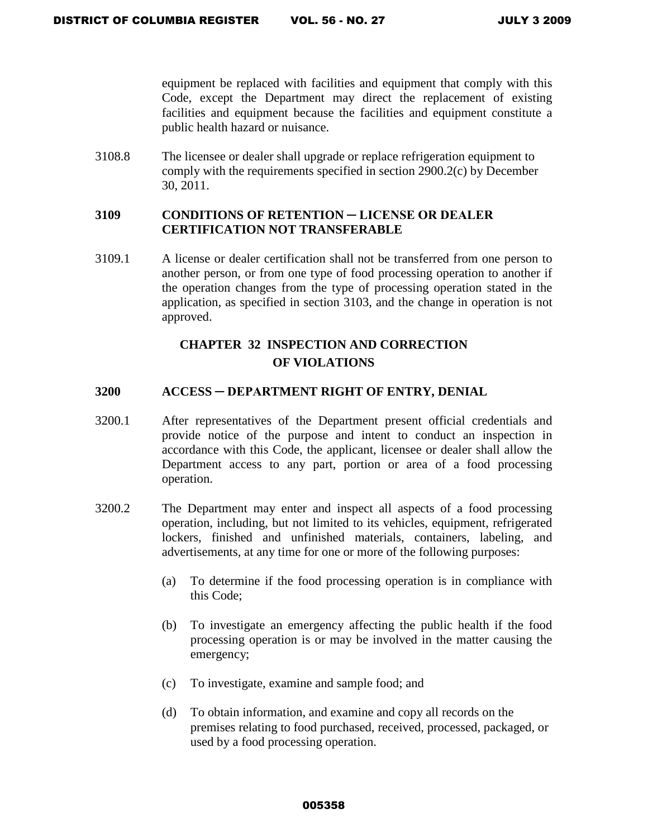equipment be replaced with facilities and equipment that comply with this Code, except the Department may direct the replacement of existing facilities and equipment because the facilities and equipment constitute a public health hazard or nuisance.

3108.8 The licensee or dealer shall upgrade or replace refrigeration equipment to comply with the requirements specified in section 2900.2(c) by December 30, 2011.

### **3109 CONDITIONS OF RETENTION ─ LICENSE OR DEALER CERTIFICATION NOT TRANSFERABLE**

3109.1 A license or dealer certification shall not be transferred from one person to another person, or from one type of food processing operation to another if the operation changes from the type of processing operation stated in the application, as specified in section 3103, and the change in operation is not approved.

# **CHAPTER 32 INSPECTION AND CORRECTION OF VIOLATIONS**

### **3200 ACCESS ─ DEPARTMENT RIGHT OF ENTRY, DENIAL**

- 3200.1 After representatives of the Department present official credentials and provide notice of the purpose and intent to conduct an inspection in accordance with this Code, the applicant, licensee or dealer shall allow the Department access to any part, portion or area of a food processing operation.
- 3200.2 The Department may enter and inspect all aspects of a food processing operation, including, but not limited to its vehicles, equipment, refrigerated lockers, finished and unfinished materials, containers, labeling, and advertisements, at any time for one or more of the following purposes:
	- (a) To determine if the food processing operation is in compliance with this Code;
	- (b) To investigate an emergency affecting the public health if the food processing operation is or may be involved in the matter causing the emergency;
	- (c) To investigate, examine and sample food; and
	- (d) To obtain information, and examine and copy all records on the premises relating to food purchased, received, processed, packaged, or used by a food processing operation.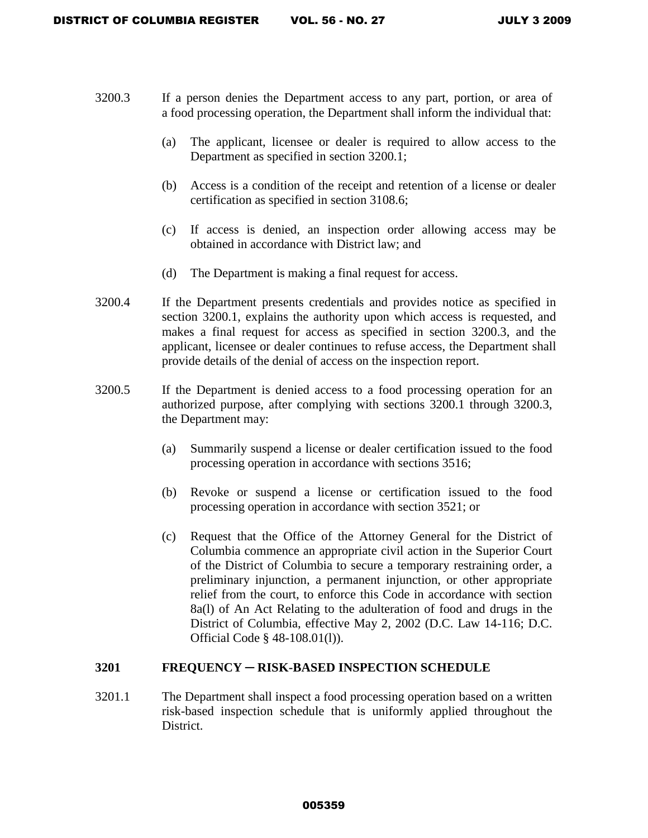- 3200.3 If a person denies the Department access to any part, portion, or area of a food processing operation, the Department shall inform the individual that:
	- (a) The applicant, licensee or dealer is required to allow access to the Department as specified in section 3200.1;
	- (b) Access is a condition of the receipt and retention of a license or dealer certification as specified in section 3108.6;
	- (c) If access is denied, an inspection order allowing access may be obtained in accordance with District law; and
	- (d) The Department is making a final request for access.
- 3200.4 If the Department presents credentials and provides notice as specified in section 3200.1, explains the authority upon which access is requested, and makes a final request for access as specified in section 3200.3, and the applicant, licensee or dealer continues to refuse access, the Department shall provide details of the denial of access on the inspection report.
- 3200.5 If the Department is denied access to a food processing operation for an authorized purpose, after complying with sections 3200.1 through 3200.3, the Department may:
	- (a) Summarily suspend a license or dealer certification issued to the food processing operation in accordance with sections 3516;
	- (b) Revoke or suspend a license or certification issued to the food processing operation in accordance with section 3521; or
	- (c) Request that the Office of the Attorney General for the District of Columbia commence an appropriate civil action in the Superior Court of the District of Columbia to secure a temporary restraining order, a preliminary injunction, a permanent injunction, or other appropriate relief from the court, to enforce this Code in accordance with section 8a(l) of An Act Relating to the adulteration of food and drugs in the District of Columbia, effective May 2, 2002 (D.C. Law 14-116; D.C. Official Code § 48-108.01(l)).

#### **3201 FREQUENCY** ─ **RISK-BASED INSPECTION SCHEDULE**

3201.1 The Department shall inspect a food processing operation based on a written risk-based inspection schedule that is uniformly applied throughout the District.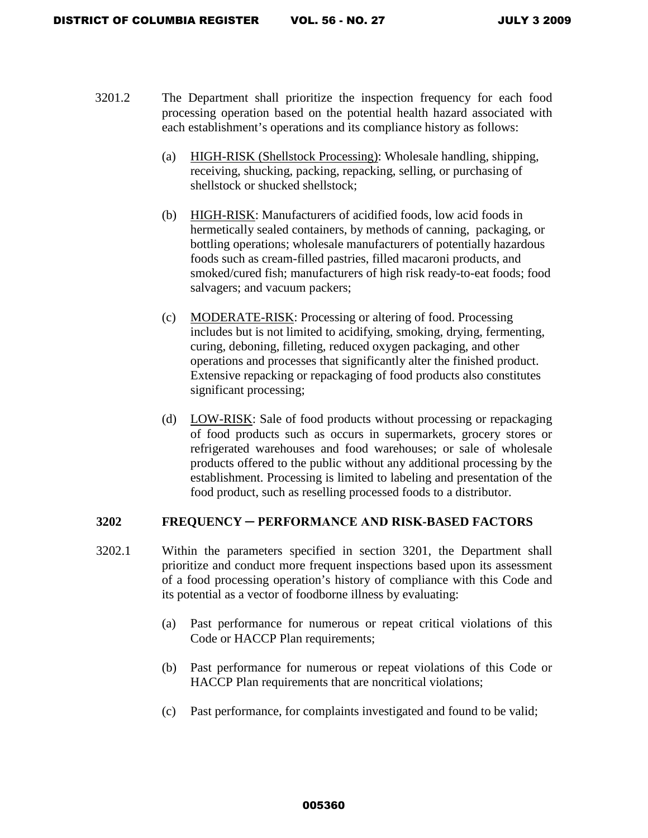- 3201.2 The Department shall prioritize the inspection frequency for each food processing operation based on the potential health hazard associated with each establishment's operations and its compliance history as follows:
	- (a) HIGH-RISK (Shellstock Processing): Wholesale handling, shipping, receiving, shucking, packing, repacking, selling, or purchasing of shellstock or shucked shellstock;
	- (b) HIGH-RISK: Manufacturers of acidified foods, low acid foods in hermetically sealed containers, by methods of canning, packaging, or bottling operations; wholesale manufacturers of potentially hazardous foods such as cream-filled pastries, filled macaroni products, and smoked/cured fish; manufacturers of high risk ready-to-eat foods; food salvagers; and vacuum packers;
	- (c) MODERATE-RISK: Processing or altering of food. Processing includes but is not limited to acidifying, smoking, drying, fermenting, curing, deboning, filleting, reduced oxygen packaging, and other operations and processes that significantly alter the finished product. Extensive repacking or repackaging of food products also constitutes significant processing;
	- (d) LOW-RISK: Sale of food products without processing or repackaging of food products such as occurs in supermarkets, grocery stores or refrigerated warehouses and food warehouses; or sale of wholesale products offered to the public without any additional processing by the establishment. Processing is limited to labeling and presentation of the food product, such as reselling processed foods to a distributor.

### **3202 FREQUENCY ─ PERFORMANCE AND RISK-BASED FACTORS**

- 3202.1 Within the parameters specified in section 3201, the Department shall prioritize and conduct more frequent inspections based upon its assessment of a food processing operation's history of compliance with this Code and its potential as a vector of foodborne illness by evaluating:
	- (a) Past performance for numerous or repeat critical violations of this Code or HACCP Plan requirements;
	- (b) Past performance for numerous or repeat violations of this Code or HACCP Plan requirements that are noncritical violations;
	- (c) Past performance, for complaints investigated and found to be valid;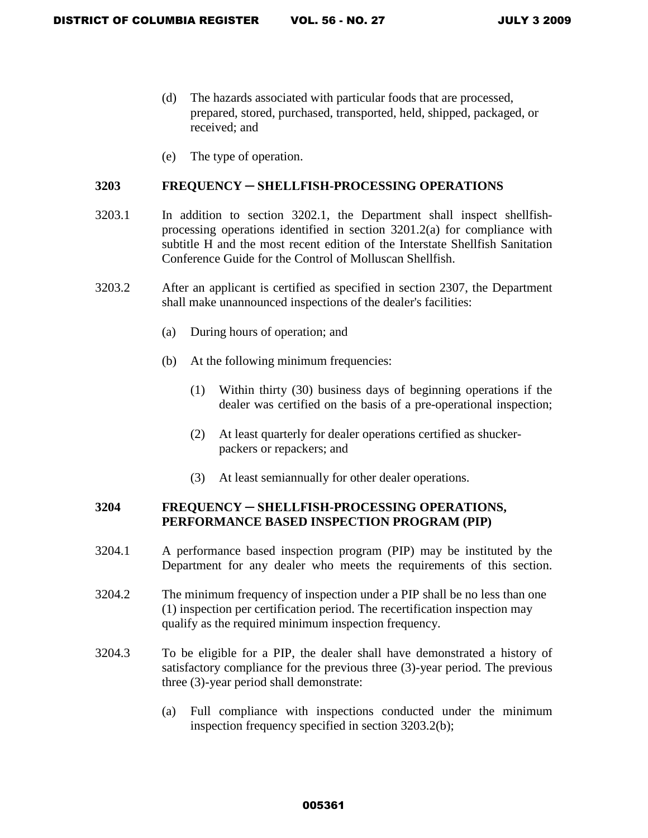- (d) The hazards associated with particular foods that are processed, prepared, stored, purchased, transported, held, shipped, packaged, or received; and
- (e) The type of operation.

#### **3203 FREQUENCY ─ SHELLFISH-PROCESSING OPERATIONS**

- 3203.1 In addition to section 3202.1, the Department shall inspect shellfishprocessing operations identified in section 3201.2(a) for compliance with subtitle H and the most recent edition of the Interstate Shellfish Sanitation Conference Guide for the Control of Molluscan Shellfish.
- 3203.2 After an applicant is certified as specified in section 2307, the Department shall make unannounced inspections of the dealer's facilities:
	- (a) During hours of operation; and
	- (b) At the following minimum frequencies:
		- (1) Within thirty (30) business days of beginning operations if the dealer was certified on the basis of a pre-operational inspection;
		- (2) At least quarterly for dealer operations certified as shuckerpackers or repackers; and
		- (3) At least semiannually for other dealer operations.

## **3204 FREQUENCY ─ SHELLFISH-PROCESSING OPERATIONS, PERFORMANCE BASED INSPECTION PROGRAM (PIP)**

- 3204.1 A performance based inspection program (PIP) may be instituted by the Department for any dealer who meets the requirements of this section.
- 3204.2 The minimum frequency of inspection under a PIP shall be no less than one (1) inspection per certification period. The recertification inspection may qualify as the required minimum inspection frequency.
- 3204.3 To be eligible for a PIP, the dealer shall have demonstrated a history of satisfactory compliance for the previous three (3)-year period. The previous three (3)-year period shall demonstrate:
	- (a) Full compliance with inspections conducted under the minimum inspection frequency specified in section 3203.2(b);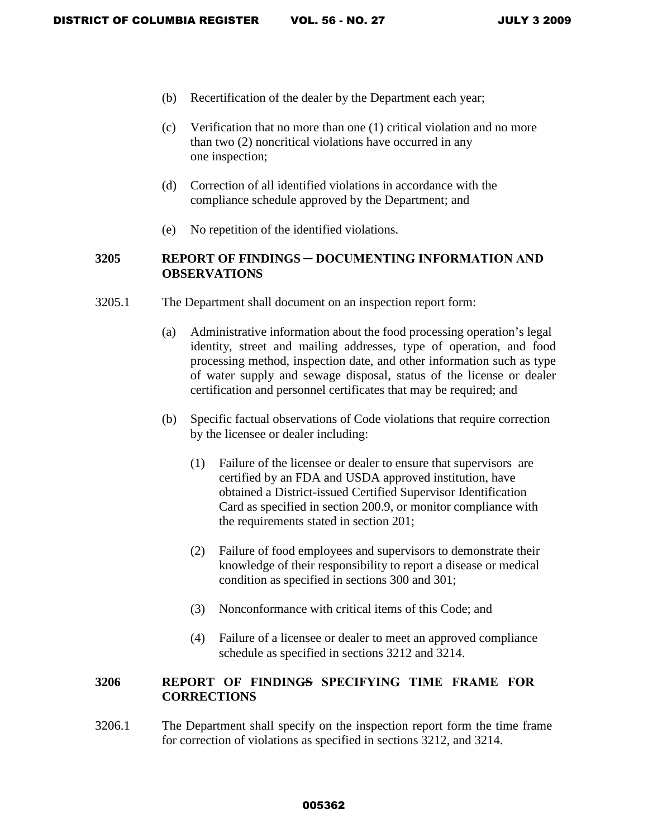- (b) Recertification of the dealer by the Department each year;
- (c) Verification that no more than one (1) critical violation and no more than two (2) noncritical violations have occurred in any one inspection;
- (d) Correction of all identified violations in accordance with the compliance schedule approved by the Department; and
- (e) No repetition of the identified violations.

## **3205 REPORT OF FINDINGS ─ DOCUMENTING INFORMATION AND OBSERVATIONS**

- 3205.1 The Department shall document on an inspection report form:
	- (a) Administrative information about the food processing operation's legal identity, street and mailing addresses, type of operation, and food processing method, inspection date, and other information such as type of water supply and sewage disposal, status of the license or dealer certification and personnel certificates that may be required; and
	- (b) Specific factual observations of Code violations that require correction by the licensee or dealer including:
		- (1) Failure of the licensee or dealer to ensure that supervisors are certified by an FDA and USDA approved institution, have obtained a District-issued Certified Supervisor Identification Card as specified in section 200.9, or monitor compliance with the requirements stated in section 201;
		- (2) Failure of food employees and supervisors to demonstrate their knowledge of their responsibility to report a disease or medical condition as specified in sections 300 and 301;
		- (3) Nonconformance with critical items of this Code; and
		- (4) Failure of a licensee or dealer to meet an approved compliance schedule as specified in sections 3212 and 3214.

# 3206 REPORT OF FINDINGS SPECIFYING TIME FRAME FOR **CORRECTIONS**

3206.1 The Department shall specify on the inspection report form the time frame for correction of violations as specified in sections 3212, and 3214.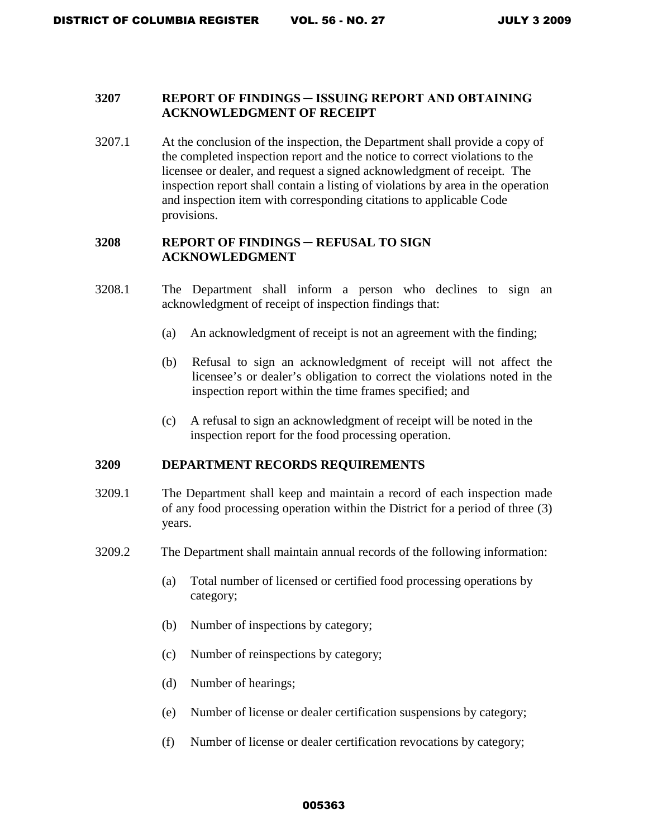### **3207 REPORT OF FINDINGS ─ ISSUING REPORT AND OBTAINING ACKNOWLEDGMENT OF RECEIPT**

3207.1 At the conclusion of the inspection, the Department shall provide a copy of the completed inspection report and the notice to correct violations to the licensee or dealer, and request a signed acknowledgment of receipt. The inspection report shall contain a listing of violations by area in the operation and inspection item with corresponding citations to applicable Code provisions.

### **3208 REPORT OF FINDINGS ─ REFUSAL TO SIGN ACKNOWLEDGMENT**

- 3208.1 The Department shall inform a person who declines to sign an acknowledgment of receipt of inspection findings that:
	- (a) An acknowledgment of receipt is not an agreement with the finding;
	- (b) Refusal to sign an acknowledgment of receipt will not affect the licensee's or dealer's obligation to correct the violations noted in the inspection report within the time frames specified; and
	- (c) A refusal to sign an acknowledgment of receipt will be noted in the inspection report for the food processing operation.

#### **3209 DEPARTMENT RECORDS REQUIREMENTS**

- 3209.1 The Department shall keep and maintain a record of each inspection made of any food processing operation within the District for a period of three (3) years.
- 3209.2 The Department shall maintain annual records of the following information:
	- (a) Total number of licensed or certified food processing operations by category;
	- (b) Number of inspections by category;
	- (c) Number of reinspections by category;
	- (d) Number of hearings;
	- (e) Number of license or dealer certification suspensions by category;
	- (f) Number of license or dealer certification revocations by category;

#### 005363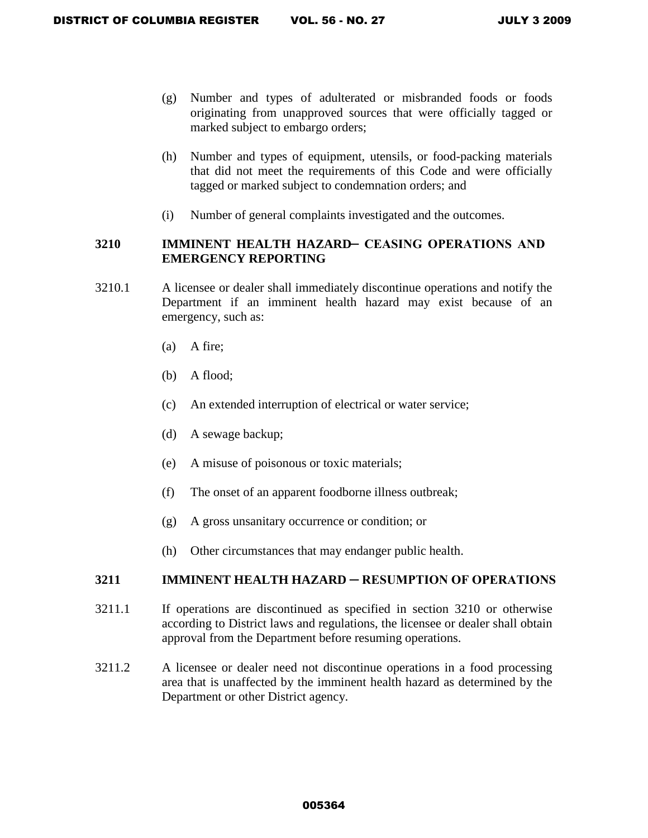- (g) Number and types of adulterated or misbranded foods or foods originating from unapproved sources that were officially tagged or marked subject to embargo orders;
- (h) Number and types of equipment, utensils, or food-packing materials that did not meet the requirements of this Code and were officially tagged or marked subject to condemnation orders; and
- (i) Number of general complaints investigated and the outcomes.

## **3210 IMMINENT HEALTH HAZARD- CEASING OPERATIONS AND EMERGENCY REPORTING**

- 3210.1 A licensee or dealer shall immediately discontinue operations and notify the Department if an imminent health hazard may exist because of an emergency, such as:
	- (a) A fire;
	- (b) A flood;
	- (c) An extended interruption of electrical or water service;
	- (d) A sewage backup;
	- (e) A misuse of poisonous or toxic materials;
	- (f) The onset of an apparent foodborne illness outbreak;
	- (g) A gross unsanitary occurrence or condition; or
	- (h) Other circumstances that may endanger public health.

### **3211 IMMINENT HEALTH HAZARD ─ RESUMPTION OF OPERATIONS**

- 3211.1 If operations are discontinued as specified in section 3210 or otherwise according to District laws and regulations, the licensee or dealer shall obtain approval from the Department before resuming operations.
- 3211.2 A licensee or dealer need not discontinue operations in a food processing area that is unaffected by the imminent health hazard as determined by the Department or other District agency.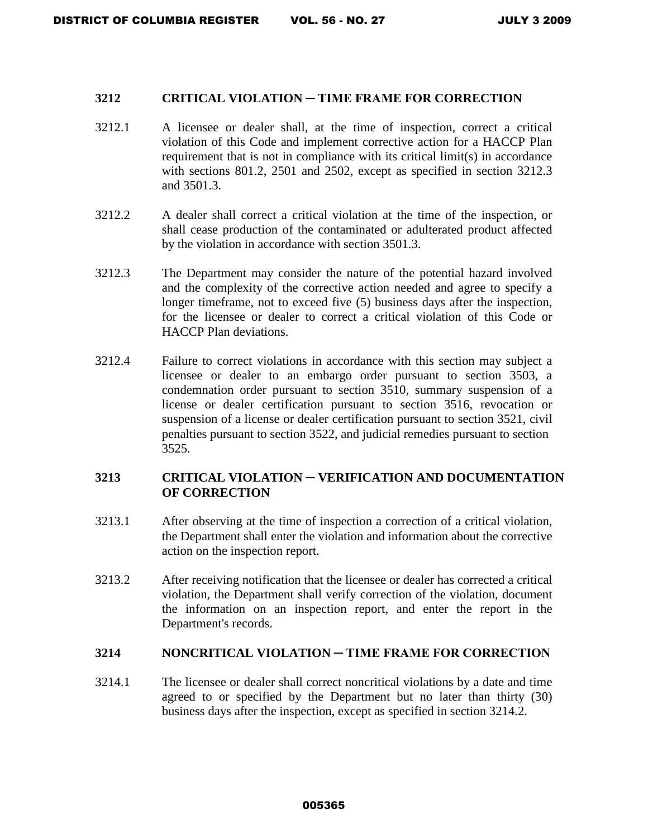#### **3212 CRITICAL VIOLATION ─ TIME FRAME FOR CORRECTION**

- 3212.1A licensee or dealer shall, at the time of inspection, correct a critical violation of this Code and implement corrective action for a HACCP Plan requirement that is not in compliance with its critical limit(s) in accordance with sections 801.2, 2501 and 2502, except as specified in section 3212.3 and 3501.3.
- 3212.2 A dealer shall correct a critical violation at the time of the inspection, or shall cease production of the contaminated or adulterated product affected by the violation in accordance with section 3501.3.
- 3212.3 The Department may consider the nature of the potential hazard involved and the complexity of the corrective action needed and agree to specify a longer timeframe, not to exceed five (5) business days after the inspection, for the licensee or dealer to correct a critical violation of this Code or HACCP Plan deviations.
- 3212.4 Failure to correct violations in accordance with this section may subject a licensee or dealer to an embargo order pursuant to section 3503, a condemnation order pursuant to section 3510, summary suspension of a license or dealer certification pursuant to section 3516, revocation or suspension of a license or dealer certification pursuant to section 3521, civil penalties pursuant to section 3522, and judicial remedies pursuant to section 3525.

### **3213 CRITICAL VIOLATION ─ VERIFICATION AND DOCUMENTATION OF CORRECTION**

- 3213.1 After observing at the time of inspection a correction of a critical violation, the Department shall enter the violation and information about the corrective action on the inspection report.
- 3213.2 After receiving notification that the licensee or dealer has corrected a critical violation, the Department shall verify correction of the violation, document the information on an inspection report, and enter the report in the Department's records.

### **3214 NONCRITICAL VIOLATION ─ TIME FRAME FOR CORRECTION**

3214.1The licensee or dealer shall correct noncritical violations by a date and time agreed to or specified by the Department but no later than thirty (30) business days after the inspection, except as specified in section 3214.2.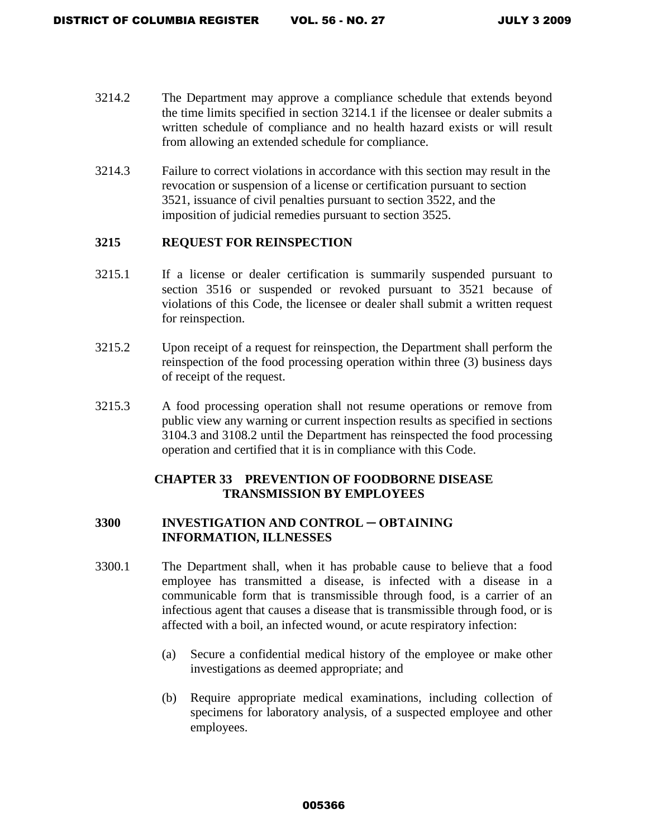- 3214.2 The Department may approve a compliance schedule that extends beyond the time limits specified in section 3214.1 if the licensee or dealer submits a written schedule of compliance and no health hazard exists or will result from allowing an extended schedule for compliance.
- 3214.3 Failure to correct violations in accordance with this section may result in the revocation or suspension of a license or certification pursuant to section 3521, issuance of civil penalties pursuant to section 3522, and the imposition of judicial remedies pursuant to section 3525.

### **3215 REQUEST FOR REINSPECTION**

- 3215.1 If a license or dealer certification is summarily suspended pursuant to section 3516 or suspended or revoked pursuant to 3521 because of violations of this Code, the licensee or dealer shall submit a written request for reinspection.
- 3215.2 Upon receipt of a request for reinspection, the Department shall perform the reinspection of the food processing operation within three (3) business days of receipt of the request.
- 3215.3 A food processing operation shall not resume operations or remove from public view any warning or current inspection results as specified in sections 3104.3 and 3108.2 until the Department has reinspected the food processing operation and certified that it is in compliance with this Code.

## **CHAPTER 33 PREVENTION OF FOODBORNE DISEASE TRANSMISSION BY EMPLOYEES**

### **3300 INVESTIGATION AND CONTROL ─ OBTAINING INFORMATION, ILLNESSES**

- 3300.1 The Department shall, when it has probable cause to believe that a food employee has transmitted a disease, is infected with a disease in a communicable form that is transmissible through food, is a carrier of an infectious agent that causes a disease that is transmissible through food, or is affected with a boil, an infected wound, or acute respiratory infection:
	- (a) Secure a confidential medical history of the employee or make other investigations as deemed appropriate; and
	- (b) Require appropriate medical examinations, including collection of specimens for laboratory analysis, of a suspected employee and other employees.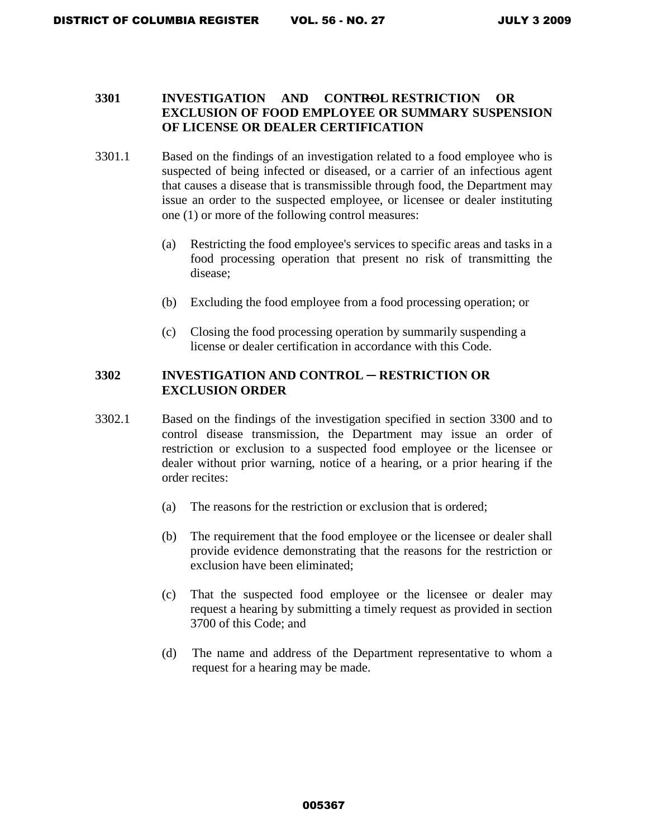### **3301 INVESTIGATION AND CONTROL RESTRICTION OR EXCLUSION OF FOOD EMPLOYEE OR SUMMARY SUSPENSION OF LICENSE OR DEALER CERTIFICATION**

- 3301.1 Based on the findings of an investigation related to a food employee who is suspected of being infected or diseased, or a carrier of an infectious agent that causes a disease that is transmissible through food, the Department may issue an order to the suspected employee, or licensee or dealer instituting one (1) or more of the following control measures:
	- (a) Restricting the food employee's services to specific areas and tasks in a food processing operation that present no risk of transmitting the disease;
	- (b) Excluding the food employee from a food processing operation; or
	- (c) Closing the food processing operation by summarily suspending a license or dealer certification in accordance with this Code.

### **3302 INVESTIGATION AND CONTROL ─ RESTRICTION OR EXCLUSION ORDER**

- 3302.1 Based on the findings of the investigation specified in section 3300 and to control disease transmission, the Department may issue an order of restriction or exclusion to a suspected food employee or the licensee or dealer without prior warning, notice of a hearing, or a prior hearing if the order recites:
	- (a) The reasons for the restriction or exclusion that is ordered;
	- (b) The requirement that the food employee or the licensee or dealer shall provide evidence demonstrating that the reasons for the restriction or exclusion have been eliminated;
	- (c) That the suspected food employee or the licensee or dealer may request a hearing by submitting a timely request as provided in section 3700 of this Code; and
	- (d) The name and address of the Department representative to whom a request for a hearing may be made.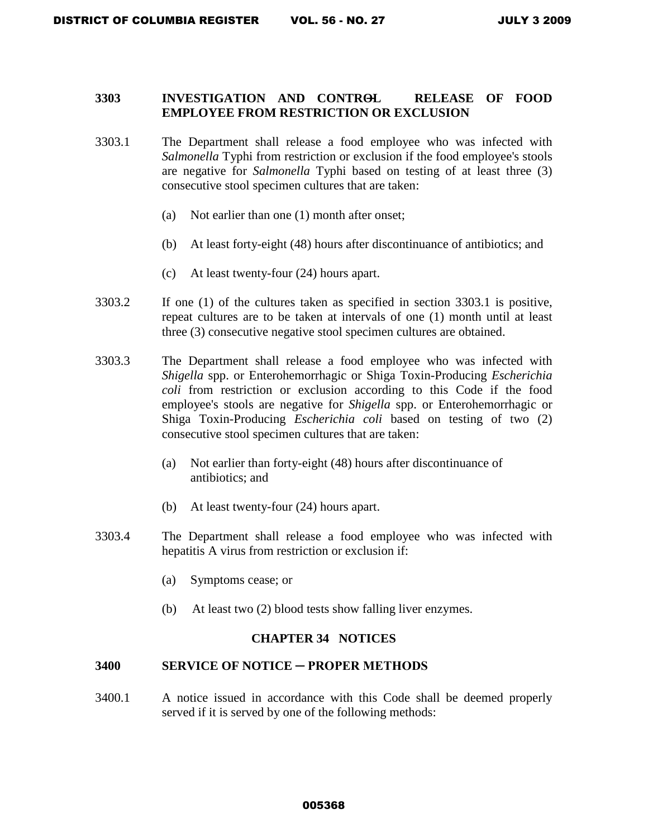### **3303 INVESTIGATION AND CONTROL ─ RELEASE OF FOOD EMPLOYEE FROM RESTRICTION OR EXCLUSION**

- 3303.1 The Department shall release a food employee who was infected with *Salmonella* Typhi from restriction or exclusion if the food employee's stools are negative for *Salmonella* Typhi based on testing of at least three (3) consecutive stool specimen cultures that are taken:
	- (a) Not earlier than one (1) month after onset;
	- (b) At least forty-eight (48) hours after discontinuance of antibiotics; and
	- (c) At least twenty-four (24) hours apart.
- 3303.2 If one (1) of the cultures taken as specified in section 3303.1 is positive, repeat cultures are to be taken at intervals of one (1) month until at least three (3) consecutive negative stool specimen cultures are obtained.
- 3303.3 The Department shall release a food employee who was infected with *Shigella* spp. or Enterohemorrhagic or Shiga Toxin-Producing *Escherichia coli* from restriction or exclusion according to this Code if the food employee's stools are negative for *Shigella* spp. or Enterohemorrhagic or Shiga Toxin-Producing *Escherichia coli* based on testing of two (2) consecutive stool specimen cultures that are taken:
	- (a) Not earlier than forty-eight (48) hours after discontinuance of antibiotics; and
	- (b) At least twenty-four (24) hours apart.
- 3303.4 The Department shall release a food employee who was infected with hepatitis A virus from restriction or exclusion if:
	- (a) Symptoms cease; or
	- (b) At least two (2) blood tests show falling liver enzymes.

#### **CHAPTER 34 NOTICES**

#### **3400 SERVICE OF NOTICE ─ PROPER METHODS**

3400.1 A notice issued in accordance with this Code shall be deemed properly served if it is served by one of the following methods: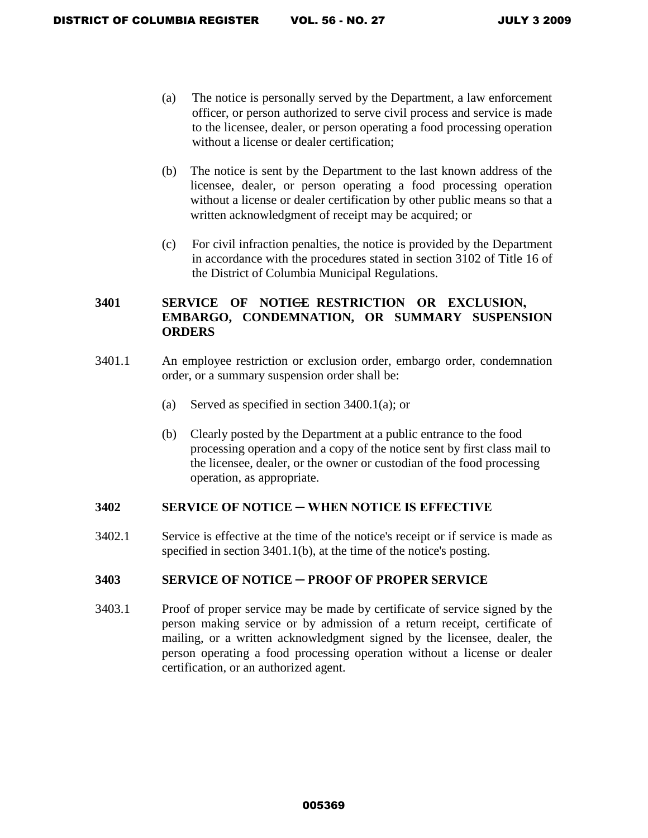- (a) The notice is personally served by the Department, a law enforcement officer, or person authorized to serve civil process and service is made to the licensee, dealer, or person operating a food processing operation without a license or dealer certification;
- (b) The notice is sent by the Department to the last known address of the licensee, dealer, or person operating a food processing operation without a license or dealer certification by other public means so that a written acknowledgment of receipt may be acquired; or
- (c) For civil infraction penalties, the notice is provided by the Department in accordance with the procedures stated in section 3102 of Title 16 of the District of Columbia Municipal Regulations.

## 3401 SERVICE OF NOTI<del>CE</del> RESTRICTION OR EXCLUSION, **EMBARGO, CONDEMNATION, OR SUMMARY SUSPENSION ORDERS**

- 3401.1 An employee restriction or exclusion order, embargo order, condemnation order, or a summary suspension order shall be:
	- (a) Served as specified in section  $3400.1(a)$ ; or
	- (b) Clearly posted by the Department at a public entrance to the food processing operation and a copy of the notice sent by first class mail to the licensee, dealer, or the owner or custodian of the food processing operation, as appropriate.

### **3402 SERVICE OF NOTICE ─ WHEN NOTICE IS EFFECTIVE**

3402.1 Service is effective at the time of the notice's receipt or if service is made as specified in section 3401.1(b), at the time of the notice's posting.

### **3403 SERVICE OF NOTICE ─ PROOF OF PROPER SERVICE**

3403.1 Proof of proper service may be made by certificate of service signed by the person making service or by admission of a return receipt, certificate of mailing, or a written acknowledgment signed by the licensee, dealer, the person operating a food processing operation without a license or dealer certification, or an authorized agent.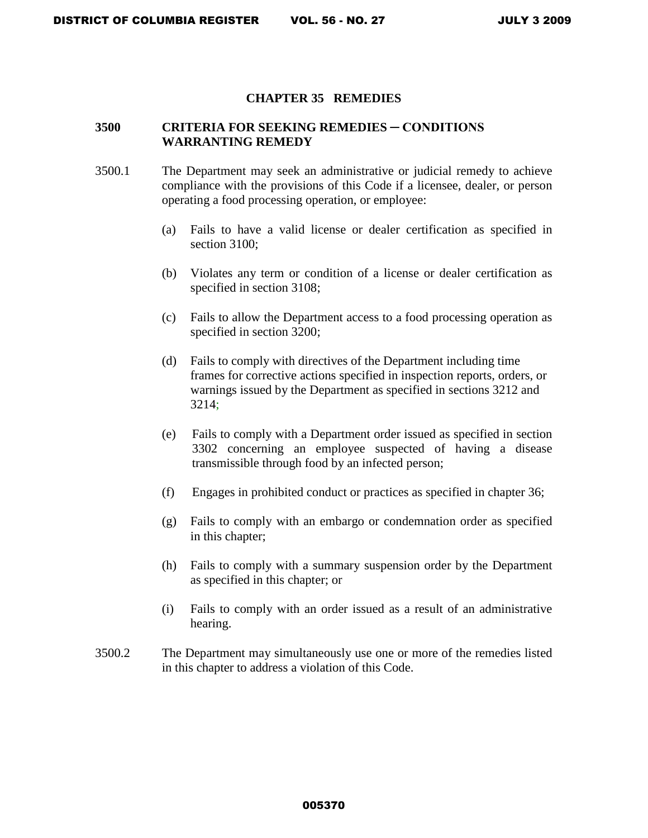#### **CHAPTER 35 REMEDIES**

### **3500 CRITERIA FOR SEEKING REMEDIES ─ CONDITIONS WARRANTING REMEDY**

- 3500.1 The Department may seek an administrative or judicial remedy to achieve compliance with the provisions of this Code if a licensee, dealer, or person operating a food processing operation, or employee:
	- (a) Fails to have a valid license or dealer certification as specified in section 3100;
	- (b) Violates any term or condition of a license or dealer certification as specified in section 3108;
	- (c) Fails to allow the Department access to a food processing operation as specified in section 3200;
	- (d) Fails to comply with directives of the Department including time frames for corrective actions specified in inspection reports, orders, or warnings issued by the Department as specified in sections 3212 and 3214;
	- (e) Fails to comply with a Department order issued as specified in section 3302 concerning an employee suspected of having a disease transmissible through food by an infected person;
	- (f) Engages in prohibited conduct or practices as specified in chapter 36;
	- (g) Fails to comply with an embargo or condemnation order as specified in this chapter;
	- (h) Fails to comply with a summary suspension order by the Department as specified in this chapter; or
	- (i) Fails to comply with an order issued as a result of an administrative hearing.
- 3500.2 The Department may simultaneously use one or more of the remedies listed in this chapter to address a violation of this Code.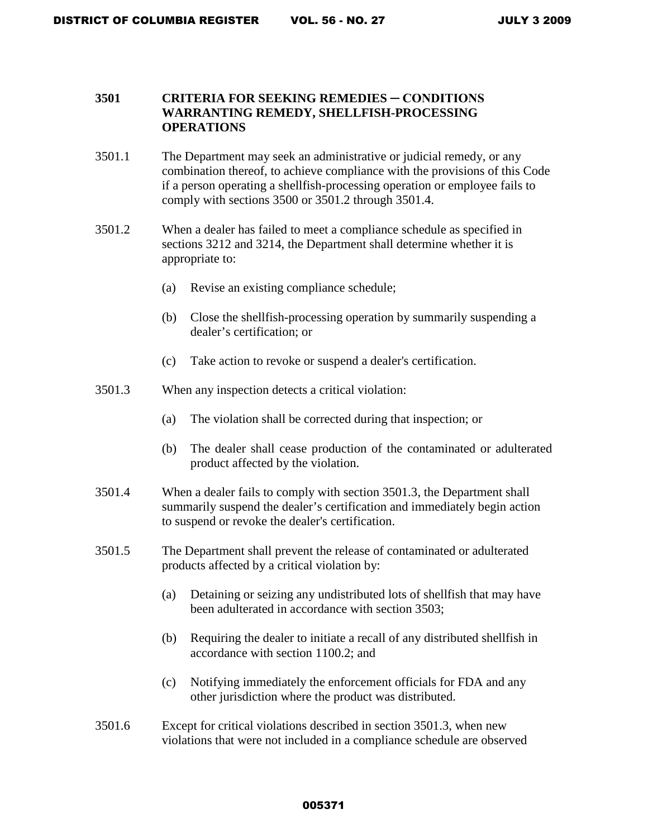### **3501 CRITERIA FOR SEEKING REMEDIES ─ CONDITIONS WARRANTING REMEDY, SHELLFISH-PROCESSING OPERATIONS**

- 3501.1 The Department may seek an administrative or judicial remedy, or any combination thereof, to achieve compliance with the provisions of this Code if a person operating a shellfish-processing operation or employee fails to comply with sections 3500 or 3501.2 through 3501.4.
- 3501.2 When a dealer has failed to meet a compliance schedule as specified in sections 3212 and 3214, the Department shall determine whether it is appropriate to:
	- (a) Revise an existing compliance schedule;
	- (b) Close the shellfish-processing operation by summarily suspending a dealer's certification; or
	- (c) Take action to revoke or suspend a dealer's certification.
- 3501.3 When any inspection detects a critical violation:
	- (a) The violation shall be corrected during that inspection; or
	- (b) The dealer shall cease production of the contaminated or adulterated product affected by the violation.
- 3501.4 When a dealer fails to comply with section 3501.3, the Department shall summarily suspend the dealer's certification and immediately begin action to suspend or revoke the dealer's certification.
- 3501.5 The Department shall prevent the release of contaminated or adulterated products affected by a critical violation by:
	- (a) Detaining or seizing any undistributed lots of shellfish that may have been adulterated in accordance with section 3503;
	- (b) Requiring the dealer to initiate a recall of any distributed shellfish in accordance with section 1100.2; and
	- (c) Notifying immediately the enforcement officials for FDA and any other jurisdiction where the product was distributed.
- 3501.6 Except for critical violations described in section 3501.3, when new violations that were not included in a compliance schedule are observed

#### 005371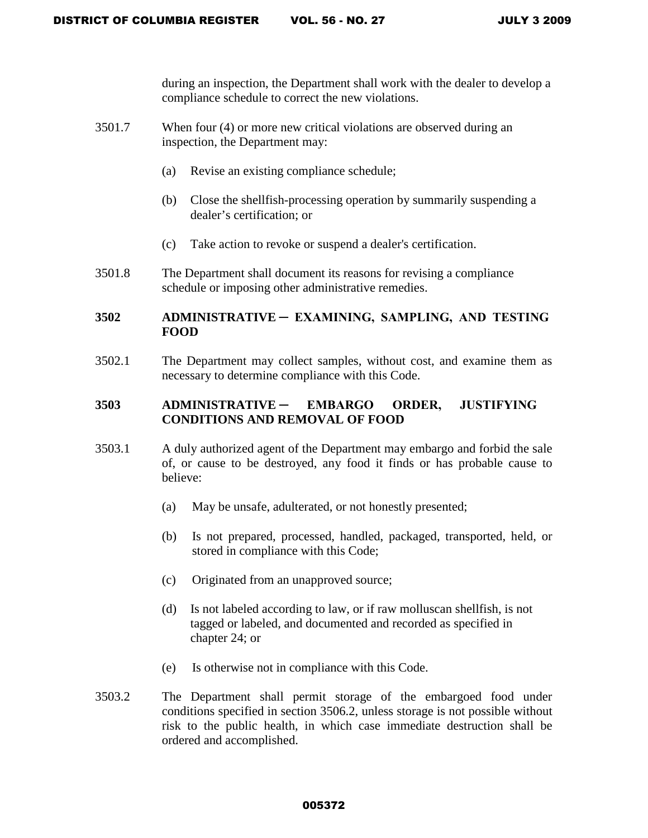during an inspection, the Department shall work with the dealer to develop a compliance schedule to correct the new violations.

- 3501.7 When four (4) or more new critical violations are observed during an inspection, the Department may:
	- (a) Revise an existing compliance schedule;
	- (b) Close the shellfish-processing operation by summarily suspending a dealer's certification; or
	- (c) Take action to revoke or suspend a dealer's certification.
- 3501.8 The Department shall document its reasons for revising a compliance schedule or imposing other administrative remedies.

## **3502 ADMINISTRATIVE ─ EXAMINING, SAMPLING, AND TESTING FOOD**

 3502.1 The Department may collect samples, without cost, and examine them as necessary to determine compliance with this Code.

## **3503 ADMINISTRATIVE ─ EMBARGO ORDER, JUSTIFYING CONDITIONS AND REMOVAL OF FOOD**

- 3503.1 A duly authorized agent of the Department may embargo and forbid the sale of, or cause to be destroyed, any food it finds or has probable cause to believe:
	- (a) May be unsafe, adulterated, or not honestly presented;
	- (b) Is not prepared, processed, handled, packaged, transported, held, or stored in compliance with this Code;
	- (c) Originated from an unapproved source;
	- (d) Is not labeled according to law, or if raw molluscan shellfish, is not tagged or labeled, and documented and recorded as specified in chapter 24; or
	- (e) Is otherwise not in compliance with this Code.
- 3503.2 The Department shall permit storage of the embargoed food under conditions specified in section 3506.2, unless storage is not possible without risk to the public health, in which case immediate destruction shall be ordered and accomplished.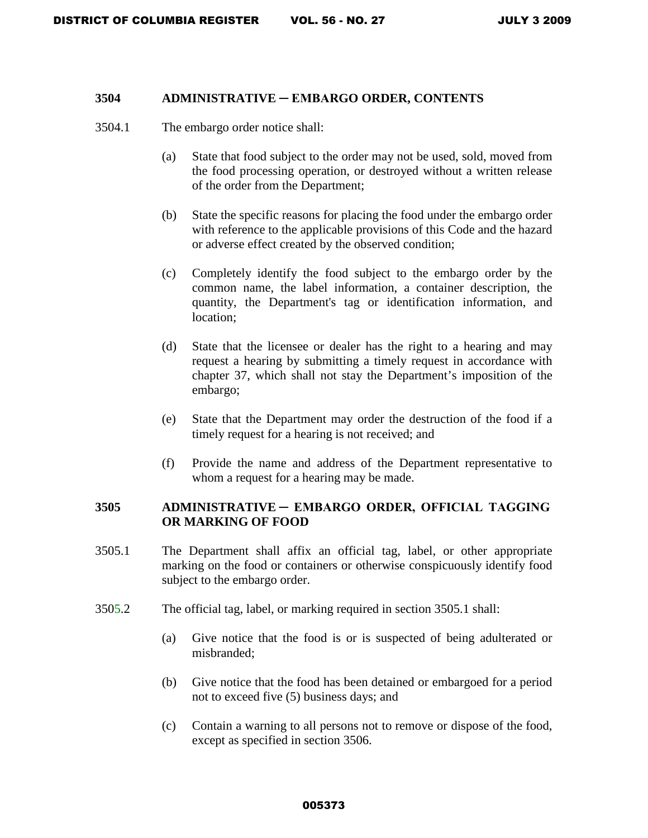### **3504 ADMINISTRATIVE ─ EMBARGO ORDER, CONTENTS**

- 3504.1 The embargo order notice shall:
	- (a) State that food subject to the order may not be used, sold, moved from the food processing operation, or destroyed without a written release of the order from the Department;
	- (b) State the specific reasons for placing the food under the embargo order with reference to the applicable provisions of this Code and the hazard or adverse effect created by the observed condition;
	- (c) Completely identify the food subject to the embargo order by the common name, the label information, a container description, the quantity, the Department's tag or identification information, and location;
	- (d) State that the licensee or dealer has the right to a hearing and may request a hearing by submitting a timely request in accordance with chapter 37, which shall not stay the Department's imposition of the embargo;
	- (e) State that the Department may order the destruction of the food if a timely request for a hearing is not received; and
	- (f) Provide the name and address of the Department representative to whom a request for a hearing may be made.

## **3505 ADMINISTRATIVE ─ EMBARGO ORDER, OFFICIAL TAGGING OR MARKING OF FOOD**

- 3505.1 The Department shall affix an official tag, label, or other appropriate marking on the food or containers or otherwise conspicuously identify food subject to the embargo order.
- 3505.2 The official tag, label, or marking required in section 3505.1 shall:
	- (a) Give notice that the food is or is suspected of being adulterated or misbranded;
	- (b) Give notice that the food has been detained or embargoed for a period not to exceed five (5) business days; and
	- (c) Contain a warning to all persons not to remove or dispose of the food, except as specified in section 3506.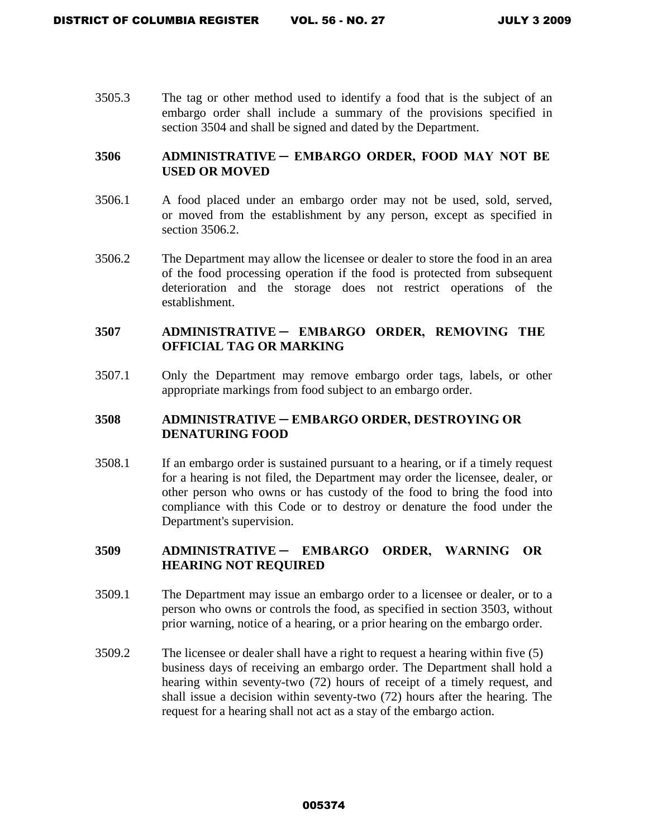3505.3 The tag or other method used to identify a food that is the subject of an embargo order shall include a summary of the provisions specified in section 3504 and shall be signed and dated by the Department.

## **3506 ADMINISTRATIVE ─ EMBARGO ORDER, FOOD MAY NOT BE USED OR MOVED**

- 3506.1 A food placed under an embargo order may not be used, sold, served, or moved from the establishment by any person, except as specified in section 3506.2.
- 3506.2 The Department may allow the licensee or dealer to store the food in an area of the food processing operation if the food is protected from subsequent deterioration and the storage does not restrict operations of the establishment.

### **3507 ADMINISTRATIVE ─ EMBARGO ORDER, REMOVING THE OFFICIAL TAG OR MARKING**

3507.1 Only the Department may remove embargo order tags, labels, or other appropriate markings from food subject to an embargo order.

### **3508 ADMINISTRATIVE ─ EMBARGO ORDER, DESTROYING OR DENATURING FOOD**

3508.1 If an embargo order is sustained pursuant to a hearing, or if a timely request for a hearing is not filed, the Department may order the licensee, dealer, or other person who owns or has custody of the food to bring the food into compliance with this Code or to destroy or denature the food under the Department's supervision.

### **3509 ADMINISTRATIVE ─ EMBARGO ORDER, WARNING OR HEARING NOT REQUIRED**

- 3509.1 The Department may issue an embargo order to a licensee or dealer, or to a person who owns or controls the food, as specified in section 3503, without prior warning, notice of a hearing, or a prior hearing on the embargo order.
- 3509.2 The licensee or dealer shall have a right to request a hearing within five (5) business days of receiving an embargo order. The Department shall hold a hearing within seventy-two (72) hours of receipt of a timely request, and shall issue a decision within seventy-two (72) hours after the hearing. The request for a hearing shall not act as a stay of the embargo action.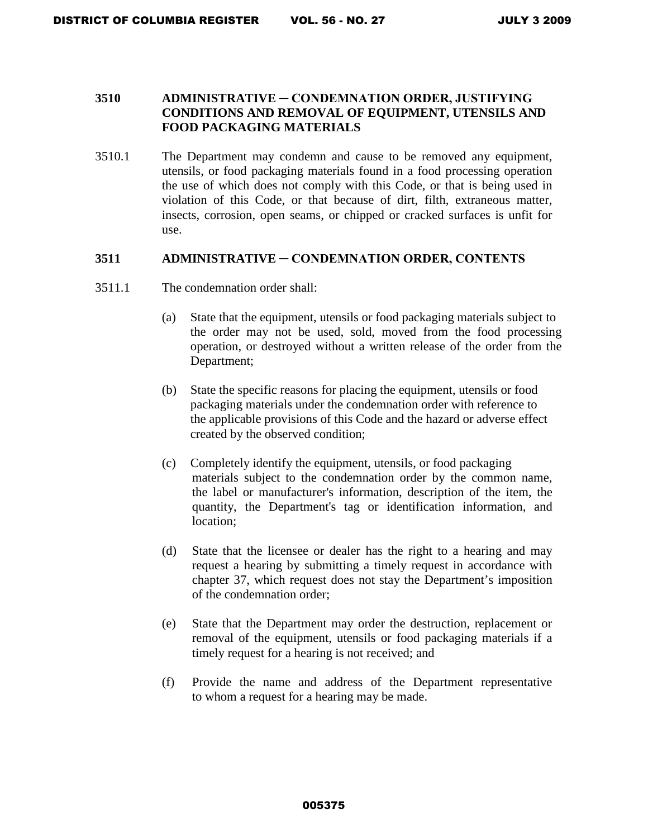### **3510 ADMINISTRATIVE ─ CONDEMNATION ORDER, JUSTIFYING CONDITIONS AND REMOVAL OF EQUIPMENT, UTENSILS AND FOOD PACKAGING MATERIALS**

3510.1 The Department may condemn and cause to be removed any equipment, utensils, or food packaging materials found in a food processing operation the use of which does not comply with this Code, or that is being used in violation of this Code, or that because of dirt, filth, extraneous matter, insects, corrosion, open seams, or chipped or cracked surfaces is unfit for use.

### **3511 ADMINISTRATIVE ─ CONDEMNATION ORDER, CONTENTS**

- 3511.1 The condemnation order shall:
	- (a) State that the equipment, utensils or food packaging materials subject to the order may not be used, sold, moved from the food processing operation, or destroyed without a written release of the order from the Department;
	- (b) State the specific reasons for placing the equipment, utensils or food packaging materials under the condemnation order with reference to the applicable provisions of this Code and the hazard or adverse effect created by the observed condition;
	- (c) Completely identify the equipment, utensils, or food packaging materials subject to the condemnation order by the common name, the label or manufacturer's information, description of the item, the quantity, the Department's tag or identification information, and location;
	- (d) State that the licensee or dealer has the right to a hearing and may request a hearing by submitting a timely request in accordance with chapter 37, which request does not stay the Department's imposition of the condemnation order;
	- (e) State that the Department may order the destruction, replacement or removal of the equipment, utensils or food packaging materials if a timely request for a hearing is not received; and
	- (f) Provide the name and address of the Department representative to whom a request for a hearing may be made.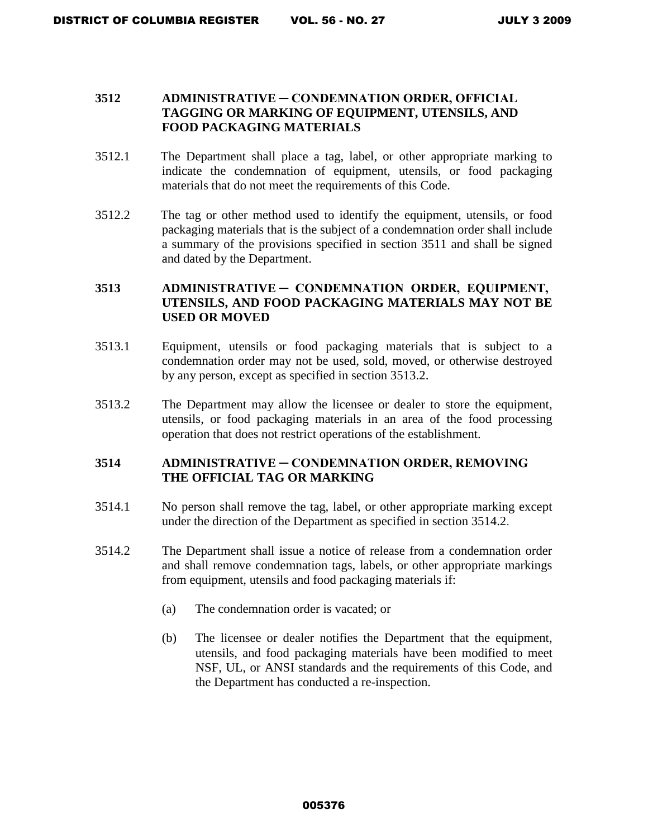### **3512 ADMINISTRATIVE ─ CONDEMNATION ORDER, OFFICIAL TAGGING OR MARKING OF EQUIPMENT, UTENSILS, AND FOOD PACKAGING MATERIALS**

- 3512.1 The Department shall place a tag, label, or other appropriate marking to indicate the condemnation of equipment, utensils, or food packaging materials that do not meet the requirements of this Code.
- 3512.2 The tag or other method used to identify the equipment, utensils, or food packaging materials that is the subject of a condemnation order shall include a summary of the provisions specified in section 3511 and shall be signed and dated by the Department.

## **3513 ADMINISTRATIVE ─ CONDEMNATION ORDER, EQUIPMENT, UTENSILS, AND FOOD PACKAGING MATERIALS MAY NOT BE USED OR MOVED**

- 3513.1 Equipment, utensils or food packaging materials that is subject to a condemnation order may not be used, sold, moved, or otherwise destroyed by any person, except as specified in section 3513.2.
- 3513.2 The Department may allow the licensee or dealer to store the equipment, utensils, or food packaging materials in an area of the food processing operation that does not restrict operations of the establishment.

## **3514 ADMINISTRATIVE ─ CONDEMNATION ORDER, REMOVING THE OFFICIAL TAG OR MARKING**

- 3514.1 No person shall remove the tag, label, or other appropriate marking except under the direction of the Department as specified in section 3514.2.
- 3514.2 The Department shall issue a notice of release from a condemnation order and shall remove condemnation tags, labels, or other appropriate markings from equipment, utensils and food packaging materials if:
	- (a) The condemnation order is vacated; or
	- (b) The licensee or dealer notifies the Department that the equipment, utensils, and food packaging materials have been modified to meet NSF, UL, or ANSI standards and the requirements of this Code, and the Department has conducted a re-inspection.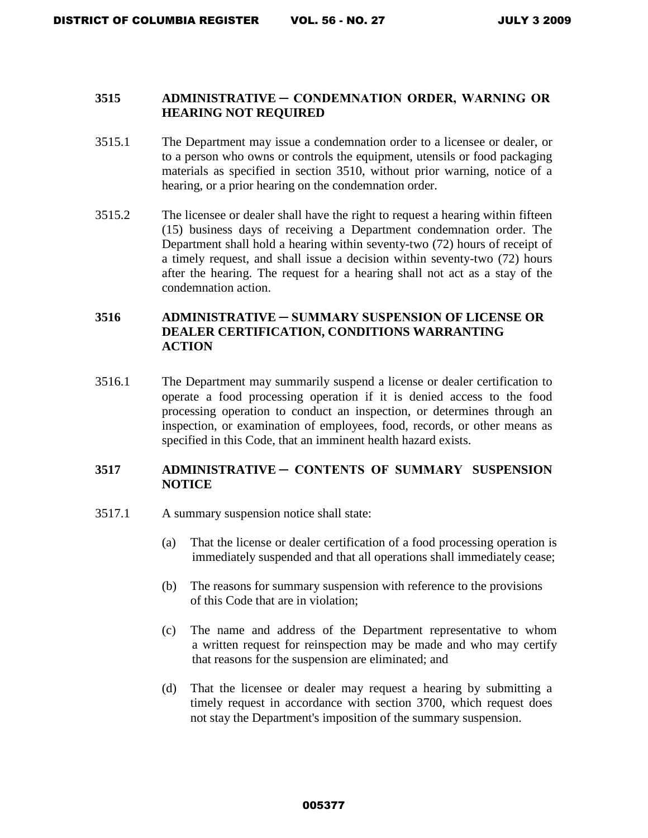### **3515 ADMINISTRATIVE ─ CONDEMNATION ORDER, WARNING OR HEARING NOT REQUIRED**

- 3515.1 The Department may issue a condemnation order to a licensee or dealer, or to a person who owns or controls the equipment, utensils or food packaging materials as specified in section 3510, without prior warning, notice of a hearing, or a prior hearing on the condemnation order.
- 3515.2 The licensee or dealer shall have the right to request a hearing within fifteen (15) business days of receiving a Department condemnation order. The Department shall hold a hearing within seventy-two (72) hours of receipt of a timely request, and shall issue a decision within seventy-two (72) hours after the hearing. The request for a hearing shall not act as a stay of the condemnation action.

## **3516 ADMINISTRATIVE ─ SUMMARY SUSPENSION OF LICENSE OR DEALER CERTIFICATION, CONDITIONS WARRANTING ACTION**

3516.1 The Department may summarily suspend a license or dealer certification to operate a food processing operation if it is denied access to the food processing operation to conduct an inspection, or determines through an inspection, or examination of employees, food, records, or other means as specified in this Code, that an imminent health hazard exists.

### **3517 ADMINISTRATIVE ─ CONTENTS OF SUMMARY SUSPENSION NOTICE**

- 3517.1 A summary suspension notice shall state:
	- (a) That the license or dealer certification of a food processing operation is immediately suspended and that all operations shall immediately cease;
	- (b) The reasons for summary suspension with reference to the provisions of this Code that are in violation;
	- (c) The name and address of the Department representative to whom a written request for reinspection may be made and who may certify that reasons for the suspension are eliminated; and
	- (d) That the licensee or dealer may request a hearing by submitting a timely request in accordance with section 3700, which request does not stay the Department's imposition of the summary suspension.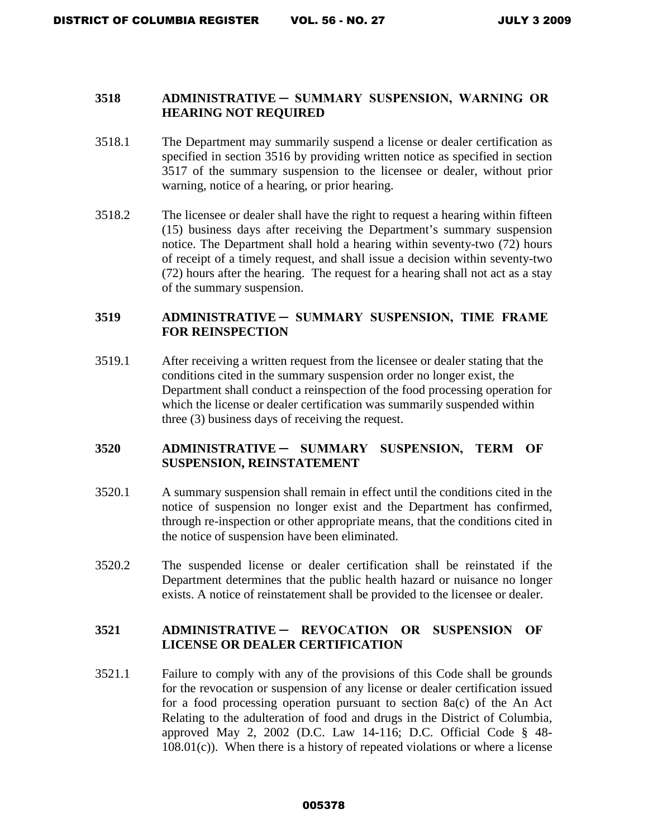### **3518 ADMINISTRATIVE ─ SUMMARY SUSPENSION, WARNING OR HEARING NOT REQUIRED**

- 3518.1 The Department may summarily suspend a license or dealer certification as specified in section 3516 by providing written notice as specified in section 3517 of the summary suspension to the licensee or dealer, without prior warning, notice of a hearing, or prior hearing.
- 3518.2 The licensee or dealer shall have the right to request a hearing within fifteen (15) business days after receiving the Department's summary suspension notice. The Department shall hold a hearing within seventy-two (72) hours of receipt of a timely request, and shall issue a decision within seventy-two (72) hours after the hearing. The request for a hearing shall not act as a stay of the summary suspension.

## **3519 ADMINISTRATIVE ─ SUMMARY SUSPENSION, TIME FRAME FOR REINSPECTION**

3519.1 After receiving a written request from the licensee or dealer stating that the conditions cited in the summary suspension order no longer exist, the Department shall conduct a reinspection of the food processing operation for which the license or dealer certification was summarily suspended within three (3) business days of receiving the request.

### **3520 ADMINISTRATIVE ─ SUMMARY SUSPENSION, TERM OF SUSPENSION, REINSTATEMENT**

- 3520.1 A summary suspension shall remain in effect until the conditions cited in the notice of suspension no longer exist and the Department has confirmed, through re-inspection or other appropriate means, that the conditions cited in the notice of suspension have been eliminated.
- 3520.2 The suspended license or dealer certification shall be reinstated if the Department determines that the public health hazard or nuisance no longer exists. A notice of reinstatement shall be provided to the licensee or dealer.

## **3521 ADMINISTRATIVE ─ REVOCATION OR SUSPENSION OF LICENSE OR DEALER CERTIFICATION**

3521.1 Failure to comply with any of the provisions of this Code shall be grounds for the revocation or suspension of any license or dealer certification issued for a food processing operation pursuant to section 8a(c) of the An Act Relating to the adulteration of food and drugs in the District of Columbia, approved May 2, 2002 (D.C. Law 14-116; D.C. Official Code § 48-  $108.01(c)$ . When there is a history of repeated violations or where a license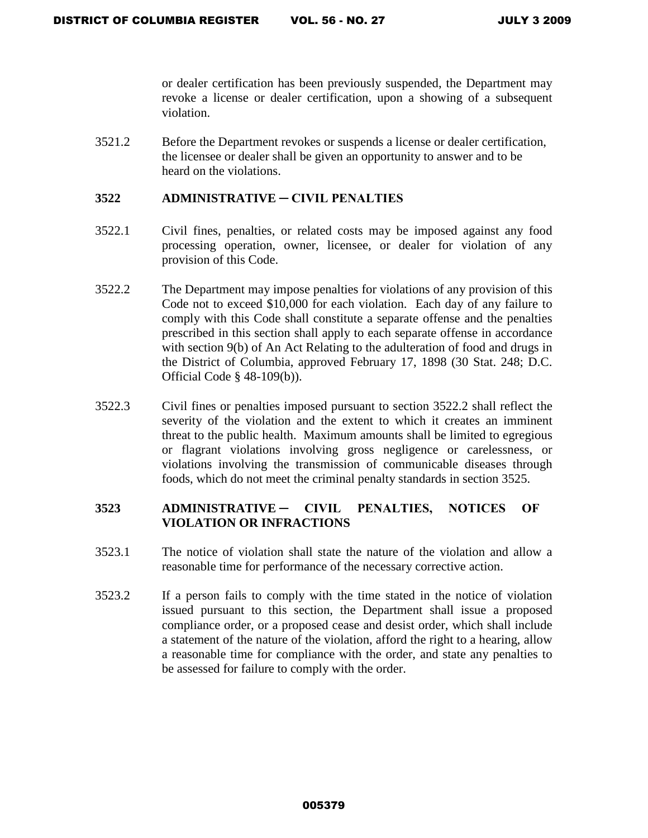or dealer certification has been previously suspended, the Department may revoke a license or dealer certification, upon a showing of a subsequent violation.

3521.2 Before the Department revokes or suspends a license or dealer certification, the licensee or dealer shall be given an opportunity to answer and to be heard on the violations.

### **3522 ADMINISTRATIVE ─ CIVIL PENALTIES**

- 3522.1 Civil fines, penalties, or related costs may be imposed against any food processing operation, owner, licensee, or dealer for violation of any provision of this Code.
- 3522.2 The Department may impose penalties for violations of any provision of this Code not to exceed \$10,000 for each violation. Each day of any failure to comply with this Code shall constitute a separate offense and the penalties prescribed in this section shall apply to each separate offense in accordance with section 9(b) of An Act Relating to the adulteration of food and drugs in the District of Columbia, approved February 17, 1898 (30 Stat. 248; D.C. Official Code § 48-109(b)).
- 3522.3 Civil fines or penalties imposed pursuant to section 3522.2 shall reflect the severity of the violation and the extent to which it creates an imminent threat to the public health. Maximum amounts shall be limited to egregious or flagrant violations involving gross negligence or carelessness, or violations involving the transmission of communicable diseases through foods, which do not meet the criminal penalty standards in section 3525.

## **3523 ADMINISTRATIVE ─ CIVIL PENALTIES, NOTICES OF VIOLATION OR INFRACTIONS**

- 3523.1 The notice of violation shall state the nature of the violation and allow a reasonable time for performance of the necessary corrective action.
- 3523.2 If a person fails to comply with the time stated in the notice of violation issued pursuant to this section, the Department shall issue a proposed compliance order, or a proposed cease and desist order, which shall include a statement of the nature of the violation, afford the right to a hearing, allow a reasonable time for compliance with the order, and state any penalties to be assessed for failure to comply with the order.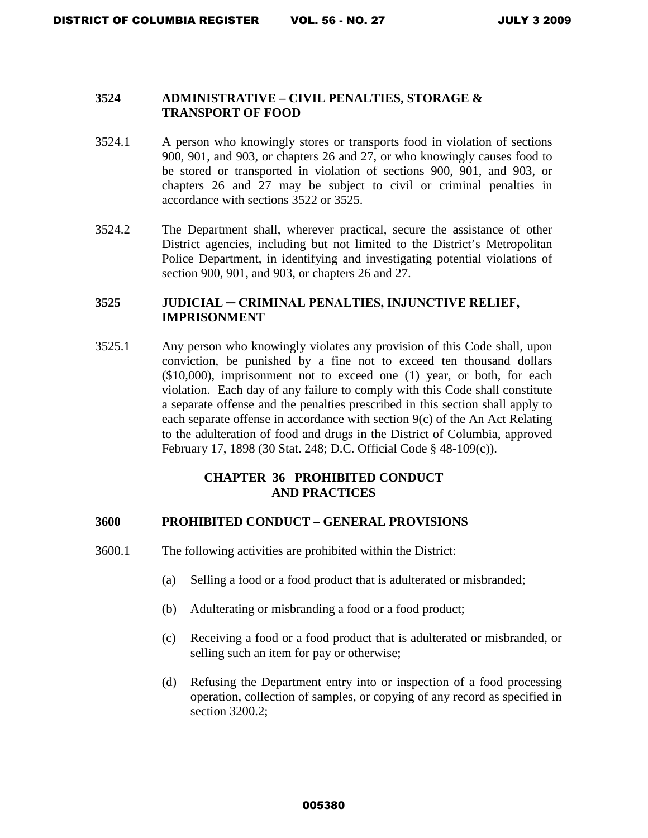### **3524 ADMINISTRATIVE – CIVIL PENALTIES, STORAGE & TRANSPORT OF FOOD**

- 3524.1 A person who knowingly stores or transports food in violation of sections 900, 901, and 903, or chapters 26 and 27, or who knowingly causes food to be stored or transported in violation of sections 900, 901, and 903, or chapters 26 and 27 may be subject to civil or criminal penalties in accordance with sections 3522 or 3525.
- 3524.2 The Department shall, wherever practical, secure the assistance of other District agencies, including but not limited to the District's Metropolitan Police Department, in identifying and investigating potential violations of section 900, 901, and 903, or chapters 26 and 27.

### **3525 JUDICIAL ─ CRIMINAL PENALTIES, INJUNCTIVE RELIEF, IMPRISONMENT**

3525.1 Any person who knowingly violates any provision of this Code shall, upon conviction, be punished by a fine not to exceed ten thousand dollars (\$10,000), imprisonment not to exceed one (1) year, or both, for each violation. Each day of any failure to comply with this Code shall constitute a separate offense and the penalties prescribed in this section shall apply to each separate offense in accordance with section 9(c) of the An Act Relating to the adulteration of food and drugs in the District of Columbia, approved February 17, 1898 (30 Stat. 248; D.C. Official Code § 48-109(c)).

### **CHAPTER 36 PROHIBITED CONDUCT AND PRACTICES**

#### **3600 PROHIBITED CONDUCT – GENERAL PROVISIONS**

- 3600.1 The following activities are prohibited within the District:
	- (a) Selling a food or a food product that is adulterated or misbranded;
	- (b) Adulterating or misbranding a food or a food product;
	- (c) Receiving a food or a food product that is adulterated or misbranded, or selling such an item for pay or otherwise;
	- (d) Refusing the Department entry into or inspection of a food processing operation, collection of samples, or copying of any record as specified in section 3200.2;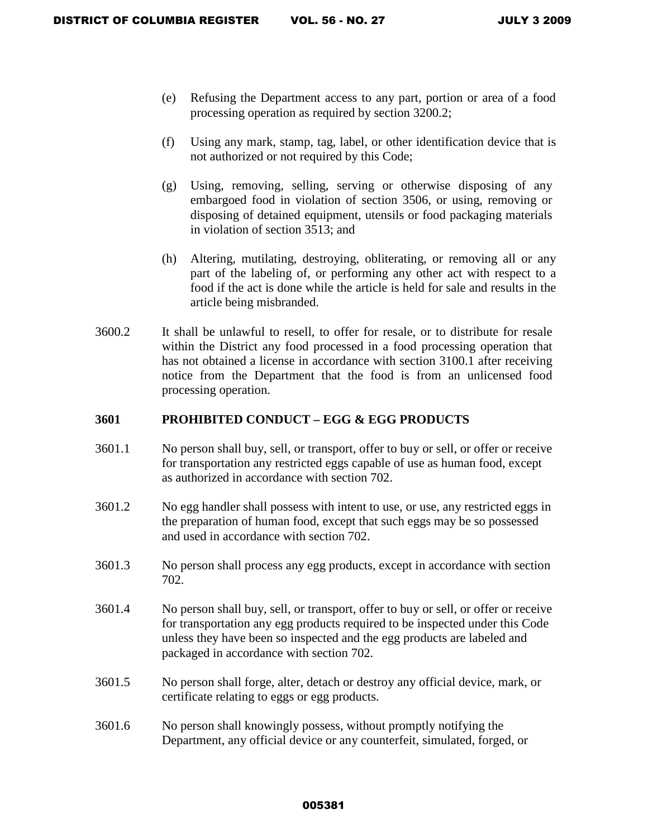- (e) Refusing the Department access to any part, portion or area of a food processing operation as required by section 3200.2;
- (f) Using any mark, stamp, tag, label, or other identification device that is not authorized or not required by this Code;
- (g) Using, removing, selling, serving or otherwise disposing of any embargoed food in violation of section 3506, or using, removing or disposing of detained equipment, utensils or food packaging materials in violation of section 3513; and
- (h) Altering, mutilating, destroying, obliterating, or removing all or any part of the labeling of, or performing any other act with respect to a food if the act is done while the article is held for sale and results in the article being misbranded.
- 3600.2 It shall be unlawful to resell, to offer for resale, or to distribute for resale within the District any food processed in a food processing operation that has not obtained a license in accordance with section 3100.1 after receiving notice from the Department that the food is from an unlicensed food processing operation.

### **3601 PROHIBITED CONDUCT – EGG & EGG PRODUCTS**

- 3601.1 No person shall buy, sell, or transport, offer to buy or sell, or offer or receive for transportation any restricted eggs capable of use as human food, except as authorized in accordance with section 702.
- 3601.2 No egg handler shall possess with intent to use, or use, any restricted eggs in the preparation of human food, except that such eggs may be so possessed and used in accordance with section 702.
- 3601.3 No person shall process any egg products, except in accordance with section 702.
- 3601.4 No person shall buy, sell, or transport, offer to buy or sell, or offer or receive for transportation any egg products required to be inspected under this Code unless they have been so inspected and the egg products are labeled and packaged in accordance with section 702.
- 3601.5 No person shall forge, alter, detach or destroy any official device, mark, or certificate relating to eggs or egg products.
- 3601.6 No person shall knowingly possess, without promptly notifying the Department, any official device or any counterfeit, simulated, forged, or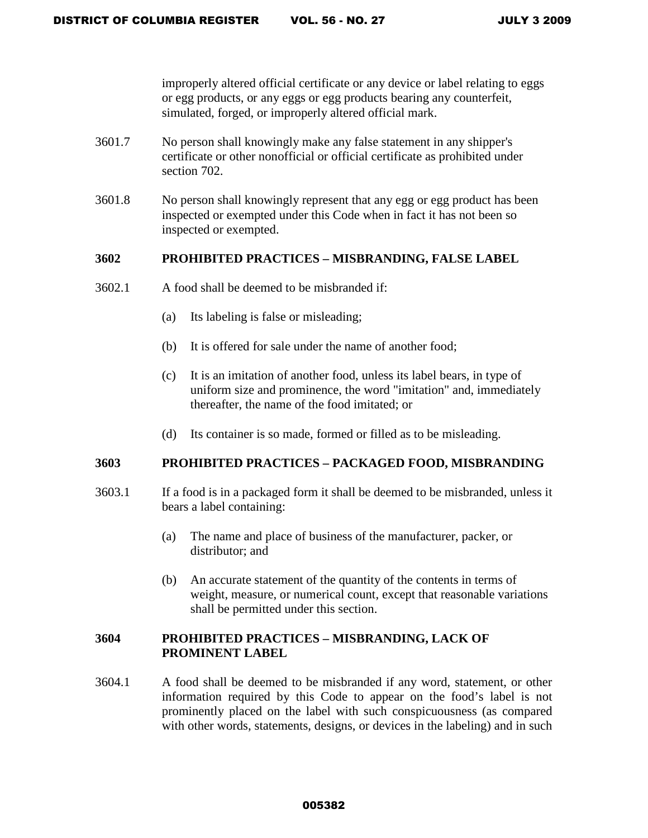improperly altered official certificate or any device or label relating to eggs or egg products, or any eggs or egg products bearing any counterfeit, simulated, forged, or improperly altered official mark.

- 3601.7 No person shall knowingly make any false statement in any shipper's certificate or other nonofficial or official certificate as prohibited under section 702.
- 3601.8 No person shall knowingly represent that any egg or egg product has been inspected or exempted under this Code when in fact it has not been so inspected or exempted.

### **3602 PROHIBITED PRACTICES – MISBRANDING, FALSE LABEL**

- 3602.1 A food shall be deemed to be misbranded if:
	- (a) Its labeling is false or misleading;
	- (b) It is offered for sale under the name of another food;
	- (c) It is an imitation of another food, unless its label bears, in type of uniform size and prominence, the word "imitation" and, immediately thereafter, the name of the food imitated; or
	- (d) Its container is so made, formed or filled as to be misleading.

#### **3603 PROHIBITED PRACTICES – PACKAGED FOOD, MISBRANDING**

- 3603.1 If a food is in a packaged form it shall be deemed to be misbranded, unless it bears a label containing:
	- (a) The name and place of business of the manufacturer, packer, or distributor; and
	- (b) An accurate statement of the quantity of the contents in terms of weight, measure, or numerical count, except that reasonable variations shall be permitted under this section.

### **3604 PROHIBITED PRACTICES – MISBRANDING, LACK OF PROMINENT LABEL**

3604.1 A food shall be deemed to be misbranded if any word, statement, or other information required by this Code to appear on the food's label is not prominently placed on the label with such conspicuousness (as compared with other words, statements, designs, or devices in the labeling) and in such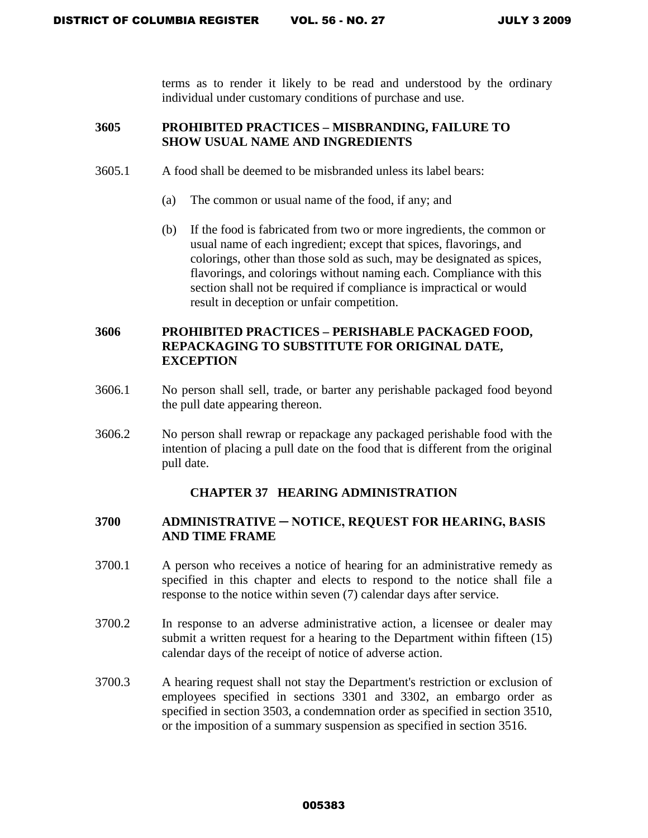terms as to render it likely to be read and understood by the ordinary individual under customary conditions of purchase and use.

## **3605 PROHIBITED PRACTICES – MISBRANDING, FAILURE TO SHOW USUAL NAME AND INGREDIENTS**

- 3605.1 A food shall be deemed to be misbranded unless its label bears:
	- (a) The common or usual name of the food, if any; and
	- (b) If the food is fabricated from two or more ingredients, the common or usual name of each ingredient; except that spices, flavorings, and colorings, other than those sold as such, may be designated as spices, flavorings, and colorings without naming each. Compliance with this section shall not be required if compliance is impractical or would result in deception or unfair competition.

## **3606 PROHIBITED PRACTICES – PERISHABLE PACKAGED FOOD, REPACKAGING TO SUBSTITUTE FOR ORIGINAL DATE, EXCEPTION**

- 3606.1 No person shall sell, trade, or barter any perishable packaged food beyond the pull date appearing thereon.
- 3606.2 No person shall rewrap or repackage any packaged perishable food with the intention of placing a pull date on the food that is different from the original pull date.

# **CHAPTER 37 HEARING ADMINISTRATION**

### **3700 ADMINISTRATIVE ─ NOTICE, REQUEST FOR HEARING, BASIS AND TIME FRAME**

- 3700.1 A person who receives a notice of hearing for an administrative remedy as specified in this chapter and elects to respond to the notice shall file a response to the notice within seven (7) calendar days after service.
- 3700.2 In response to an adverse administrative action, a licensee or dealer may submit a written request for a hearing to the Department within fifteen (15) calendar days of the receipt of notice of adverse action.
- 3700.3 A hearing request shall not stay the Department's restriction or exclusion of employees specified in sections 3301 and 3302, an embargo order as specified in section 3503, a condemnation order as specified in section 3510, or the imposition of a summary suspension as specified in section 3516.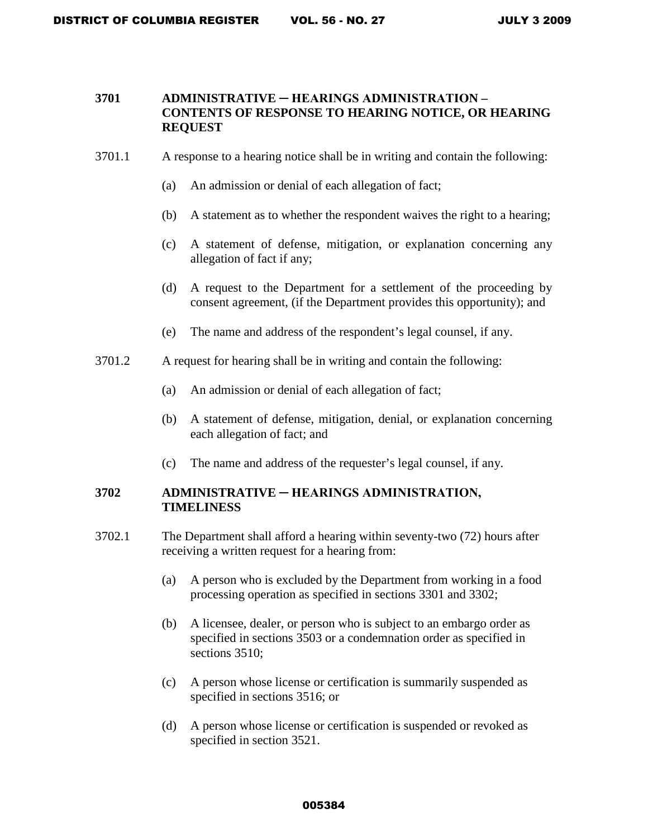### **3701 ADMINISTRATIVE ─ HEARINGS ADMINISTRATION – CONTENTS OF RESPONSE TO HEARING NOTICE, OR HEARING REQUEST**

- 3701.1 A response to a hearing notice shall be in writing and contain the following:
	- (a) An admission or denial of each allegation of fact;
	- (b) A statement as to whether the respondent waives the right to a hearing;
	- (c) A statement of defense, mitigation, or explanation concerning any allegation of fact if any;
	- (d) A request to the Department for a settlement of the proceeding by consent agreement, (if the Department provides this opportunity); and
	- (e) The name and address of the respondent's legal counsel, if any.
- 3701.2 A request for hearing shall be in writing and contain the following:
	- (a) An admission or denial of each allegation of fact;
	- (b) A statement of defense, mitigation, denial, or explanation concerning each allegation of fact; and
	- (c) The name and address of the requester's legal counsel, if any.

## **3702 ADMINISTRATIVE ─ HEARINGS ADMINISTRATION, TIMELINESS**

- 3702.1 The Department shall afford a hearing within seventy-two (72) hours after receiving a written request for a hearing from:
	- (a) A person who is excluded by the Department from working in a food processing operation as specified in sections 3301 and 3302;
	- (b) A licensee, dealer, or person who is subject to an embargo order as specified in sections 3503 or a condemnation order as specified in sections 3510:
	- (c) A person whose license or certification is summarily suspended as specified in sections 3516; or
	- (d) A person whose license or certification is suspended or revoked as specified in section 3521.

#### 005384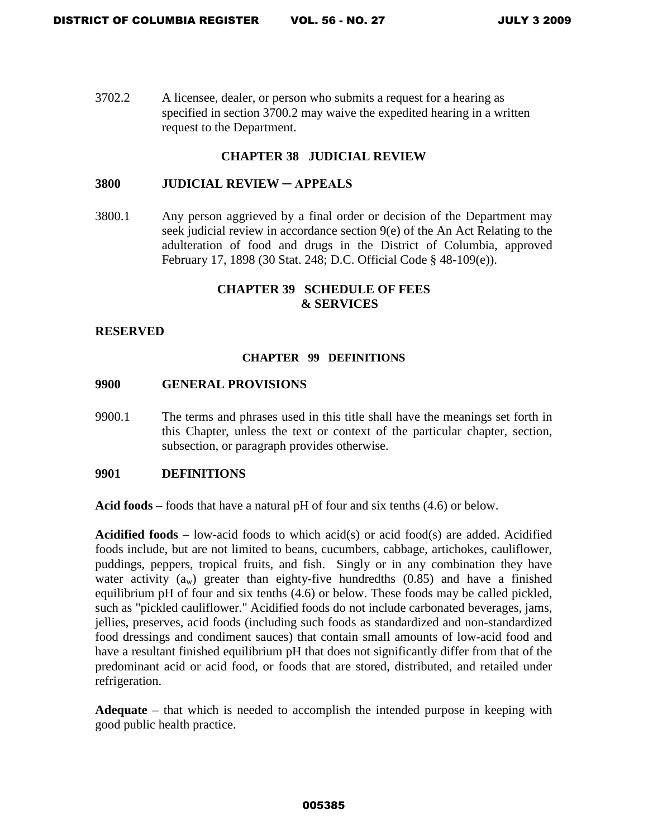3702.2 A licensee, dealer, or person who submits a request for a hearing as specified in section 3700.2 may waive the expedited hearing in a written request to the Department.

### **CHAPTER 38 JUDICIAL REVIEW**

#### **3800 JUDICIAL REVIEW ─ APPEALS**

3800.1 Any person aggrieved by a final order or decision of the Department may seek judicial review in accordance section 9(e) of the An Act Relating to the adulteration of food and drugs in the District of Columbia, approved February 17, 1898 (30 Stat. 248; D.C. Official Code § 48-109(e)).

### **CHAPTER 39 SCHEDULE OF FEES & SERVICES**

### **RESERVED**

#### **CHAPTER 99 DEFINITIONS**

### **9900 GENERAL PROVISIONS**

9900.1 The terms and phrases used in this title shall have the meanings set forth in this Chapter, unless the text or context of the particular chapter, section, subsection, or paragraph provides otherwise.

#### **9901 DEFINITIONS**

**Acid foods** – foods that have a natural pH of four and six tenths (4.6) or below.

**Acidified foods** – low-acid foods to which acid(s) or acid food(s) are added. Acidified foods include, but are not limited to beans, cucumbers, cabbage, artichokes, cauliflower, puddings, peppers, tropical fruits, and fish. Singly or in any combination they have water activity  $(a_w)$  greater than eighty-five hundredths  $(0.85)$  and have a finished equilibrium pH of four and six tenths (4.6) or below. These foods may be called pickled, such as "pickled cauliflower." Acidified foods do not include carbonated beverages, jams, jellies, preserves, acid foods (including such foods as standardized and non-standardized food dressings and condiment sauces) that contain small amounts of low-acid food and have a resultant finished equilibrium pH that does not significantly differ from that of the predominant acid or acid food, or foods that are stored, distributed, and retailed under refrigeration.

**Adequate** – that which is needed to accomplish the intended purpose in keeping with good public health practice.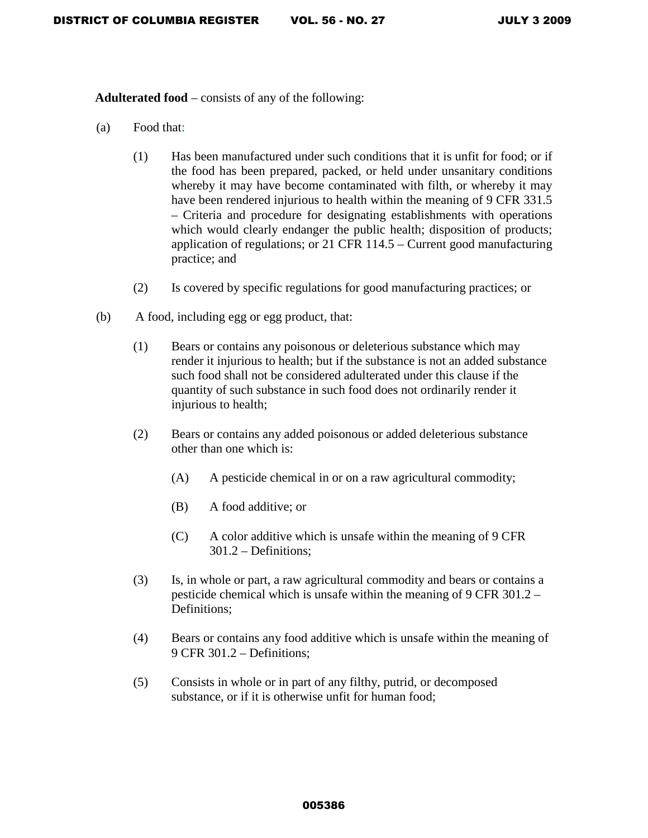**Adulterated food** – consists of any of the following:

- (a) Food that:
	- (1) Has been manufactured under such conditions that it is unfit for food; or if the food has been prepared, packed, or held under unsanitary conditions whereby it may have become contaminated with filth, or whereby it may have been rendered injurious to health within the meaning of 9 CFR 331.5 – Criteria and procedure for designating establishments with operations which would clearly endanger the public health; disposition of products; application of regulations; or 21 CFR 114.5 – Current good manufacturing practice; and
	- (2) Is covered by specific regulations for good manufacturing practices; or
- (b) A food, including egg or egg product, that:
	- (1) Bears or contains any poisonous or deleterious substance which may render it injurious to health; but if the substance is not an added substance such food shall not be considered adulterated under this clause if the quantity of such substance in such food does not ordinarily render it injurious to health;
	- (2) Bears or contains any added poisonous or added deleterious substance other than one which is:
		- (A) A pesticide chemical in or on a raw agricultural commodity;
		- (B) A food additive; or
		- (C) A color additive which is unsafe within the meaning of 9 CFR 301.2 – Definitions;
	- (3) Is, in whole or part, a raw agricultural commodity and bears or contains a pesticide chemical which is unsafe within the meaning of 9 CFR 301.2 – Definitions;
	- (4) Bears or contains any food additive which is unsafe within the meaning of 9 CFR 301.2 – Definitions;
	- (5) Consists in whole or in part of any filthy, putrid, or decomposed substance, or if it is otherwise unfit for human food;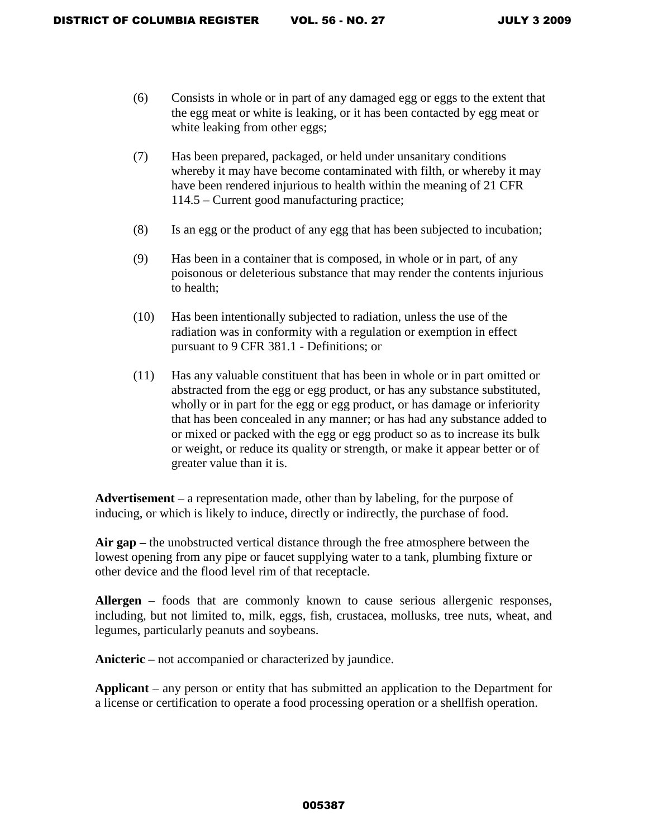- (6) Consists in whole or in part of any damaged egg or eggs to the extent that the egg meat or white is leaking, or it has been contacted by egg meat or white leaking from other eggs;
- (7) Has been prepared, packaged, or held under unsanitary conditions whereby it may have become contaminated with filth, or whereby it may have been rendered injurious to health within the meaning of 21 CFR 114.5 – Current good manufacturing practice;
- (8) Is an egg or the product of any egg that has been subjected to incubation;
- (9) Has been in a container that is composed, in whole or in part, of any poisonous or deleterious substance that may render the contents injurious to health;
- (10) Has been intentionally subjected to radiation, unless the use of the radiation was in conformity with a regulation or exemption in effect pursuant to 9 CFR 381.1 - Definitions; or
- (11) Has any valuable constituent that has been in whole or in part omitted or abstracted from the egg or egg product, or has any substance substituted, wholly or in part for the egg or egg product, or has damage or inferiority that has been concealed in any manner; or has had any substance added to or mixed or packed with the egg or egg product so as to increase its bulk or weight, or reduce its quality or strength, or make it appear better or of greater value than it is.

**Advertisement** – a representation made, other than by labeling, for the purpose of inducing, or which is likely to induce, directly or indirectly, the purchase of food.

**Air gap –** the unobstructed vertical distance through the free atmosphere between the lowest opening from any pipe or faucet supplying water to a tank, plumbing fixture or other device and the flood level rim of that receptacle.

**Allergen** – foods that are commonly known to cause serious allergenic responses, including, but not limited to, milk, eggs, fish, crustacea, mollusks, tree nuts, wheat, and legumes, particularly peanuts and soybeans.

Anicteric – not accompanied or characterized by jaundice.

**Applicant** – any person or entity that has submitted an application to the Department for a license or certification to operate a food processing operation or a shellfish operation.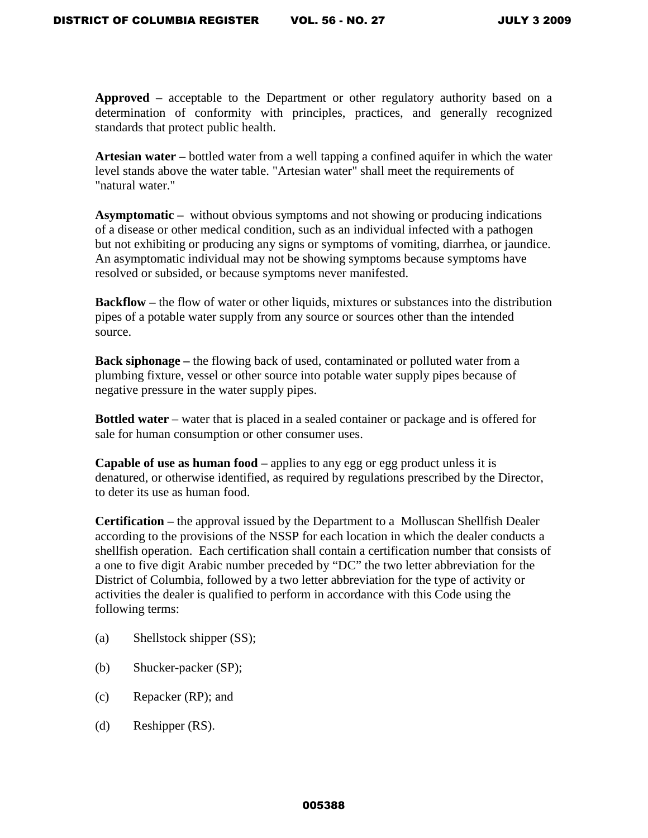**Approved** – acceptable to the Department or other regulatory authority based on a determination of conformity with principles, practices, and generally recognized standards that protect public health.

**Artesian water –** bottled water from a well tapping a confined aquifer in which the water level stands above the water table. "Artesian water" shall meet the requirements of "natural water."

**Asymptomatic –** without obvious symptoms and not showing or producing indications of a disease or other medical condition, such as an individual infected with a pathogen but not exhibiting or producing any signs or symptoms of vomiting, diarrhea, or jaundice. An asymptomatic individual may not be showing symptoms because symptoms have resolved or subsided, or because symptoms never manifested.

**Backflow** – the flow of water or other liquids, mixtures or substances into the distribution pipes of a potable water supply from any source or sources other than the intended source.

**Back siphonage –** the flowing back of used, contaminated or polluted water from a plumbing fixture, vessel or other source into potable water supply pipes because of negative pressure in the water supply pipes.

**Bottled water** – water that is placed in a sealed container or package and is offered for sale for human consumption or other consumer uses.

**Capable of use as human food –** applies to any egg or egg product unless it is denatured, or otherwise identified, as required by regulations prescribed by the Director, to deter its use as human food.

**Certification –** the approval issued by the Department to a Molluscan Shellfish Dealer according to the provisions of the NSSP for each location in which the dealer conducts a shellfish operation. Each certification shall contain a certification number that consists of a one to five digit Arabic number preceded by "DC" the two letter abbreviation for the District of Columbia, followed by a two letter abbreviation for the type of activity or activities the dealer is qualified to perform in accordance with this Code using the following terms:

- (a) Shellstock shipper (SS);
- (b) Shucker-packer (SP);
- (c) Repacker (RP); and
- (d) Reshipper (RS).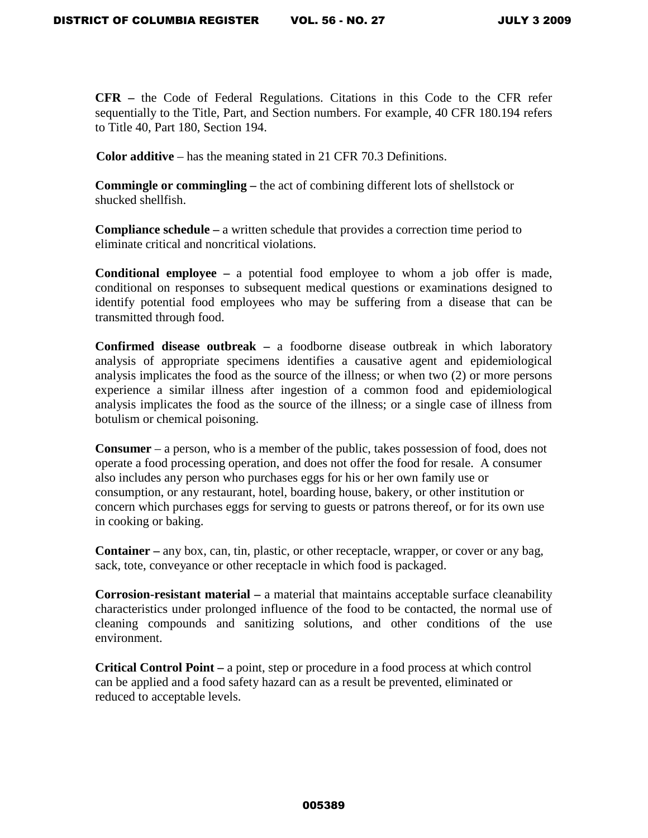**CFR –** the Code of Federal Regulations. Citations in this Code to the CFR refer sequentially to the Title, Part, and Section numbers. For example, 40 CFR 180.194 refers to Title 40, Part 180, Section 194.

**Color additive** – has the meaning stated in 21 CFR 70.3 Definitions.

**Commingle or commingling –** the act of combining different lots of shellstock or shucked shellfish.

**Compliance schedule –** a written schedule that provides a correction time period to eliminate critical and noncritical violations.

**Conditional employee –** a potential food employee to whom a job offer is made, conditional on responses to subsequent medical questions or examinations designed to identify potential food employees who may be suffering from a disease that can be transmitted through food.

**Confirmed disease outbreak –** a foodborne disease outbreak in which laboratory analysis of appropriate specimens identifies a causative agent and epidemiological analysis implicates the food as the source of the illness; or when two (2) or more persons experience a similar illness after ingestion of a common food and epidemiological analysis implicates the food as the source of the illness; or a single case of illness from botulism or chemical poisoning.

**Consumer** – a person, who is a member of the public, takes possession of food, does not operate a food processing operation, and does not offer the food for resale. A consumer also includes any person who purchases eggs for his or her own family use or consumption, or any restaurant, hotel, boarding house, bakery, or other institution or concern which purchases eggs for serving to guests or patrons thereof, or for its own use in cooking or baking.

**Container –** any box, can, tin, plastic, or other receptacle, wrapper, or cover or any bag, sack, tote, conveyance or other receptacle in which food is packaged.

**Corrosion-resistant material –** a material that maintains acceptable surface cleanability characteristics under prolonged influence of the food to be contacted, the normal use of cleaning compounds and sanitizing solutions, and other conditions of the use environment.

**Critical Control Point –** a point, step or procedure in a food process at which control can be applied and a food safety hazard can as a result be prevented, eliminated or reduced to acceptable levels.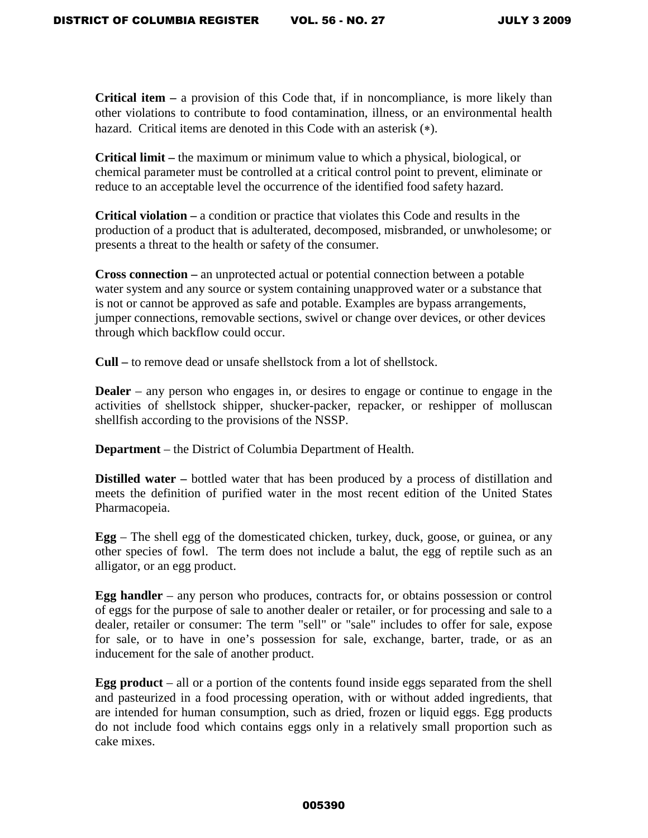**Critical item –** a provision of this Code that, if in noncompliance, is more likely than other violations to contribute to food contamination, illness, or an environmental health hazard. Critical items are denoted in this Code with an asterisk (∗).

**Critical limit –** the maximum or minimum value to which a physical, biological, or chemical parameter must be controlled at a critical control point to prevent, eliminate or reduce to an acceptable level the occurrence of the identified food safety hazard.

**Critical violation –** a condition or practice that violates this Code and results in the production of a product that is adulterated, decomposed, misbranded, or unwholesome; or presents a threat to the health or safety of the consumer.

**Cross connection –** an unprotected actual or potential connection between a potable water system and any source or system containing unapproved water or a substance that is not or cannot be approved as safe and potable. Examples are bypass arrangements, jumper connections, removable sections, swivel or change over devices, or other devices through which backflow could occur.

**Cull –** to remove dead or unsafe shellstock from a lot of shellstock.

**Dealer** – any person who engages in, or desires to engage or continue to engage in the activities of shellstock shipper, shucker-packer, repacker, or reshipper of molluscan shellfish according to the provisions of the NSSP.

**Department** – the District of Columbia Department of Health.

**Distilled water –** bottled water that has been produced by a process of distillation and meets the definition of purified water in the most recent edition of the United States Pharmacopeia.

**Egg** – The shell egg of the domesticated chicken, turkey, duck, goose, or guinea, or any other species of fowl. The term does not include a balut, the egg of reptile such as an alligator, or an egg product.

**Egg handler** – any person who produces, contracts for, or obtains possession or control of eggs for the purpose of sale to another dealer or retailer, or for processing and sale to a dealer, retailer or consumer: The term "sell" or "sale" includes to offer for sale, expose for sale, or to have in one's possession for sale, exchange, barter, trade, or as an inducement for the sale of another product.

**Egg product** – all or a portion of the contents found inside eggs separated from the shell and pasteurized in a food processing operation, with or without added ingredients, that are intended for human consumption, such as dried, frozen or liquid eggs. Egg products do not include food which contains eggs only in a relatively small proportion such as cake mixes.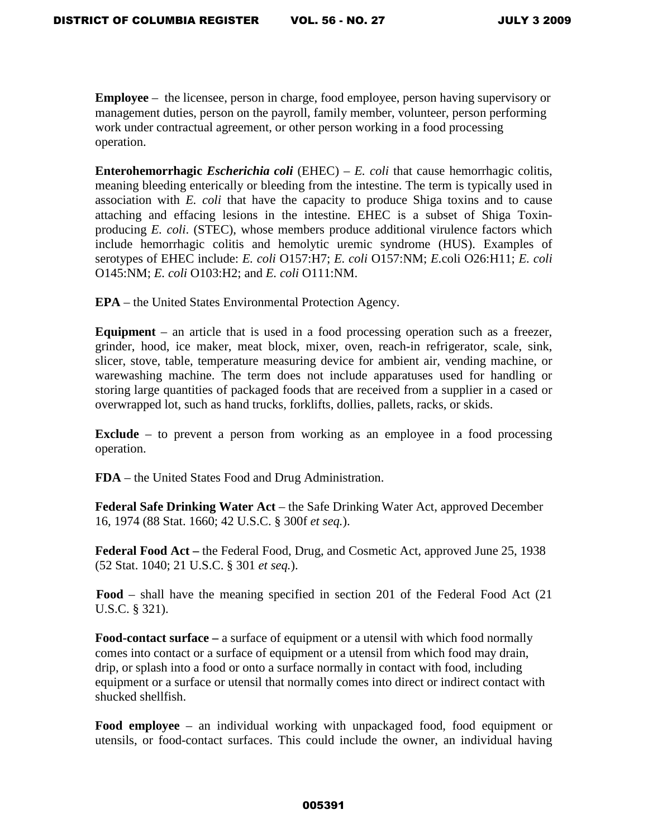**Employee** – the licensee, person in charge, food employee, person having supervisory or management duties, person on the payroll, family member, volunteer, person performing work under contractual agreement, or other person working in a food processing operation.

**Enterohemorrhagic** *Escherichia coli* (EHEC) – *E. coli* that cause hemorrhagic colitis, meaning bleeding enterically or bleeding from the intestine. The term is typically used in association with *E. coli* that have the capacity to produce Shiga toxins and to cause attaching and effacing lesions in the intestine. EHEC is a subset of Shiga Toxinproducing *E. coli*. (STEC), whose members produce additional virulence factors which include hemorrhagic colitis and hemolytic uremic syndrome (HUS). Examples of serotypes of EHEC include: *E. coli* O157:H7; *E. coli* O157:NM; *E.*coli O26:H11; *E. coli* O145:NM; *E. coli* O103:H2; and *E. coli* O111:NM.

**EPA** – the United States Environmental Protection Agency.

**Equipment** – an article that is used in a food processing operation such as a freezer, grinder, hood, ice maker, meat block, mixer, oven, reach-in refrigerator, scale, sink, slicer, stove, table, temperature measuring device for ambient air, vending machine, or warewashing machine. The term does not include apparatuses used for handling or storing large quantities of packaged foods that are received from a supplier in a cased or overwrapped lot, such as hand trucks, forklifts, dollies, pallets, racks, or skids.

**Exclude** – to prevent a person from working as an employee in a food processing operation.

**FDA** – the United States Food and Drug Administration.

**Federal Safe Drinking Water Act** – the Safe Drinking Water Act, approved December 16, 1974 (88 Stat. 1660; 42 U.S.C. § 300f *et seq.*).

**Federal Food Act –** the Federal Food, Drug, and Cosmetic Act, approved June 25, 1938 (52 Stat. 1040; 21 U.S.C. § 301 *et seq.*).

**Food** – shall have the meaning specified in section 201 of the Federal Food Act (21 U.S.C. § 321).

**Food-contact surface –** a surface of equipment or a utensil with which food normally comes into contact or a surface of equipment or a utensil from which food may drain, drip, or splash into a food or onto a surface normally in contact with food, including equipment or a surface or utensil that normally comes into direct or indirect contact with shucked shellfish.

**Food employee** – an individual working with unpackaged food, food equipment or utensils, or food-contact surfaces. This could include the owner, an individual having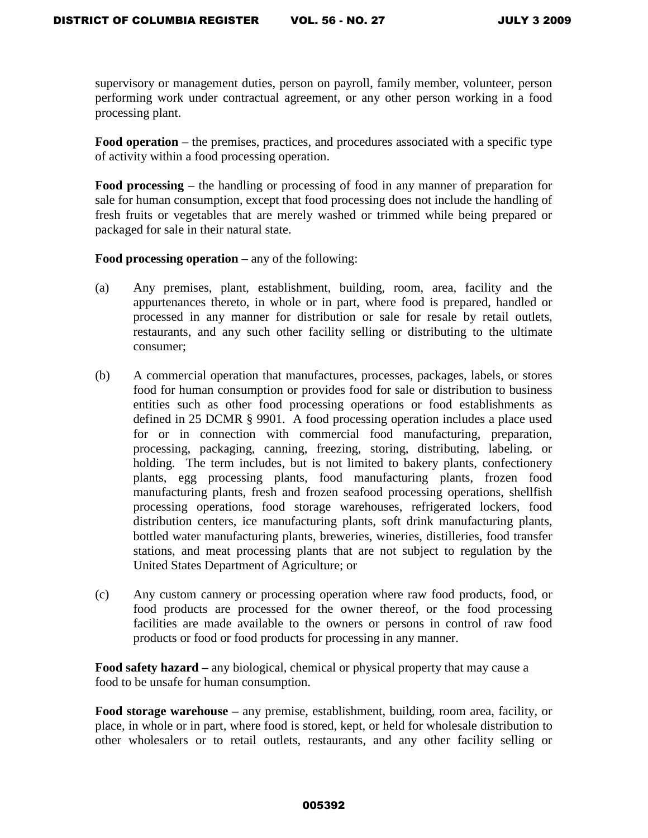supervisory or management duties, person on payroll, family member, volunteer, person performing work under contractual agreement, or any other person working in a food processing plant.

**Food operation** – the premises, practices, and procedures associated with a specific type of activity within a food processing operation.

**Food processing** – the handling or processing of food in any manner of preparation for sale for human consumption, except that food processing does not include the handling of fresh fruits or vegetables that are merely washed or trimmed while being prepared or packaged for sale in their natural state.

**Food processing operation** – any of the following:

- (a) Any premises, plant, establishment, building, room, area, facility and the appurtenances thereto, in whole or in part, where food is prepared, handled or processed in any manner for distribution or sale for resale by retail outlets, restaurants, and any such other facility selling or distributing to the ultimate consumer;
- (b) A commercial operation that manufactures, processes, packages, labels, or stores food for human consumption or provides food for sale or distribution to business entities such as other food processing operations or food establishments as defined in 25 DCMR § 9901. A food processing operation includes a place used for or in connection with commercial food manufacturing, preparation, processing, packaging, canning, freezing, storing, distributing, labeling, or holding. The term includes, but is not limited to bakery plants, confectionery plants, egg processing plants, food manufacturing plants, frozen food manufacturing plants, fresh and frozen seafood processing operations, shellfish processing operations, food storage warehouses, refrigerated lockers, food distribution centers, ice manufacturing plants, soft drink manufacturing plants, bottled water manufacturing plants, breweries, wineries, distilleries, food transfer stations, and meat processing plants that are not subject to regulation by the United States Department of Agriculture; or
- (c) Any custom cannery or processing operation where raw food products, food, or food products are processed for the owner thereof, or the food processing facilities are made available to the owners or persons in control of raw food products or food or food products for processing in any manner.

**Food safety hazard –** any biological, chemical or physical property that may cause a food to be unsafe for human consumption.

**Food storage warehouse –** any premise, establishment, building, room area, facility, or place, in whole or in part, where food is stored, kept, or held for wholesale distribution to other wholesalers or to retail outlets, restaurants, and any other facility selling or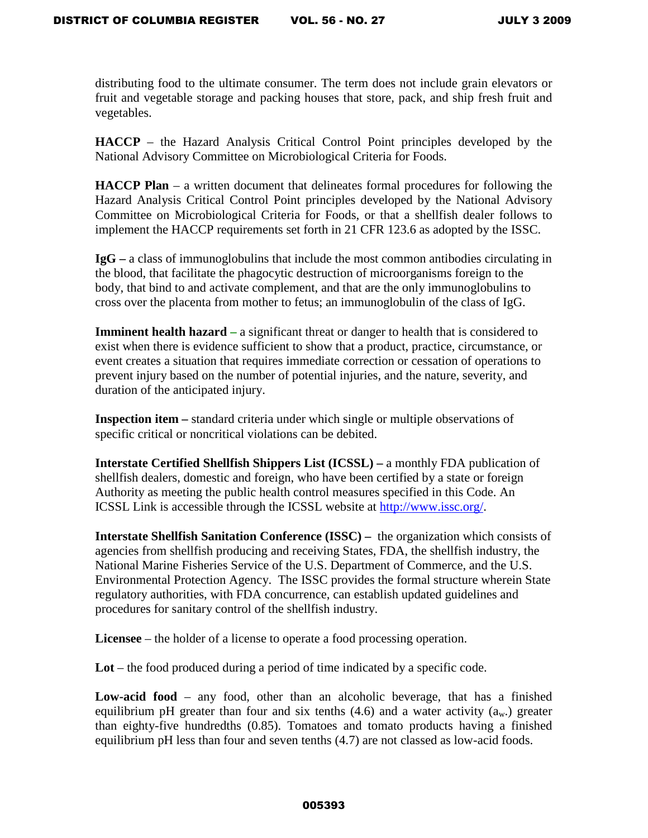distributing food to the ultimate consumer. The term does not include grain elevators or fruit and vegetable storage and packing houses that store, pack, and ship fresh fruit and vegetables.

**HACCP** – the Hazard Analysis Critical Control Point principles developed by the National Advisory Committee on Microbiological Criteria for Foods.

**HACCP Plan** – a written document that delineates formal procedures for following the Hazard Analysis Critical Control Point principles developed by the National Advisory Committee on Microbiological Criteria for Foods, or that a shellfish dealer follows to implement the HACCP requirements set forth in 21 CFR 123.6 as adopted by the ISSC.

**IgG –** a class of immunoglobulins that include the most common antibodies circulating in the blood, that facilitate the phagocytic destruction of microorganisms foreign to the body, that bind to and activate complement, and that are the only immunoglobulins to cross over the placenta from mother to fetus; an immunoglobulin of the class of IgG.

**Imminent health hazard** – a significant threat or danger to health that is considered to exist when there is evidence sufficient to show that a product, practice, circumstance, or event creates a situation that requires immediate correction or cessation of operations to prevent injury based on the number of potential injuries, and the nature, severity, and duration of the anticipated injury.

**Inspection item –** standard criteria under which single or multiple observations of specific critical or noncritical violations can be debited.

**Interstate Certified Shellfish Shippers List (ICSSL) –** a monthly FDA publication of shellfish dealers, domestic and foreign, who have been certified by a state or foreign Authority as meeting the public health control measures specified in this Code. An ICSSL Link is accessible through the ICSSL website at [http://www.issc.org/.](http://www.issc.org/)

**Interstate Shellfish Sanitation Conference (ISSC) –** the organization which consists of agencies from shellfish producing and receiving States, FDA, the shellfish industry, the National Marine Fisheries Service of the U.S. Department of Commerce, and the U.S. Environmental Protection Agency. The ISSC provides the formal structure wherein State regulatory authorities, with FDA concurrence, can establish updated guidelines and procedures for sanitary control of the shellfish industry.

**Licensee** – the holder of a license to operate a food processing operation.

**Lot** – the food produced during a period of time indicated by a specific code.

**Low-acid food** – any food, other than an alcoholic beverage, that has a finished equilibrium pH greater than four and six tenths  $(4.6)$  and a water activity  $(a_w)$  greater than eighty-five hundredths (0.85). Tomatoes and tomato products having a finished equilibrium pH less than four and seven tenths (4.7) are not classed as low-acid foods.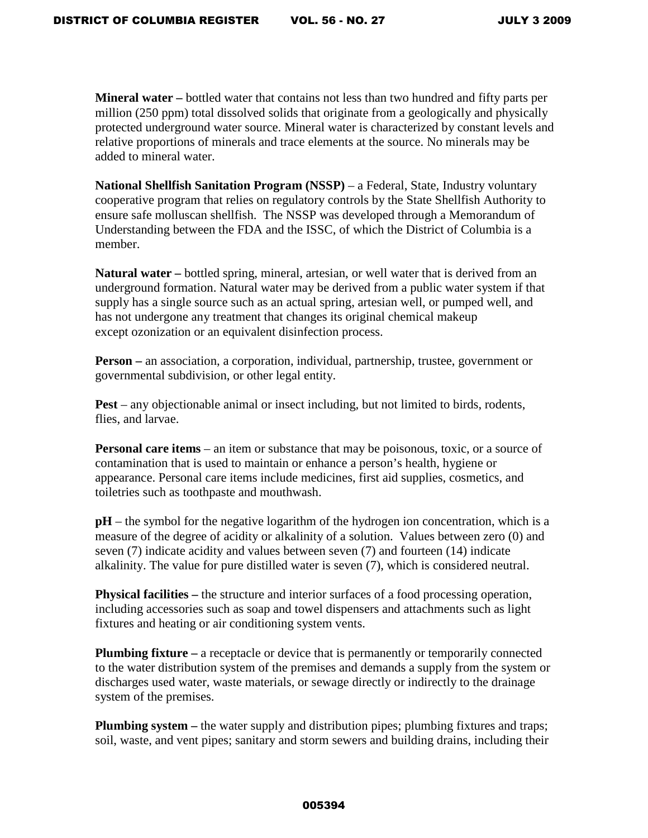**Mineral water –** bottled water that contains not less than two hundred and fifty parts per million (250 ppm) total dissolved solids that originate from a geologically and physically protected underground water source. Mineral water is characterized by constant levels and relative proportions of minerals and trace elements at the source. No minerals may be added to mineral water.

**National Shellfish Sanitation Program (NSSP)** – a Federal, State, Industry voluntary cooperative program that relies on regulatory controls by the State Shellfish Authority to ensure safe molluscan shellfish. The NSSP was developed through a Memorandum of Understanding between the FDA and the ISSC, of which the District of Columbia is a member.

**Natural water –** bottled spring, mineral, artesian, or well water that is derived from an underground formation. Natural water may be derived from a public water system if that supply has a single source such as an actual spring, artesian well, or pumped well, and has not undergone any treatment that changes its original chemical makeup except ozonization or an equivalent disinfection process.

**Person –** an association, a corporation, individual, partnership, trustee, government or governmental subdivision, or other legal entity.

**Pest** – any objectionable animal or insect including, but not limited to birds, rodents, flies, and larvae.

**Personal care items** – an item or substance that may be poisonous, toxic, or a source of contamination that is used to maintain or enhance a person's health, hygiene or appearance. Personal care items include medicines, first aid supplies, cosmetics, and toiletries such as toothpaste and mouthwash.

**pH** – the symbol for the negative logarithm of the hydrogen ion concentration, which is a measure of the degree of acidity or alkalinity of a solution. Values between zero (0) and seven (7) indicate acidity and values between seven (7) and fourteen (14) indicate alkalinity. The value for pure distilled water is seven (7), which is considered neutral.

**Physical facilities –** the structure and interior surfaces of a food processing operation, including accessories such as soap and towel dispensers and attachments such as light fixtures and heating or air conditioning system vents.

**Plumbing fixture** – a receptacle or device that is permanently or temporarily connected to the water distribution system of the premises and demands a supply from the system or discharges used water, waste materials, or sewage directly or indirectly to the drainage system of the premises.

**Plumbing system** – the water supply and distribution pipes; plumbing fixtures and traps; soil, waste, and vent pipes; sanitary and storm sewers and building drains, including their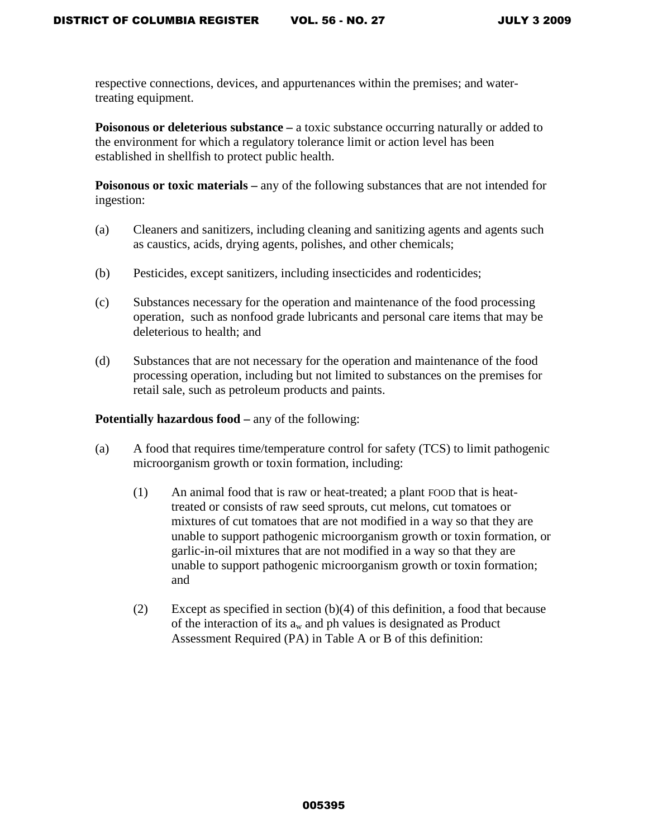respective connections, devices, and appurtenances within the premises; and watertreating equipment.

**Poisonous or deleterious substance** – a toxic substance occurring naturally or added to the environment for which a regulatory tolerance limit or action level has been established in shellfish to protect public health.

**Poisonous or toxic materials –** any of the following substances that are not intended for ingestion:

- (a) Cleaners and sanitizers, including cleaning and sanitizing agents and agents such as caustics, acids, drying agents, polishes, and other chemicals;
- (b) Pesticides, except sanitizers, including insecticides and rodenticides;
- (c) Substances necessary for the operation and maintenance of the food processing operation, such as nonfood grade lubricants and personal care items that may be deleterious to health; and
- (d) Substances that are not necessary for the operation and maintenance of the food processing operation, including but not limited to substances on the premises for retail sale, such as petroleum products and paints.

## **Potentially hazardous food – any of the following:**

- (a) A food that requires time/temperature control for safety (TCS) to limit pathogenic microorganism growth or toxin formation, including:
	- (1) An animal food that is raw or heat-treated; a plant FOOD that is heattreated or consists of raw seed sprouts, cut melons, cut tomatoes or mixtures of cut tomatoes that are not modified in a way so that they are unable to support pathogenic microorganism growth or toxin formation, or garlic-in-oil mixtures that are not modified in a way so that they are unable to support pathogenic microorganism growth or toxin formation; and
	- (2) Except as specified in section  $(b)(4)$  of this definition, a food that because of the interaction of its  $a_w$  and ph values is designated as Product Assessment Required (PA) in Table A or B of this definition: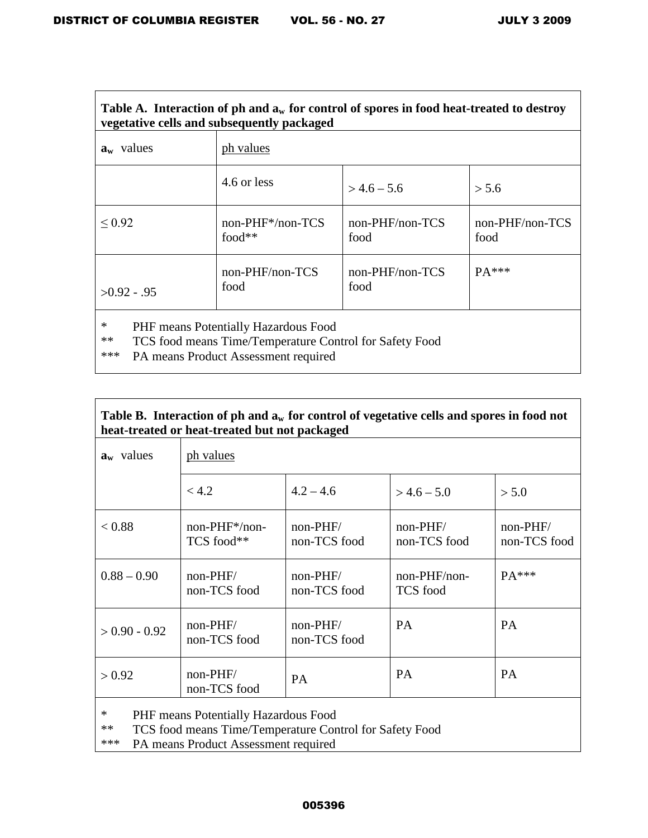$\mathsf{r}$ 

┑

| Table A. Interaction of ph and $a_w$ for control of spores in food heat-treated to destroy<br>vegetative cells and subsequently packaged                  |                                 |                         |                         |  |  |  |  |
|-----------------------------------------------------------------------------------------------------------------------------------------------------------|---------------------------------|-------------------------|-------------------------|--|--|--|--|
| $a_w$ values                                                                                                                                              | ph values                       |                         |                         |  |  |  |  |
|                                                                                                                                                           | 4.6 or less                     | $> 4.6 - 5.6$           | > 5.6                   |  |  |  |  |
| ${}_{0.92}$                                                                                                                                               | $non-PHF*/non-TCS$<br>food $**$ | non-PHF/non-TCS<br>food | non-PHF/non-TCS<br>food |  |  |  |  |
| $>0.92 - .95$                                                                                                                                             | non-PHF/non-TCS<br>food         | non-PHF/non-TCS<br>food | $PA***$                 |  |  |  |  |
| ∗<br>PHF means Potentially Hazardous Food<br>**<br>TCS food means Time/Temperature Control for Safety Food<br>***<br>PA means Product Assessment required |                                 |                         |                         |  |  |  |  |

|                                               |  | Table B. Interaction of ph and $a_w$ for control of vegetative cells and spores in food not |  |  |  |
|-----------------------------------------------|--|---------------------------------------------------------------------------------------------|--|--|--|
| heat-treated or heat-treated but not packaged |  |                                                                                             |  |  |  |

| $\mathbf{a}_{\mathbf{w}}$ values | ph values                      |                            |                                   |                            |  |  |
|----------------------------------|--------------------------------|----------------------------|-----------------------------------|----------------------------|--|--|
|                                  | < 4.2                          | $4.2 - 4.6$                | $>$ 4.6 – 5.0                     | > 5.0                      |  |  |
| < 0.88                           | $non-PHF^*/non-$<br>TCS food** | $non-PHF/$<br>non-TCS food | $non-PHF/$<br>non-TCS food        | $non-PHF/$<br>non-TCS food |  |  |
| $0.88 - 0.90$                    | $non-PHF/$<br>non-TCS food     | $non-PHF/$<br>non-TCS food | $non-PHF/non-$<br><b>TCS</b> food | $PA***$                    |  |  |
| $> 0.90 - 0.92$                  | $non-PHF/$<br>non-TCS food     | $non-PHF/$<br>non-TCS food | <b>PA</b>                         | <b>PA</b>                  |  |  |
| > 0.92                           | $non-PHF/$<br>non-TCS food     | <b>PA</b>                  | <b>PA</b>                         | <b>PA</b>                  |  |  |

\* PHF means Potentially Hazardous Food<br>
\*\* TCS food means Time/Temperature Con

\*\* TCS food means Time/Temperature Control for Safety Food<br>\*\*\* PA means Product Assessment required

PA means Product Assessment required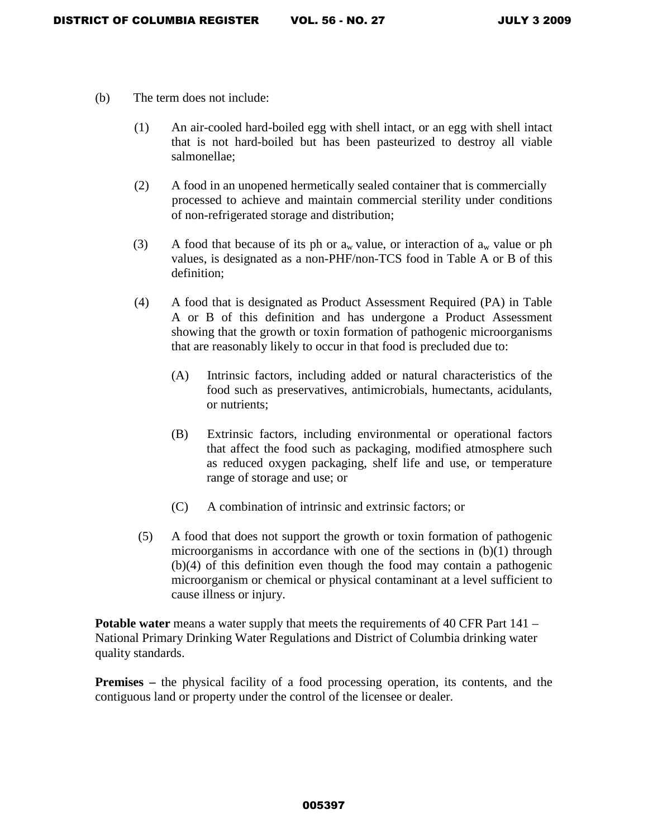- (b) The term does not include:
	- (1) An air-cooled hard-boiled egg with shell intact, or an egg with shell intact that is not hard-boiled but has been pasteurized to destroy all viable salmonellae;
	- (2) A food in an unopened hermetically sealed container that is commercially processed to achieve and maintain commercial sterility under conditions of non-refrigerated storage and distribution;
	- (3) A food that because of its ph or  $a_w$  value, or interaction of  $a_w$  value or ph values, is designated as a non-PHF/non-TCS food in Table A or B of this definition;
	- (4) A food that is designated as Product Assessment Required (PA) in Table A or B of this definition and has undergone a Product Assessment showing that the growth or toxin formation of pathogenic microorganisms that are reasonably likely to occur in that food is precluded due to:
		- (A) Intrinsic factors, including added or natural characteristics of the food such as preservatives, antimicrobials, humectants, acidulants, or nutrients;
		- (B) Extrinsic factors, including environmental or operational factors that affect the food such as packaging, modified atmosphere such as reduced oxygen packaging, shelf life and use, or temperature range of storage and use; or
		- (C) A combination of intrinsic and extrinsic factors; or
	- (5) A food that does not support the growth or toxin formation of pathogenic microorganisms in accordance with one of the sections in (b)(1) through (b)(4) of this definition even though the food may contain a pathogenic microorganism or chemical or physical contaminant at a level sufficient to cause illness or injury.

**Potable water** means a water supply that meets the requirements of 40 CFR Part 141 – National Primary Drinking Water Regulations and District of Columbia drinking water quality standards.

**Premises** – the physical facility of a food processing operation, its contents, and the contiguous land or property under the control of the licensee or dealer.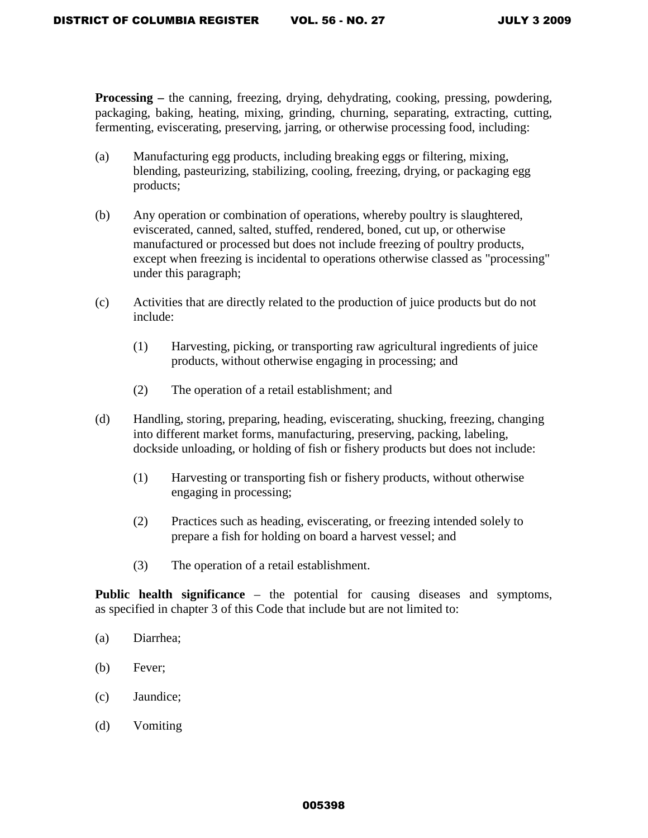**Processing –** the canning, freezing, drying, dehydrating, cooking, pressing, powdering, packaging, baking, heating, mixing, grinding, churning, separating, extracting, cutting, fermenting, eviscerating, preserving, jarring, or otherwise processing food, including:

- (a) Manufacturing egg products, including breaking eggs or filtering, mixing, blending, pasteurizing, stabilizing, cooling, freezing, drying, or packaging egg products;
- (b) Any operation or combination of operations, whereby poultry is slaughtered, eviscerated, canned, salted, stuffed, rendered, boned, cut up, or otherwise manufactured or processed but does not include freezing of poultry products, except when freezing is incidental to operations otherwise classed as "processing" under this paragraph;
- (c) Activities that are directly related to the production of juice products but do not include:
	- (1) Harvesting, picking, or transporting raw agricultural ingredients of juice products, without otherwise engaging in processing; and
	- (2) The operation of a retail establishment; and
- (d) Handling, storing, preparing, heading, eviscerating, shucking, freezing, changing into different market forms, manufacturing, preserving, packing, labeling, dockside unloading, or holding of fish or fishery products but does not include:
	- (1) Harvesting or transporting fish or fishery products, without otherwise engaging in processing;
	- (2) Practices such as heading, eviscerating, or freezing intended solely to prepare a fish for holding on board a harvest vessel; and
	- (3) The operation of a retail establishment.

**Public health significance** – the potential for causing diseases and symptoms, as specified in chapter 3 of this Code that include but are not limited to:

- (a) Diarrhea;
- (b) Fever;
- (c) Jaundice;
- (d) Vomiting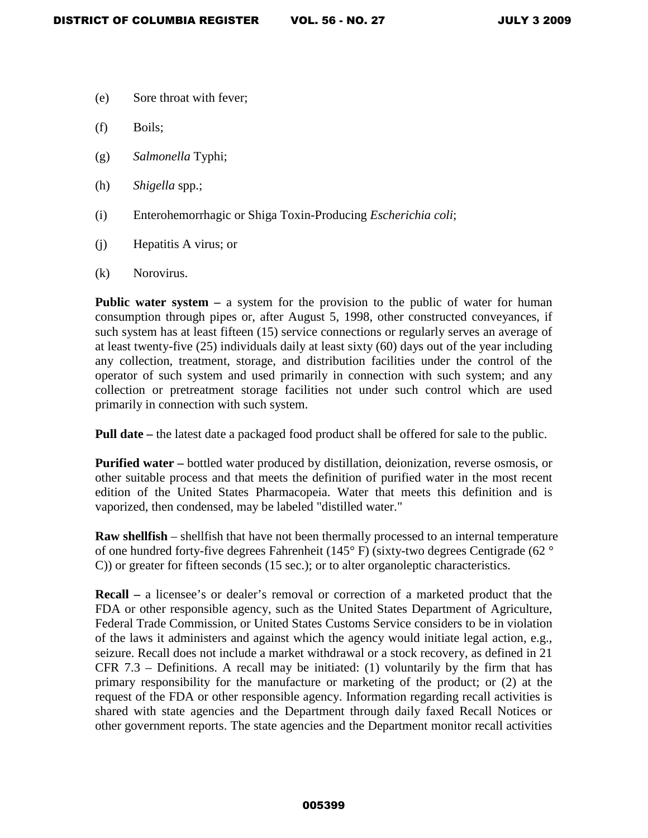- (e) Sore throat with fever;
- (f) Boils;
- (g) *Salmonella* Typhi;
- (h) *Shigella* spp.;
- (i) Enterohemorrhagic or Shiga Toxin-Producing *Escherichia coli*;
- (j) Hepatitis A virus; or
- (k) Norovirus.

**Public water system – a** system for the provision to the public of water for human consumption through pipes or, after August 5, 1998, other constructed conveyances, if such system has at least fifteen (15) service connections or regularly serves an average of at least twenty-five (25) individuals daily at least sixty (60) days out of the year including any collection, treatment, storage, and distribution facilities under the control of the operator of such system and used primarily in connection with such system; and any collection or pretreatment storage facilities not under such control which are used primarily in connection with such system.

**Pull date** – the latest date a packaged food product shall be offered for sale to the public.

**Purified water –** bottled water produced by distillation, deionization, reverse osmosis, or other suitable process and that meets the definition of purified water in the most recent edition of the United States Pharmacopeia. Water that meets this definition and is vaporized, then condensed, may be labeled "distilled water."

**Raw shellfish** – shellfish that have not been thermally processed to an internal temperature of one hundred forty-five degrees Fahrenheit (145° F) (sixty-two degrees Centigrade (62 ° C)) or greater for fifteen seconds (15 sec.); or to alter organoleptic characteristics.

**Recall –** a licensee's or dealer's removal or correction of a marketed product that the FDA or other responsible agency, such as the United States Department of Agriculture, Federal Trade Commission, or United States Customs Service considers to be in violation of the laws it administers and against which the agency would initiate legal action, e.g., seizure. Recall does not include a market withdrawal or a stock recovery, as defined in 21 CFR 7.3 – Definitions. A recall may be initiated: (1) voluntarily by the firm that has primary responsibility for the manufacture or marketing of the product; or (2) at the request of the FDA or other responsible agency. Information regarding recall activities is shared with state agencies and the Department through daily faxed Recall Notices or other government reports. The state agencies and the Department monitor recall activities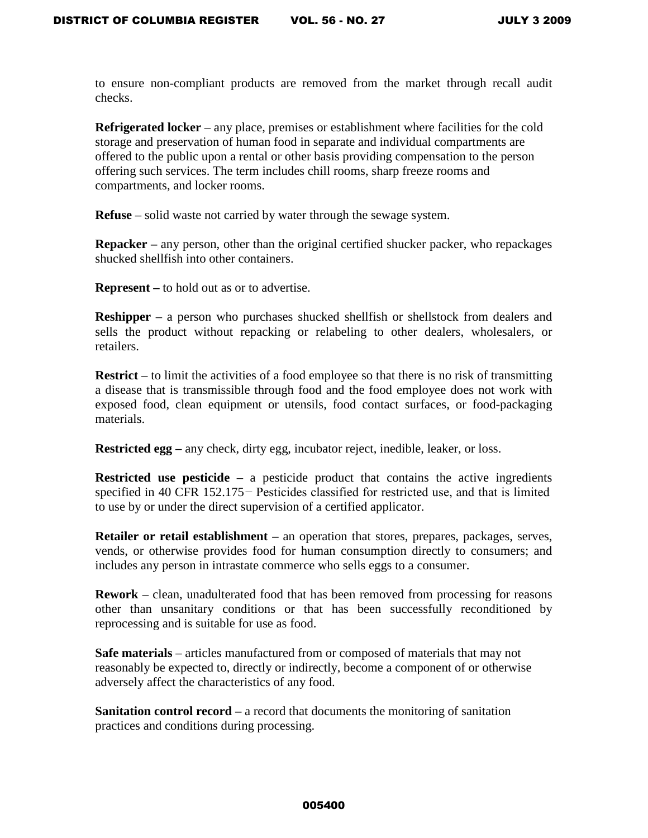to ensure non-compliant products are removed from the market through recall audit checks.

**Refrigerated locker** – any place, premises or establishment where facilities for the cold storage and preservation of human food in separate and individual compartments are offered to the public upon a rental or other basis providing compensation to the person offering such services. The term includes chill rooms, sharp freeze rooms and compartments, and locker rooms.

**Refuse** – solid waste not carried by water through the sewage system.

**Repacker** – any person, other than the original certified shucker packer, who repackages shucked shellfish into other containers.

**Represent –** to hold out as or to advertise.

**Reshipper** – a person who purchases shucked shellfish or shellstock from dealers and sells the product without repacking or relabeling to other dealers, wholesalers, or retailers.

**Restrict** – to limit the activities of a food employee so that there is no risk of transmitting a disease that is transmissible through food and the food employee does not work with exposed food, clean equipment or utensils, food contact surfaces, or food-packaging materials.

**Restricted egg** – any check, dirty egg, incubator reject, inedible, leaker, or loss.

**Restricted use pesticide** – a pesticide product that contains the active ingredients specified in 40 CFR 152.175 – Pesticides classified for restricted use, and that is limited to use by or under the direct supervision of a certified applicator.

**Retailer or retail establishment –** an operation that stores, prepares, packages, serves, vends, or otherwise provides food for human consumption directly to consumers; and includes any person in intrastate commerce who sells eggs to a consumer.

**Rework** – clean, unadulterated food that has been removed from processing for reasons other than unsanitary conditions or that has been successfully reconditioned by reprocessing and is suitable for use as food.

**Safe materials** – articles manufactured from or composed of materials that may not reasonably be expected to, directly or indirectly, become a component of or otherwise adversely affect the characteristics of any food.

**Sanitation control record –** a record that documents the monitoring of sanitation practices and conditions during processing.

#### 005400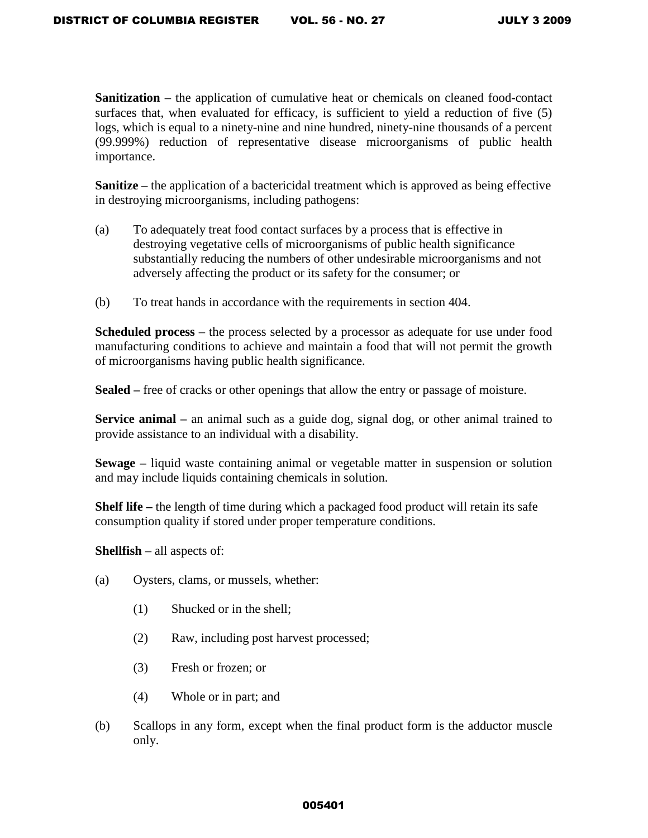**Sanitization** – the application of cumulative heat or chemicals on cleaned food-contact surfaces that, when evaluated for efficacy, is sufficient to yield a reduction of five (5) logs, which is equal to a ninety-nine and nine hundred, ninety-nine thousands of a percent (99.999%) reduction of representative disease microorganisms of public health importance.

**Sanitize** – the application of a bactericidal treatment which is approved as being effective in destroying microorganisms, including pathogens:

- (a) To adequately treat food contact surfaces by a process that is effective in destroying vegetative cells of microorganisms of public health significance substantially reducing the numbers of other undesirable microorganisms and not adversely affecting the product or its safety for the consumer; or
- (b) To treat hands in accordance with the requirements in section 404.

**Scheduled process** – the process selected by a processor as adequate for use under food manufacturing conditions to achieve and maintain a food that will not permit the growth of microorganisms having public health significance.

**Sealed –** free of cracks or other openings that allow the entry or passage of moisture.

**Service animal** – an animal such as a guide dog, signal dog, or other animal trained to provide assistance to an individual with a disability.

**Sewage –** liquid waste containing animal or vegetable matter in suspension or solution and may include liquids containing chemicals in solution.

**Shelf life –** the length of time during which a packaged food product will retain its safe consumption quality if stored under proper temperature conditions.

**Shellfish** – all aspects of:

- (a) Oysters, clams, or mussels, whether:
	- (1) Shucked or in the shell;
	- (2) Raw, including post harvest processed;
	- (3) Fresh or frozen; or
	- (4) Whole or in part; and
- (b) Scallops in any form, except when the final product form is the adductor muscle only.

### 005401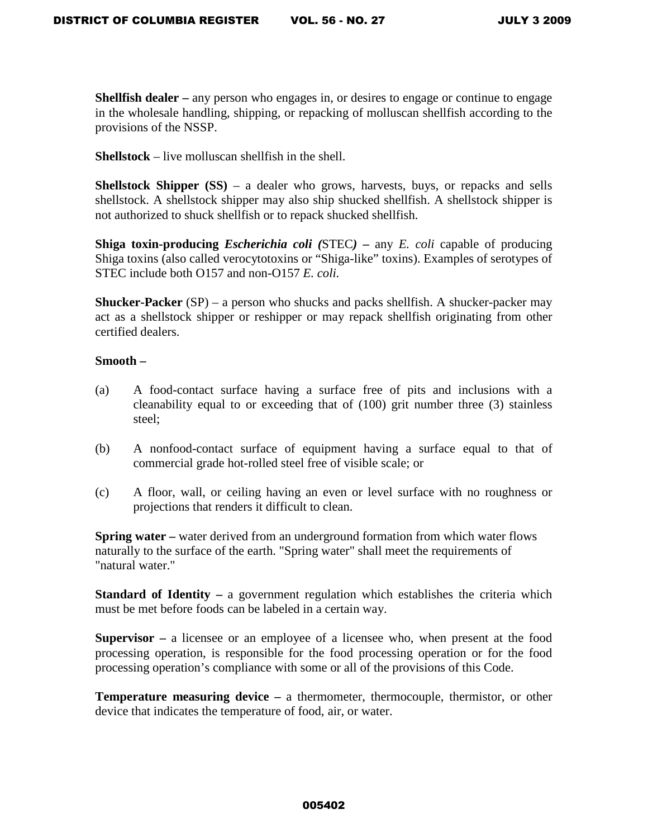**Shellfish dealer** – any person who engages in, or desires to engage or continue to engage in the wholesale handling, shipping, or repacking of molluscan shellfish according to the provisions of the NSSP.

**Shellstock** – live molluscan shellfish in the shell.

**Shellstock Shipper (SS)** – a dealer who grows, harvests, buys, or repacks and sells shellstock. A shellstock shipper may also ship shucked shellfish. A shellstock shipper is not authorized to shuck shellfish or to repack shucked shellfish.

**Shiga toxin-producing** *Escherichia coli (*STEC*)* **–** any *E. coli* capable of producing Shiga toxins (also called verocytotoxins or "Shiga-like" toxins). Examples of serotypes of STEC include both O157 and non-O157 *E. coli.*

**Shucker-Packer** (SP) – a person who shucks and packs shellfish. A shucker-packer may act as a shellstock shipper or reshipper or may repack shellfish originating from other certified dealers.

# **Smooth –**

- (a) A food-contact surface having a surface free of pits and inclusions with a cleanability equal to or exceeding that of (100) grit number three (3) stainless steel;
- (b) A nonfood-contact surface of equipment having a surface equal to that of commercial grade hot-rolled steel free of visible scale; or
- (c) A floor, wall, or ceiling having an even or level surface with no roughness or projections that renders it difficult to clean.

**Spring water** – water derived from an underground formation from which water flows naturally to the surface of the earth. "Spring water" shall meet the requirements of "natural water."

**Standard of Identity – a government regulation which establishes the criteria which** must be met before foods can be labeled in a certain way.

**Supervisor –** a licensee or an employee of a licensee who, when present at the food processing operation, is responsible for the food processing operation or for the food processing operation's compliance with some or all of the provisions of this Code.

**Temperature measuring device –** a thermometer, thermocouple, thermistor, or other device that indicates the temperature of food, air, or water.

### 005402